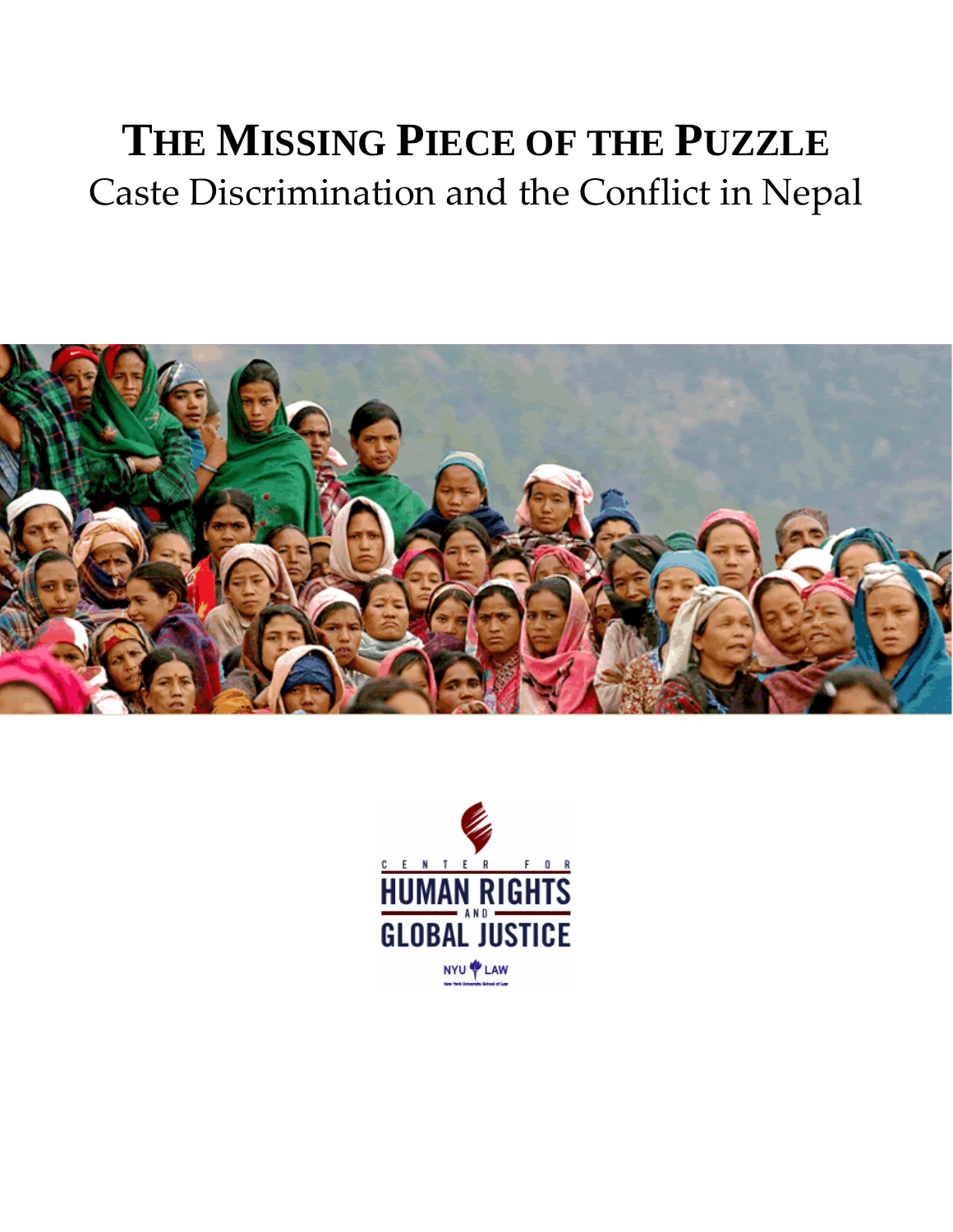# **THE MISSING PIECE OF THE PUZZLE** Caste Discrimination and the Conflict in Nepal



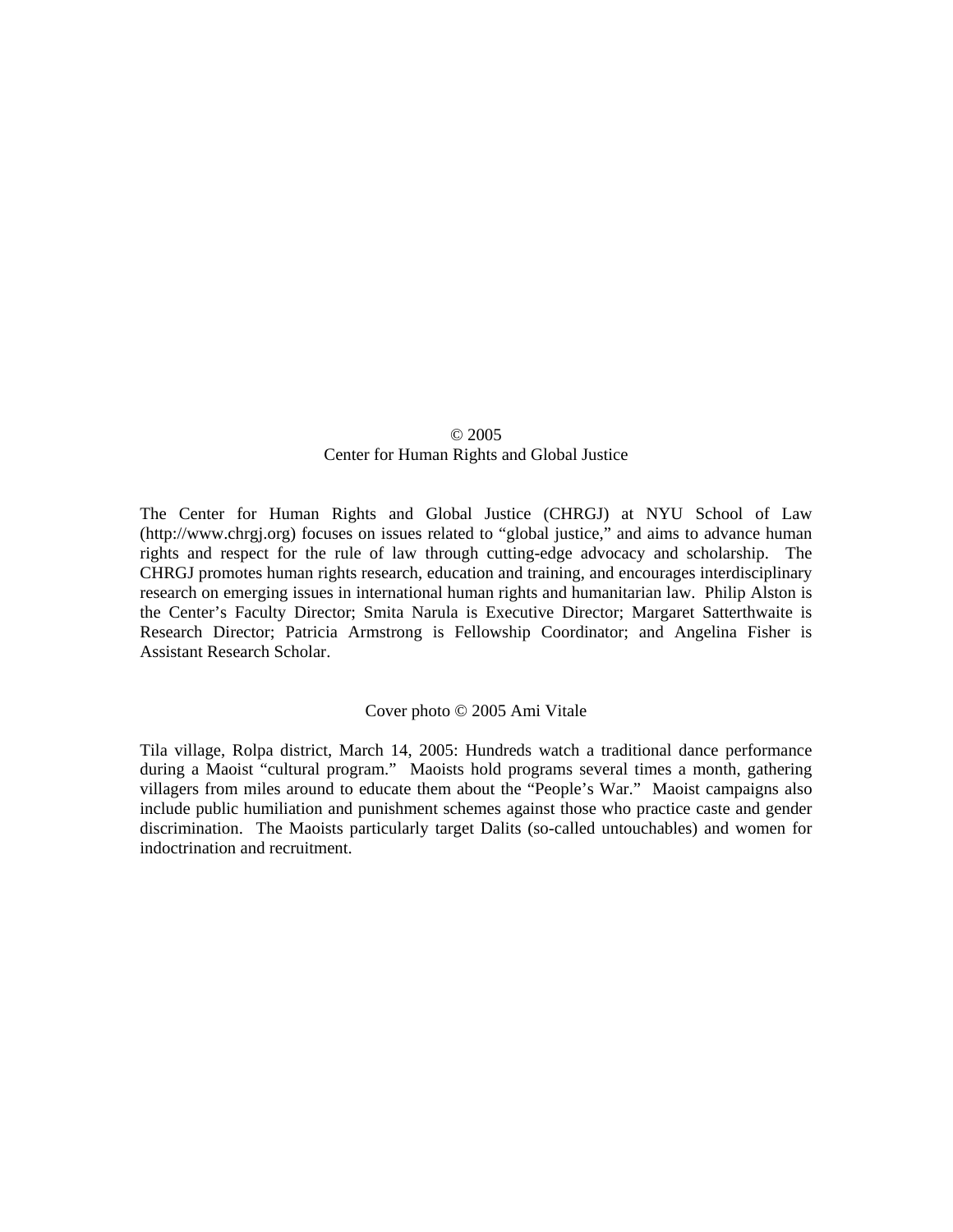# © 2005 Center for Human Rights and Global Justice

The Center for Human Rights and Global Justice (CHRGJ) at NYU School of Law (http://www.chrgj.org) focuses on issues related to "global justice," and aims to advance human rights and respect for the rule of law through cutting-edge advocacy and scholarship. The CHRGJ promotes human rights research, education and training, and encourages interdisciplinary research on emerging issues in international human rights and humanitarian law. Philip Alston is the Center's Faculty Director; Smita Narula is Executive Director; Margaret Satterthwaite is Research Director; Patricia Armstrong is Fellowship Coordinator; and Angelina Fisher is Assistant Research Scholar.

### Cover photo © 2005 Ami Vitale

Tila village, Rolpa district, March 14, 2005: Hundreds watch a traditional dance performance during a Maoist "cultural program." Maoists hold programs several times a month, gathering villagers from miles around to educate them about the "People's War." Maoist campaigns also include public humiliation and punishment schemes against those who practice caste and gender discrimination. The Maoists particularly target Dalits (so-called untouchables) and women for indoctrination and recruitment.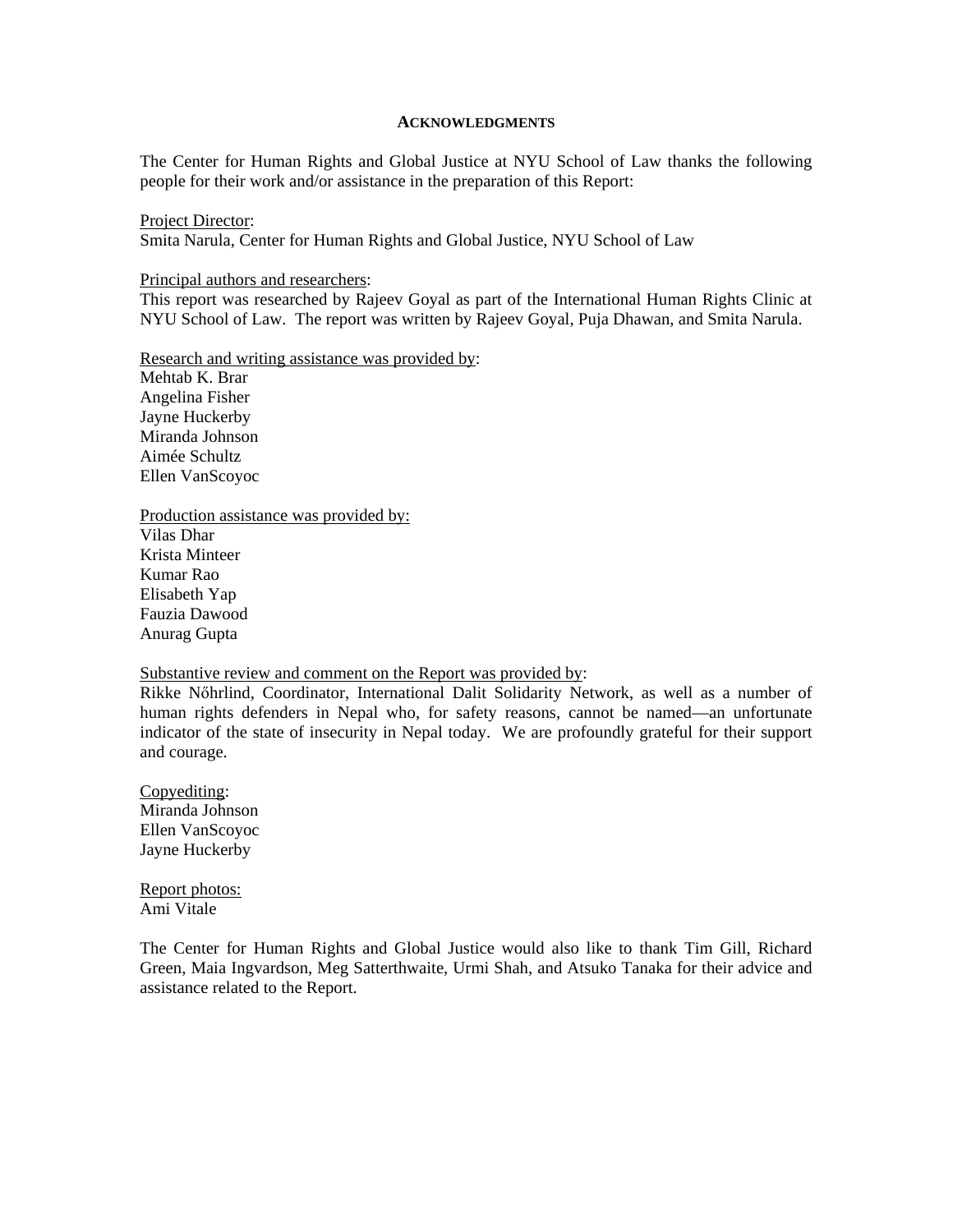#### **ACKNOWLEDGMENTS**

The Center for Human Rights and Global Justice at NYU School of Law thanks the following people for their work and/or assistance in the preparation of this Report:

Project Director:

Smita Narula, Center for Human Rights and Global Justice, NYU School of Law

Principal authors and researchers:

This report was researched by Rajeev Goyal as part of the International Human Rights Clinic at NYU School of Law. The report was written by Rajeev Goyal, Puja Dhawan, and Smita Narula.

Research and writing assistance was provided by: Mehtab K. Brar Angelina Fisher Jayne Huckerby Miranda Johnson Aimée Schultz Ellen VanScoyoc

Production assistance was provided by: Vilas Dhar Krista Minteer Kumar Rao Elisabeth Yap Fauzia Dawood Anurag Gupta

#### Substantive review and comment on the Report was provided by:

Rikke Nőhrlind, Coordinator, International Dalit Solidarity Network, as well as a number of human rights defenders in Nepal who, for safety reasons, cannot be named—an unfortunate indicator of the state of insecurity in Nepal today. We are profoundly grateful for their support and courage.

Copyediting: Miranda Johnson Ellen VanScoyoc Jayne Huckerby

Report photos: Ami Vitale

The Center for Human Rights and Global Justice would also like to thank Tim Gill, Richard Green, Maia Ingvardson, Meg Satterthwaite, Urmi Shah, and Atsuko Tanaka for their advice and assistance related to the Report.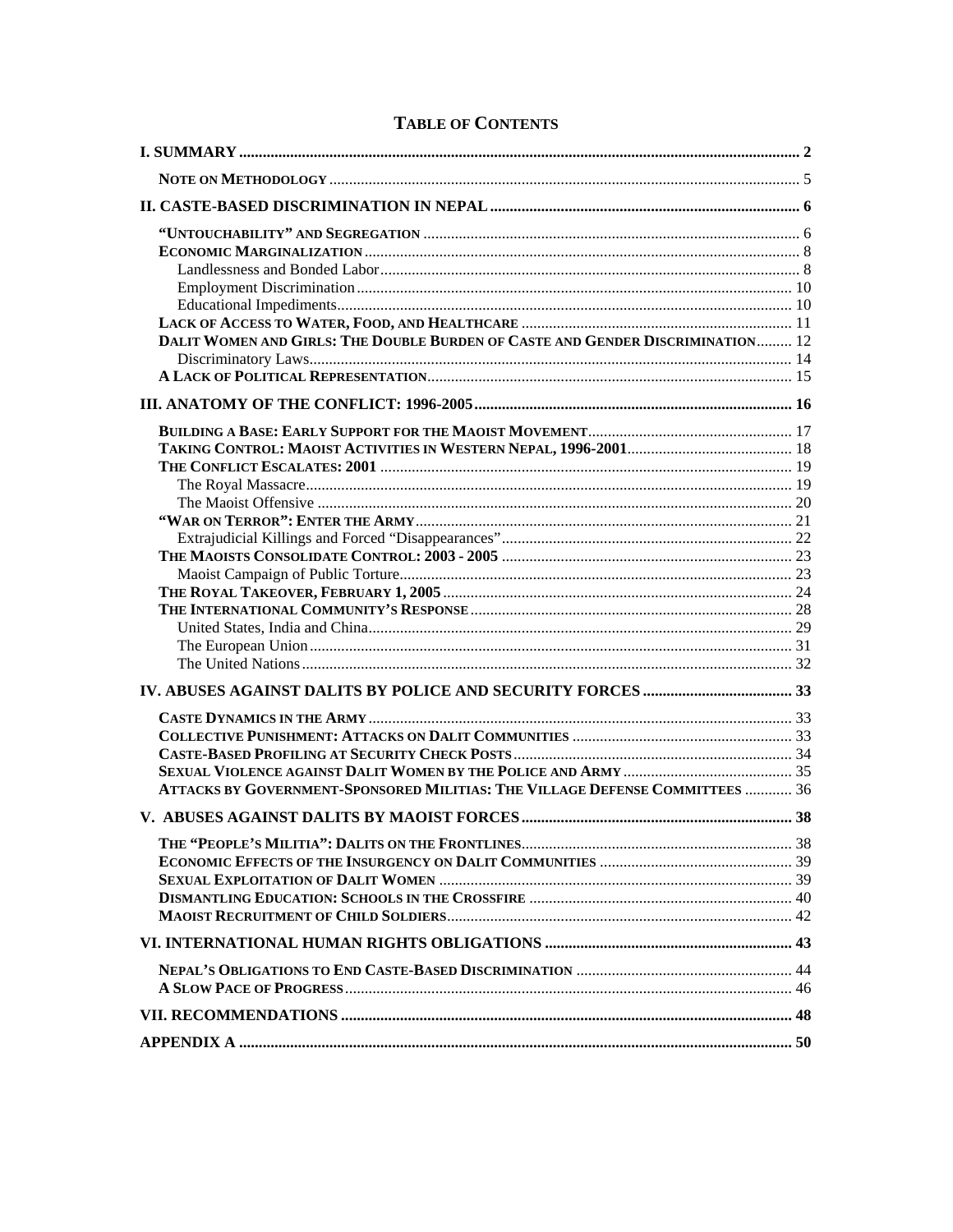| DALIT WOMEN AND GIRLS: THE DOUBLE BURDEN OF CASTE AND GENDER DISCRIMINATION 12 |  |
|--------------------------------------------------------------------------------|--|
|                                                                                |  |
|                                                                                |  |
|                                                                                |  |
|                                                                                |  |
|                                                                                |  |
|                                                                                |  |
|                                                                                |  |
|                                                                                |  |
|                                                                                |  |
|                                                                                |  |
|                                                                                |  |
|                                                                                |  |
|                                                                                |  |
|                                                                                |  |
|                                                                                |  |
|                                                                                |  |
|                                                                                |  |
|                                                                                |  |
|                                                                                |  |
|                                                                                |  |
|                                                                                |  |
|                                                                                |  |
| ATTACKS BY GOVERNMENT-SPONSORED MILITIAS: THE VILLAGE DEFENSE COMMITTEES  36   |  |
|                                                                                |  |
|                                                                                |  |
|                                                                                |  |
|                                                                                |  |
|                                                                                |  |
|                                                                                |  |
|                                                                                |  |
|                                                                                |  |
|                                                                                |  |
|                                                                                |  |
|                                                                                |  |
|                                                                                |  |

# **TABLE OF CONTENTS**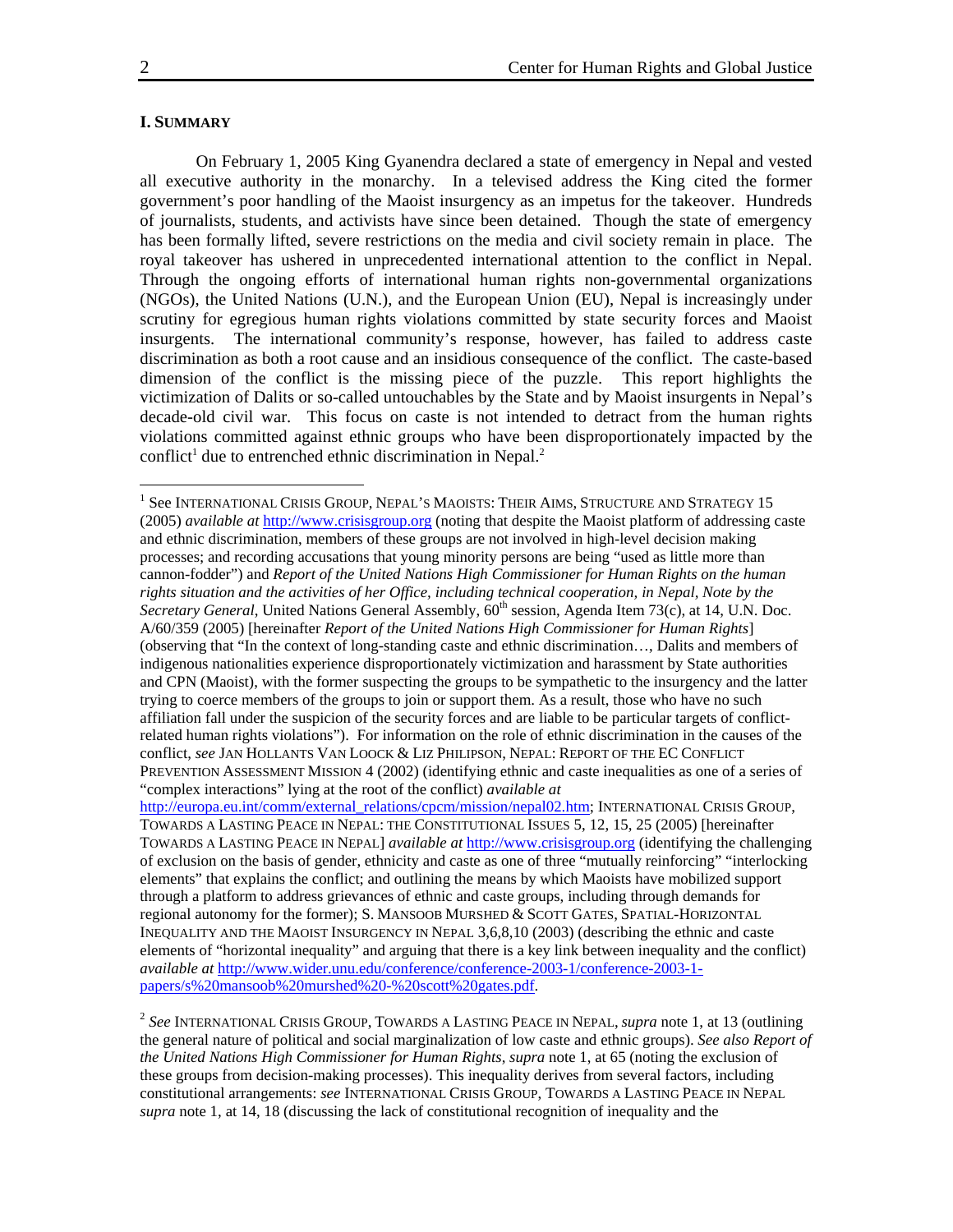$\overline{a}$ 

#### **I. SUMMARY**

On February 1, 2005 King Gyanendra declared a state of emergency in Nepal and vested all executive authority in the monarchy. In a televised address the King cited the former government's poor handling of the Maoist insurgency as an impetus for the takeover. Hundreds of journalists, students, and activists have since been detained. Though the state of emergency has been formally lifted, severe restrictions on the media and civil society remain in place. The royal takeover has ushered in unprecedented international attention to the conflict in Nepal. Through the ongoing efforts of international human rights non-governmental organizations (NGOs), the United Nations (U.N.), and the European Union (EU), Nepal is increasingly under scrutiny for egregious human rights violations committed by state security forces and Maoist insurgents. The international community's response, however, has failed to address caste discrimination as both a root cause and an insidious consequence of the conflict. The caste-based dimension of the conflict is the missing piece of the puzzle. This report highlights the victimization of Dalits or so-called untouchables by the State and by Maoist insurgents in Nepal's decade-old civil war. This focus on caste is not intended to detract from the human rights violations committed against ethnic groups who have been disproportionately impacted by the conflict<sup>1</sup> due to entrenched ethnic discrimination in Nepal.<sup>2</sup>

 $^{\rm 1}$  See International Crisis Group, Nepal's Maoists: Their Aims, Structure and Strategy 15 (2005) *available at* http://www.crisisgroup.org (noting that despite the Maoist platform of addressing caste and ethnic discrimination, members of these groups are not involved in high-level decision making processes; and recording accusations that young minority persons are being "used as little more than cannon-fodder") and *Report of the United Nations High Commissioner for Human Rights on the human rights situation and the activities of her Office, including technical cooperation, in Nepal, Note by the Secretary General*, United Nations General Assembly, 60<sup>th</sup> session, Agenda Item 73(c), at 14, U.N. Doc. A/60/359 (2005) [hereinafter *Report of the United Nations High Commissioner for Human Rights*] (observing that "In the context of long-standing caste and ethnic discrimination…, Dalits and members of indigenous nationalities experience disproportionately victimization and harassment by State authorities and CPN (Maoist), with the former suspecting the groups to be sympathetic to the insurgency and the latter trying to coerce members of the groups to join or support them. As a result, those who have no such affiliation fall under the suspicion of the security forces and are liable to be particular targets of conflictrelated human rights violations"). For information on the role of ethnic discrimination in the causes of the conflict, *see* JAN HOLLANTS VAN LOOCK & LIZ PHILIPSON, NEPAL: REPORT OF THE EC CONFLICT PREVENTION ASSESSMENT MISSION 4 (2002) (identifying ethnic and caste inequalities as one of a series of "complex interactions" lying at the root of the conflict) *available at* 

http://europa.eu.int/comm/external\_relations/cpcm/mission/nepal02.htm; INTERNATIONAL CRISIS GROUP, TOWARDS A LASTING PEACE IN NEPAL: THE CONSTITUTIONAL ISSUES 5, 12, 15, 25 (2005) [hereinafter TOWARDS A LASTING PEACE IN NEPAL] *available at* http://www.crisisgroup.org (identifying the challenging of exclusion on the basis of gender, ethnicity and caste as one of three "mutually reinforcing" "interlocking elements" that explains the conflict; and outlining the means by which Maoists have mobilized support through a platform to address grievances of ethnic and caste groups, including through demands for regional autonomy for the former); S. MANSOOB MURSHED & SCOTT GATES, SPATIAL-HORIZONTAL INEQUALITY AND THE MAOIST INSURGENCY IN NEPAL 3,6,8,10 (2003) (describing the ethnic and caste elements of "horizontal inequality" and arguing that there is a key link between inequality and the conflict) *available at* http://www.wider.unu.edu/conference/conference-2003-1/conference-2003-1 papers/s%20mansoob%20murshed%20-%20scott%20gates.pdf.

<sup>2</sup> *See* INTERNATIONAL CRISIS GROUP, TOWARDS A LASTING PEACE IN NEPAL, *supra* note 1, at 13 (outlining the general nature of political and social marginalization of low caste and ethnic groups). *See also Report of the United Nations High Commissioner for Human Rights*, *supra* note 1, at 65 (noting the exclusion of these groups from decision-making processes). This inequality derives from several factors, including constitutional arrangements: *see* INTERNATIONAL CRISIS GROUP, TOWARDS A LASTING PEACE IN NEPAL *supra* note 1, at 14, 18 (discussing the lack of constitutional recognition of inequality and the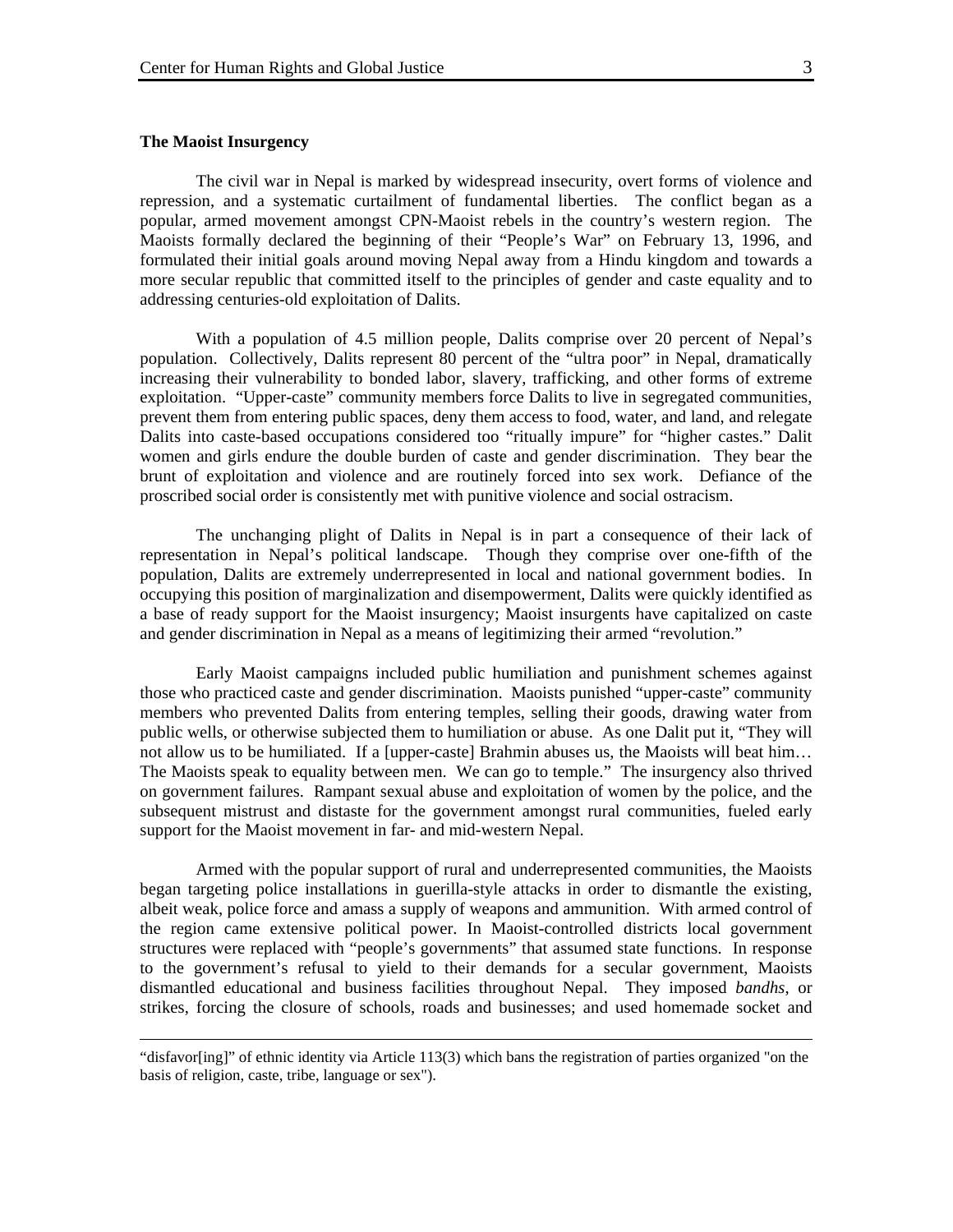#### **The Maoist Insurgency**

l

The civil war in Nepal is marked by widespread insecurity, overt forms of violence and repression, and a systematic curtailment of fundamental liberties. The conflict began as a popular, armed movement amongst CPN-Maoist rebels in the country's western region. The Maoists formally declared the beginning of their "People's War" on February 13, 1996, and formulated their initial goals around moving Nepal away from a Hindu kingdom and towards a more secular republic that committed itself to the principles of gender and caste equality and to addressing centuries-old exploitation of Dalits.

With a population of 4.5 million people, Dalits comprise over 20 percent of Nepal's population. Collectively, Dalits represent 80 percent of the "ultra poor" in Nepal, dramatically increasing their vulnerability to bonded labor, slavery, trafficking, and other forms of extreme exploitation. "Upper-caste" community members force Dalits to live in segregated communities, prevent them from entering public spaces, deny them access to food, water, and land, and relegate Dalits into caste-based occupations considered too "ritually impure" for "higher castes." Dalit women and girls endure the double burden of caste and gender discrimination. They bear the brunt of exploitation and violence and are routinely forced into sex work. Defiance of the proscribed social order is consistently met with punitive violence and social ostracism.

The unchanging plight of Dalits in Nepal is in part a consequence of their lack of representation in Nepal's political landscape. Though they comprise over one-fifth of the population, Dalits are extremely underrepresented in local and national government bodies. In occupying this position of marginalization and disempowerment, Dalits were quickly identified as a base of ready support for the Maoist insurgency; Maoist insurgents have capitalized on caste and gender discrimination in Nepal as a means of legitimizing their armed "revolution."

Early Maoist campaigns included public humiliation and punishment schemes against those who practiced caste and gender discrimination. Maoists punished "upper-caste" community members who prevented Dalits from entering temples, selling their goods, drawing water from public wells, or otherwise subjected them to humiliation or abuse. As one Dalit put it, "They will not allow us to be humiliated. If a [upper-caste] Brahmin abuses us, the Maoists will beat him… The Maoists speak to equality between men. We can go to temple." The insurgency also thrived on government failures. Rampant sexual abuse and exploitation of women by the police, and the subsequent mistrust and distaste for the government amongst rural communities, fueled early support for the Maoist movement in far- and mid-western Nepal.

Armed with the popular support of rural and underrepresented communities, the Maoists began targeting police installations in guerilla-style attacks in order to dismantle the existing, albeit weak, police force and amass a supply of weapons and ammunition. With armed control of the region came extensive political power. In Maoist-controlled districts local government structures were replaced with "people's governments" that assumed state functions. In response to the government's refusal to yield to their demands for a secular government, Maoists dismantled educational and business facilities throughout Nepal. They imposed *bandhs*, or strikes, forcing the closure of schools, roads and businesses; and used homemade socket and

<sup>&</sup>quot;disfavor[ing]" of ethnic identity via Article 113(3) which bans the registration of parties organized "on the basis of religion, caste, tribe, language or sex").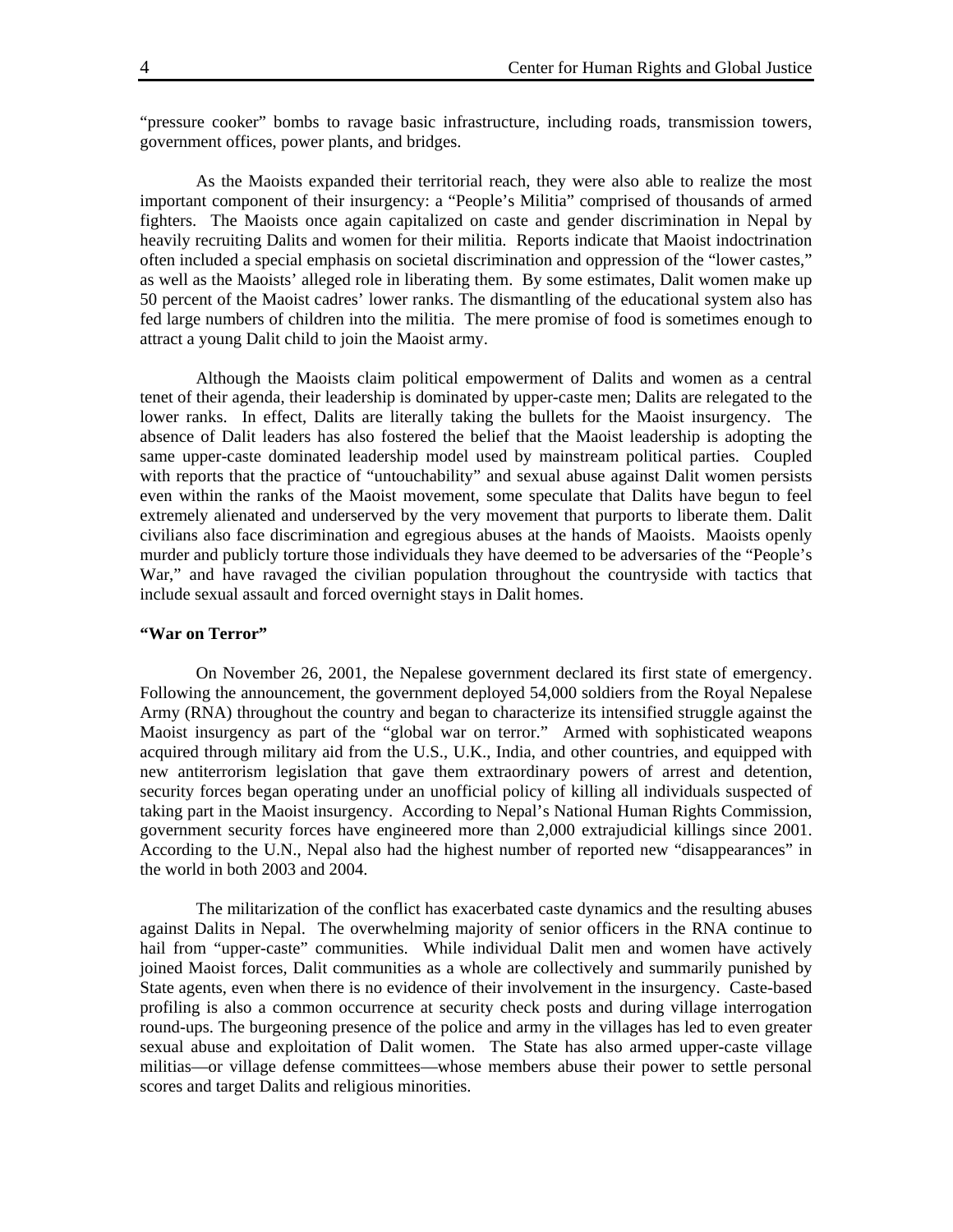"pressure cooker" bombs to ravage basic infrastructure, including roads, transmission towers, government offices, power plants, and bridges.

As the Maoists expanded their territorial reach, they were also able to realize the most important component of their insurgency: a "People's Militia" comprised of thousands of armed fighters. The Maoists once again capitalized on caste and gender discrimination in Nepal by heavily recruiting Dalits and women for their militia. Reports indicate that Maoist indoctrination often included a special emphasis on societal discrimination and oppression of the "lower castes," as well as the Maoists' alleged role in liberating them. By some estimates, Dalit women make up 50 percent of the Maoist cadres' lower ranks. The dismantling of the educational system also has fed large numbers of children into the militia. The mere promise of food is sometimes enough to attract a young Dalit child to join the Maoist army.

Although the Maoists claim political empowerment of Dalits and women as a central tenet of their agenda, their leadership is dominated by upper-caste men; Dalits are relegated to the lower ranks. In effect, Dalits are literally taking the bullets for the Maoist insurgency. The absence of Dalit leaders has also fostered the belief that the Maoist leadership is adopting the same upper-caste dominated leadership model used by mainstream political parties. Coupled with reports that the practice of "untouchability" and sexual abuse against Dalit women persists even within the ranks of the Maoist movement, some speculate that Dalits have begun to feel extremely alienated and underserved by the very movement that purports to liberate them. Dalit civilians also face discrimination and egregious abuses at the hands of Maoists. Maoists openly murder and publicly torture those individuals they have deemed to be adversaries of the "People's War," and have ravaged the civilian population throughout the countryside with tactics that include sexual assault and forced overnight stays in Dalit homes.

#### **"War on Terror"**

On November 26, 2001, the Nepalese government declared its first state of emergency. Following the announcement, the government deployed 54,000 soldiers from the Royal Nepalese Army (RNA) throughout the country and began to characterize its intensified struggle against the Maoist insurgency as part of the "global war on terror." Armed with sophisticated weapons acquired through military aid from the U.S., U.K., India, and other countries, and equipped with new antiterrorism legislation that gave them extraordinary powers of arrest and detention, security forces began operating under an unofficial policy of killing all individuals suspected of taking part in the Maoist insurgency. According to Nepal's National Human Rights Commission, government security forces have engineered more than 2,000 extrajudicial killings since 2001. According to the U.N., Nepal also had the highest number of reported new "disappearances" in the world in both 2003 and 2004.

The militarization of the conflict has exacerbated caste dynamics and the resulting abuses against Dalits in Nepal. The overwhelming majority of senior officers in the RNA continue to hail from "upper-caste" communities. While individual Dalit men and women have actively joined Maoist forces, Dalit communities as a whole are collectively and summarily punished by State agents, even when there is no evidence of their involvement in the insurgency. Caste-based profiling is also a common occurrence at security check posts and during village interrogation round-ups. The burgeoning presence of the police and army in the villages has led to even greater sexual abuse and exploitation of Dalit women. The State has also armed upper-caste village militias—or village defense committees—whose members abuse their power to settle personal scores and target Dalits and religious minorities.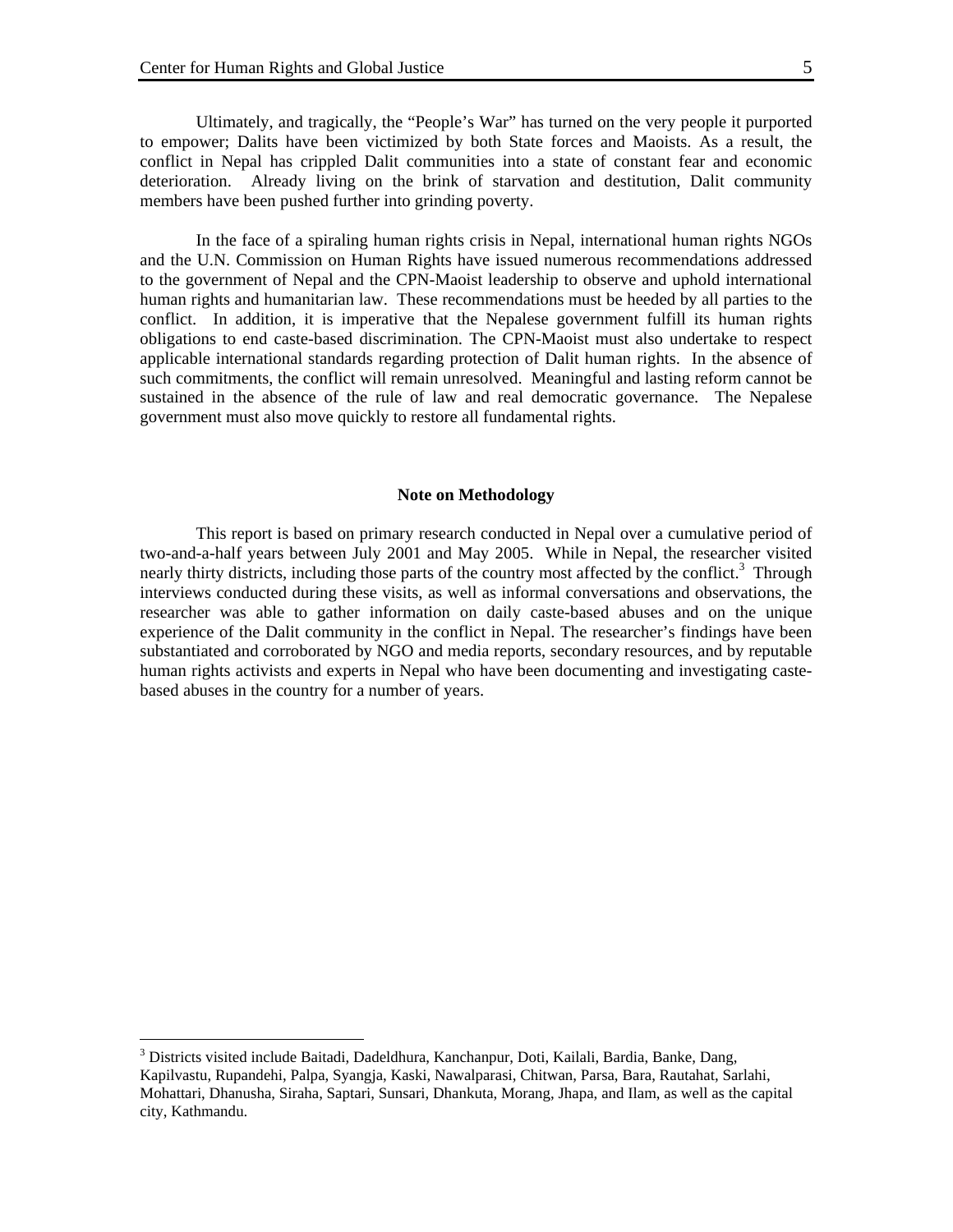Ultimately, and tragically, the "People's War" has turned on the very people it purported to empower; Dalits have been victimized by both State forces and Maoists. As a result, the conflict in Nepal has crippled Dalit communities into a state of constant fear and economic deterioration. Already living on the brink of starvation and destitution, Dalit community members have been pushed further into grinding poverty.

In the face of a spiraling human rights crisis in Nepal, international human rights NGOs and the U.N. Commission on Human Rights have issued numerous recommendations addressed to the government of Nepal and the CPN-Maoist leadership to observe and uphold international human rights and humanitarian law. These recommendations must be heeded by all parties to the conflict. In addition, it is imperative that the Nepalese government fulfill its human rights obligations to end caste-based discrimination. The CPN-Maoist must also undertake to respect applicable international standards regarding protection of Dalit human rights. In the absence of such commitments, the conflict will remain unresolved. Meaningful and lasting reform cannot be sustained in the absence of the rule of law and real democratic governance. The Nepalese government must also move quickly to restore all fundamental rights.

#### **Note on Methodology**

This report is based on primary research conducted in Nepal over a cumulative period of two-and-a-half years between July 2001 and May 2005. While in Nepal, the researcher visited nearly thirty districts, including those parts of the country most affected by the conflict.<sup>3</sup> Through interviews conducted during these visits, as well as informal conversations and observations, the researcher was able to gather information on daily caste-based abuses and on the unique experience of the Dalit community in the conflict in Nepal. The researcher's findings have been substantiated and corroborated by NGO and media reports, secondary resources, and by reputable human rights activists and experts in Nepal who have been documenting and investigating castebased abuses in the country for a number of years.

l

<sup>&</sup>lt;sup>3</sup> Districts visited include Baitadi, Dadeldhura, Kanchanpur, Doti, Kailali, Bardia, Banke, Dang, Kapilvastu, Rupandehi, Palpa, Syangja, Kaski, Nawalparasi, Chitwan, Parsa, Bara, Rautahat, Sarlahi, Mohattari, Dhanusha, Siraha, Saptari, Sunsari, Dhankuta, Morang, Jhapa, and Ilam, as well as the capital city, Kathmandu.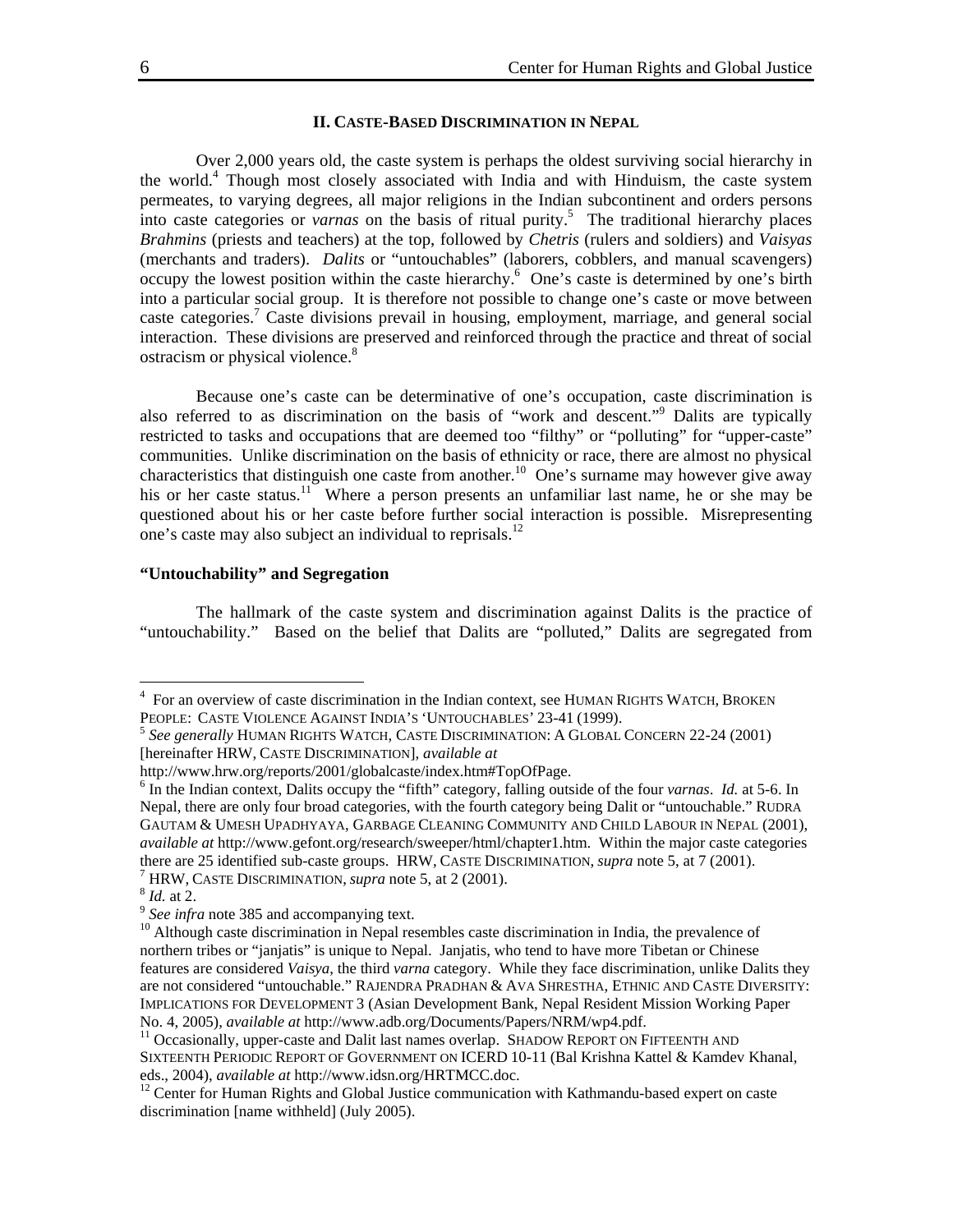#### **II. CASTE-BASED DISCRIMINATION IN NEPAL**

Over 2,000 years old, the caste system is perhaps the oldest surviving social hierarchy in the world.<sup>4</sup> Though most closely associated with India and with Hinduism, the caste system permeates, to varying degrees, all major religions in the Indian subcontinent and orders persons into caste categories or *varnas* on the basis of ritual purity.<sup>5</sup> The traditional hierarchy places *Brahmins* (priests and teachers) at the top, followed by *Chetris* (rulers and soldiers) and *Vaisyas* (merchants and traders). *Dalits* or "untouchables" (laborers, cobblers, and manual scavengers) occupy the lowest position within the caste hierarchy.<sup>6</sup> One's caste is determined by one's birth into a particular social group. It is therefore not possible to change one's caste or move between caste categories.<sup>7</sup> Caste divisions prevail in housing, employment, marriage, and general social interaction. These divisions are preserved and reinforced through the practice and threat of social ostracism or physical violence.<sup>8</sup>

Because one's caste can be determinative of one's occupation, caste discrimination is also referred to as discrimination on the basis of "work and descent."<sup>9</sup> Dalits are typically restricted to tasks and occupations that are deemed too "filthy" or "polluting" for "upper-caste" communities. Unlike discrimination on the basis of ethnicity or race, there are almost no physical characteristics that distinguish one caste from another.<sup>10</sup> One's surname may however give away his or her caste status.<sup>11</sup> Where a person presents an unfamiliar last name, he or she may be questioned about his or her caste before further social interaction is possible. Misrepresenting one's caste may also subject an individual to reprisals.<sup>12</sup>

# **"Untouchability" and Segregation**

The hallmark of the caste system and discrimination against Dalits is the practice of "untouchability." Based on the belief that Dalits are "polluted," Dalits are segregated from

<sup>4</sup> For an overview of caste discrimination in the Indian context, see HUMAN RIGHTS WATCH, BROKEN PEOPLE: CASTE VIOLENCE AGAINST INDIA'S 'UNTOUCHABLES' 23-41 (1999).

<sup>5</sup> *See generally* HUMAN RIGHTS WATCH, CASTE DISCRIMINATION: A GLOBAL CONCERN 22-24 (2001) [hereinafter HRW, CASTE DISCRIMINATION], *available at* 

http://www.hrw.org/reports/2001/globalcaste/index.htm#TopOfPage.

<sup>6</sup> In the Indian context, Dalits occupy the "fifth" category, falling outside of the four *varnas*. *Id.* at 5-6. In Nepal, there are only four broad categories, with the fourth category being Dalit or "untouchable." RUDRA GAUTAM & UMESH UPADHYAYA, GARBAGE CLEANING COMMUNITY AND CHILD LABOUR IN NEPAL (2001), *available at* http://www.gefont.org/research/sweeper/html/chapter1.htm. Within the major caste categories there are 25 identified sub-caste groups. HRW, CASTE DISCRIMINATION, *supra* note 5, at 7 (2001). 7 HRW, CASTE DISCRIMINATION, *supra* note 5, at 2 (2001).

<sup>8</sup> *Id.* at 2.

<sup>&</sup>lt;sup>9</sup> See infra note 385 and accompanying text.

 $10$  Although caste discrimination in Nepal resembles caste discrimination in India, the prevalence of northern tribes or "janjatis" is unique to Nepal. Janjatis, who tend to have more Tibetan or Chinese features are considered *Vaisya*, the third *varna* category. While they face discrimination, unlike Dalits they are not considered "untouchable." RAJENDRA PRADHAN & AVA SHRESTHA, ETHNIC AND CASTE DIVERSITY: IMPLICATIONS FOR DEVELOPMENT 3 (Asian Development Bank, Nepal Resident Mission Working Paper No. 4, 2005), *available at* http://www.adb.org/Documents/Papers/NRM/wp4.pdf.

<sup>&</sup>lt;sup>11</sup> Occasionally, upper-caste and Dalit last names overlap. SHADOW REPORT ON FIFTEENTH AND SIXTEENTH PERIODIC REPORT OF GOVERNMENT ON ICERD 10-11 (Bal Krishna Kattel & Kamdev Khanal, eds., 2004), *available at* http://www.idsn.org/HRTMCC.doc.

 $12$  Center for Human Rights and Global Justice communication with Kathmandu-based expert on caste discrimination [name withheld] (July 2005).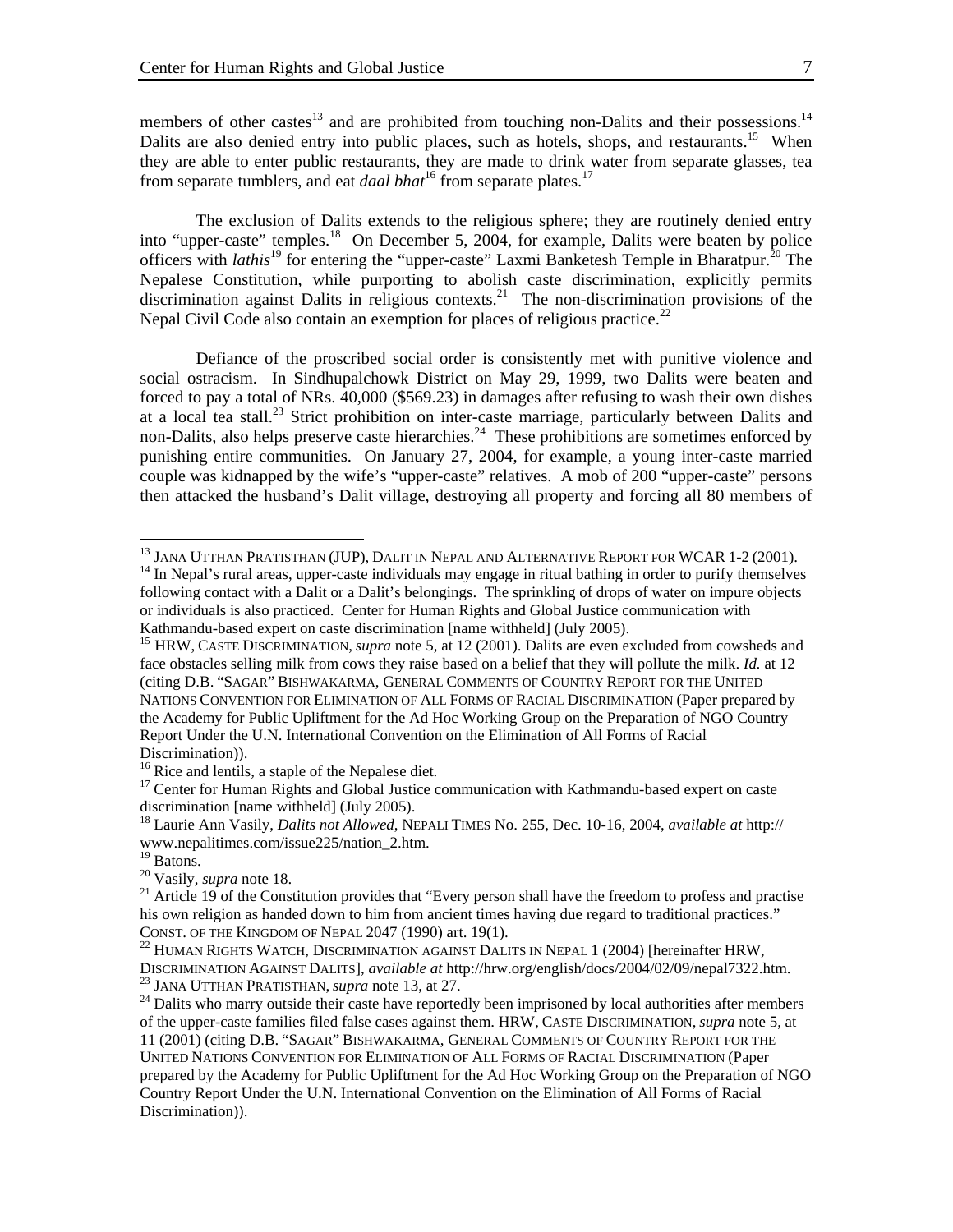members of other castes<sup>13</sup> and are prohibited from touching non-Dalits and their possessions.<sup>14</sup> Dalits are also denied entry into public places, such as hotels, shops, and restaurants.<sup>15</sup> When they are able to enter public restaurants, they are made to drink water from separate glasses, tea from separate tumblers, and eat *daal bhat*<sup>16</sup> from separate plates.<sup>17</sup>

The exclusion of Dalits extends to the religious sphere; they are routinely denied entry into "upper-caste" temples.<sup>18</sup> On December 5, 2004, for example, Dalits were beaten by police officers with *lathis*<sup>19</sup> for entering the "upper-caste" Laxmi Banketesh Temple in Bharatpur.<sup>20</sup> The Nepalese Constitution, while purporting to abolish caste discrimination, explicitly permits discrimination against Dalits in religious contexts.<sup>21</sup> The non-discrimination provisions of the Nepal Civil Code also contain an exemption for places of religious practice.<sup>22</sup>

Defiance of the proscribed social order is consistently met with punitive violence and social ostracism. In Sindhupalchowk District on May 29, 1999, two Dalits were beaten and forced to pay a total of NRs. 40,000 (\$569.23) in damages after refusing to wash their own dishes at a local tea stall.<sup>23</sup> Strict prohibition on inter-caste marriage, particularly between Dalits and non-Dalits, also helps preserve caste hierarchies.<sup>24</sup> These prohibitions are sometimes enforced by punishing entire communities. On January 27, 2004, for example, a young inter-caste married couple was kidnapped by the wife's "upper-caste" relatives. A mob of 200 "upper-caste" persons then attacked the husband's Dalit village, destroying all property and forcing all 80 members of

<sup>16</sup> Rice and lentils, a staple of the Nepalese diet.

<sup>&</sup>lt;sup>13</sup> JANA UTTHAN PRATISTHAN (JUP), DALIT IN NEPAL AND ALTERNATIVE REPORT FOR WCAR 1-2 (2001).

<sup>&</sup>lt;sup>14</sup> In Nepal's rural areas, upper-caste individuals may engage in ritual bathing in order to purify themselves following contact with a Dalit or a Dalit's belongings. The sprinkling of drops of water on impure objects or individuals is also practiced. Center for Human Rights and Global Justice communication with Kathmandu-based expert on caste discrimination [name withheld] (July 2005).

<sup>&</sup>lt;sup>15</sup> HRW, CASTE DISCRIMINATION, *supra* note 5, at 12 (2001). Dalits are even excluded from cowsheds and face obstacles selling milk from cows they raise based on a belief that they will pollute the milk. *Id.* at 12 (citing D.B. "SAGAR" BISHWAKARMA, GENERAL COMMENTS OF COUNTRY REPORT FOR THE UNITED NATIONS CONVENTION FOR ELIMINATION OF ALL FORMS OF RACIAL DISCRIMINATION (Paper prepared by the Academy for Public Upliftment for the Ad Hoc Working Group on the Preparation of NGO Country Report Under the U.N. International Convention on the Elimination of All Forms of Racial Discrimination)).

<sup>&</sup>lt;sup>17</sup> Center for Human Rights and Global Justice communication with Kathmandu-based expert on caste discrimination [name withheld] (July 2005).

<sup>18</sup> Laurie Ann Vasily, *Dalits not Allowed*, NEPALI TIMES No. 255, Dec. 10-16, 2004, *available at* http:// www.nepalitimes.com/issue225/nation\_2.htm.

<sup>&</sup>lt;sup>19</sup> Batons.

<sup>20</sup> Vasily, *supra* note 18.

<sup>&</sup>lt;sup>21</sup> Article 19 of the Constitution provides that "Every person shall have the freedom to profess and practise his own religion as handed down to him from ancient times having due regard to traditional practices." CONST. OF THE KINGDOM OF NEPAL 2047 (1990) art. 19(1).

<sup>&</sup>lt;sup>22</sup> HUMAN RIGHTS WATCH, DISCRIMINATION AGAINST DALITS IN NEPAL 1 (2004) [hereinafter HRW, DISCRIMINATION AGAINST DALITS], *available at* http://hrw.org/english/docs/2004/02/09/nepal7322.htm. <sup>23</sup> JANA UTTHAN PRATISTHAN, *supra* note 13, at 27.

 $^{24}$  Dalits who marry outside their caste have reportedly been imprisoned by local authorities after members of the upper-caste families filed false cases against them. HRW, CASTE DISCRIMINATION, *supra* note 5, at 11 (2001) (citing D.B. "SAGAR" BISHWAKARMA, GENERAL COMMENTS OF COUNTRY REPORT FOR THE UNITED NATIONS CONVENTION FOR ELIMINATION OF ALL FORMS OF RACIAL DISCRIMINATION (Paper prepared by the Academy for Public Upliftment for the Ad Hoc Working Group on the Preparation of NGO Country Report Under the U.N. International Convention on the Elimination of All Forms of Racial Discrimination)).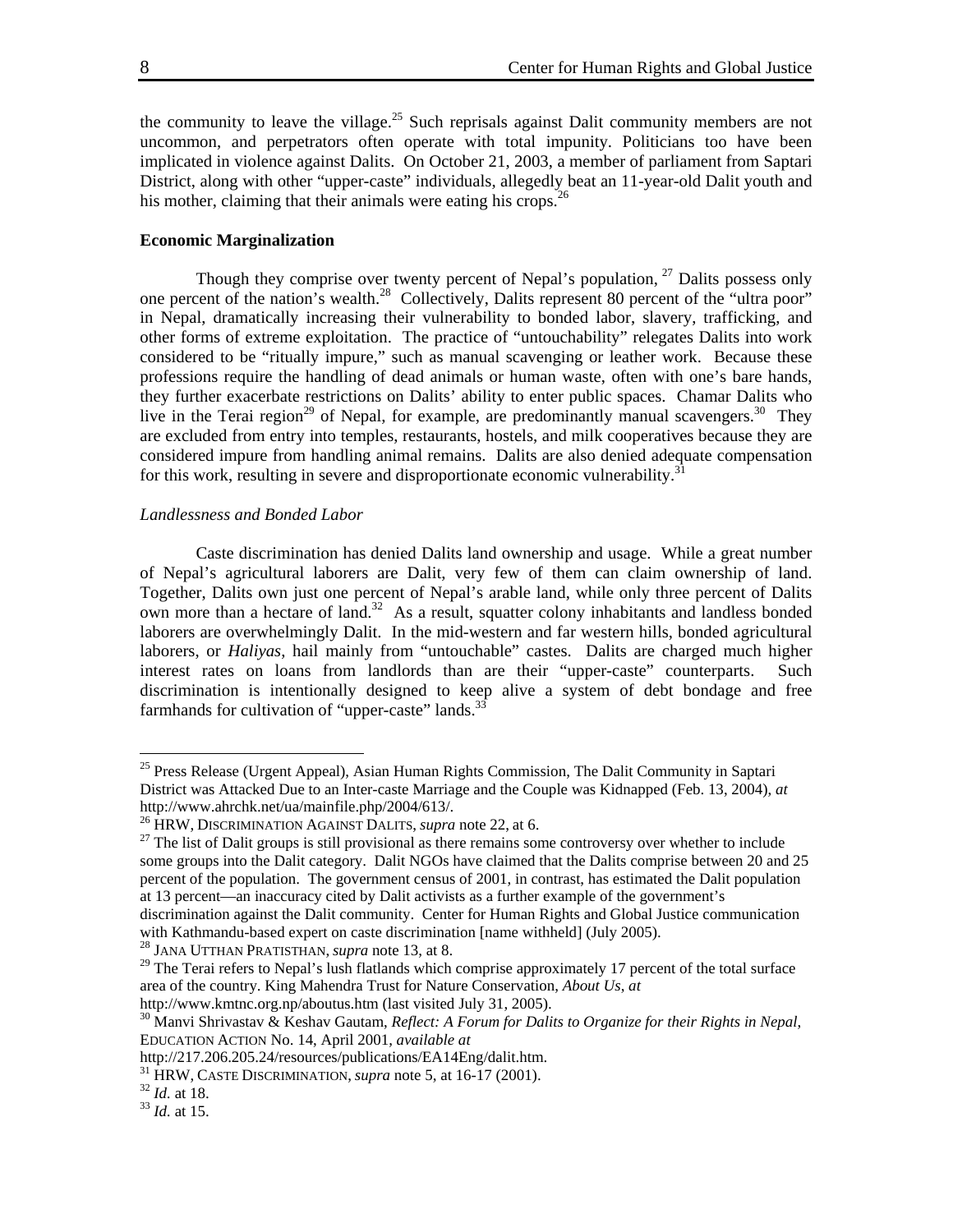the community to leave the village.<sup>25</sup> Such reprisals against Dalit community members are not uncommon, and perpetrators often operate with total impunity. Politicians too have been implicated in violence against Dalits. On October 21, 2003, a member of parliament from Saptari District, along with other "upper-caste" individuals, allegedly beat an 11-year-old Dalit youth and his mother, claiming that their animals were eating his crops.<sup>26</sup>

# **Economic Marginalization**

Though they comprise over twenty percent of Nepal's population,  $27$  Dalits possess only one percent of the nation's wealth.<sup>28</sup> Collectively, Dalits represent 80 percent of the "ultra poor" in Nepal, dramatically increasing their vulnerability to bonded labor, slavery, trafficking, and other forms of extreme exploitation. The practice of "untouchability" relegates Dalits into work considered to be "ritually impure," such as manual scavenging or leather work. Because these professions require the handling of dead animals or human waste, often with one's bare hands, they further exacerbate restrictions on Dalits' ability to enter public spaces. Chamar Dalits who live in the Terai region<sup>29</sup> of Nepal, for example, are predominantly manual scavengers.<sup>30</sup> They are excluded from entry into temples, restaurants, hostels, and milk cooperatives because they are considered impure from handling animal remains. Dalits are also denied adequate compensation for this work, resulting in severe and disproportionate economic vulnerability.<sup>31</sup>

# *Landlessness and Bonded Labor*

 Caste discrimination has denied Dalits land ownership and usage. While a great number of Nepal's agricultural laborers are Dalit, very few of them can claim ownership of land. Together, Dalits own just one percent of Nepal's arable land, while only three percent of Dalits own more than a hectare of land.<sup>32</sup> As a result, squatter colony inhabitants and landless bonded laborers are overwhelmingly Dalit. In the mid-western and far western hills, bonded agricultural laborers, or *Haliyas*, hail mainly from "untouchable" castes. Dalits are charged much higher interest rates on loans from landlords than are their "upper-caste" counterparts. Such discrimination is intentionally designed to keep alive a system of debt bondage and free farmhands for cultivation of "upper-caste" lands.<sup>3</sup>

<sup>28</sup> JANA UTTHAN PRATISTHAN, *supra* note 13, at 8.

http://www.kmtnc.org.np/aboutus.htm (last visited July 31, 2005).

 $25$  Press Release (Urgent Appeal), Asian Human Rights Commission, The Dalit Community in Saptari District was Attacked Due to an Inter-caste Marriage and the Couple was Kidnapped (Feb. 13, 2004), *at*  http://www.ahrchk.net/ua/mainfile.php/2004/613/.

<sup>26</sup> HRW, DISCRIMINATION AGAINST DALITS, *supra* note 22, at 6.

 $27$  The list of Dalit groups is still provisional as there remains some controversy over whether to include some groups into the Dalit category. Dalit NGOs have claimed that the Dalits comprise between 20 and 25 percent of the population. The government census of 2001, in contrast, has estimated the Dalit population at 13 percent—an inaccuracy cited by Dalit activists as a further example of the government's

discrimination against the Dalit community. Center for Human Rights and Global Justice communication with Kathmandu-based expert on caste discrimination [name withheld] (July 2005).

<sup>&</sup>lt;sup>29</sup> The Terai refers to Nepal's lush flatlands which comprise approximately 17 percent of the total surface area of the country. King Mahendra Trust for Nature Conservation, *About Us*, *at* 

<sup>30</sup> Manvi Shrivastav & Keshav Gautam, *Reflect: A Forum for Dalits to Organize for their Rights in Nepal*, EDUCATION ACTION No. 14, April 2001, *available at* 

http://217.206.205.24/resources/publications/EA14Eng/dalit.htm.

<sup>&</sup>lt;sup>31</sup> HRW, CASTE DISCRIMINATION, *supra* note 5, at 16-17 (2001).

<sup>32</sup> *Id.* at 18.

<sup>33</sup> *Id.* at 15.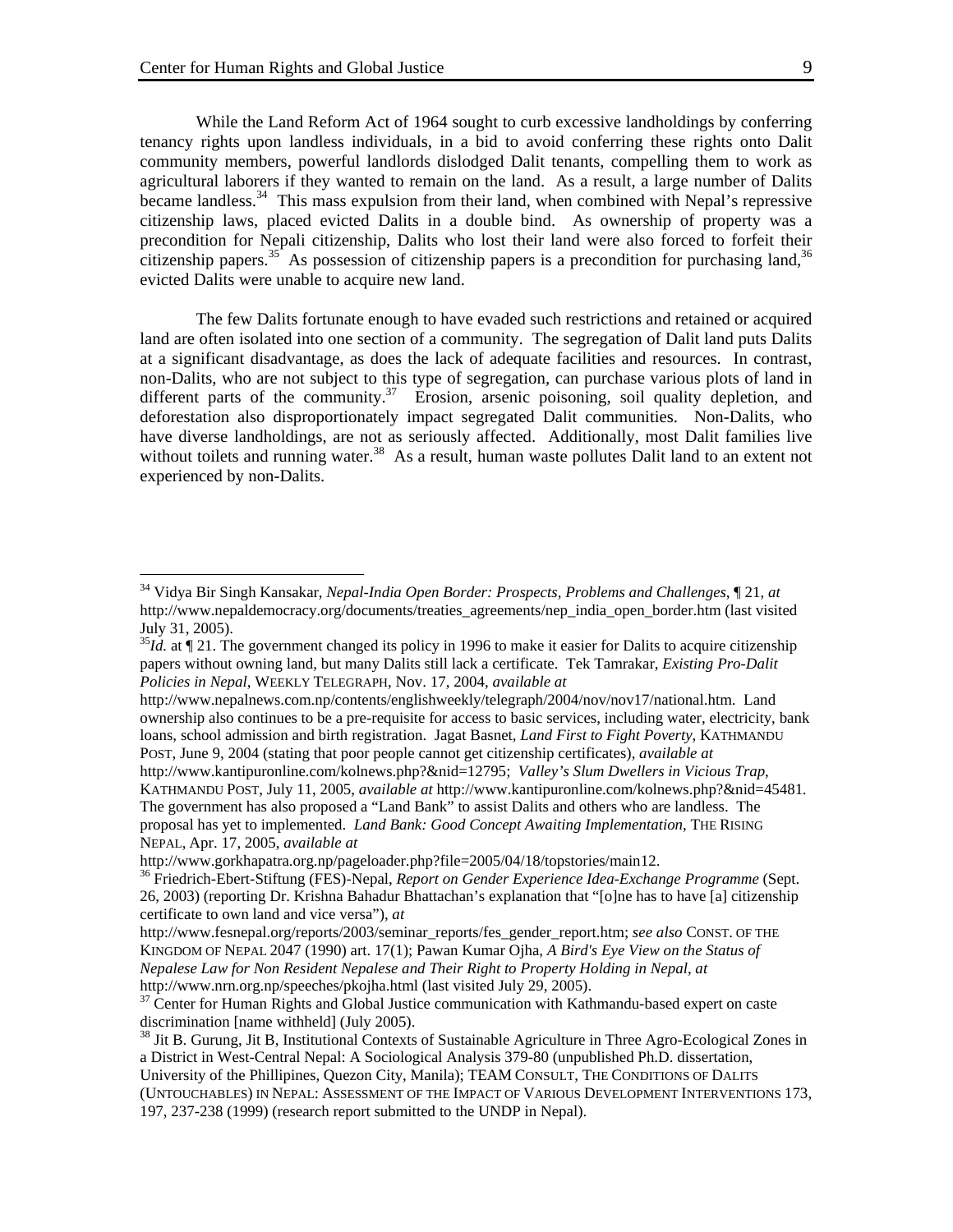$\overline{a}$ 

While the Land Reform Act of 1964 sought to curb excessive landholdings by conferring tenancy rights upon landless individuals, in a bid to avoid conferring these rights onto Dalit community members, powerful landlords dislodged Dalit tenants, compelling them to work as agricultural laborers if they wanted to remain on the land. As a result, a large number of Dalits became landless.<sup>34</sup> This mass expulsion from their land, when combined with Nepal's repressive citizenship laws, placed evicted Dalits in a double bind. As ownership of property was a precondition for Nepali citizenship, Dalits who lost their land were also forced to forfeit their citizenship papers.<sup>35</sup> As possession of citizenship papers is a precondition for purchasing land,<sup>36</sup> evicted Dalits were unable to acquire new land.

The few Dalits fortunate enough to have evaded such restrictions and retained or acquired land are often isolated into one section of a community. The segregation of Dalit land puts Dalits at a significant disadvantage, as does the lack of adequate facilities and resources. In contrast, non-Dalits, who are not subject to this type of segregation, can purchase various plots of land in different parts of the community.<sup>37</sup> Erosion, arsenic poisoning, soil quality depletion, and deforestation also disproportionately impact segregated Dalit communities. Non-Dalits, who have diverse landholdings, are not as seriously affected. Additionally, most Dalit families live without toilets and running water.<sup>38</sup> As a result, human waste pollutes Dalit land to an extent not experienced by non-Dalits.

<sup>34</sup> Vidya Bir Singh Kansakar, *Nepal-India Open Border: Prospects, Problems and Challenges*, ¶ 21, *at* http://www.nepaldemocracy.org/documents/treaties\_agreements/nep\_india\_open\_border.htm (last visited July 31, 2005).

<sup>&</sup>lt;sup>35</sup>*Id.* at ¶ 21. The government changed its policy in 1996 to make it easier for Dalits to acquire citizenship papers without owning land, but many Dalits still lack a certificate. Tek Tamrakar, *Existing Pro-Dalit Policies in Nepal*, WEEKLY TELEGRAPH, Nov. 17, 2004, *available at* 

http://www.nepalnews.com.np/contents/englishweekly/telegraph/2004/nov/nov17/national.htm. Land ownership also continues to be a pre-requisite for access to basic services, including water, electricity, bank loans, school admission and birth registration. Jagat Basnet, *Land First to Fight Poverty*, KATHMANDU POST, June 9, 2004 (stating that poor people cannot get citizenship certificates), *available at* 

http://www.kantipuronline.com/kolnews.php?&nid=12795; *Valley's Slum Dwellers in Vicious Trap*, KATHMANDU POST, July 11, 2005, *available at* http://www.kantipuronline.com/kolnews.php?&nid=45481*.* The government has also proposed a "Land Bank" to assist Dalits and others who are landless. The proposal has yet to implemented. *Land Bank: Good Concept Awaiting Implementation*, THE RISING NEPAL, Apr. 17, 2005, *available at* 

http://www.gorkhapatra.org.np/pageloader.php?file=2005/04/18/topstories/main12.

<sup>36</sup> Friedrich-Ebert-Stiftung (FES)-Nepal, *Report on Gender Experience Idea-Exchange Programme* (Sept. 26, 2003) (reporting Dr. Krishna Bahadur Bhattachan's explanation that "[o]ne has to have [a] citizenship certificate to own land and vice versa"), *at*

http://www.fesnepal.org/reports/2003/seminar\_reports/fes\_gender\_report.htm; *see also* CONST. OF THE KINGDOM OF NEPAL 2047 (1990) art. 17(1); Pawan Kumar Ojha, *A Bird's Eye View on the Status of Nepalese Law for Non Resident Nepalese and Their Right to Property Holding in Nepal*, *at* http://www.nrn.org.np/speeches/pkojha.html (last visited July 29, 2005).

<sup>&</sup>lt;sup>37</sup> Center for Human Rights and Global Justice communication with Kathmandu-based expert on caste discrimination [name withheld] (July 2005).

<sup>&</sup>lt;sup>38</sup> Jit B. Gurung, Jit B, Institutional Contexts of Sustainable Agriculture in Three Agro-Ecological Zones in a District in West-Central Nepal: A Sociological Analysis 379-80 (unpublished Ph.D. dissertation, University of the Phillipines, Quezon City, Manila); TEAM CONSULT, THE CONDITIONS OF DALITS (UNTOUCHABLES) IN NEPAL: ASSESSMENT OF THE IMPACT OF VARIOUS DEVELOPMENT INTERVENTIONS 173, 197, 237-238 (1999) (research report submitted to the UNDP in Nepal).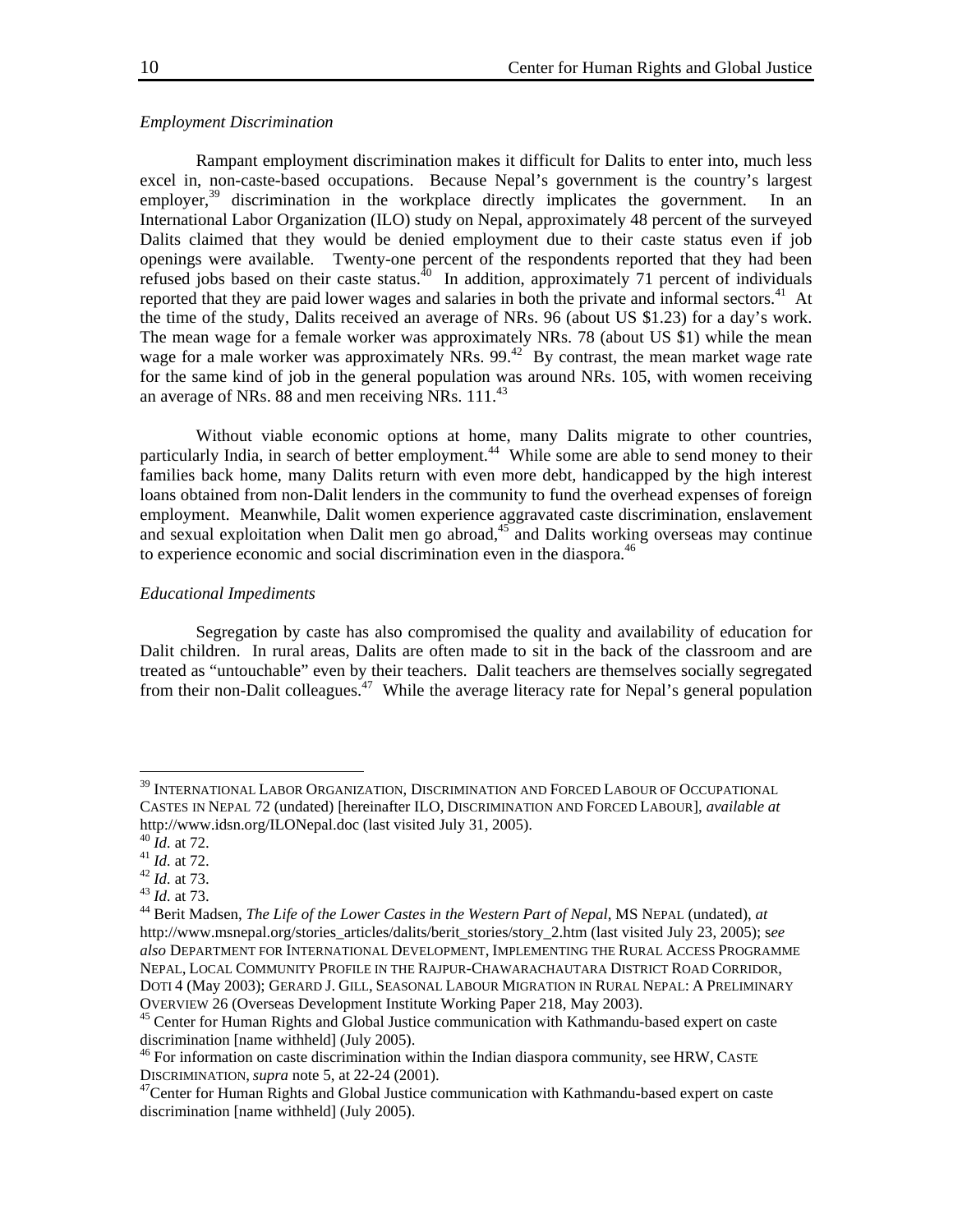#### *Employment Discrimination*

Rampant employment discrimination makes it difficult for Dalits to enter into, much less excel in, non-caste-based occupations. Because Nepal's government is the country's largest employer,<sup>39</sup> discrimination in the workplace directly implicates the government. In an International Labor Organization (ILO) study on Nepal, approximately 48 percent of the surveyed Dalits claimed that they would be denied employment due to their caste status even if job openings were available. Twenty-one percent of the respondents reported that they had been refused jobs based on their caste status.<sup>40</sup> In addition, approximately 71 percent of individuals reported that they are paid lower wages and salaries in both the private and informal sectors.<sup>41</sup> At the time of the study, Dalits received an average of NRs. 96 (about US \$1.23) for a day's work. The mean wage for a female worker was approximately NRs. 78 (about US \$1) while the mean wage for a male worker was approximately NRs.  $99<sup>.42</sup>$  By contrast, the mean market wage rate for the same kind of job in the general population was around NRs. 105, with women receiving an average of NRs. 88 and men receiving NRs. 111.<sup>43</sup>

 Without viable economic options at home, many Dalits migrate to other countries, particularly India, in search of better employment.<sup>44</sup> While some are able to send money to their families back home, many Dalits return with even more debt, handicapped by the high interest loans obtained from non-Dalit lenders in the community to fund the overhead expenses of foreign employment. Meanwhile, Dalit women experience aggravated caste discrimination, enslavement and sexual exploitation when Dalit men go abroad,<sup>45</sup> and Dalits working overseas may continue to experience economic and social discrimination even in the diaspora.<sup>46</sup>

#### *Educational Impediments*

 Segregation by caste has also compromised the quality and availability of education for Dalit children. In rural areas, Dalits are often made to sit in the back of the classroom and are treated as "untouchable" even by their teachers. Dalit teachers are themselves socially segregated from their non-Dalit colleagues.<sup> $47$ </sup> While the average literacy rate for Nepal's general population

<sup>39</sup> INTERNATIONAL LABOR ORGANIZATION, DISCRIMINATION AND FORCED LABOUR OF OCCUPATIONAL CASTES IN NEPAL 72 (undated) [hereinafter ILO, DISCRIMINATION AND FORCED LABOUR], *available at*  http://www.idsn.org/ILONepal.doc (last visited July 31, 2005).

<sup>40</sup> *Id.* at 72.

 $^{41}$  *Id.* at 72.

<sup>42</sup> *Id.* at 73.

<sup>43</sup> *Id.* at 73.

<sup>44</sup> Berit Madsen, *The Life of the Lower Castes in the Western Part of Nepal*, MS NEPAL (undated), *at*  http://www.msnepal.org/stories\_articles/dalits/berit\_stories/story\_2.htm (last visited July 23, 2005); s*ee also* DEPARTMENT FOR INTERNATIONAL DEVELOPMENT, IMPLEMENTING THE RURAL ACCESS PROGRAMME NEPAL, LOCAL COMMUNITY PROFILE IN THE RAJPUR-CHAWARACHAUTARA DISTRICT ROAD CORRIDOR, DOTI 4 (May 2003); GERARD J. GILL, SEASONAL LABOUR MIGRATION IN RURAL NEPAL: A PRELIMINARY OVERVIEW 26 (Overseas Development Institute Working Paper 218, May 2003).

<sup>&</sup>lt;sup>45</sup> Center for Human Rights and Global Justice communication with Kathmandu-based expert on caste discrimination [name withheld] (July 2005).

 $46$  For information on caste discrimination within the Indian diaspora community, see HRW, CASTE DISCRIMINATION, *supra* note 5, at 22-24 (2001).

<sup>&</sup>lt;sup>47</sup>Center for Human Rights and Global Justice communication with Kathmandu-based expert on caste discrimination [name withheld] (July 2005).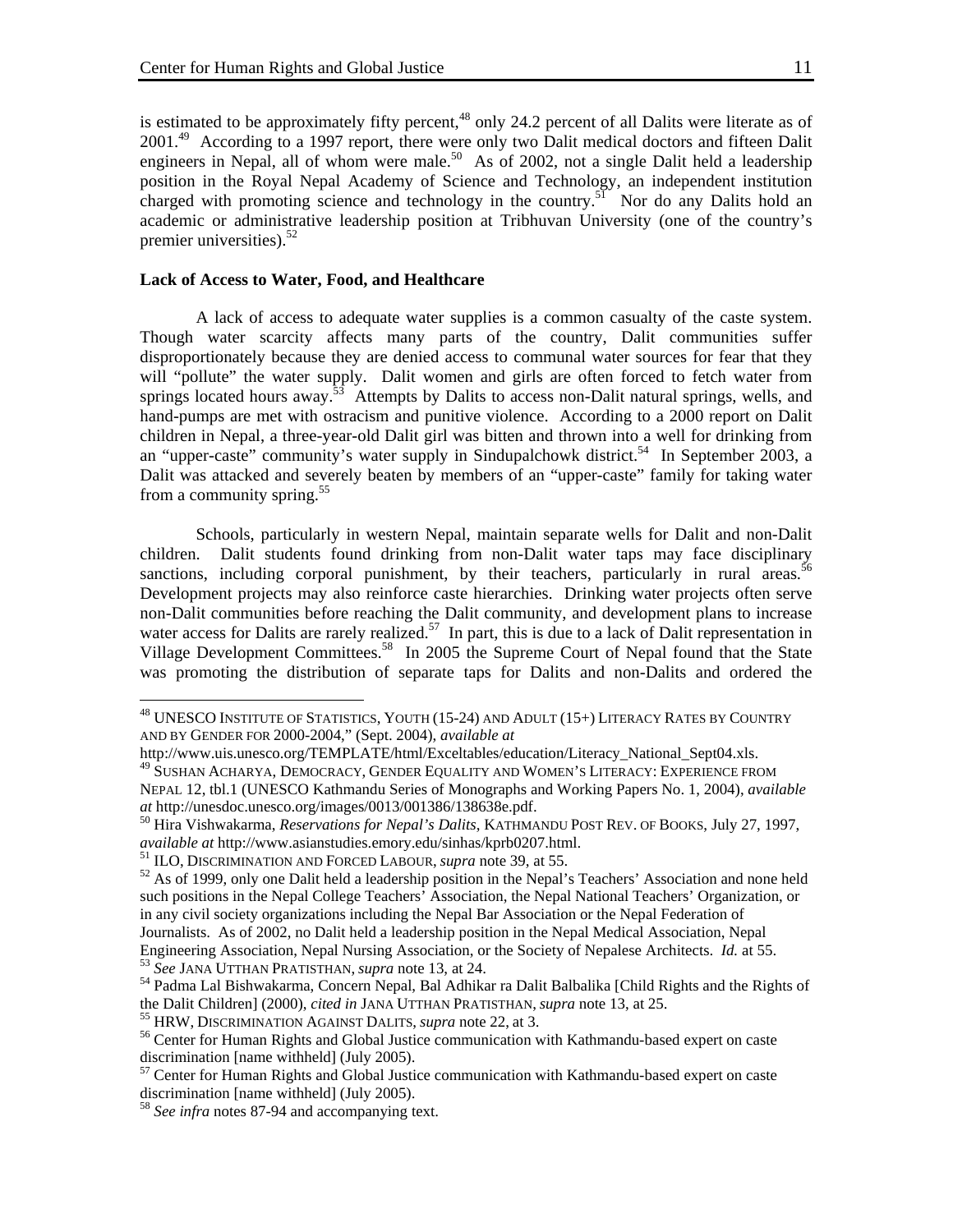#### **Lack of Access to Water, Food, and Healthcare**

A lack of access to adequate water supplies is a common casualty of the caste system. Though water scarcity affects many parts of the country, Dalit communities suffer disproportionately because they are denied access to communal water sources for fear that they will "pollute" the water supply. Dalit women and girls are often forced to fetch water from springs located hours away.<sup>53</sup> Attempts by Dalits to access non-Dalit natural springs, wells, and hand-pumps are met with ostracism and punitive violence. According to a 2000 report on Dalit children in Nepal, a three-year-old Dalit girl was bitten and thrown into a well for drinking from an "upper-caste" community's water supply in Sindupalchowk district.<sup>54</sup> In September 2003, a Dalit was attacked and severely beaten by members of an "upper-caste" family for taking water from a community spring.<sup>55</sup>

Schools, particularly in western Nepal, maintain separate wells for Dalit and non-Dalit children. Dalit students found drinking from non-Dalit water taps may face disciplinary sanctions, including corporal punishment, by their teachers, particularly in rural areas.<sup>56</sup> Development projects may also reinforce caste hierarchies. Drinking water projects often serve non-Dalit communities before reaching the Dalit community, and development plans to increase water access for Dalits are rarely realized.<sup>57</sup> In part, this is due to a lack of Dalit representation in Village Development Committees.<sup>58</sup> In 2005 the Supreme Court of Nepal found that the State was promoting the distribution of separate taps for Dalits and non-Dalits and ordered the

<sup>48</sup> UNESCO INSTITUTE OF STATISTICS, YOUTH (15-24) AND ADULT (15+) LITERACY RATES BY COUNTRY AND BY GENDER FOR 2000-2004," (Sept. 2004), *available at*

http://www.uis.unesco.org/TEMPLATE/html/Exceltables/education/Literacy\_National\_Sept04.xls.

<sup>49</sup> SUSHAN ACHARYA, DEMOCRACY, GENDER EQUALITY AND WOMEN'S LITERACY: EXPERIENCE FROM NEPAL 12, tbl.1 (UNESCO Kathmandu Series of Monographs and Working Papers No. 1, 2004), *available at* http://unesdoc.unesco.org/images/0013/001386/138638e.pdf.

<sup>50</sup> Hira Vishwakarma, *Reservations for Nepal's Dalits*, KATHMANDU POST REV. OF BOOKS, July 27, 1997, *available at* http://www.asianstudies.emory.edu/sinhas/kprb0207.html.

<sup>51</sup> ILO, DISCRIMINATION AND FORCED LABOUR, *supra* note 39, at 55.

<sup>&</sup>lt;sup>52</sup> As of 1999, only one Dalit held a leadership position in the Nepal's Teachers' Association and none held such positions in the Nepal College Teachers' Association, the Nepal National Teachers' Organization, or in any civil society organizations including the Nepal Bar Association or the Nepal Federation of Journalists. As of 2002, no Dalit held a leadership position in the Nepal Medical Association, Nepal Engineering Association, Nepal Nursing Association, or the Society of Nepalese Architects. *Id.* at 55. <sup>53</sup> *See* JANA UTTHAN PRATISTHAN, *supra* note 13, at 24.

<sup>54</sup> Padma Lal Bishwakarma, Concern Nepal, Bal Adhikar ra Dalit Balbalika [Child Rights and the Rights of the Dalit Children] (2000), *cited in* JANA UTTHAN PRATISTHAN, *supra* note 13, at 25.

<sup>55</sup> HRW, DISCRIMINATION AGAINST DALITS, *supra* note 22, at 3.

<sup>&</sup>lt;sup>56</sup> Center for Human Rights and Global Justice communication with Kathmandu-based expert on caste discrimination [name withheld] (July 2005).

<sup>&</sup>lt;sup>57</sup> Center for Human Rights and Global Justice communication with Kathmandu-based expert on caste discrimination [name withheld] (July 2005).

<sup>58</sup> *See infra* notes 87-94 and accompanying text.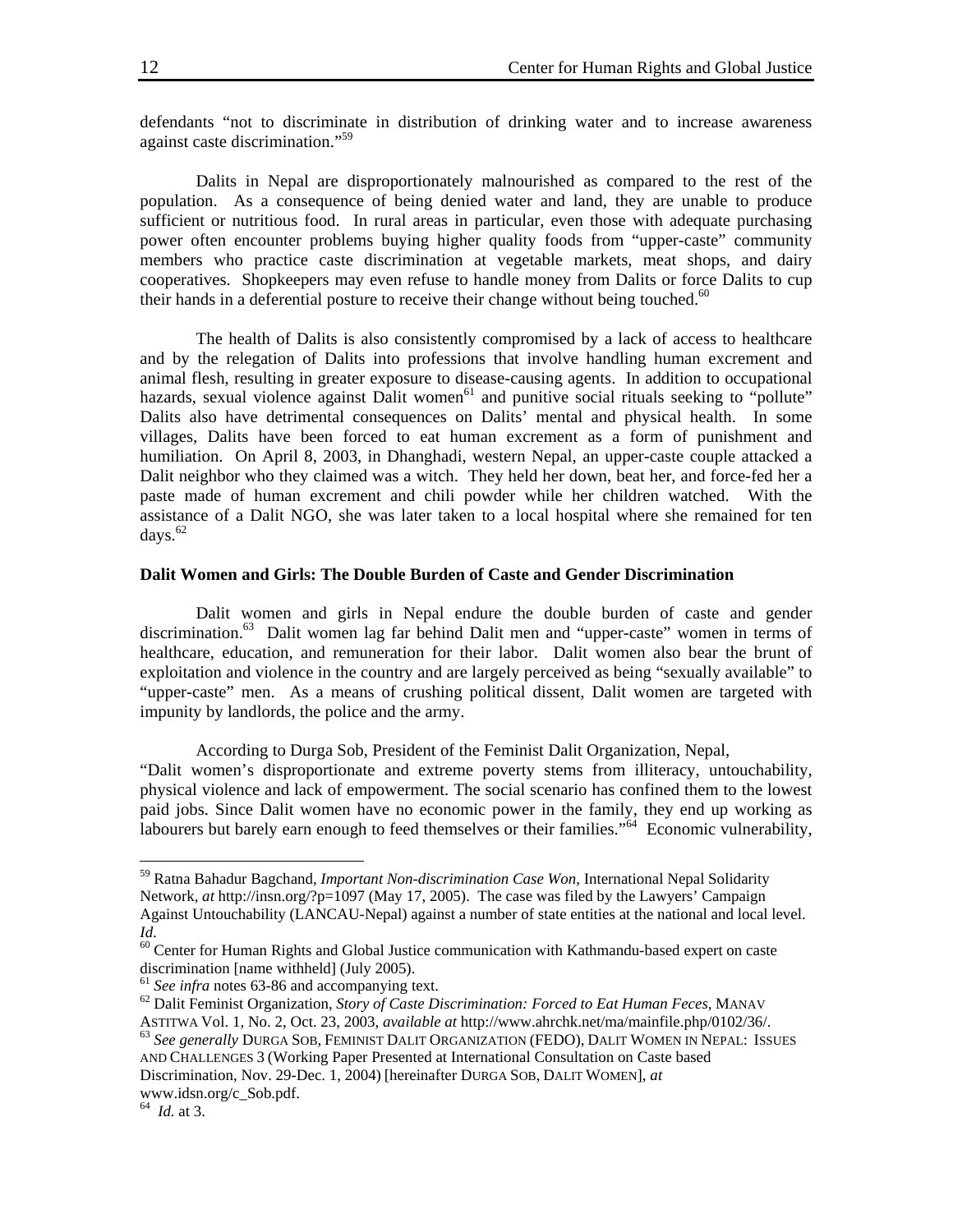defendants "not to discriminate in distribution of drinking water and to increase awareness against caste discrimination."<sup>59</sup>

 Dalits in Nepal are disproportionately malnourished as compared to the rest of the population. As a consequence of being denied water and land, they are unable to produce sufficient or nutritious food. In rural areas in particular, even those with adequate purchasing power often encounter problems buying higher quality foods from "upper-caste" community members who practice caste discrimination at vegetable markets, meat shops, and dairy cooperatives. Shopkeepers may even refuse to handle money from Dalits or force Dalits to cup their hands in a deferential posture to receive their change without being touched.<sup>60</sup>

 The health of Dalits is also consistently compromised by a lack of access to healthcare and by the relegation of Dalits into professions that involve handling human excrement and animal flesh, resulting in greater exposure to disease-causing agents. In addition to occupational hazards, sexual violence against  $\tilde{\text{D}}$ alit women<sup>61</sup> and punitive social rituals seeking to "pollute" Dalits also have detrimental consequences on Dalits' mental and physical health. In some villages, Dalits have been forced to eat human excrement as a form of punishment and humiliation. On April 8, 2003, in Dhanghadi, western Nepal, an upper-caste couple attacked a Dalit neighbor who they claimed was a witch. They held her down, beat her, and force-fed her a paste made of human excrement and chili powder while her children watched. With the assistance of a Dalit NGO, she was later taken to a local hospital where she remained for ten days.<sup>62</sup>

#### **Dalit Women and Girls: The Double Burden of Caste and Gender Discrimination**

 Dalit women and girls in Nepal endure the double burden of caste and gender discrimination.<sup>63</sup> Dalit women lag far behind Dalit men and "upper-caste" women in terms of healthcare, education, and remuneration for their labor. Dalit women also bear the brunt of exploitation and violence in the country and are largely perceived as being "sexually available" to "upper-caste" men. As a means of crushing political dissent, Dalit women are targeted with impunity by landlords, the police and the army.

According to Durga Sob, President of the Feminist Dalit Organization, Nepal, "Dalit women's disproportionate and extreme poverty stems from illiteracy, untouchability, physical violence and lack of empowerment. The social scenario has confined them to the lowest paid jobs. Since Dalit women have no economic power in the family, they end up working as labourers but barely earn enough to feed themselves or their families."<sup>64</sup> Economic vulnerability,

<sup>59</sup> Ratna Bahadur Bagchand, *Important Non-discrimination Case Won*, International Nepal Solidarity Network, *at* http://insn.org/?p=1097 (May 17, 2005). The case was filed by the Lawyers' Campaign Against Untouchability (LANCAU-Nepal) against a number of state entities at the national and local level. *Id*.

<sup>&</sup>lt;sup>60</sup> Center for Human Rights and Global Justice communication with Kathmandu-based expert on caste discrimination [name withheld] (July 2005).

<sup>61</sup> *See infra* notes 63-86 and accompanying text.

<sup>62</sup> Dalit Feminist Organization, *Story of Caste Discrimination: Forced to Eat Human Feces*, MANAV ASTITWA Vol. 1, No. 2, Oct. 23, 2003, *available at* http://www.ahrchk.net/ma/mainfile.php/0102/36/.

<sup>63</sup> *See generally* DURGA SOB, FEMINIST DALIT ORGANIZATION (FEDO), DALIT WOMEN IN NEPAL: ISSUES AND CHALLENGES 3 (Working Paper Presented at International Consultation on Caste based

Discrimination, Nov. 29-Dec. 1, 2004) [hereinafter DURGA SOB, DALIT WOMEN], *at*  www.idsn.org/c\_Sob.pdf. 64 *Id.* at 3.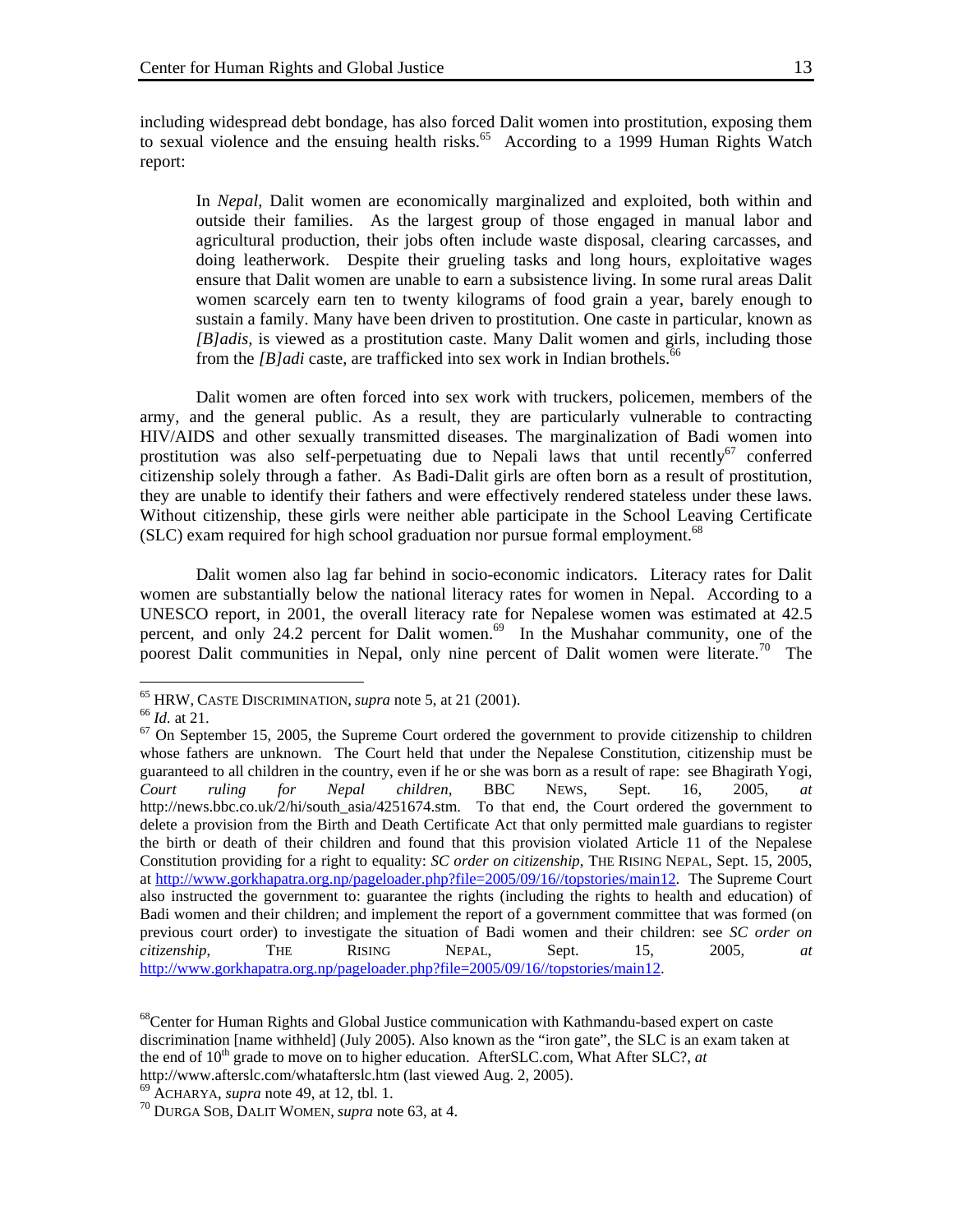including widespread debt bondage, has also forced Dalit women into prostitution, exposing them to sexual violence and the ensuing health risks.<sup>65</sup> According to a 1999 Human Rights Watch report:

In *Nepal*, Dalit women are economically marginalized and exploited, both within and outside their families. As the largest group of those engaged in manual labor and agricultural production, their jobs often include waste disposal, clearing carcasses, and doing leatherwork. Despite their grueling tasks and long hours, exploitative wages ensure that Dalit women are unable to earn a subsistence living. In some rural areas Dalit women scarcely earn ten to twenty kilograms of food grain a year, barely enough to sustain a family. Many have been driven to prostitution. One caste in particular, known as *[B]adis,* is viewed as a prostitution caste. Many Dalit women and girls, including those from the *[B]adi* caste, are trafficked into sex work in Indian brothels.<sup>66</sup>

 Dalit women are often forced into sex work with truckers, policemen, members of the army, and the general public. As a result, they are particularly vulnerable to contracting HIV/AIDS and other sexually transmitted diseases. The marginalization of Badi women into prostitution was also self-perpetuating due to Nepali laws that until recently<sup>67</sup> conferred citizenship solely through a father. As Badi-Dalit girls are often born as a result of prostitution, they are unable to identify their fathers and were effectively rendered stateless under these laws. Without citizenship, these girls were neither able participate in the School Leaving Certificate  $(SLC)$  exam required for high school graduation nor pursue formal employment.<sup>68</sup>

Dalit women also lag far behind in socio-economic indicators. Literacy rates for Dalit women are substantially below the national literacy rates for women in Nepal. According to a UNESCO report, in 2001, the overall literacy rate for Nepalese women was estimated at 42.5 percent, and only 24.2 percent for Dalit women.<sup>69</sup> In the Mushahar community, one of the poorest Dalit communities in Nepal, only nine percent of Dalit women were literate.<sup>70</sup> The

<sup>65</sup> HRW, CASTE DISCRIMINATION, *supra* note 5, at 21 (2001).

<sup>66</sup> *Id.* at 21.

 $67$  On September 15, 2005, the Supreme Court ordered the government to provide citizenship to children whose fathers are unknown. The Court held that under the Nepalese Constitution, citizenship must be guaranteed to all children in the country, even if he or she was born as a result of rape: see Bhagirath Yogi, *Court ruling for Nepal children*, BBC NEWS, Sept. 16, 2005, *at*  http://news.bbc.co.uk/2/hi/south\_asia/4251674.stm. To that end, the Court ordered the government to delete a provision from the Birth and Death Certificate Act that only permitted male guardians to register the birth or death of their children and found that this provision violated Article 11 of the Nepalese Constitution providing for a right to equality: *SC order on citizenship*, THE RISING NEPAL, Sept. 15, 2005, at http://www.gorkhapatra.org.np/pageloader.php?file=2005/09/16//topstories/main12. The Supreme Court also instructed the government to: guarantee the rights (including the rights to health and education) of Badi women and their children; and implement the report of a government committee that was formed (on previous court order) to investigate the situation of Badi women and their children: see *SC order on citizenship*, THE RISING NEPAL, Sept. 15, 2005, *at*  http://www.gorkhapatra.org.np/pageloader.php?file=2005/09/16//topstories/main12.

<sup>&</sup>lt;sup>68</sup>Center for Human Rights and Global Justice communication with Kathmandu-based expert on caste discrimination [name withheld] (July 2005). Also known as the "iron gate", the SLC is an exam taken at the end of  $10<sup>th</sup>$  grade to move on to higher education. After SLC.com, What After SLC?, *at* http://www.afterslc.com/whatafterslc.htm (last viewed Aug. 2, 2005).

<sup>69</sup> ACHARYA, *supra* note 49, at 12, tbl. 1.

<sup>70</sup> DURGA SOB, DALIT WOMEN, *supra* note 63, at 4.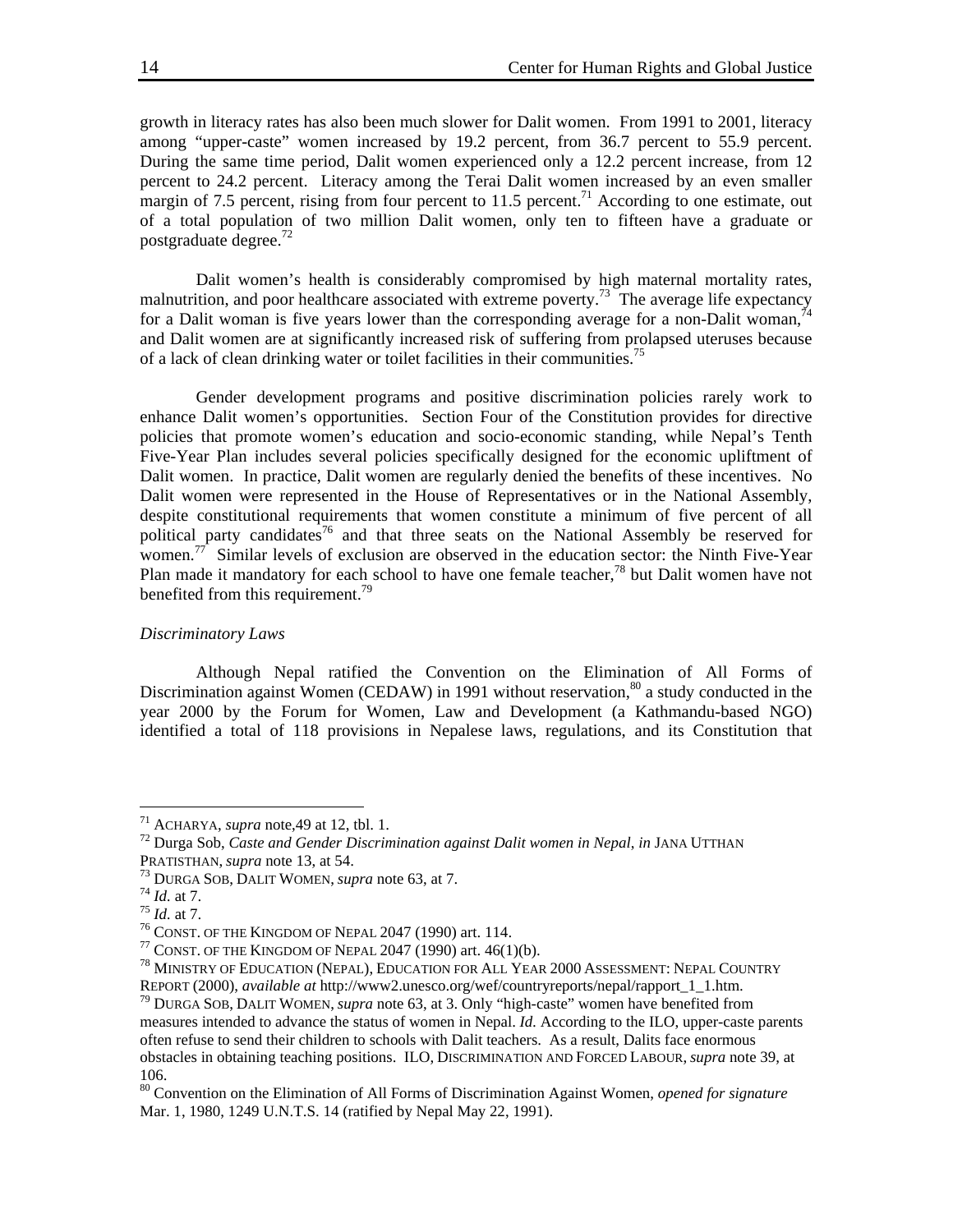growth in literacy rates has also been much slower for Dalit women. From 1991 to 2001, literacy among "upper-caste" women increased by 19.2 percent, from 36.7 percent to 55.9 percent. During the same time period, Dalit women experienced only a 12.2 percent increase, from 12 percent to 24.2 percent. Literacy among the Terai Dalit women increased by an even smaller margin of 7.5 percent, rising from four percent to 11.5 percent.<sup>71</sup> According to one estimate, out of a total population of two million Dalit women, only ten to fifteen have a graduate or postgraduate degree.<sup>72</sup>

Dalit women's health is considerably compromised by high maternal mortality rates, malnutrition, and poor healthcare associated with extreme poverty.<sup>73</sup> The average life expectancy for a Dalit woman is five years lower than the corresponding average for a non-Dalit woman,<sup> $74$ </sup> and Dalit women are at significantly increased risk of suffering from prolapsed uteruses because of a lack of clean drinking water or toilet facilities in their communities.<sup>75</sup>

Gender development programs and positive discrimination policies rarely work to enhance Dalit women's opportunities. Section Four of the Constitution provides for directive policies that promote women's education and socio-economic standing, while Nepal's Tenth Five-Year Plan includes several policies specifically designed for the economic upliftment of Dalit women. In practice, Dalit women are regularly denied the benefits of these incentives. No Dalit women were represented in the House of Representatives or in the National Assembly, despite constitutional requirements that women constitute a minimum of five percent of all political party candidates<sup>76</sup> and that three seats on the National Assembly be reserved for women.<sup>77</sup> Similar levels of exclusion are observed in the education sector: the Ninth Five-Year Plan made it mandatory for each school to have one female teacher,<sup>78</sup> but Dalit women have not benefited from this requirement.<sup>79</sup>

# *Discriminatory Laws*

Although Nepal ratified the Convention on the Elimination of All Forms of Discrimination against Women (CEDAW) in 1991 without reservation, $80$  a study conducted in the year 2000 by the Forum for Women, Law and Development (a Kathmandu-based NGO) identified a total of 118 provisions in Nepalese laws, regulations, and its Constitution that

<sup>71</sup> ACHARYA, *supra* note,49 at 12, tbl. 1.

<sup>72</sup> Durga Sob, *Caste and Gender Discrimination against Dalit women in Nepal*, *in* JANA UTTHAN PRATISTHAN, *supra* note 13, at 54.

<sup>73</sup> DURGA SOB, DALIT WOMEN, *supra* note 63, at 7.

<sup>74</sup> *Id.* at 7.

<sup>75</sup> *Id.* at 7.

<sup>76</sup> CONST. OF THE KINGDOM OF NEPAL 2047 (1990) art. 114.

 $^{77}$  CONST. OF THE KINGDOM OF NEPAL 2047 (1990) art. 46(1)(b).

<sup>&</sup>lt;sup>78</sup> MINISTRY OF EDUCATION (NEPAL), EDUCATION FOR ALL YEAR 2000 ASSESSMENT: NEPAL COUNTRY REPORT (2000), *available at* http://www2.unesco.org/wef/countryreports/nepal/rapport\_1\_1.htm.

<sup>79</sup> DURGA SOB, DALIT WOMEN, *supra* note 63, at 3. Only "high-caste" women have benefited from measures intended to advance the status of women in Nepal. *Id.* According to the ILO, upper-caste parents often refuse to send their children to schools with Dalit teachers. As a result, Dalits face enormous obstacles in obtaining teaching positions. ILO, DISCRIMINATION AND FORCED LABOUR, *supra* note 39, at 106.

<sup>80</sup> Convention on the Elimination of All Forms of Discrimination Against Women, *opened for signature* Mar. 1, 1980, 1249 U.N.T.S. 14 (ratified by Nepal May 22, 1991).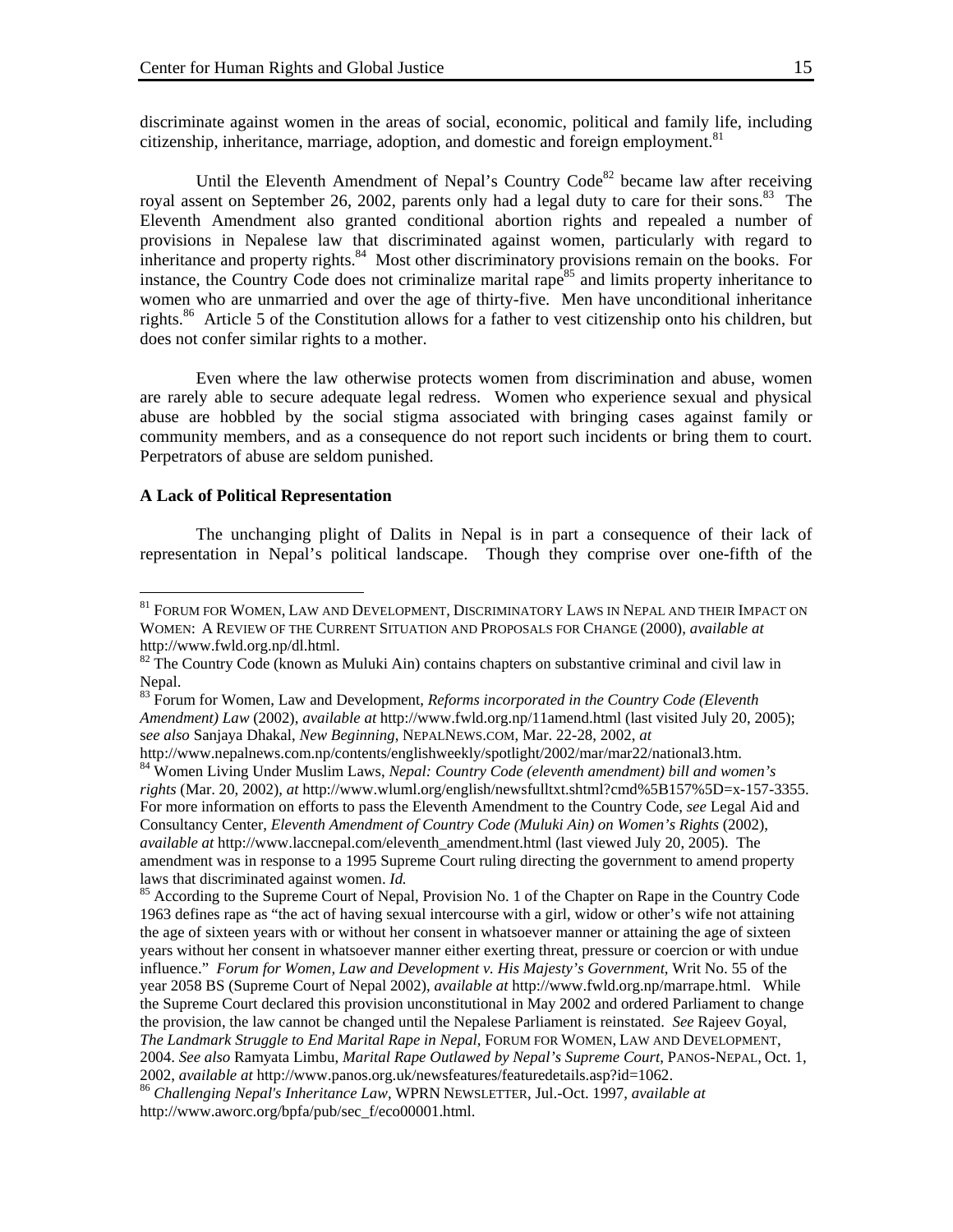discriminate against women in the areas of social, economic, political and family life, including citizenship, inheritance, marriage, adoption, and domestic and foreign employment.<sup>81</sup>

Until the Eleventh Amendment of Nepal's Country  $Code^{82}$  became law after receiving royal assent on September 26, 2002, parents only had a legal duty to care for their sons.<sup>83</sup> The Eleventh Amendment also granted conditional abortion rights and repealed a number of provisions in Nepalese law that discriminated against women, particularly with regard to inheritance and property rights. $84$  Most other discriminatory provisions remain on the books. For instance, the Country Code does not criminalize marital rape<sup>85</sup> and limits property inheritance to women who are unmarried and over the age of thirty-five. Men have unconditional inheritance rights.<sup>86</sup> Article 5 of the Constitution allows for a father to vest citizenship onto his children, but does not confer similar rights to a mother.

Even where the law otherwise protects women from discrimination and abuse, women are rarely able to secure adequate legal redress. Women who experience sexual and physical abuse are hobbled by the social stigma associated with bringing cases against family or community members, and as a consequence do not report such incidents or bring them to court. Perpetrators of abuse are seldom punished.

#### **A Lack of Political Representation**

 $\overline{a}$ 

The unchanging plight of Dalits in Nepal is in part a consequence of their lack of representation in Nepal's political landscape. Though they comprise over one-fifth of the

 $^{\rm 81}$  Forum for Women, Law and Development, Discriminatory Laws in Nepal and their Impact on WOMEN: A REVIEW OF THE CURRENT SITUATION AND PROPOSALS FOR CHANGE (2000), *available at*  http://www.fwld.org.np/dl.html.

 $82$  The Country Code (known as Muluki Ain) contains chapters on substantive criminal and civil law in Nepal.

<sup>83</sup> Forum for Women, Law and Development, *Reforms incorporated in the Country Code (Eleventh Amendment) Law* (2002), *available at* http://www.fwld.org.np/11amend.html (last visited July 20, 2005); s*ee also* Sanjaya Dhakal, *New Beginning*, NEPALNEWS.COM, Mar. 22-28, 2002, *at*

http://www.nepalnews.com.np/contents/englishweekly/spotlight/2002/mar/mar22/national3.htm. <sup>84</sup> Women Living Under Muslim Laws, *Nepal: Country Code (eleventh amendment) bill and women's rights* (Mar. 20, 2002), *at* http://www.wluml.org/english/newsfulltxt.shtml?cmd%5B157%5D=x-157-3355. For more information on efforts to pass the Eleventh Amendment to the Country Code, *see* Legal Aid and Consultancy Center, *Eleventh Amendment of Country Code (Muluki Ain) on Women's Rights* (2002), *available at* http://www.laccnepal.com/eleventh\_amendment.html (last viewed July 20, 2005). The amendment was in response to a 1995 Supreme Court ruling directing the government to amend property laws that discriminated against women. *Id.* 

<sup>&</sup>lt;sup>85</sup> According to the Supreme Court of Nepal, Provision No. 1 of the Chapter on Rape in the Country Code 1963 defines rape as "the act of having sexual intercourse with a girl, widow or other's wife not attaining the age of sixteen years with or without her consent in whatsoever manner or attaining the age of sixteen years without her consent in whatsoever manner either exerting threat, pressure or coercion or with undue influence." *Forum for Women, Law and Development v. His Majesty's Government*, Writ No. 55 of the year 2058 BS (Supreme Court of Nepal 2002), *available at* http://www.fwld.org.np/marrape.html. While the Supreme Court declared this provision unconstitutional in May 2002 and ordered Parliament to change the provision, the law cannot be changed until the Nepalese Parliament is reinstated. *See* Rajeev Goyal, *The Landmark Struggle to End Marital Rape in Nepal*, FORUM FOR WOMEN, LAW AND DEVELOPMENT, 2004. *See also* Ramyata Limbu, *Marital Rape Outlawed by Nepal's Supreme Court*, PANOS-NEPAL, Oct. 1, 2002, *available at* http://www.panos.org.uk/newsfeatures/featuredetails.asp?id=1062.

<sup>86</sup> *Challenging Nepal's Inheritance Law*, WPRN NEWSLETTER, Jul.-Oct. 1997, *available at*  http://www.aworc.org/bpfa/pub/sec\_f/eco00001.html.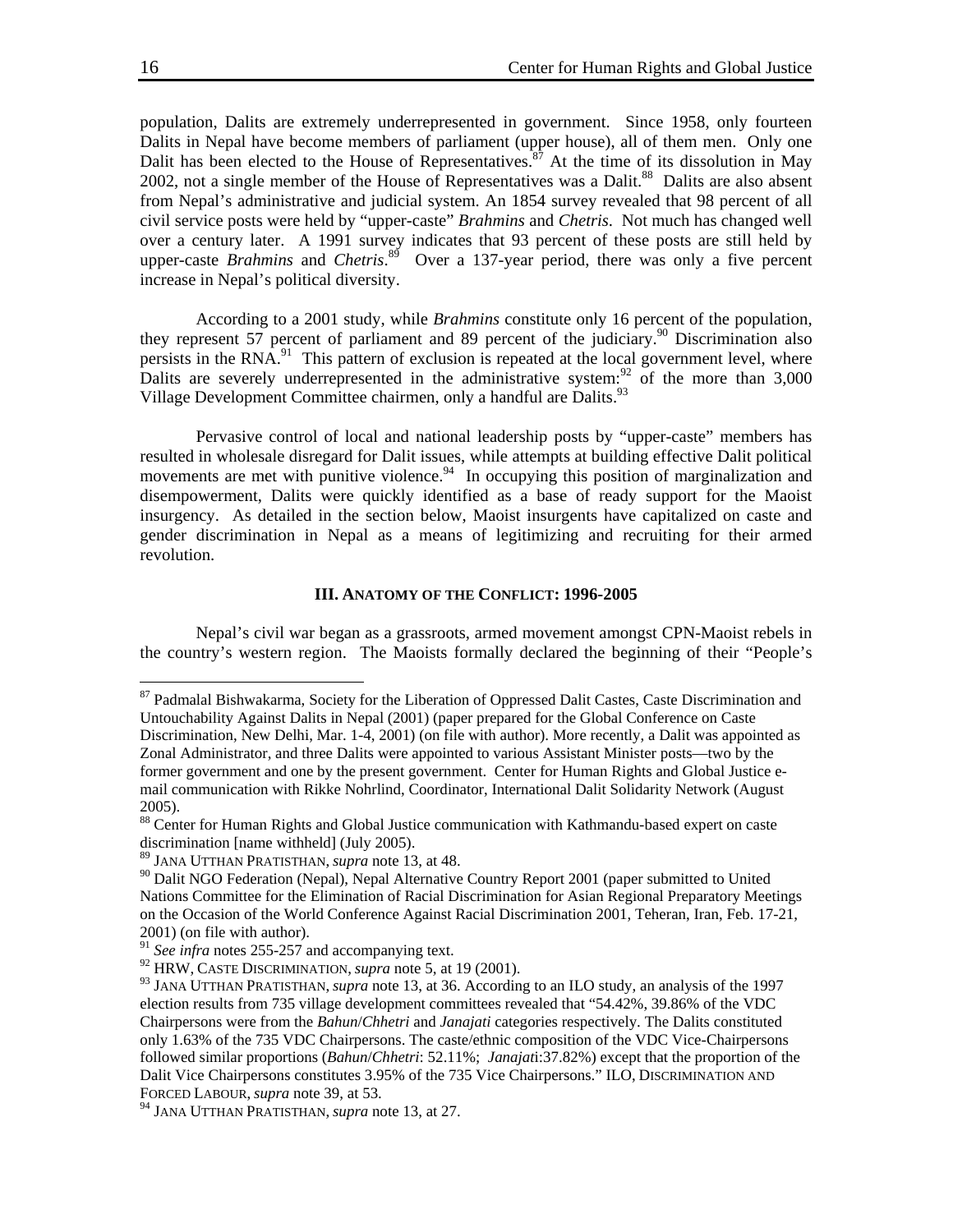population, Dalits are extremely underrepresented in government. Since 1958, only fourteen Dalits in Nepal have become members of parliament (upper house), all of them men. Only one Dalit has been elected to the House of Representatives.<sup>87</sup> At the time of its dissolution in May 2002, not a single member of the House of Representatives was a Dalit.<sup>88</sup> Dalits are also absent from Nepal's administrative and judicial system. An 1854 survey revealed that 98 percent of all civil service posts were held by "upper-caste" *Brahmins* and *Chetris*. Not much has changed well over a century later. A 1991 survey indicates that 93 percent of these posts are still held by upper-caste *Brahmins* and *Chetris*. <sup>89</sup> Over a 137-year period, there was only a five percent increase in Nepal's political diversity.

According to a 2001 study, while *Brahmins* constitute only 16 percent of the population, they represent 57 percent of parliament and 89 percent of the judiciary.<sup>90</sup> Discrimination also persists in the  $RNA^{91}$ . This pattern of exclusion is repeated at the local government level, where Dalits are severely underrepresented in the administrative system:  $92^\circ$  of the more than 3,000 Village Development Committee chairmen, only a handful are Dalits.<sup>93</sup>

Pervasive control of local and national leadership posts by "upper-caste" members has resulted in wholesale disregard for Dalit issues, while attempts at building effective Dalit political movements are met with punitive violence.<sup>94</sup> In occupying this position of marginalization and disempowerment, Dalits were quickly identified as a base of ready support for the Maoist insurgency. As detailed in the section below, Maoist insurgents have capitalized on caste and gender discrimination in Nepal as a means of legitimizing and recruiting for their armed revolution.

## **III. ANATOMY OF THE CONFLICT: 1996-2005**

Nepal's civil war began as a grassroots, armed movement amongst CPN-Maoist rebels in the country's western region. The Maoists formally declared the beginning of their "People's

<sup>&</sup>lt;sup>87</sup> Padmalal Bishwakarma, Society for the Liberation of Oppressed Dalit Castes, Caste Discrimination and Untouchability Against Dalits in Nepal (2001) (paper prepared for the Global Conference on Caste Discrimination, New Delhi, Mar. 1-4, 2001) (on file with author). More recently, a Dalit was appointed as Zonal Administrator, and three Dalits were appointed to various Assistant Minister posts—two by the former government and one by the present government. Center for Human Rights and Global Justice email communication with Rikke Nohrlind, Coordinator, International Dalit Solidarity Network (August 2005).

<sup>88</sup> Center for Human Rights and Global Justice communication with Kathmandu-based expert on caste discrimination [name withheld] (July 2005).

<sup>89</sup> JANA UTTHAN PRATISTHAN, *supra* note 13, at 48.

<sup>&</sup>lt;sup>90</sup> Dalit NGO Federation (Nepal), Nepal Alternative Country Report 2001 (paper submitted to United Nations Committee for the Elimination of Racial Discrimination for Asian Regional Preparatory Meetings on the Occasion of the World Conference Against Racial Discrimination 2001, Teheran, Iran, Feb. 17-21, 2001) (on file with author).

<sup>&</sup>lt;sup>91</sup> See infra notes 255-257 and accompanying text.

<sup>&</sup>lt;sup>92</sup> HRW, CASTE DISCRIMINATION, *supra* note 5, at 19 (2001).

<sup>93</sup> JANA UTTHAN PRATISTHAN, *supra* note 13, at 36. According to an ILO study, an analysis of the 1997 election results from 735 village development committees revealed that "54.42%, 39.86% of the VDC Chairpersons were from the *Bahun*/*Chhetri* and *Janajati* categories respectively. The Dalits constituted only 1.63% of the 735 VDC Chairpersons. The caste/ethnic composition of the VDC Vice-Chairpersons followed similar proportions (*Bahun*/*Chhetri*: 52.11%; *Janajat*i:37.82%) except that the proportion of the Dalit Vice Chairpersons constitutes 3.95% of the 735 Vice Chairpersons." ILO, DISCRIMINATION AND FORCED LABOUR, *supra* note 39, at 53.

<sup>94</sup> JANA UTTHAN PRATISTHAN, *supra* note 13, at 27.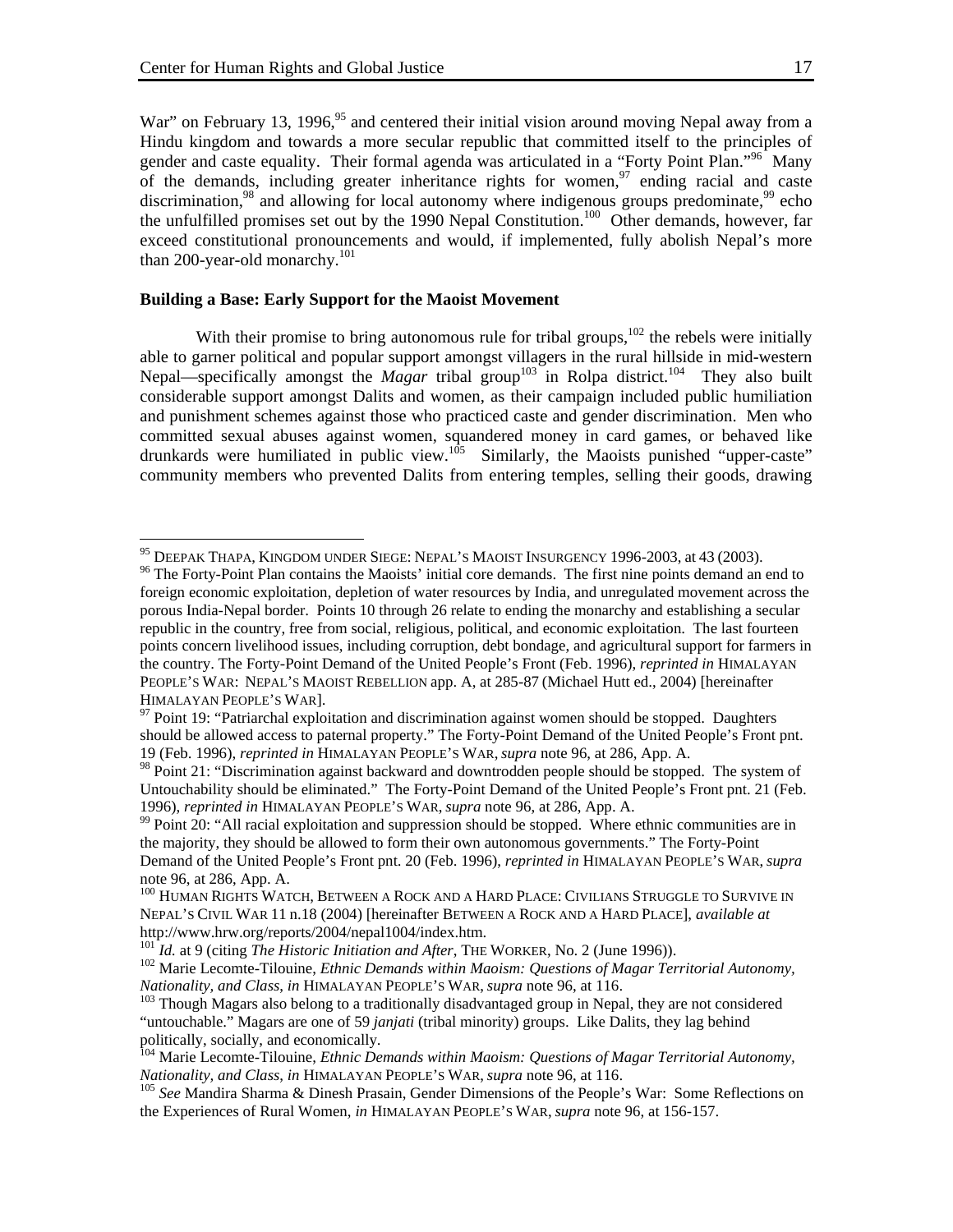$\overline{a}$ 

War" on February 13, 1996, $95$  and centered their initial vision around moving Nepal away from a Hindu kingdom and towards a more secular republic that committed itself to the principles of gender and caste equality. Their formal agenda was articulated in a "Forty Point Plan."<sup>96</sup> Many of the demands, including greater inheritance rights for women,  $97$  ending racial and caste discrimination,<sup>98</sup> and allowing for local autonomy where indigenous groups predominate,<sup>99</sup> echo the unfulfilled promises set out by the 1990 Nepal Constitution.<sup>100</sup> Other demands, however, far exceed constitutional pronouncements and would, if implemented, fully abolish Nepal's more than 200-year-old monarchy.<sup>101</sup>

# **Building a Base: Early Support for the Maoist Movement**

With their promise to bring autonomous rule for tribal groups, $102$  the rebels were initially able to garner political and popular support amongst villagers in the rural hillside in mid-western Nepal—specifically amongst the *Magar* tribal group<sup>103</sup> in Rolpa district.<sup>104</sup> They also built considerable support amongst Dalits and women, as their campaign included public humiliation and punishment schemes against those who practiced caste and gender discrimination. Men who committed sexual abuses against women, squandered money in card games, or behaved like drunkards were humiliated in public view.<sup>105</sup> Similarly, the Maoists punished "upper-caste" community members who prevented Dalits from entering temples, selling their goods, drawing

<sup>&</sup>lt;sup>95</sup> DEEPAK THAPA, KINGDOM UNDER SIEGE: NEPAL'S MAOIST INSURGENCY 1996-2003, at 43 (2003).

<sup>&</sup>lt;sup>96</sup> The Forty-Point Plan contains the Maoists' initial core demands. The first nine points demand an end to foreign economic exploitation, depletion of water resources by India, and unregulated movement across the porous India-Nepal border. Points 10 through 26 relate to ending the monarchy and establishing a secular republic in the country, free from social, religious, political, and economic exploitation. The last fourteen points concern livelihood issues, including corruption, debt bondage, and agricultural support for farmers in the country. The Forty-Point Demand of the United People's Front (Feb. 1996), *reprinted in* HIMALAYAN PEOPLE'S WAR: NEPAL'S MAOIST REBELLION app. A, at 285-87 (Michael Hutt ed., 2004) [hereinafter HIMALAYAN PEOPLE'S WAR].

 $97$  Point 19: "Patriarchal exploitation and discrimination against women should be stopped. Daughters should be allowed access to paternal property." The Forty-Point Demand of the United People's Front pnt. 19 (Feb. 1996), *reprinted in* HIMALAYAN PEOPLE'S WAR,*supra* note 96, at 286, App. A.

<sup>&</sup>lt;sup>98</sup> Point 21: "Discrimination against backward and downtrodden people should be stopped. The system of Untouchability should be eliminated." The Forty-Point Demand of the United People's Front pnt. 21 (Feb. 1996), *reprinted in* HIMALAYAN PEOPLE'S WAR, *supra* note 96, at 286, App. A.

<sup>&</sup>lt;sup>99</sup> Point 20: "All racial exploitation and suppression should be stopped. Where ethnic communities are in the majority, they should be allowed to form their own autonomous governments." The Forty-Point Demand of the United People's Front pnt. 20 (Feb. 1996), *reprinted in* HIMALAYAN PEOPLE'S WAR, *supra*  note 96, at 286, App. A.

<sup>&</sup>lt;sup>100</sup> HUMAN RIGHTS WATCH, BETWEEN A ROCK AND A HARD PLACE: CIVILIANS STRUGGLE TO SURVIVE IN NEPAL'S CIVIL WAR 11 n.18 (2004) [hereinafter BETWEEN A ROCK AND A HARD PLACE], *available at* http://www.hrw.org/reports/2004/nepal1004/index.htm.

<sup>&</sup>lt;sup>101</sup> *Id.* at 9 (citing *The Historic Initiation and After*, THE WORKER, No. 2 (June 1996)).

<sup>&</sup>lt;sup>102</sup> Marie Lecomte-Tilouine, *Ethnic Demands within Maoism: Questions of Magar Territorial Autonomy, Nationality, and Class*, *in* HIMALAYAN PEOPLE'S WAR, *supra* note 96, at 116.

<sup>&</sup>lt;sup>103</sup> Though Magars also belong to a traditionally disadvantaged group in Nepal, they are not considered "untouchable." Magars are one of 59 *janjati* (tribal minority) groups. Like Dalits, they lag behind politically, socially, and economically.

<sup>&</sup>lt;sup>104</sup> Marie Lecomte-Tilouine, *Ethnic Demands within Maoism: Questions of Magar Territorial Autonomy, Nationality, and Class*, *in* HIMALAYAN PEOPLE'S WAR, *supra* note 96, at 116.

<sup>&</sup>lt;sup>105</sup> See Mandira Sharma & Dinesh Prasain, Gender Dimensions of the People's War: Some Reflections on the Experiences of Rural Women, *in* HIMALAYAN PEOPLE'S WAR, *supra* note 96, at 156-157.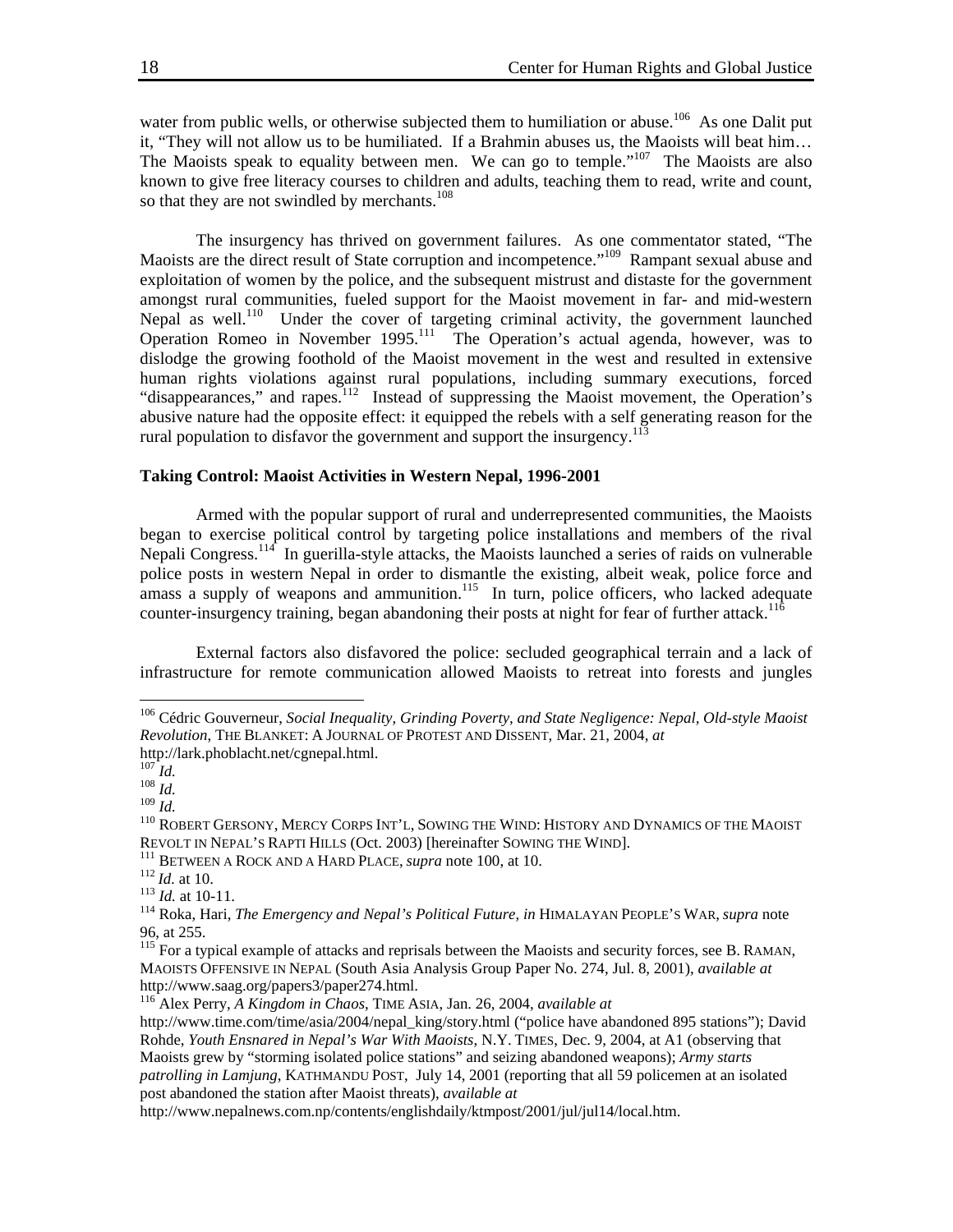water from public wells, or otherwise subjected them to humiliation or abuse.<sup>106</sup> As one Dalit put it, "They will not allow us to be humiliated. If a Brahmin abuses us, the Maoists will beat him… The Maoists speak to equality between men. We can go to temple.<sup> $107$ </sup> The Maoists are also known to give free literacy courses to children and adults, teaching them to read, write and count, so that they are not swindled by merchants.<sup>108</sup>

The insurgency has thrived on government failures. As one commentator stated, "The Maoists are the direct result of State corruption and incompetence."<sup>109</sup> Rampant sexual abuse and exploitation of women by the police, and the subsequent mistrust and distaste for the government amongst rural communities, fueled support for the Maoist movement in far- and mid-western Nepal as well.<sup>110</sup> Under the cover of targeting criminal activity, the government launched Operation Romeo in November 1995.<sup>111</sup> The Operation's actual agenda, however, was to dislodge the growing foothold of the Maoist movement in the west and resulted in extensive human rights violations against rural populations, including summary executions, forced "disappearances," and rapes.<sup>112</sup> Instead of suppressing the Maoist movement, the Operation's abusive nature had the opposite effect: it equipped the rebels with a self generating reason for the rural population to disfavor the government and support the insurgency.<sup>113</sup>

#### **Taking Control: Maoist Activities in Western Nepal, 1996-2001**

Armed with the popular support of rural and underrepresented communities, the Maoists began to exercise political control by targeting police installations and members of the rival Nepali Congress.<sup>114</sup> In guerilla-style attacks, the Maoists launched a series of raids on vulnerable police posts in western Nepal in order to dismantle the existing, albeit weak, police force and  $\frac{1}{4}$  amass a supply of weapons and ammunition.<sup>115</sup> In turn, police officers, who lacked adequate counter-insurgency training, began abandoning their posts at night for fear of further attack.<sup>116</sup>

External factors also disfavored the police: secluded geographical terrain and a lack of infrastructure for remote communication allowed Maoists to retreat into forests and jungles

<sup>106</sup> Cédric Gouverneur, *Social Inequality, Grinding Poverty, and State Negligence: Nepal, Old-style Maoist Revolution*, THE BLANKET: A JOURNAL OF PROTEST AND DISSENT, Mar. 21, 2004, *at* http://lark.phoblacht.net/cgnepal.html.

 $107$  *Id.* 

 $108 \, \mu$ <sup>108</sup>

<sup>109</sup> *Id.*

<sup>110</sup> ROBERT GERSONY, MERCY CORPS INT'L, SOWING THE WIND: HISTORY AND DYNAMICS OF THE MAOIST REVOLT IN NEPAL'S RAPTI HILLS (Oct. 2003) [hereinafter SOWING THE WIND].

<sup>111</sup> BETWEEN A ROCK AND A HARD PLACE, *supra* note 100, at 10.

<sup>112</sup> *Id.* at 10.

<sup>113</sup> *Id.* at 10-11.

<sup>114</sup> Roka, Hari, *The Emergency and Nepal's Political Future*, *in* HIMALAYAN PEOPLE'S WAR, *supra* note 96, at 255.

<sup>&</sup>lt;sup>115</sup> For a typical example of attacks and reprisals between the Maoists and security forces, see B. RAMAN, MAOISTS OFFENSIVE IN NEPAL (South Asia Analysis Group Paper No. 274, Jul. 8, 2001), *available at* http://www.saag.org/papers3/paper274.html.

<sup>116</sup> Alex Perry, *A Kingdom in Chaos*, TIME ASIA, Jan. 26, 2004, *available at*

http://www.time.com/time/asia/2004/nepal\_king/story.html ("police have abandoned 895 stations"); David Rohde, *Youth Ensnared in Nepal's War With Maoists*, N.Y. TIMES, Dec. 9, 2004, at A1 (observing that Maoists grew by "storming isolated police stations" and seizing abandoned weapons); *Army starts patrolling in Lamjung*, KATHMANDU POST, July 14, 2001 (reporting that all 59 policemen at an isolated post abandoned the station after Maoist threats), *available at*

http://www.nepalnews.com.np/contents/englishdaily/ktmpost/2001/jul/jul14/local.htm.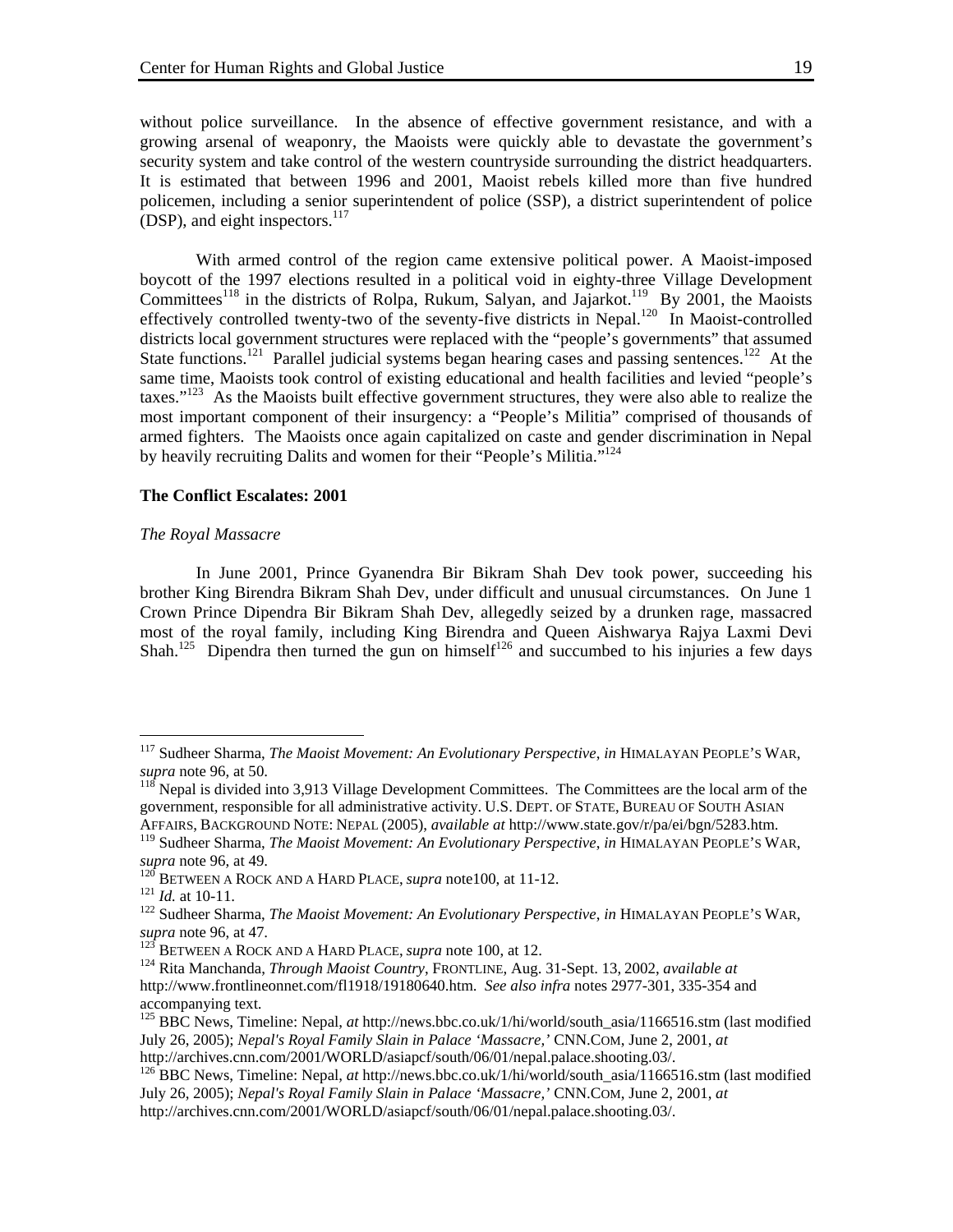without police surveillance. In the absence of effective government resistance, and with a growing arsenal of weaponry, the Maoists were quickly able to devastate the government's security system and take control of the western countryside surrounding the district headquarters. It is estimated that between 1996 and 2001, Maoist rebels killed more than five hundred policemen, including a senior superintendent of police (SSP), a district superintendent of police (DSP), and eight inspectors. $117$ 

With armed control of the region came extensive political power. A Maoist-imposed boycott of the 1997 elections resulted in a political void in eighty-three Village Development Committees<sup>118</sup> in the districts of Rolpa, Rukum, Salyan, and Jajarkot.<sup>119</sup> By 2001, the Maoists effectively controlled twenty-two of the seventy-five districts in Nepal.<sup>120</sup> In Maoist-controlled districts local government structures were replaced with the "people's governments" that assumed State functions.<sup>121</sup> Parallel judicial systems began hearing cases and passing sentences.<sup>122</sup> At the same time, Maoists took control of existing educational and health facilities and levied "people's taxes."<sup>123</sup> As the Maoists built effective government structures, they were also able to realize the most important component of their insurgency: a "People's Militia" comprised of thousands of armed fighters. The Maoists once again capitalized on caste and gender discrimination in Nepal by heavily recruiting Dalits and women for their "People's Militia."<sup>124</sup>

## **The Conflict Escalates: 2001**

#### *The Royal Massacre*

In June 2001, Prince Gyanendra Bir Bikram Shah Dev took power, succeeding his brother King Birendra Bikram Shah Dev, under difficult and unusual circumstances. On June 1 Crown Prince Dipendra Bir Bikram Shah Dev, allegedly seized by a drunken rage, massacred most of the royal family, including King Birendra and Queen Aishwarya Rajya Laxmi Devi Shah.<sup>125</sup> Dipendra then turned the gun on himself<sup>126</sup> and succumbed to his injuries a few days

<sup>117</sup> Sudheer Sharma, *The Maoist Movement: An Evolutionary Perspective*, *in* HIMALAYAN PEOPLE'S WAR, *supra* note 96, at 50.

Nepal is divided into 3,913 Village Development Committees. The Committees are the local arm of the government, responsible for all administrative activity. U.S. DEPT. OF STATE, BUREAU OF SOUTH ASIAN AFFAIRS, BACKGROUND NOTE: NEPAL (2005), *available at* http://www.state.gov/r/pa/ei/bgn/5283.htm.

<sup>119</sup> Sudheer Sharma, *The Maoist Movement: An Evolutionary Perspective*, *in* HIMALAYAN PEOPLE'S WAR, *supra* note 96, at 49.

<sup>&</sup>lt;sup>120</sup> BETWEEN A ROCK AND A HARD PLACE, *supra* note100, at 11-12.

<sup>121</sup> *Id.* at 10-11.

<sup>122</sup> Sudheer Sharma, *The Maoist Movement: An Evolutionary Perspective*, *in* HIMALAYAN PEOPLE'S WAR, *supra* note 96, at 47.

<sup>123</sup> BETWEEN A ROCK AND A HARD PLACE, *supra* note 100, at 12.

<sup>124</sup> Rita Manchanda, *Through Maoist Country*, FRONTLINE, Aug. 31-Sept. 13, 2002, *available at* http://www.frontlineonnet.com/fl1918/19180640.htm. *See also infra* notes 2977-301, 335-354 and accompanying text.

<sup>125</sup> BBC News, Timeline: Nepal, *at* http://news.bbc.co.uk/1/hi/world/south\_asia/1166516.stm (last modified July 26, 2005); *Nepal's Royal Family Slain in Palace 'Massacre,'* CNN.COM, June 2, 2001, *at*  http://archives.cnn.com/2001/WORLD/asiapcf/south/06/01/nepal.palace.shooting.03/.

<sup>&</sup>lt;sup>126</sup> BBC News, Timeline: Nepal, *at* http://news.bbc.co.uk/1/hi/world/south\_asia/1166516.stm (last modified July 26, 2005); *Nepal's Royal Family Slain in Palace 'Massacre,'* CNN.COM, June 2, 2001, *at*  http://archives.cnn.com/2001/WORLD/asiapcf/south/06/01/nepal.palace.shooting.03/.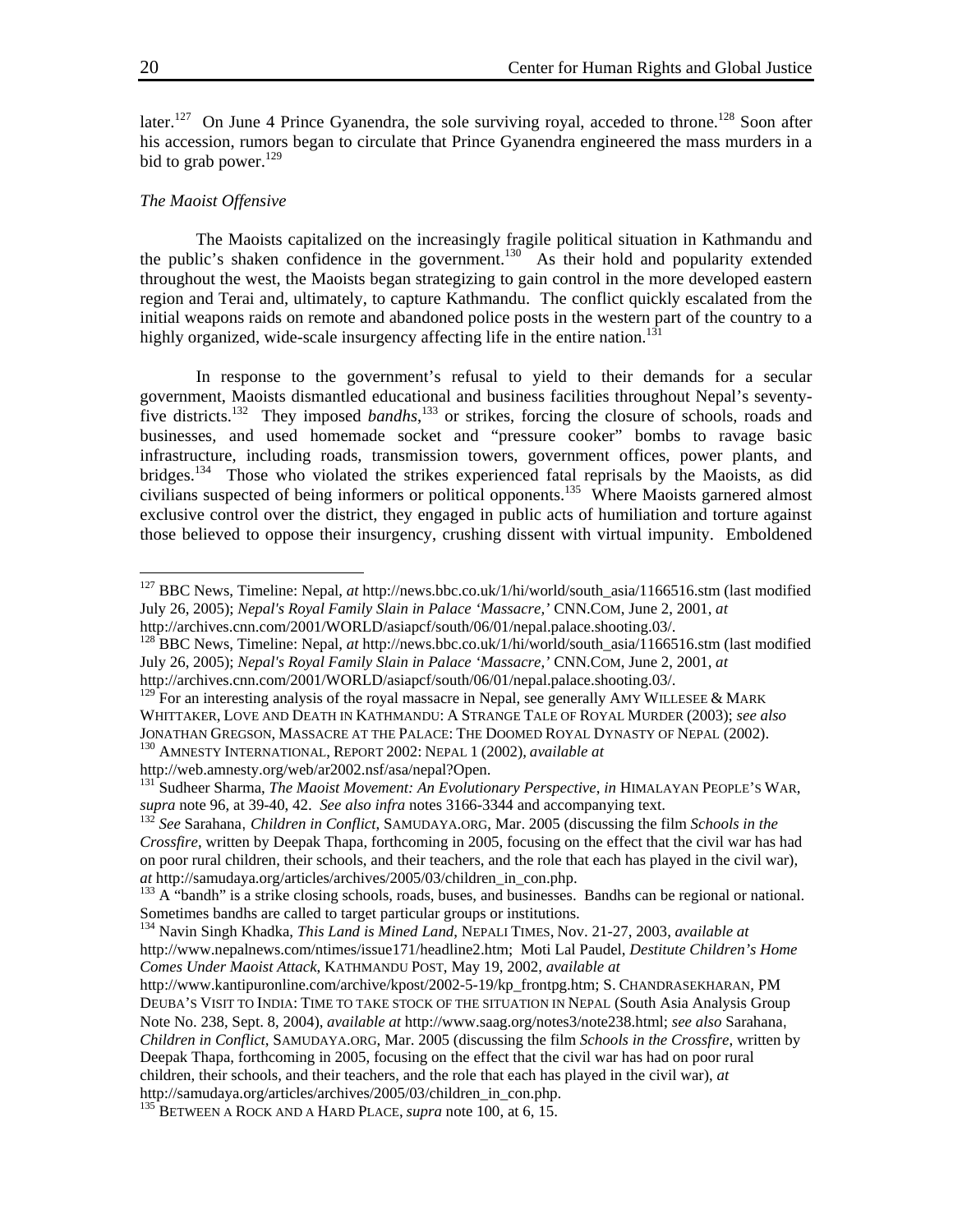later.<sup>127</sup> On June 4 Prince Gyanendra, the sole surviving royal, acceded to throne.<sup>128</sup> Soon after his accession, rumors began to circulate that Prince Gyanendra engineered the mass murders in a bid to grab power.<sup>129</sup>

# *The Maoist Offensive*

The Maoists capitalized on the increasingly fragile political situation in Kathmandu and the public's shaken confidence in the government.<sup>130</sup> As their hold and popularity extended throughout the west, the Maoists began strategizing to gain control in the more developed eastern region and Terai and, ultimately, to capture Kathmandu. The conflict quickly escalated from the initial weapons raids on remote and abandoned police posts in the western part of the country to a highly organized, wide-scale insurgency affecting life in the entire nation.<sup>131</sup>

In response to the government's refusal to yield to their demands for a secular government, Maoists dismantled educational and business facilities throughout Nepal's seventyfive districts.<sup>132</sup> They imposed *bandhs*,<sup>133</sup> or strikes, forcing the closure of schools, roads and businesses, and used homemade socket and "pressure cooker" bombs to ravage basic infrastructure, including roads, transmission towers, government offices, power plants, and bridges.<sup>134</sup> Those who violated the strikes experienced fatal reprisals by the Maoists, as did civilians suspected of being informers or political opponents.<sup>135</sup> Where Maoists garnered almost exclusive control over the district, they engaged in public acts of humiliation and torture against those believed to oppose their insurgency, crushing dissent with virtual impunity. Emboldened

http://archives.cnn.com/2001/WORLD/asiapcf/south/06/01/nepal.palace.shooting.03/.

http://archives.cnn.com/2001/WORLD/asiapcf/south/06/01/nepal.palace.shooting.03/.

<sup>130</sup> AMNESTY INTERNATIONAL, REPORT 2002: NEPAL 1 (2002), *available at*  http://web.amnesty.org/web/ar2002.nsf/asa/nepal?Open.

<sup>127</sup> BBC News, Timeline: Nepal, *at* http://news.bbc.co.uk/1/hi/world/south\_asia/1166516.stm (last modified July 26, 2005); *Nepal's Royal Family Slain in Palace 'Massacre,'* CNN.COM, June 2, 2001, *at* 

<sup>128</sup> BBC News, Timeline: Nepal, *at* http://news.bbc.co.uk/1/hi/world/south\_asia/1166516.stm (last modified July 26, 2005); *Nepal's Royal Family Slain in Palace 'Massacre,'* CNN.COM, June 2, 2001, *at* 

<sup>&</sup>lt;sup>129</sup> For an interesting analysis of the royal massacre in Nepal, see generally AMY WILLESEE & MARK WHITTAKER, LOVE AND DEATH IN KATHMANDU: A STRANGE TALE OF ROYAL MURDER (2003); *see also*  JONATHAN GREGSON, MASSACRE AT THE PALACE: THE DOOMED ROYAL DYNASTY OF NEPAL (2002).

<sup>131</sup> Sudheer Sharma, *The Maoist Movement: An Evolutionary Perspective*, *in* HIMALAYAN PEOPLE'S WAR, *supra* note 96, at 39-40, 42. *See also infra* notes 3166-3344 and accompanying text.

<sup>132</sup> *See* Sarahana, *Children in Conflict*, SAMUDAYA.ORG, Mar. 2005 (discussing the film *Schools in the Crossfire*, written by Deepak Thapa, forthcoming in 2005, focusing on the effect that the civil war has had on poor rural children, their schools, and their teachers, and the role that each has played in the civil war), *at* http://samudaya.org/articles/archives/2005/03/children\_in\_con.php.

<sup>&</sup>lt;sup>133</sup> A "bandh" is a strike closing schools, roads, buses, and businesses. Bandhs can be regional or national. Sometimes bandhs are called to target particular groups or institutions.

<sup>134</sup> Navin Singh Khadka, *This Land is Mined Land*, NEPALI TIMES, Nov. 21-27, 2003, *available at* http://www.nepalnews.com/ntimes/issue171/headline2.htm; Moti Lal Paudel, *Destitute Children's Home Comes Under Maoist Attack*, KATHMANDU POST, May 19, 2002, *available at* 

http://www.kantipuronline.com/archive/kpost/2002-5-19/kp\_frontpg.htm; S. CHANDRASEKHARAN, PM DEUBA'S VISIT TO INDIA: TIME TO TAKE STOCK OF THE SITUATION IN NEPAL (South Asia Analysis Group Note No. 238, Sept. 8, 2004), *available at* http://www.saag.org/notes3/note238.html; *see also* Sarahana, *Children in Conflict*, SAMUDAYA.ORG, Mar. 2005 (discussing the film *Schools in the Crossfire*, written by Deepak Thapa, forthcoming in 2005, focusing on the effect that the civil war has had on poor rural children, their schools, and their teachers, and the role that each has played in the civil war), *at*  http://samudaya.org/articles/archives/2005/03/children\_in\_con.php.

<sup>135</sup> BETWEEN A ROCK AND A HARD PLACE, *supra* note 100, at 6, 15.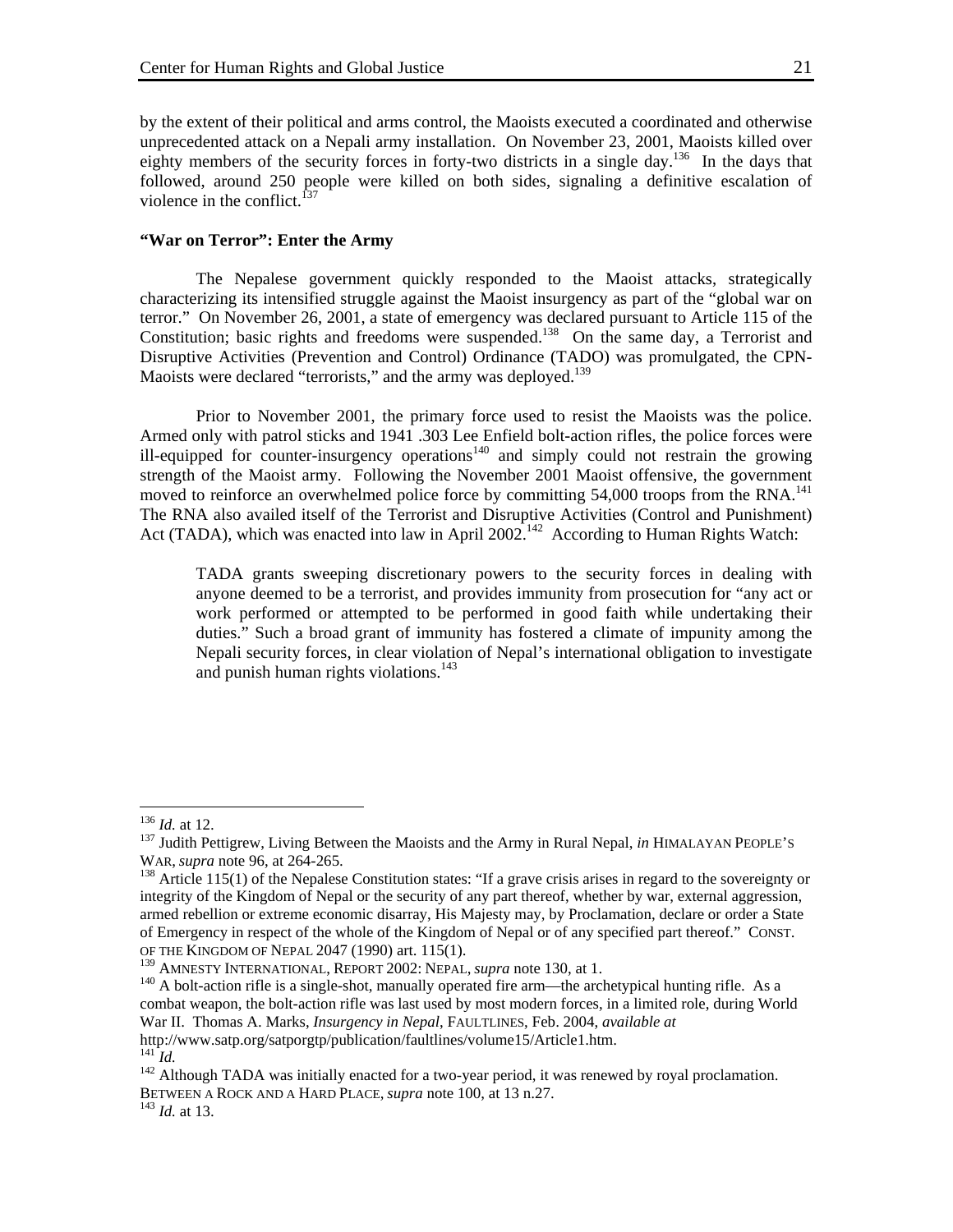by the extent of their political and arms control, the Maoists executed a coordinated and otherwise unprecedented attack on a Nepali army installation. On November 23, 2001, Maoists killed over eighty members of the security forces in forty-two districts in a single day.<sup>136</sup> In the days that followed, around 250 people were killed on both sides, signaling a definitive escalation of violence in the conflict. $<sup>1</sup>$ </sup>

# **"War on Terror": Enter the Army**

The Nepalese government quickly responded to the Maoist attacks, strategically characterizing its intensified struggle against the Maoist insurgency as part of the "global war on terror." On November 26, 2001, a state of emergency was declared pursuant to Article 115 of the Constitution; basic rights and freedoms were suspended.<sup>138</sup> On the same day, a Terrorist and Disruptive Activities (Prevention and Control) Ordinance (TADO) was promulgated, the CPN-Maoists were declared "terrorists," and the army was deployed.<sup>139</sup>

Prior to November 2001, the primary force used to resist the Maoists was the police. Armed only with patrol sticks and 1941 .303 Lee Enfield bolt-action rifles, the police forces were ill-equipped for counter-insurgency operations<sup>140</sup> and simply could not restrain the growing strength of the Maoist army. Following the November 2001 Maoist offensive, the government moved to reinforce an overwhelmed police force by committing 54,000 troops from the RNA.<sup>141</sup> The RNA also availed itself of the Terrorist and Disruptive Activities (Control and Punishment) Act (TADA), which was enacted into law in April 2002.<sup>142</sup> According to Human Rights Watch:

TADA grants sweeping discretionary powers to the security forces in dealing with anyone deemed to be a terrorist, and provides immunity from prosecution for "any act or work performed or attempted to be performed in good faith while undertaking their duties." Such a broad grant of immunity has fostered a climate of impunity among the Nepali security forces, in clear violation of Nepal's international obligation to investigate and punish human rights violations. $143$ 

<sup>136</sup> *Id.* at 12.

<sup>137</sup> Judith Pettigrew, Living Between the Maoists and the Army in Rural Nepal, *in* HIMALAYAN PEOPLE'<sup>S</sup> WAR, *supra* note 96, at 264-265.

<sup>&</sup>lt;sup>138</sup> Article 115(1) of the Nepalese Constitution states: "If a grave crisis arises in regard to the sovereignty or integrity of the Kingdom of Nepal or the security of any part thereof, whether by war, external aggression, armed rebellion or extreme economic disarray, His Majesty may, by Proclamation, declare or order a State of Emergency in respect of the whole of the Kingdom of Nepal or of any specified part thereof." CONST. OF THE KINGDOM OF NEPAL 2047 (1990) art. 115(1).

<sup>139</sup> AMNESTY INTERNATIONAL, REPORT 2002: NEPAL, *supra* note 130, at 1.

<sup>&</sup>lt;sup>140</sup> A bolt-action rifle is a single-shot, manually operated fire arm—the archetypical hunting rifle. As a combat weapon, the bolt-action rifle was last used by most modern forces, in a limited role, during World War II. Thomas A. Marks, *Insurgency in Nepal*, FAULTLINES, Feb. 2004, *available at* http://www.satp.org/satporgtp/publication/faultlines/volume15/Article1.htm.

 $^{141}$ *Id.* 

<sup>&</sup>lt;sup>142</sup> Although TADA was initially enacted for a two-year period, it was renewed by royal proclamation. BETWEEN A ROCK AND A HARD PLACE, *supra* note 100, at 13 n.27. BETWEEN A ROCK AND A HARD PLACE, *supra* note 100, at 13 n.27.<br><sup>143</sup> *Id.* at 13.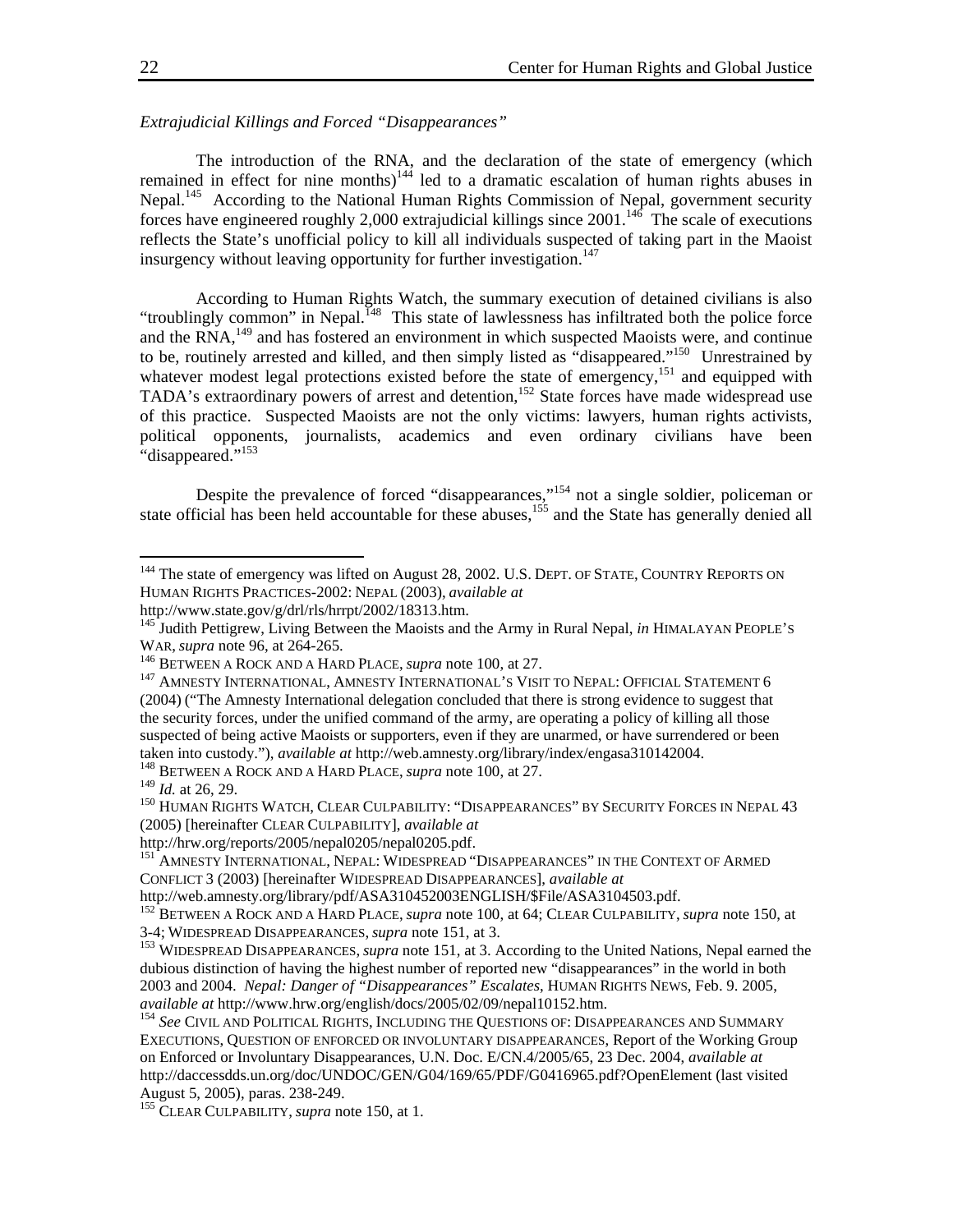# *Extrajudicial Killings and Forced "Disappearances"*

The introduction of the RNA, and the declaration of the state of emergency (which remained in effect for nine months)<sup>144</sup> led to a dramatic escalation of human rights abuses in Nepal.<sup>145</sup> According to the National Human Rights Commission of Nepal, government security forces have engineered roughly 2,000 extrajudicial killings since  $2001$ .<sup>146</sup> The scale of executions reflects the State's unofficial policy to kill all individuals suspected of taking part in the Maoist insurgency without leaving opportunity for further investigation.<sup>147</sup>

According to Human Rights Watch, the summary execution of detained civilians is also "troublingly common" in Nepal.<sup> $148$ </sup> This state of lawlessness has infiltrated both the police force and the RNA,<sup>149</sup> and has fostered an environment in which suspected Maoists were, and continue to be, routinely arrested and killed, and then simply listed as  $\cdot$  disappeared."<sup>150</sup> Unrestrained by whatever modest legal protections existed before the state of emergency,<sup>151</sup> and equipped with TADA's extraordinary powers of arrest and detention,<sup>152</sup> State forces have made widespread use of this practice. Suspected Maoists are not the only victims: lawyers, human rights activists, political opponents, journalists, academics and even ordinary civilians have been "disappeared."<sup>153</sup>

Despite the prevalence of forced "disappearances,"<sup>154</sup> not a single soldier, policeman or state official has been held accountable for these abuses,<sup>155</sup> and the State has generally denied all

<sup>&</sup>lt;sup>144</sup> The state of emergency was lifted on August 28, 2002. U.S. DEPT. OF STATE, COUNTRY REPORTS ON HUMAN RIGHTS PRACTICES-2002: NEPAL (2003), *available at* 

http://www.state.gov/g/drl/rls/hrrpt/2002/18313.htm.

<sup>145</sup> Judith Pettigrew, Living Between the Maoists and the Army in Rural Nepal, *in* HIMALAYAN PEOPLE'<sup>S</sup> WAR, *supra* note 96, at 264-265.

<sup>146</sup> BETWEEN A ROCK AND A HARD PLACE, *supra* note 100, at 27.

<sup>&</sup>lt;sup>147</sup> AMNESTY INTERNATIONAL, AMNESTY INTERNATIONAL'S VISIT TO NEPAL: OFFICIAL STATEMENT 6 (2004) ("The Amnesty International delegation concluded that there is strong evidence to suggest that the security forces, under the unified command of the army, are operating a policy of killing all those suspected of being active Maoists or supporters, even if they are unarmed, or have surrendered or been taken into custody."), *available at* http://web.amnesty.org/library/index/engasa310142004. <sup>148</sup> BETWEEN A ROCK AND A HARD PLACE, *supra* note 100, at 27.

<sup>149</sup> *Id.* at 26, 29.

<sup>150</sup> HUMAN RIGHTS WATCH, CLEAR CULPABILITY: "DISAPPEARANCES" BY SECURITY FORCES IN NEPAL 43 (2005) [hereinafter CLEAR CULPABILITY], *available at*

http://hrw.org/reports/2005/nepal0205/nepal0205.pdf.

<sup>&</sup>lt;sup>151</sup> AMNESTY INTERNATIONAL, NEPAL: WIDESPREAD "DISAPPEARANCES" IN THE CONTEXT OF ARMED CONFLICT 3 (2003) [hereinafter WIDESPREAD DISAPPEARANCES], *available at* 

http://web.amnesty.org/library/pdf/ASA310452003ENGLISH/\$File/ASA3104503.pdf.

<sup>152</sup> BETWEEN A ROCK AND A HARD PLACE, *supra* note 100, at 64; CLEAR CULPABILITY, *supra* note 150, at 3-4; WIDESPREAD DISAPPEARANCES, *supra* note 151, at 3.

<sup>153</sup> WIDESPREAD DISAPPEARANCES, *supra* note 151, at 3. According to the United Nations, Nepal earned the dubious distinction of having the highest number of reported new "disappearances" in the world in both 2003 and 2004. *Nepal: Danger of "Disappearances" Escalates*, HUMAN RIGHTS NEWS, Feb. 9. 2005, *available at* http://www.hrw.org/english/docs/2005/02/09/nepal10152.htm.

<sup>&</sup>lt;sup>154</sup> See CIVIL AND POLITICAL RIGHTS, INCLUDING THE QUESTIONS OF: DISAPPEARANCES AND SUMMARY EXECUTIONS, QUESTION OF ENFORCED OR INVOLUNTARY DISAPPEARANCES, Report of the Working Group on Enforced or Involuntary Disappearances, U.N. Doc. E/CN.4/2005/65, 23 Dec. 2004, *available at* http://daccessdds.un.org/doc/UNDOC/GEN/G04/169/65/PDF/G0416965.pdf?OpenElement (last visited August 5, 2005), paras. 238-249.

<sup>155</sup> CLEAR CULPABILITY, *supra* note 150, at 1.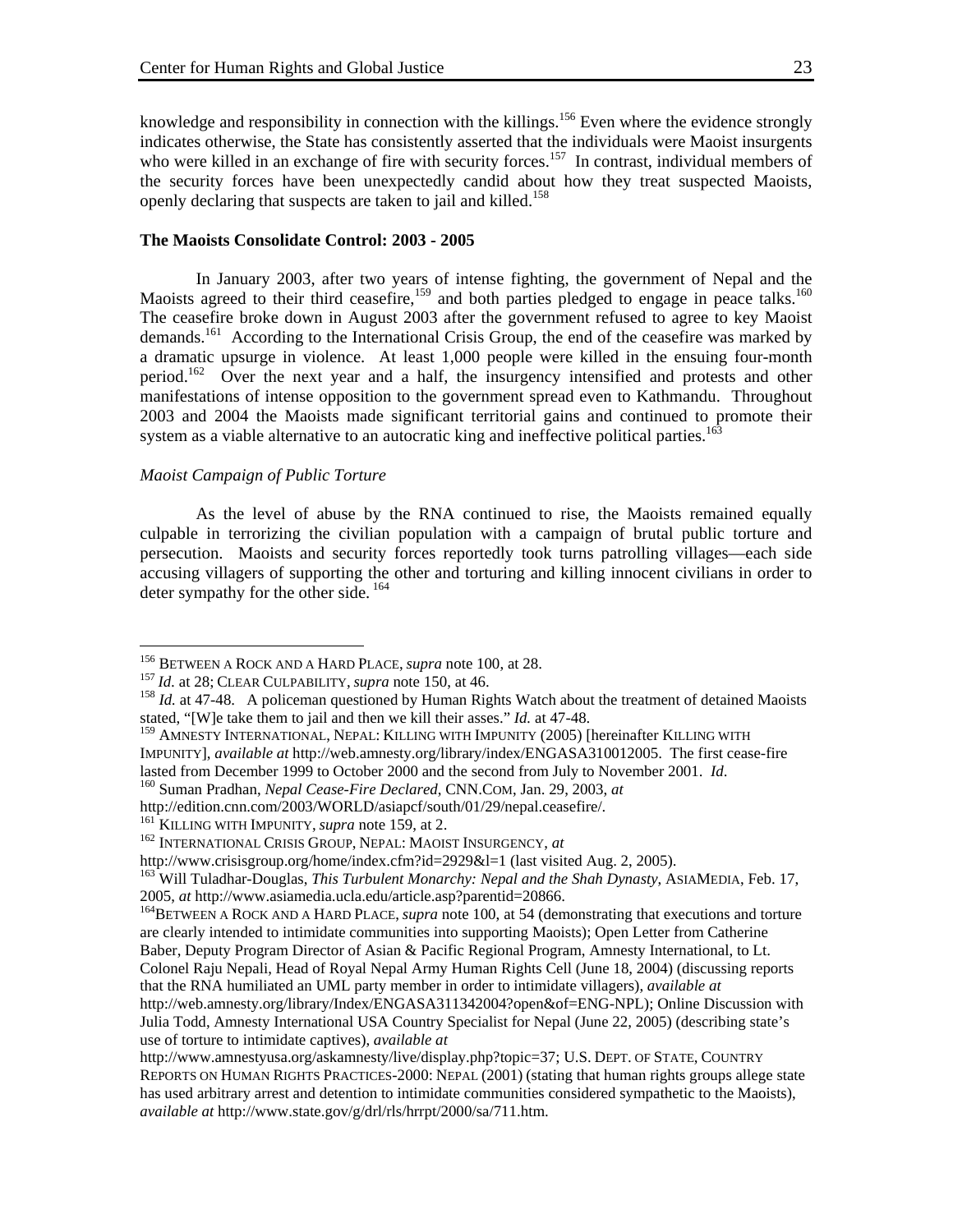knowledge and responsibility in connection with the killings.<sup>156</sup> Even where the evidence strongly indicates otherwise, the State has consistently asserted that the individuals were Maoist insurgents who were killed in an exchange of fire with security forces.<sup>157</sup> In contrast, individual members of the security forces have been unexpectedly candid about how they treat suspected Maoists, openly declaring that suspects are taken to jail and killed.<sup>158</sup>

## **The Maoists Consolidate Control: 2003 - 2005**

In January 2003, after two years of intense fighting, the government of Nepal and the Maoists agreed to their third ceasefire,  $159$  and both parties pledged to engage in peace talks.<sup>160</sup> The ceasefire broke down in August 2003 after the government refused to agree to key Maoist demands.<sup>161</sup> According to the International Crisis Group, the end of the ceasefire was marked by a dramatic upsurge in violence. At least 1,000 people were killed in the ensuing four-month period.<sup>162</sup> Over the next year and a half, the insurgency intensified and protests and other manifestations of intense opposition to the government spread even to Kathmandu. Throughout 2003 and 2004 the Maoists made significant territorial gains and continued to promote their system as a viable alternative to an autocratic king and ineffective political parties.<sup>163</sup>

#### *Maoist Campaign of Public Torture*

 $\overline{a}$ 

As the level of abuse by the RNA continued to rise, the Maoists remained equally culpable in terrorizing the civilian population with a campaign of brutal public torture and persecution. Maoists and security forces reportedly took turns patrolling villages—each side accusing villagers of supporting the other and torturing and killing innocent civilians in order to deter sympathy for the other side.<sup>164</sup>

http://edition.cnn.com/2003/WORLD/asiapcf/south/01/29/nepal.ceasefire/.

<sup>156</sup> BETWEEN A ROCK AND A HARD PLACE, *supra* note 100, at 28.

<sup>157</sup> *Id.* at 28; CLEAR CULPABILITY, *supra* note 150, at 46.

<sup>&</sup>lt;sup>158</sup> *Id.* at 47-48. A policeman questioned by Human Rights Watch about the treatment of detained Maoists stated, "[W]e take them to jail and then we kill their asses." *Id.* at 47-48.

<sup>&</sup>lt;sup>159</sup> AMNESTY INTERNATIONAL, NEPAL: KILLING WITH IMPUNITY (2005) [hereinafter KILLING WITH IMPUNITY], *available at* http://web.amnesty.org/library/index/ENGASA310012005. The first cease-fire lasted from December 1999 to October 2000 and the second from July to November 2001. *Id*.

<sup>160</sup> Suman Pradhan, *Nepal Cease-Fire Declared*, CNN.COM, Jan. 29, 2003, *at* 

<sup>161</sup> KILLING WITH IMPUNITY, *supra* note 159, at 2.

<sup>162</sup> INTERNATIONAL CRISIS GROUP, NEPAL: MAOIST INSURGENCY, *at* 

http://www.crisisgroup.org/home/index.cfm?id=2929&l=1 (last visited Aug. 2, 2005).

<sup>163</sup> Will Tuladhar-Douglas, *This Turbulent Monarchy: Nepal and the Shah Dynasty*, ASIAMEDIA, Feb. 17, 2005, *at* http://www.asiamedia.ucla.edu/article.asp?parentid=20866.

<sup>164</sup>BETWEEN A ROCK AND A HARD PLACE, *supra* note 100, at 54 (demonstrating that executions and torture are clearly intended to intimidate communities into supporting Maoists); Open Letter from Catherine Baber, Deputy Program Director of Asian & Pacific Regional Program, Amnesty International, to Lt. Colonel Raju Nepali, Head of Royal Nepal Army Human Rights Cell (June 18, 2004) (discussing reports that the RNA humiliated an UML party member in order to intimidate villagers), *available at* http://web.amnesty.org/library/Index/ENGASA311342004?open&of=ENG-NPL); Online Discussion with Julia Todd, Amnesty International USA Country Specialist for Nepal (June 22, 2005) (describing state's use of torture to intimidate captives), *available at*

http://www.amnestyusa.org/askamnesty/live/display.php?topic=37; U.S. DEPT. OF STATE, COUNTRY REPORTS ON HUMAN RIGHTS PRACTICES-2000: NEPAL (2001) (stating that human rights groups allege state has used arbitrary arrest and detention to intimidate communities considered sympathetic to the Maoists), *available at* http://www.state.gov/g/drl/rls/hrrpt/2000/sa/711.htm.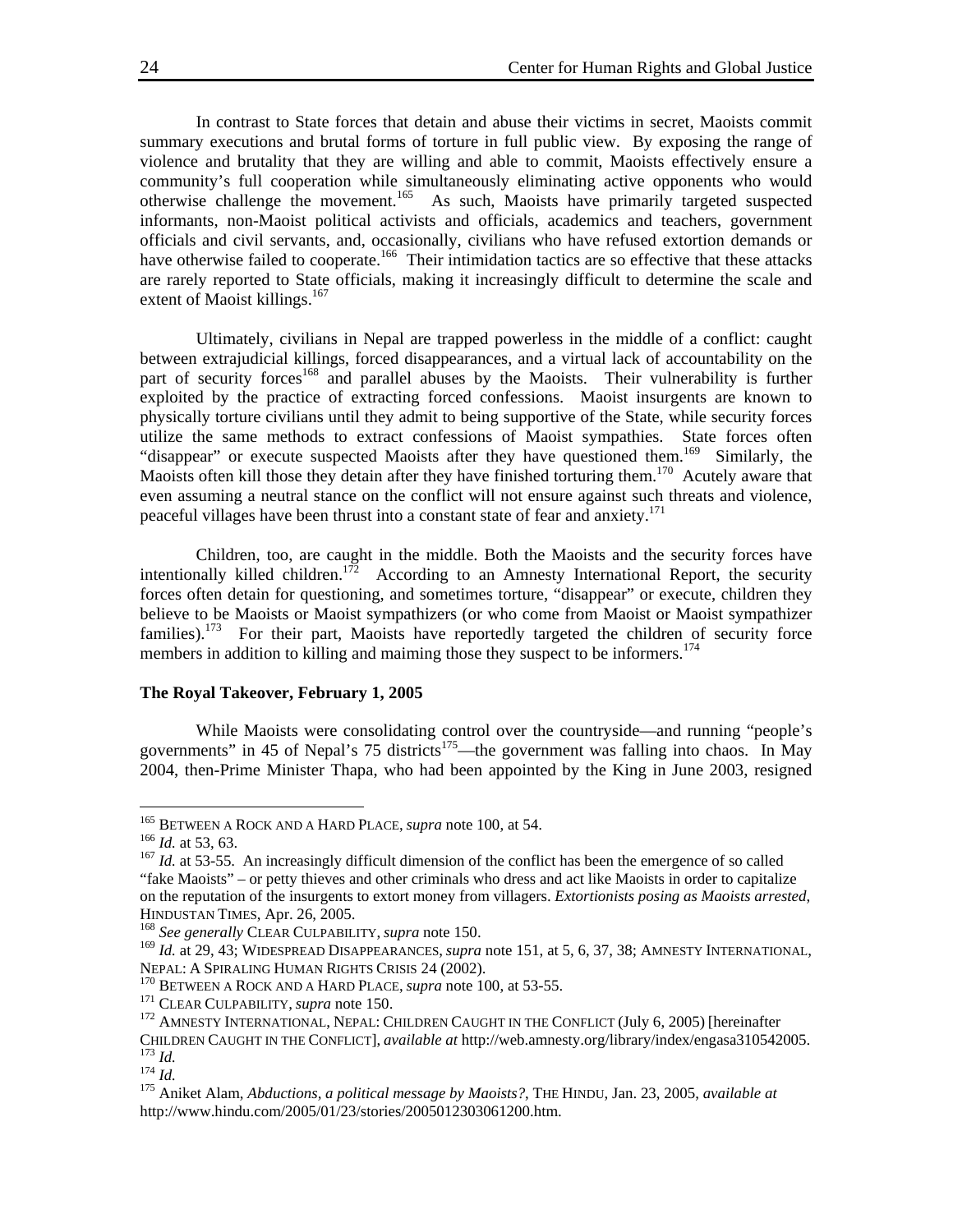In contrast to State forces that detain and abuse their victims in secret, Maoists commit summary executions and brutal forms of torture in full public view. By exposing the range of violence and brutality that they are willing and able to commit, Maoists effectively ensure a community's full cooperation while simultaneously eliminating active opponents who would otherwise challenge the movement.<sup>165</sup> As such, Maoists have primarily targeted suspected informants, non-Maoist political activists and officials, academics and teachers, government officials and civil servants, and, occasionally, civilians who have refused extortion demands or have otherwise failed to cooperate.<sup>166</sup> Their intimidation tactics are so effective that these attacks are rarely reported to State officials, making it increasingly difficult to determine the scale and extent of Maoist killings. $167$ 

Ultimately, civilians in Nepal are trapped powerless in the middle of a conflict: caught between extrajudicial killings, forced disappearances, and a virtual lack of accountability on the part of security forces<sup>168</sup> and parallel abuses by the Maoists. Their vulnerability is further exploited by the practice of extracting forced confessions. Maoist insurgents are known to physically torture civilians until they admit to being supportive of the State, while security forces utilize the same methods to extract confessions of Maoist sympathies. State forces often "disappear" or execute suspected Maoists after they have questioned them.<sup>169</sup> Similarly, the Maoists often kill those they detain after they have finished torturing them.<sup>170</sup> Acutely aware that even assuming a neutral stance on the conflict will not ensure against such threats and violence, peaceful villages have been thrust into a constant state of fear and anxiety.<sup>171</sup>

Children, too, are caught in the middle. Both the Maoists and the security forces have intentionally killed children.<sup>172</sup> According to an Amnesty International Report, the security forces often detain for questioning, and sometimes torture, "disappear" or execute, children they believe to be Maoists or Maoist sympathizers (or who come from Maoist or Maoist sympathizer families).<sup>173</sup> For their part, Maoists have reportedly targeted the children of security force members in addition to killing and maiming those they suspect to be informers.<sup>174</sup>

# **The Royal Takeover, February 1, 2005**

While Maoists were consolidating control over the countryside—and running "people's governments" in 45 of Nepal's 75 districts<sup>175</sup>—the government was falling into chaos. In May 2004, then-Prime Minister Thapa, who had been appointed by the King in June 2003, resigned

<sup>165</sup> BETWEEN A ROCK AND A HARD PLACE, *supra* note 100, at 54.

<sup>166</sup> *Id.* at 53, 63.

<sup>&</sup>lt;sup>167</sup> *Id.* at 53-55. An increasingly difficult dimension of the conflict has been the emergence of so called "fake Maoists" – or petty thieves and other criminals who dress and act like Maoists in order to capitalize on the reputation of the insurgents to extort money from villagers. *Extortionists posing as Maoists arrested*, HINDUSTAN TIMES, Apr. 26, 2005.

<sup>168</sup> *See generally* CLEAR CULPABILITY, *supra* note 150.

<sup>169</sup> *Id.* at 29, 43; WIDESPREAD DISAPPEARANCES, *supra* note 151, at 5, 6, 37, 38; AMNESTY INTERNATIONAL, NEPAL: A SPIRALING HUMAN RIGHTS CRISIS 24 (2002).

<sup>170</sup> BETWEEN A ROCK AND A HARD PLACE, *supra* note 100, at 53-55.

<sup>171</sup> CLEAR CULPABILITY, *supra* note 150.

<sup>&</sup>lt;sup>172</sup> AMNESTY INTERNATIONAL, NEPAL: CHILDREN CAUGHT IN THE CONFLICT (July 6, 2005) [hereinafter CHILDREN CAUGHT IN THE CONFLICT], *available at* http://web.amnesty.org/library/index/engasa310542005. <sup>173</sup> *Id.*

<sup>174</sup> *Id.* 

<sup>175</sup> Aniket Alam, *Abductions, a political message by Maoists?*, THE HINDU, Jan. 23, 2005, *available at* http://www.hindu.com/2005/01/23/stories/2005012303061200.htm.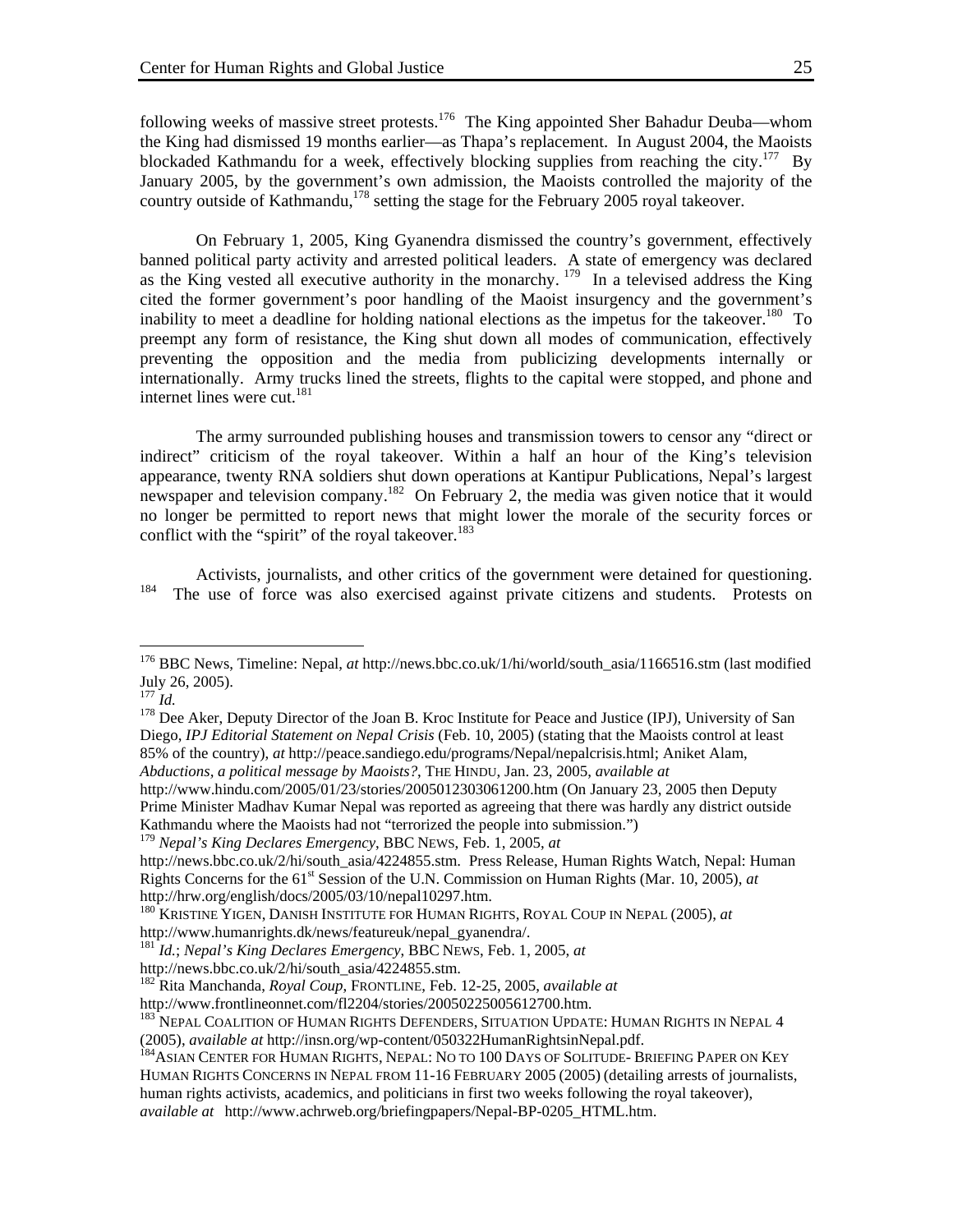following weeks of massive street protests.<sup>176</sup> The King appointed Sher Bahadur Deuba—whom the King had dismissed 19 months earlier—as Thapa's replacement. In August 2004, the Maoists blockaded Kathmandu for a week, effectively blocking supplies from reaching the city.<sup>177</sup> By January 2005, by the government's own admission, the Maoists controlled the majority of the country outside of Kathmandu,<sup>178</sup> setting the stage for the February 2005 royal takeover.

On February 1, 2005, King Gyanendra dismissed the country's government, effectively banned political party activity and arrested political leaders. A state of emergency was declared as the King vested all executive authority in the monarchy.<sup>179</sup> In a televised address the King cited the former government's poor handling of the Maoist insurgency and the government's inability to meet a deadline for holding national elections as the impetus for the takeover.<sup>180</sup> To preempt any form of resistance, the King shut down all modes of communication, effectively preventing the opposition and the media from publicizing developments internally or internationally. Army trucks lined the streets, flights to the capital were stopped, and phone and internet lines were cut.<sup>181</sup>

The army surrounded publishing houses and transmission towers to censor any "direct or indirect" criticism of the royal takeover. Within a half an hour of the King's television appearance, twenty RNA soldiers shut down operations at Kantipur Publications, Nepal's largest newspaper and television company.<sup>182</sup> On February 2, the media was given notice that it would no longer be permitted to report news that might lower the morale of the security forces or conflict with the "spirit" of the royal takeover.<sup>183</sup>

Activists, journalists, and other critics of the government were detained for questioning. <sup>184</sup> The use of force was also exercised against private citizens and students. Protests on

<sup>176</sup> BBC News, Timeline: Nepal, *at* http://news.bbc.co.uk/1/hi/world/south\_asia/1166516.stm (last modified July 26, 2005).

 $^{177}$  *Id.* 

<sup>&</sup>lt;sup>178</sup> Dee Aker, Deputy Director of the Joan B. Kroc Institute for Peace and Justice (IPJ), University of San Diego, *IPJ Editorial Statement on Nepal Crisis* (Feb. 10, 2005) (stating that the Maoists control at least 85% of the country), *at* http://peace.sandiego.edu/programs/Nepal/nepalcrisis.html; Aniket Alam, *Abductions, a political message by Maoists?*, THE HINDU, Jan. 23, 2005, *available at*

http://www.hindu.com/2005/01/23/stories/2005012303061200.htm (On January 23, 2005 then Deputy Prime Minister Madhav Kumar Nepal was reported as agreeing that there was hardly any district outside Kathmandu where the Maoists had not "terrorized the people into submission.")

<sup>179</sup> *Nepal's King Declares Emergency*, BBC NEWS, Feb. 1, 2005, *at*

http://news.bbc.co.uk/2/hi/south\_asia/4224855.stm. Press Release, Human Rights Watch, Nepal: Human Rights Concerns for the 61st Session of the U.N. Commission on Human Rights (Mar. 10, 2005), *at* http://hrw.org/english/docs/2005/03/10/nepal10297.htm.

<sup>180</sup> KRISTINE YIGEN, DANISH INSTITUTE FOR HUMAN RIGHTS, ROYAL COUP IN NEPAL (2005), *at*  http://www.humanrights.dk/news/featureuk/nepal\_gyanendra/.

<sup>181</sup> *Id.*; *Nepal's King Declares Emergency*, BBC NEWS, Feb. 1, 2005, *at*

http://news.bbc.co.uk/2/hi/south\_asia/4224855.stm.

<sup>182</sup> Rita Manchanda, *Royal Coup*, FRONTLINE, Feb. 12-25, 2005, *available at*

http://www.frontlineonnet.com/fl2204/stories/20050225005612700.htm.

<sup>&</sup>lt;sup>183</sup> NEPAL COALITION OF HUMAN RIGHTS DEFENDERS, SITUATION UPDATE: HUMAN RIGHTS IN NEPAL 4 (2005), *available at* http://insn.org/wp-content/050322HumanRightsinNepal.pdf.

<sup>&</sup>lt;sup>184</sup>ASIAN CENTER FOR HUMAN RIGHTS, NEPAL: NO TO 100 DAYS OF SOLITUDE- BRIEFING PAPER ON KEY HUMAN RIGHTS CONCERNS IN NEPAL FROM 11-16 FEBRUARY 2005 (2005) (detailing arrests of journalists, human rights activists, academics, and politicians in first two weeks following the royal takeover), *available at* http://www.achrweb.org/briefingpapers/Nepal-BP-0205\_HTML.htm.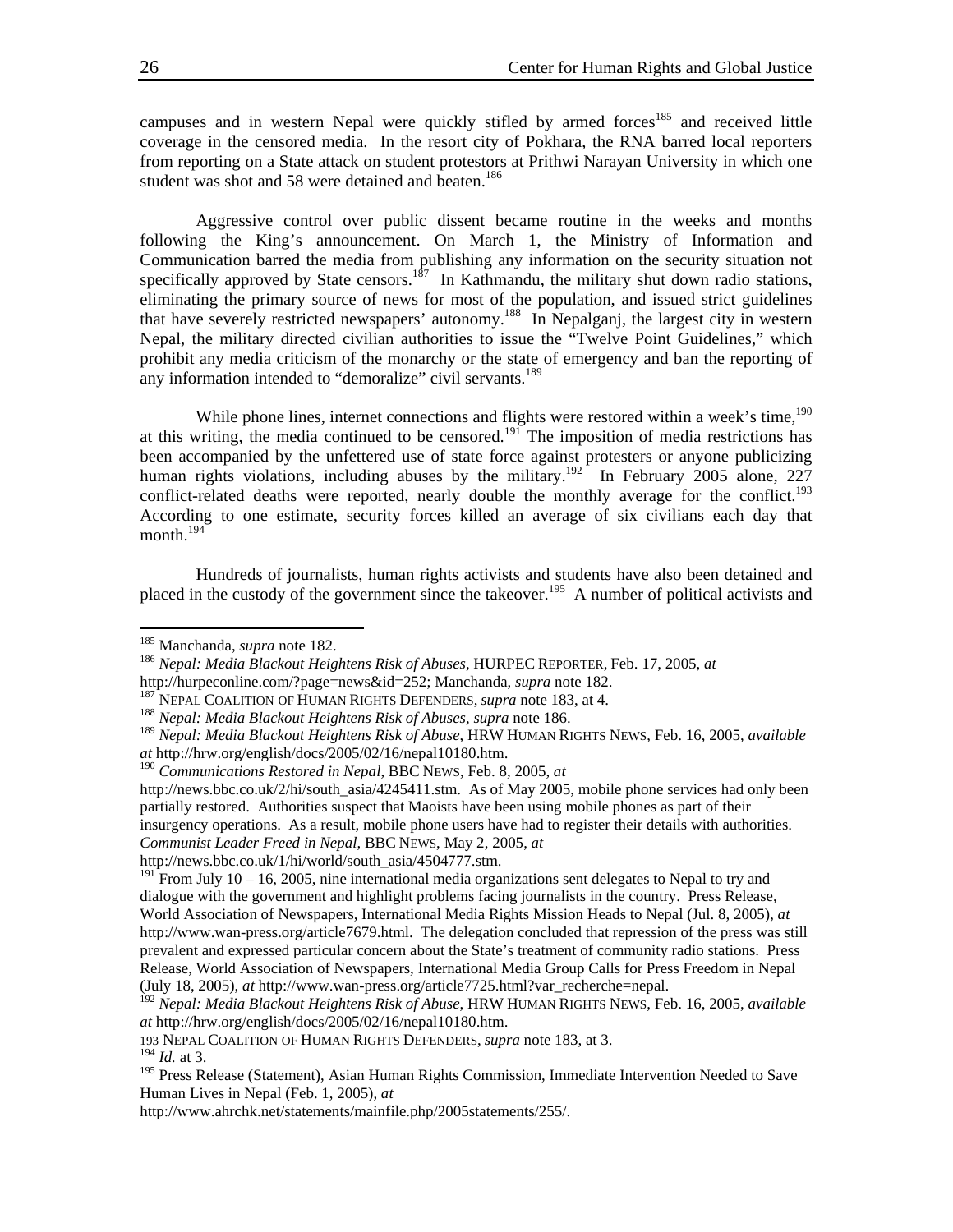campuses and in western Nepal were quickly stifled by armed forces<sup>185</sup> and received little coverage in the censored media. In the resort city of Pokhara, the RNA barred local reporters from reporting on a State attack on student protestors at Prithwi Narayan University in which one student was shot and 58 were detained and beaten.<sup>186</sup>

Aggressive control over public dissent became routine in the weeks and months following the King's announcement. On March 1, the Ministry of Information and Communication barred the media from publishing any information on the security situation not specifically approved by State censors.<sup>187</sup> In Kathmandu, the military shut down radio stations, eliminating the primary source of news for most of the population, and issued strict guidelines that have severely restricted newspapers' autonomy.<sup>188</sup> In Nepalganj, the largest city in western Nepal, the military directed civilian authorities to issue the "Twelve Point Guidelines," which prohibit any media criticism of the monarchy or the state of emergency and ban the reporting of any information intended to "demoralize" civil servants.<sup>189</sup>

While phone lines, internet connections and flights were restored within a week's time,<sup>190</sup> at this writing, the media continued to be censored.<sup>191</sup> The imposition of media restrictions has been accompanied by the unfettered use of state force against protesters or anyone publicizing human rights violations, including abuses by the military.<sup>192</sup> In February 2005 alone, 227 conflict-related deaths were reported, nearly double the monthly average for the conflict.<sup>193</sup> According to one estimate, security forces killed an average of six civilians each day that month. $194$ <sup>-194</sup>

Hundreds of journalists, human rights activists and students have also been detained and placed in the custody of the government since the takeover.<sup>195</sup> A number of political activists and

 $\overline{a}$ 

<sup>186</sup> *Nepal: Media Blackout Heightens Risk of Abuses*, HURPEC REPORTER, Feb. 17, 2005, *at*

http://news.bbc.co.uk/2/hi/south\_asia/4245411.stm. As of May 2005, mobile phone services had only been partially restored. Authorities suspect that Maoists have been using mobile phones as part of their insurgency operations. As a result, mobile phone users have had to register their details with authorities. *Communist Leader Freed in Nepal*, BBC NEWS, May 2, 2005, *at*

193 NEPAL COALITION OF HUMAN RIGHTS DEFENDERS, *supra* note 183, at 3.

<sup>194</sup> *Id.* at 3.

<sup>185</sup> Manchanda, *supra* note 182.

http://hurpeconline.com/?page=news&id=252; Manchanda, *supra* note 182.

<sup>&</sup>lt;sup>187</sup> NEPAL COALITION OF HUMAN RIGHTS DEFENDERS, *supra* note 183, at 4.

<sup>188</sup> *Nepal: Media Blackout Heightens Risk of Abuses*, *supra* note 186.

<sup>189</sup> *Nepal: Media Blackout Heightens Risk of Abuse*, HRW HUMAN RIGHTS NEWS, Feb. 16, 2005, *available at* http://hrw.org/english/docs/2005/02/16/nepal10180.htm.

<sup>190</sup> *Communications Restored in Nepal*, BBC NEWS, Feb. 8, 2005, *at*

http://news.bbc.co.uk/1/hi/world/south\_asia/4504777.stm.

 $191$  From July 10 – 16, 2005, nine international media organizations sent delegates to Nepal to try and dialogue with the government and highlight problems facing journalists in the country. Press Release, World Association of Newspapers, International Media Rights Mission Heads to Nepal (Jul. 8, 2005), *at* http://www.wan-press.org/article7679.html. The delegation concluded that repression of the press was still prevalent and expressed particular concern about the State's treatment of community radio stations. Press Release, World Association of Newspapers, International Media Group Calls for Press Freedom in Nepal (July 18, 2005), *at* http://www.wan-press.org/article7725.html?var\_recherche=nepal.

<sup>192</sup> *Nepal: Media Blackout Heightens Risk of Abuse*, HRW HUMAN RIGHTS NEWS, Feb. 16, 2005, *available at* http://hrw.org/english/docs/2005/02/16/nepal10180.htm.

<sup>&</sup>lt;sup>195</sup> Press Release (Statement), Asian Human Rights Commission, Immediate Intervention Needed to Save Human Lives in Nepal (Feb. 1, 2005), *at* 

http://www.ahrchk.net/statements/mainfile.php/2005statements/255/.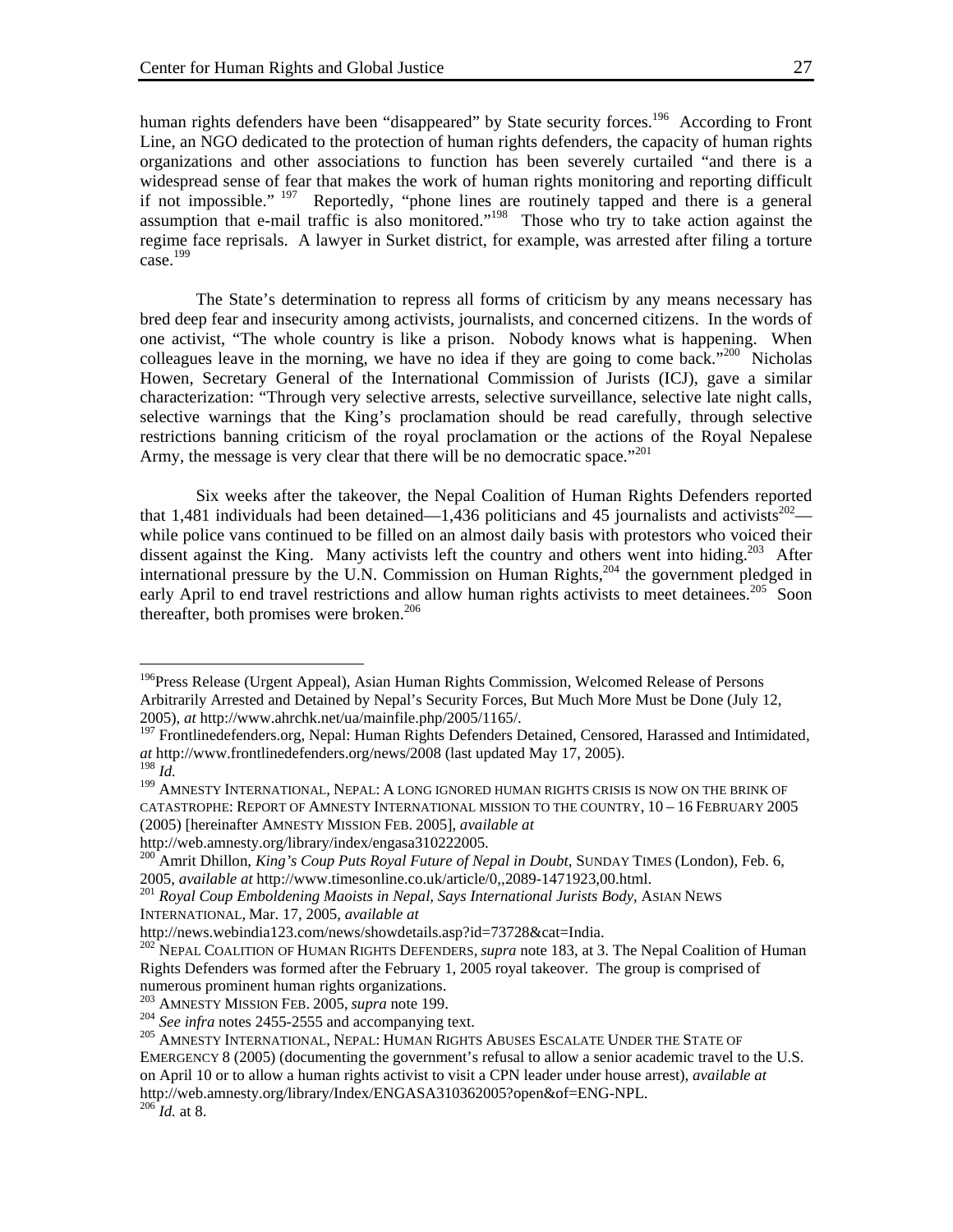human rights defenders have been "disappeared" by State security forces.<sup>196</sup> According to Front Line, an NGO dedicated to the protection of human rights defenders, the capacity of human rights organizations and other associations to function has been severely curtailed "and there is a widespread sense of fear that makes the work of human rights monitoring and reporting difficult if not impossible." <sup>197</sup> Reportedly, "phone lines are routinely tapped and there is a general assumption that e-mail traffic is also monitored."<sup>198</sup> Those who try to take action against the regime face reprisals. A lawyer in Surket district, for example, was arrested after filing a torture  $case.$ <sup>199</sup>

The State's determination to repress all forms of criticism by any means necessary has bred deep fear and insecurity among activists, journalists, and concerned citizens. In the words of one activist, "The whole country is like a prison. Nobody knows what is happening. When colleagues leave in the morning, we have no idea if they are going to come back."<sup>200</sup> Nicholas Howen, Secretary General of the International Commission of Jurists (ICJ), gave a similar characterization: "Through very selective arrests, selective surveillance, selective late night calls, selective warnings that the King's proclamation should be read carefully, through selective restrictions banning criticism of the royal proclamation or the actions of the Royal Nepalese Army, the message is very clear that there will be no democratic space."<sup>201</sup>

Six weeks after the takeover, the Nepal Coalition of Human Rights Defenders reported that 1,481 individuals had been detained—1,436 politicians and 45 journalists and activists<sup>202</sup> while police vans continued to be filled on an almost daily basis with protestors who voiced their dissent against the King. Many activists left the country and others went into hiding.<sup>203</sup> After international pressure by the U.N. Commission on Human Rights,<sup>204</sup> the government pledged in early April to end travel restrictions and allow human rights activists to meet detainees.<sup>205</sup> Soon thereafter, both promises were broken.<sup>206</sup>

<sup>&</sup>lt;sup>196</sup>Press Release (Urgent Appeal), Asian Human Rights Commission, Welcomed Release of Persons Arbitrarily Arrested and Detained by Nepal's Security Forces, But Much More Must be Done (July 12, 2005), *at* http://www.ahrchk.net/ua/mainfile.php/2005/1165/.

<sup>&</sup>lt;sup>197</sup> Frontlinedefenders.org, Nepal: Human Rights Defenders Detained, Censored, Harassed and Intimidated, *at* http://www.frontlinedefenders.org/news/2008 (last updated May 17, 2005). <sup>198</sup> *Id.* 

<sup>&</sup>lt;sup>199</sup> AMNESTY INTERNATIONAL, NEPAL: A LONG IGNORED HUMAN RIGHTS CRISIS IS NOW ON THE BRINK OF CATASTROPHE: REPORT OF AMNESTY INTERNATIONAL MISSION TO THE COUNTRY, 10 – 16 FEBRUARY 2005 (2005) [hereinafter AMNESTY MISSION FEB. 2005], *available at*

http://web.amnesty.org/library/index/engasa310222005.

<sup>&</sup>lt;sup>200</sup> Amrit Dhillon, *King's Coup Puts Royal Future of Nepal in Doubt*, SUNDAY TIMES (London), Feb. 6, 2005, *available at* http://www.timesonline.co.uk/article/0,,2089-1471923,00.html.

<sup>201</sup> *Royal Coup Emboldening Maoists in Nepal, Says International Jurists Body*, ASIAN NEWS INTERNATIONAL, Mar. 17, 2005, *available at* 

http://news.webindia123.com/news/showdetails.asp?id=73728&cat=India.

<sup>&</sup>lt;sup>202</sup> NEPAL COALITION OF HUMAN RIGHTS DEFENDERS, *supra* note 183, at 3. The Nepal Coalition of Human Rights Defenders was formed after the February 1, 2005 royal takeover. The group is comprised of numerous prominent human rights organizations.

<sup>203</sup> AMNESTY MISSION FEB. 2005, *supra* note 199.

<sup>204</sup> *See infra* notes 2455-2555 and accompanying text.

<sup>&</sup>lt;sup>205</sup> AMNESTY INTERNATIONAL, NEPAL: HUMAN RIGHTS ABUSES ESCALATE UNDER THE STATE OF EMERGENCY 8 (2005) (documenting the government's refusal to allow a senior academic travel to the U.S. on April 10 or to allow a human rights activist to visit a CPN leader under house arrest), *available at*

http://web.amnesty.org/library/Index/ENGASA310362005?open&of=ENG-NPL.

<sup>206</sup> *Id.* at 8.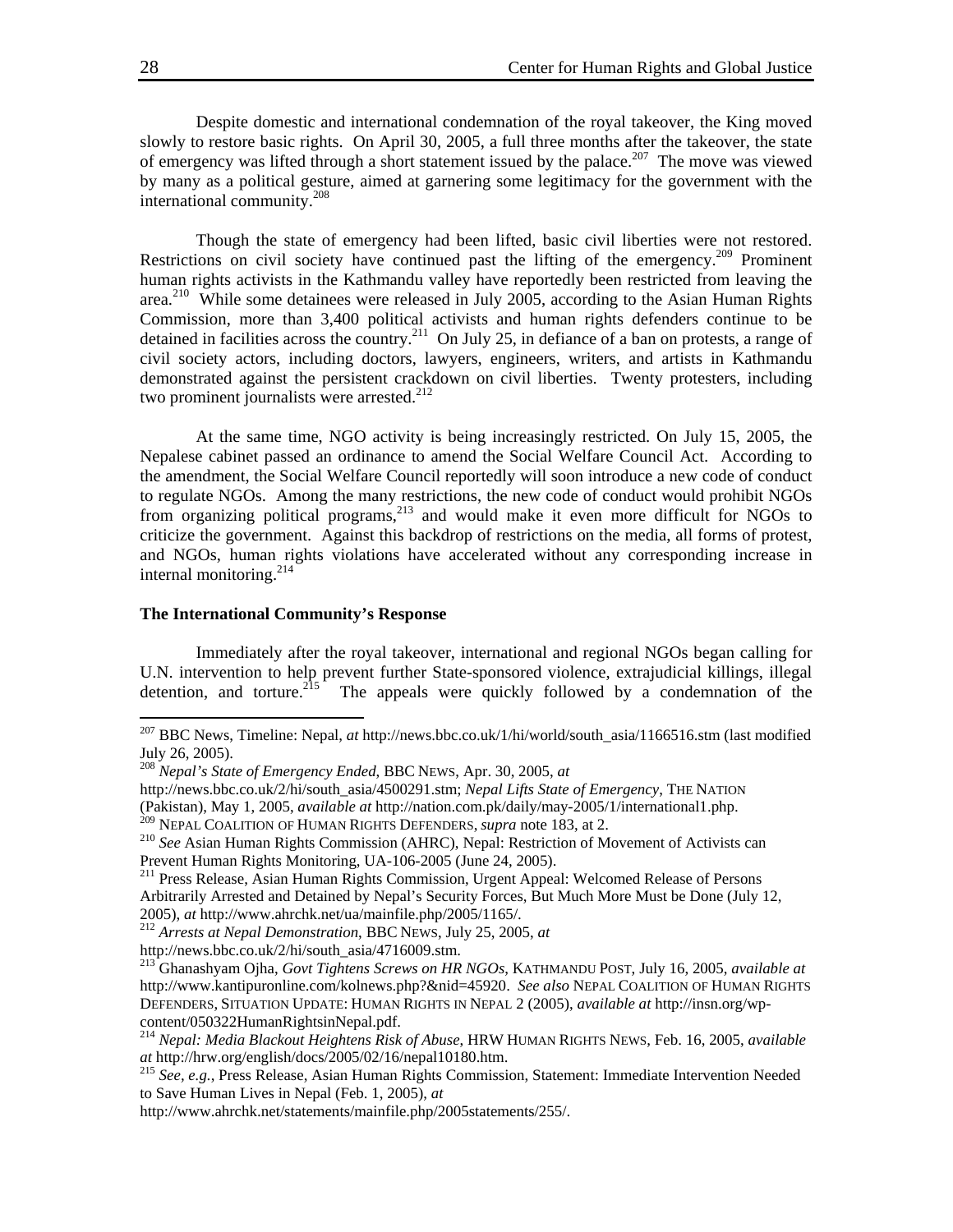Despite domestic and international condemnation of the royal takeover, the King moved slowly to restore basic rights. On April 30, 2005, a full three months after the takeover, the state of emergency was lifted through a short statement issued by the palace.<sup>207</sup> The move was viewed by many as a political gesture, aimed at garnering some legitimacy for the government with the international community.<sup>208</sup>

 Though the state of emergency had been lifted, basic civil liberties were not restored. Restrictions on civil society have continued past the lifting of the emergency.<sup>209</sup> Prominent human rights activists in the Kathmandu valley have reportedly been restricted from leaving the area.<sup>210</sup> While some detainees were released in July 2005, according to the Asian Human Rights Commission, more than 3,400 political activists and human rights defenders continue to be detained in facilities across the country.<sup>211</sup> On July 25, in defiance of a ban on protests, a range of civil society actors, including doctors, lawyers, engineers, writers, and artists in Kathmandu demonstrated against the persistent crackdown on civil liberties. Twenty protesters, including two prominent journalists were arrested.<sup>212</sup>

 At the same time, NGO activity is being increasingly restricted. On July 15, 2005, the Nepalese cabinet passed an ordinance to amend the Social Welfare Council Act. According to the amendment, the Social Welfare Council reportedly will soon introduce a new code of conduct to regulate NGOs. Among the many restrictions, the new code of conduct would prohibit NGOs from organizing political programs,<sup>213</sup> and would make it even more difficult for NGOs to criticize the government. Against this backdrop of restrictions on the media, all forms of protest, and NGOs, human rights violations have accelerated without any corresponding increase in internal monitoring.<sup>214</sup>

#### **The International Community's Response**

Immediately after the royal takeover, international and regional NGOs began calling for U.N. intervention to help prevent further State-sponsored violence, extrajudicial killings, illegal detention, and torture.<sup>215</sup> The appeals were quickly followed by a condemnation of the The appeals were quickly followed by a condemnation of the

(Pakistan), May 1, 2005, *available at* http://nation.com.pk/daily/may-2005/1/international1.php.

<sup>207</sup> BBC News, Timeline: Nepal, *at* http://news.bbc.co.uk/1/hi/world/south\_asia/1166516.stm (last modified July 26, 2005).

<sup>208</sup> *Nepal's State of Emergency Ended*, BBC NEWS, Apr. 30, 2005, *at*

http://news.bbc.co.uk/2/hi/south\_asia/4500291.stm; *Nepal Lifts State of Emergency*, THE NATION

<sup>209</sup> NEPAL COALITION OF HUMAN RIGHTS DEFENDERS, *supra* note 183, at 2.

<sup>210</sup> *See* Asian Human Rights Commission (AHRC), Nepal: Restriction of Movement of Activists can Prevent Human Rights Monitoring, UA-106-2005 (June 24, 2005).

<sup>211</sup> Press Release, Asian Human Rights Commission, Urgent Appeal: Welcomed Release of Persons Arbitrarily Arrested and Detained by Nepal's Security Forces, But Much More Must be Done (July 12, 2005), *at* http://www.ahrchk.net/ua/mainfile.php/2005/1165/.

<sup>212</sup> *Arrests at Nepal Demonstration*, BBC NEWS, July 25, 2005, *at* 

http://news.bbc.co.uk/2/hi/south\_asia/4716009.stm.

<sup>213</sup> Ghanashyam Ojha, *Govt Tightens Screws on HR NGOs*, KATHMANDU POST, July 16, 2005, *available at*  http://www.kantipuronline.com/kolnews.php?&nid=45920. *See also* NEPAL COALITION OF HUMAN RIGHTS DEFENDERS, SITUATION UPDATE: HUMAN RIGHTS IN NEPAL 2 (2005), *available at* http://insn.org/wpcontent/050322HumanRightsinNepal.pdf.

<sup>214</sup> *Nepal: Media Blackout Heightens Risk of Abuse*, HRW HUMAN RIGHTS NEWS, Feb. 16, 2005, *available at* http://hrw.org/english/docs/2005/02/16/nepal10180.htm.

<sup>215</sup> *See, e.g.*, Press Release, Asian Human Rights Commission, Statement: Immediate Intervention Needed to Save Human Lives in Nepal (Feb. 1, 2005), *at* 

http://www.ahrchk.net/statements/mainfile.php/2005statements/255/.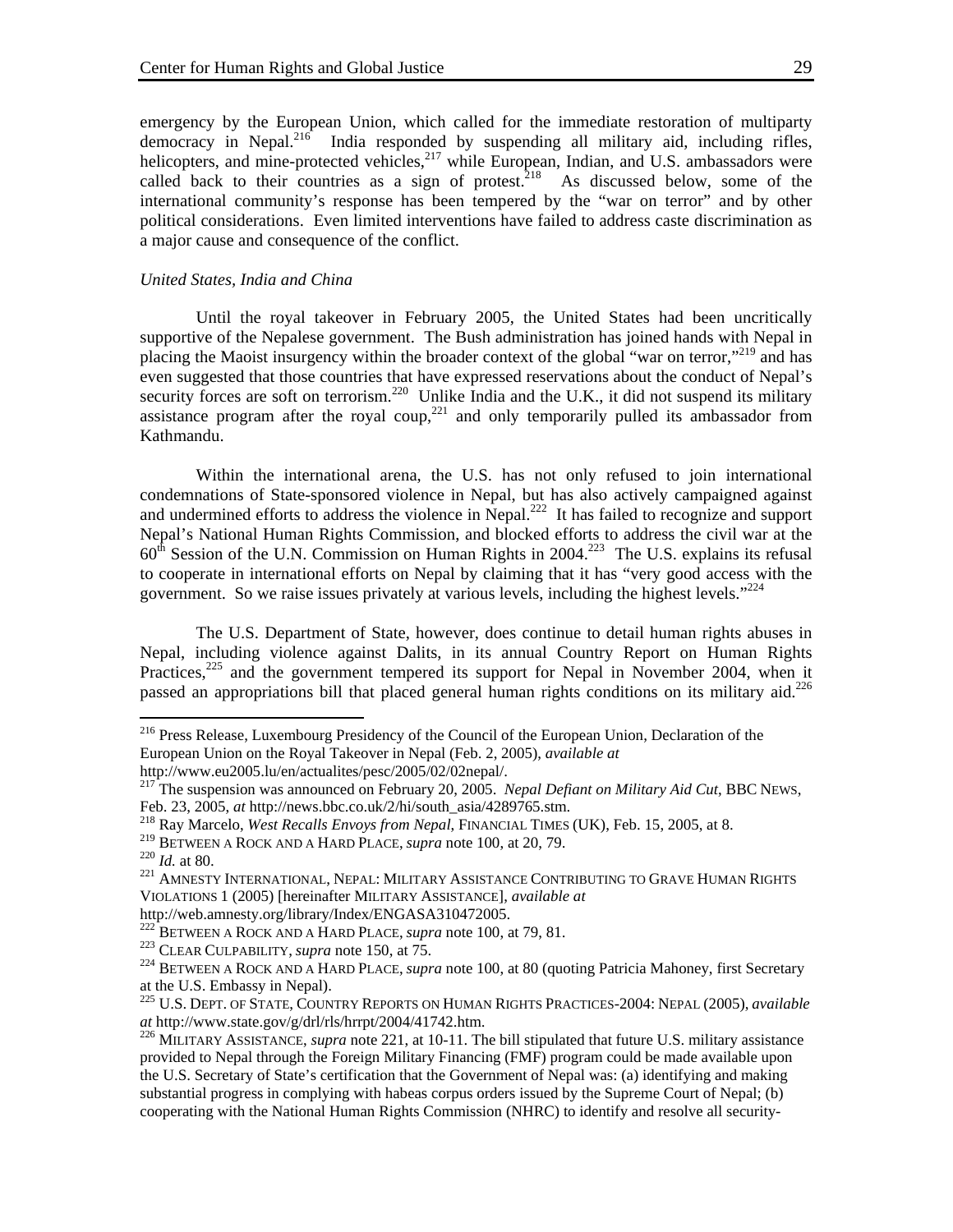emergency by the European Union, which called for the immediate restoration of multiparty democracy in Nepal.<sup>216</sup> India responded by suspending all military aid, including rifles, helicopters, and mine-protected vehicles,<sup>217</sup> while European, Indian, and U.S. ambassadors were called back to their countries as a sign of protest.<sup>218</sup> As discussed below, some of the international community's response has been tempered by the "war on terror" and by other political considerations. Even limited interventions have failed to address caste discrimination as a major cause and consequence of the conflict.

#### *United States, India and China*

Until the royal takeover in February 2005, the United States had been uncritically supportive of the Nepalese government. The Bush administration has joined hands with Nepal in placing the Maoist insurgency within the broader context of the global "war on terror,"<sup>219</sup> and has even suggested that those countries that have expressed reservations about the conduct of Nepal's security forces are soft on terrorism.<sup>220</sup> Unlike India and the U.K., it did not suspend its military  $\frac{1}{2}$  assistance program after the royal coup,<sup>221</sup> and only temporarily pulled its ambassador from Kathmandu.

Within the international arena, the U.S. has not only refused to join international condemnations of State-sponsored violence in Nepal, but has also actively campaigned against and undermined efforts to address the violence in Nepal.<sup>222</sup> It has failed to recognize and support Nepal's National Human Rights Commission, and blocked efforts to address the civil war at the  $60<sup>th</sup>$  Session of the U.N. Commission on Human Rights in 2004.<sup>223</sup> The U.S. explains its refusal to cooperate in international efforts on Nepal by claiming that it has "very good access with the government. So we raise issues privately at various levels, including the highest levels."<sup>224</sup>

The U.S. Department of State, however, does continue to detail human rights abuses in Nepal, including violence against Dalits, in its annual Country Report on Human Rights Practices, $225$  and the government tempered its support for Nepal in November 2004, when it passed an appropriations bill that placed general human rights conditions on its military aid.<sup>226</sup>

http://www.eu2005.lu/en/actualites/pesc/2005/02/02nepal/.

 $\overline{a}$ 

http://web.amnesty.org/library/Index/ENGASA310472005.

<sup>&</sup>lt;sup>216</sup> Press Release, Luxembourg Presidency of the Council of the European Union, Declaration of the European Union on the Royal Takeover in Nepal (Feb. 2, 2005), *available at*

<sup>217</sup> The suspension was announced on February 20, 2005. *Nepal Defiant on Military Aid Cut*, BBC NEWS, Feb. 23, 2005, *at* http://news.bbc.co.uk/2/hi/south\_asia/4289765.stm.

<sup>218</sup> Ray Marcelo, *West Recalls Envoys from Nepal*, FINANCIAL TIMES (UK), Feb. 15, 2005, at 8.

<sup>219</sup> BETWEEN A ROCK AND A HARD PLACE, *supra* note 100, at 20, 79.

<sup>220</sup> *Id.* at 80.

<sup>&</sup>lt;sup>221</sup> AMNESTY INTERNATIONAL, NEPAL: MILITARY ASSISTANCE CONTRIBUTING TO GRAVE HUMAN RIGHTS VIOLATIONS 1 (2005) [hereinafter MILITARY ASSISTANCE], *available at*

<sup>222</sup> BETWEEN A ROCK AND A HARD PLACE, *supra* note 100, at 79, 81.

<sup>223</sup> CLEAR CULPABILITY, *supra* note 150, at 75.

<sup>224</sup> BETWEEN A ROCK AND A HARD PLACE, *supra* note 100, at 80 (quoting Patricia Mahoney, first Secretary at the U.S. Embassy in Nepal).

<sup>225</sup> U.S. DEPT. OF STATE, COUNTRY REPORTS ON HUMAN RIGHTS PRACTICES-2004: NEPAL (2005), *available at* http://www.state.gov/g/drl/rls/hrrpt/2004/41742.htm.

<sup>226</sup> MILITARY ASSISTANCE, *supra* note 221, at 10-11. The bill stipulated that future U.S. military assistance provided to Nepal through the Foreign Military Financing (FMF) program could be made available upon the U.S. Secretary of State's certification that the Government of Nepal was: (a) identifying and making substantial progress in complying with habeas corpus orders issued by the Supreme Court of Nepal; (b) cooperating with the National Human Rights Commission (NHRC) to identify and resolve all security-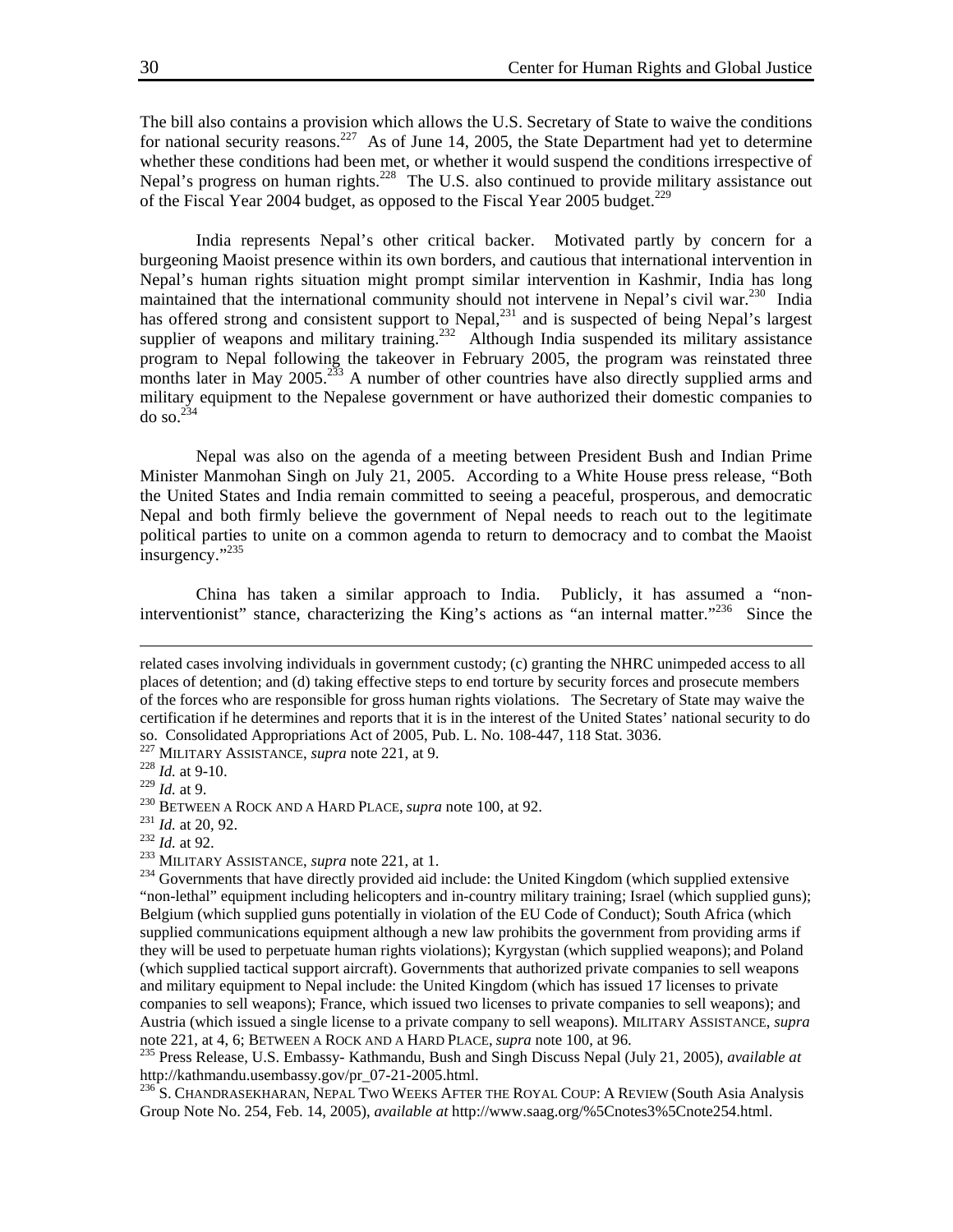The bill also contains a provision which allows the U.S. Secretary of State to waive the conditions for national security reasons.<sup>227</sup> As of June 14, 2005, the State Department had yet to determine whether these conditions had been met, or whether it would suspend the conditions irrespective of Nepal's progress on human rights.<sup>228</sup> The U.S. also continued to provide military assistance out of the Fiscal Year 2004 budget, as opposed to the Fiscal Year 2005 budget.<sup>229</sup>

India represents Nepal's other critical backer. Motivated partly by concern for a burgeoning Maoist presence within its own borders, and cautious that international intervention in Nepal's human rights situation might prompt similar intervention in Kashmir, India has long maintained that the international community should not intervene in Nepal's civil war.<sup>230</sup> India has offered strong and consistent support to Nepal,<sup>231</sup> and is suspected of being Nepal's largest supplier of weapons and military training.<sup>232</sup> Although India suspended its military assistance program to Nepal following the takeover in February 2005, the program was reinstated three months later in May  $2005$ <sup>233</sup> A number of other countries have also directly supplied arms and military equipment to the Nepalese government or have authorized their domestic companies to do so. $^{234}$ 

Nepal was also on the agenda of a meeting between President Bush and Indian Prime Minister Manmohan Singh on July 21, 2005. According to a White House press release, "Both the United States and India remain committed to seeing a peaceful, prosperous, and democratic Nepal and both firmly believe the government of Nepal needs to reach out to the legitimate political parties to unite on a common agenda to return to democracy and to combat the Maoist insurgency."<sup>235</sup>

 China has taken a similar approach to India. Publicly, it has assumed a "noninterventionist" stance, characterizing the King's actions as "an internal matter."<sup>236</sup> Since the

<sup>227</sup> MILITARY ASSISTANCE, *supra* note 221, at 9.

 $\overline{a}$ 

<sup>232</sup> *Id.* at 92.

<sup>236</sup> S. CHANDRASEKHARAN, NEPAL TWO WEEKS AFTER THE ROYAL COUP: A REVIEW (South Asia Analysis Group Note No. 254, Feb. 14, 2005), *available at* http://www.saag.org/%5Cnotes3%5Cnote254.html.

related cases involving individuals in government custody; (c) granting the NHRC unimpeded access to all places of detention; and (d) taking effective steps to end torture by security forces and prosecute members of the forces who are responsible for gross human rights violations. The Secretary of State may waive the certification if he determines and reports that it is in the interest of the United States' national security to do so. Consolidated Appropriations Act of 2005, Pub. L. No. 108-447, 118 Stat. 3036.

<sup>228</sup> *Id.* at 9-10.

<sup>229</sup> *Id.* at 9.

<sup>230</sup> BETWEEN A ROCK AND A HARD PLACE, *supra* note 100, at 92.

<sup>231</sup> *Id.* at 20, 92.

<sup>233</sup> MILITARY ASSISTANCE, *supra* note 221, at 1.

<sup>&</sup>lt;sup>234</sup> Governments that have directly provided aid include: the United Kingdom (which supplied extensive "non-lethal" equipment including helicopters and in-country military training; Israel (which supplied guns); Belgium (which supplied guns potentially in violation of the EU Code of Conduct); South Africa (which supplied communications equipment although a new law prohibits the government from providing arms if they will be used to perpetuate human rights violations); Kyrgystan (which supplied weapons); and Poland (which supplied tactical support aircraft). Governments that authorized private companies to sell weapons and military equipment to Nepal include: the United Kingdom (which has issued 17 licenses to private companies to sell weapons); France, which issued two licenses to private companies to sell weapons); and Austria (which issued a single license to a private company to sell weapons). MILITARY ASSISTANCE, *supra*  note 221, at 4, 6; BETWEEN A ROCK AND A HARD PLACE, *supra* note 100, at 96.

<sup>235</sup> Press Release, U.S. Embassy- Kathmandu, Bush and Singh Discuss Nepal (July 21, 2005), *available at*  http://kathmandu.usembassy.gov/pr\_07-21-2005.html.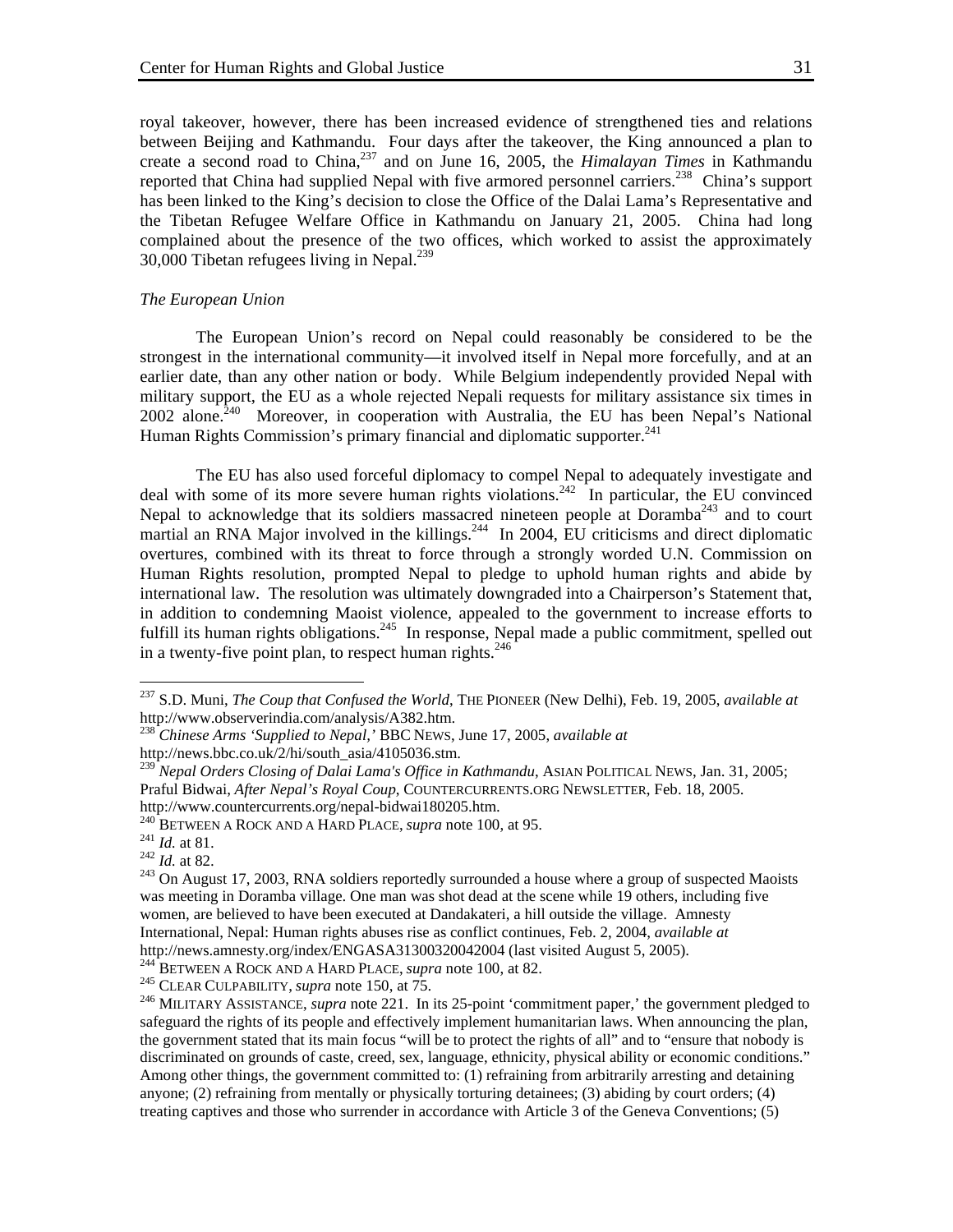royal takeover, however, there has been increased evidence of strengthened ties and relations between Beijing and Kathmandu. Four days after the takeover, the King announced a plan to create a second road to China,<sup>237</sup> and on June 16, 2005, the *Himalayan Times* in Kathmandu reported that China had supplied Nepal with five armored personnel carriers.<sup>238</sup> China's support has been linked to the King's decision to close the Office of the Dalai Lama's Representative and the Tibetan Refugee Welfare Office in Kathmandu on January 21, 2005. China had long complained about the presence of the two offices, which worked to assist the approximately 30,000 Tibetan refugees living in Nepal. $^{239}$ 

#### *The European Union*

 The European Union's record on Nepal could reasonably be considered to be the strongest in the international community—it involved itself in Nepal more forcefully, and at an earlier date, than any other nation or body. While Belgium independently provided Nepal with military support, the EU as a whole rejected Nepali requests for military assistance six times in  $2002$  alone.<sup>240</sup> Moreover, in cooperation with Australia, the EU has been Nepal's National Human Rights Commission's primary financial and diplomatic supporter.<sup>241</sup>

The EU has also used forceful diplomacy to compel Nepal to adequately investigate and deal with some of its more severe human rights violations.<sup>242</sup> In particular, the EU convinced Nepal to acknowledge that its soldiers massacred nineteen people at Doramba<sup>243</sup> and to court martial an RNA Major involved in the killings. $^{244}$  In 2004, EU criticisms and direct diplomatic overtures, combined with its threat to force through a strongly worded U.N. Commission on Human Rights resolution, prompted Nepal to pledge to uphold human rights and abide by international law. The resolution was ultimately downgraded into a Chairperson's Statement that, in addition to condemning Maoist violence, appealed to the government to increase efforts to fulfill its human rights obligations.<sup>245</sup> In response, Nepal made a public commitment, spelled out in a twenty-five point plan, to respect human rights. $246$ 

 $\overline{a}$ 

<sup>242</sup> *Id.* at 82.

<sup>237</sup> S.D. Muni, *The Coup that Confused the World*, THE PIONEER (New Delhi), Feb. 19, 2005, *available at* http://www.observerindia.com/analysis/A382.htm.

<sup>238</sup> *Chinese Arms 'Supplied to Nepal,'* BBC NEWS, June 17, 2005, *available at* http://news.bbc.co.uk/2/hi/south\_asia/4105036.stm.

<sup>&</sup>lt;sup>239</sup> *Nepal Orders Closing of Dalai Lama's Office in Kathmandu*, ASIAN POLITICAL NEWS, Jan. 31, 2005; Praful Bidwai, *After Nepal's Royal Coup*, COUNTERCURRENTS.ORG NEWSLETTER, Feb. 18, 2005. http://www.countercurrents.org/nepal-bidwai180205.htm.

<sup>&</sup>lt;sup>240</sup> BETWEEN A ROCK AND A HARD PLACE, *supra* note 100, at 95.

<sup>241</sup> *Id.* at 81.

<sup>&</sup>lt;sup>243</sup> On August 17, 2003, RNA soldiers reportedly surrounded a house where a group of suspected Maoists was meeting in Doramba village. One man was shot dead at the scene while 19 others, including five women, are believed to have been executed at Dandakateri, a hill outside the village. Amnesty International, Nepal: Human rights abuses rise as conflict continues, Feb. 2, 2004, *available at* http://news.amnesty.org/index/ENGASA31300320042004 (last visited August 5, 2005).

<sup>&</sup>lt;sup>244</sup> BETWEEN A ROCK AND A HARD PLACE, *supra* note 100, at 82.

<sup>245</sup> CLEAR CULPABILITY, *supra* note 150, at 75.

<sup>246</sup> MILITARY ASSISTANCE, *supra* note 221. In its 25-point 'commitment paper,' the government pledged to safeguard the rights of its people and effectively implement humanitarian laws. When announcing the plan, the government stated that its main focus "will be to protect the rights of all" and to "ensure that nobody is discriminated on grounds of caste, creed, sex, language, ethnicity, physical ability or economic conditions." Among other things, the government committed to: (1) refraining from arbitrarily arresting and detaining anyone; (2) refraining from mentally or physically torturing detainees; (3) abiding by court orders; (4) treating captives and those who surrender in accordance with Article 3 of the Geneva Conventions; (5)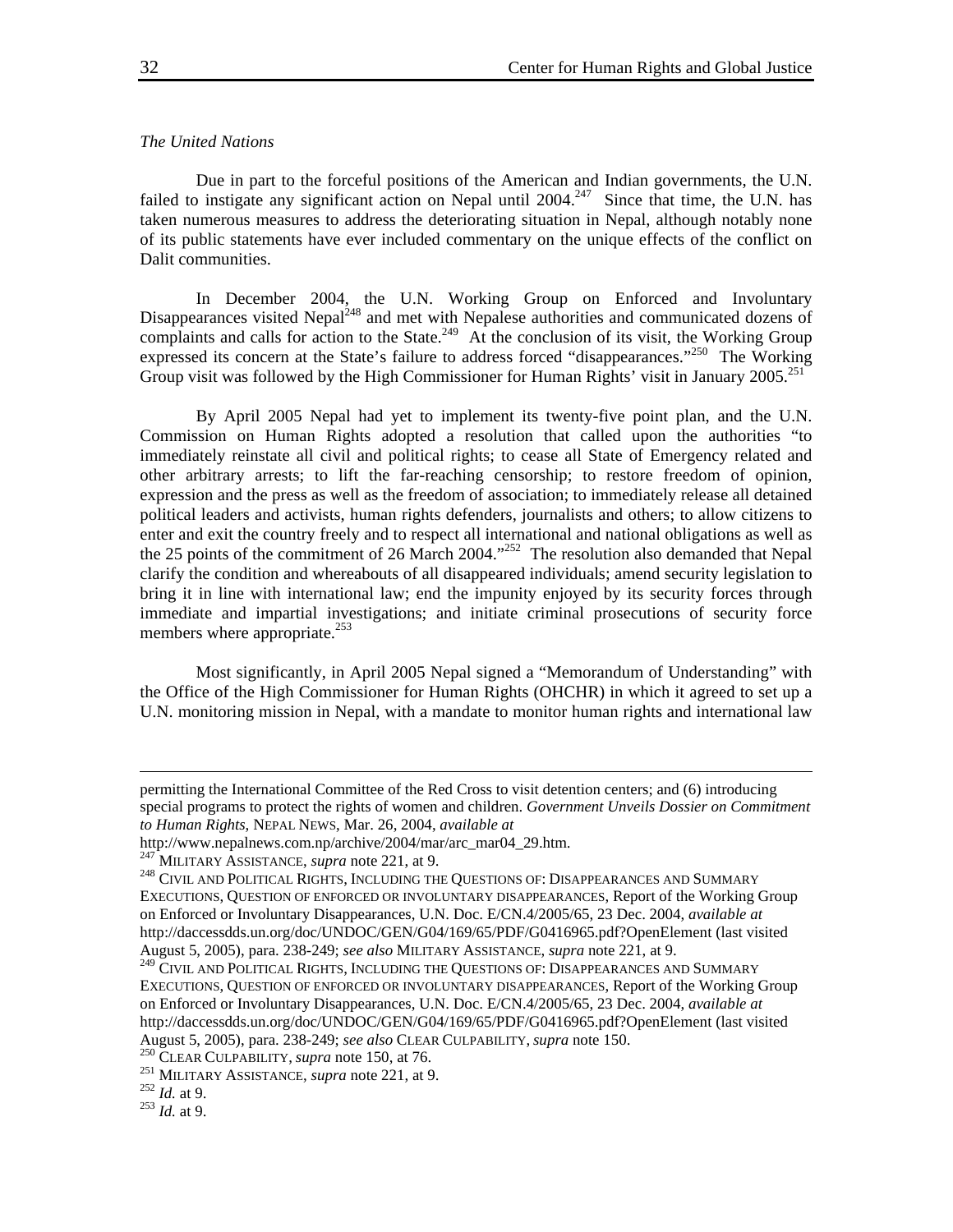#### *The United Nations*

Due in part to the forceful positions of the American and Indian governments, the U.N. failed to instigate any significant action on Nepal until  $2004.<sup>247</sup>$  Since that time, the U.N. has taken numerous measures to address the deteriorating situation in Nepal, although notably none of its public statements have ever included commentary on the unique effects of the conflict on Dalit communities.

In December 2004, the U.N. Working Group on Enforced and Involuntary Disappearances visited Nepal<sup>248</sup> and met with Nepalese authorities and communicated dozens of complaints and calls for action to the State.<sup>249</sup> At the conclusion of its visit, the Working Group expressed its concern at the State's failure to address forced "disappearances."<sup>250</sup> The Working Group visit was followed by the High Commissioner for Human Rights' visit in January 2005.<sup>251</sup>

By April 2005 Nepal had yet to implement its twenty-five point plan, and the U.N. Commission on Human Rights adopted a resolution that called upon the authorities "to immediately reinstate all civil and political rights; to cease all State of Emergency related and other arbitrary arrests; to lift the far-reaching censorship; to restore freedom of opinion, expression and the press as well as the freedom of association; to immediately release all detained political leaders and activists, human rights defenders, journalists and others; to allow citizens to enter and exit the country freely and to respect all international and national obligations as well as the 25 points of the commitment of 26 March 2004."<sup>252</sup> The resolution also demanded that Nepal clarify the condition and whereabouts of all disappeared individuals; amend security legislation to bring it in line with international law; end the impunity enjoyed by its security forces through immediate and impartial investigations; and initiate criminal prosecutions of security force members where appropriate.<sup>253</sup>

 Most significantly, in April 2005 Nepal signed a "Memorandum of Understanding" with the Office of the High Commissioner for Human Rights (OHCHR) in which it agreed to set up a U.N. monitoring mission in Nepal, with a mandate to monitor human rights and international law

<sup>250</sup> CLEAR CULPABILITY, *supra* note 150, at 76.

permitting the International Committee of the Red Cross to visit detention centers; and (6) introducing special programs to protect the rights of women and children. *Government Unveils Dossier on Commitment to Human Rights*, NEPAL NEWS, Mar. 26, 2004, *available at* 

http://www.nepalnews.com.np/archive/2004/mar/arc\_mar04\_29.htm.

<sup>247</sup> MILITARY ASSISTANCE, *supra* note 221, at 9.

<sup>&</sup>lt;sup>248</sup> CIVIL AND POLITICAL RIGHTS, INCLUDING THE QUESTIONS OF: DISAPPEARANCES AND SUMMARY EXECUTIONS, QUESTION OF ENFORCED OR INVOLUNTARY DISAPPEARANCES, Report of the Working Group on Enforced or Involuntary Disappearances, U.N. Doc. E/CN.4/2005/65, 23 Dec. 2004, *available at* http://daccessdds.un.org/doc/UNDOC/GEN/G04/169/65/PDF/G0416965.pdf?OpenElement (last visited August 5, 2005), para. 238-249; *see also* MILITARY ASSISTANCE, *supra* note 221, at 9.

<sup>&</sup>lt;sup>249</sup> CIVIL AND POLITICAL RIGHTS, INCLUDING THE QUESTIONS OF: DISAPPEARANCES AND SUMMARY EXECUTIONS, QUESTION OF ENFORCED OR INVOLUNTARY DISAPPEARANCES, Report of the Working Group on Enforced or Involuntary Disappearances, U.N. Doc. E/CN.4/2005/65, 23 Dec. 2004, *available at* http://daccessdds.un.org/doc/UNDOC/GEN/G04/169/65/PDF/G0416965.pdf?OpenElement (last visited August 5, 2005), para. 238-249; *see also* CLEAR CULPABILITY, *supra* note 150.

<sup>251</sup> MILITARY ASSISTANCE, *supra* note 221, at 9.

<sup>252</sup> *Id.* at 9. <sup>253</sup> *Id.* at 9.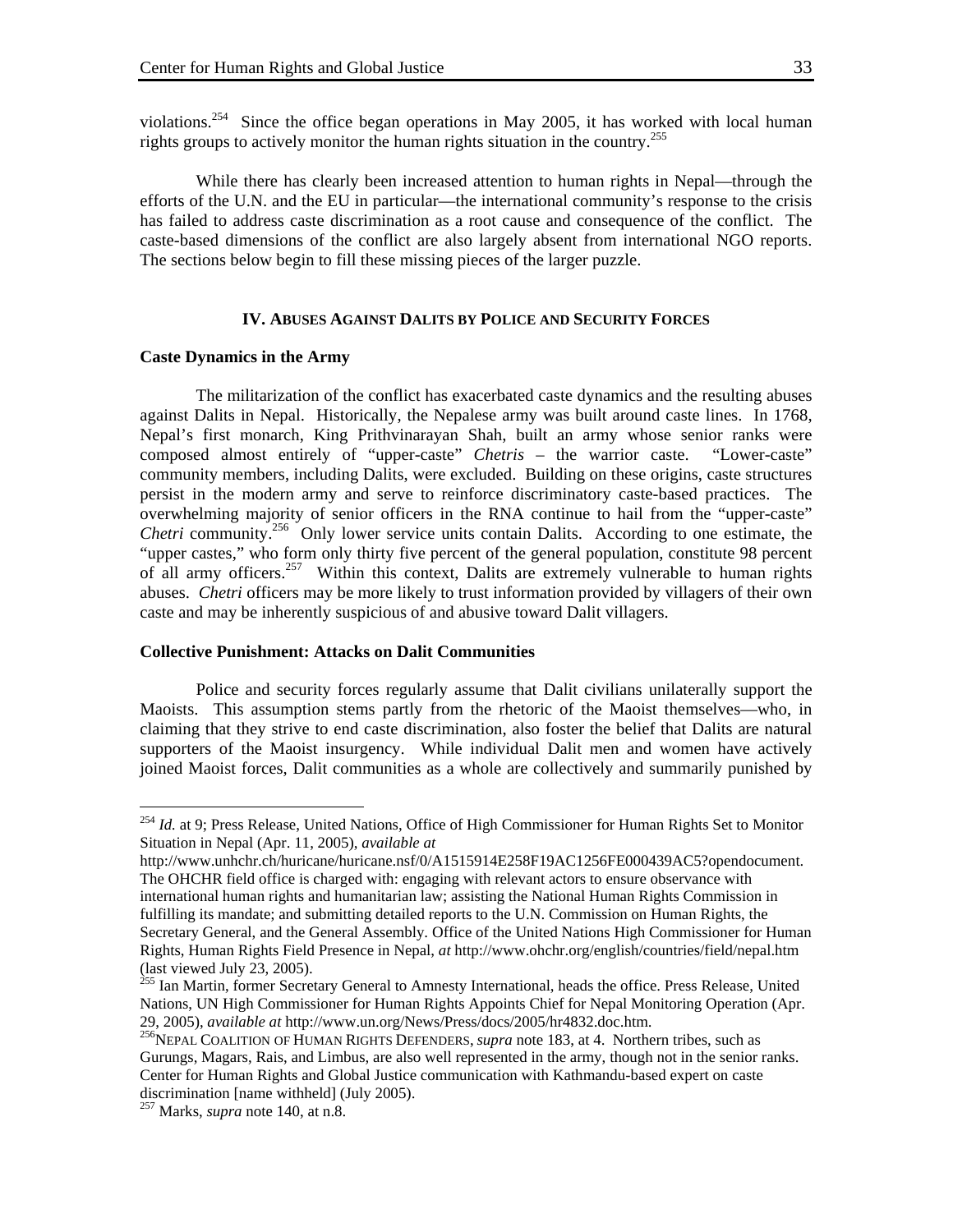violations.<sup>254</sup> Since the office began operations in May 2005, it has worked with local human rights groups to actively monitor the human rights situation in the country.<sup>255</sup>

 While there has clearly been increased attention to human rights in Nepal—through the efforts of the U.N. and the EU in particular—the international community's response to the crisis has failed to address caste discrimination as a root cause and consequence of the conflict. The caste-based dimensions of the conflict are also largely absent from international NGO reports. The sections below begin to fill these missing pieces of the larger puzzle.

#### **IV. ABUSES AGAINST DALITS BY POLICE AND SECURITY FORCES**

#### **Caste Dynamics in the Army**

The militarization of the conflict has exacerbated caste dynamics and the resulting abuses against Dalits in Nepal. Historically, the Nepalese army was built around caste lines. In 1768, Nepal's first monarch, King Prithvinarayan Shah, built an army whose senior ranks were composed almost entirely of "upper-caste" *Chetris* – the warrior caste. "Lower-caste" community members, including Dalits, were excluded. Building on these origins, caste structures persist in the modern army and serve to reinforce discriminatory caste-based practices. The overwhelming majority of senior officers in the RNA continue to hail from the "upper-caste" *Chetri* community.<sup>256</sup> Only lower service units contain Dalits. According to one estimate, the "upper castes," who form only thirty five percent of the general population, constitute 98 percent of all army officers.<sup>257</sup> Within this context, Dalits are extremely vulnerable to human rights abuses. *Chetri* officers may be more likely to trust information provided by villagers of their own caste and may be inherently suspicious of and abusive toward Dalit villagers.

# **Collective Punishment: Attacks on Dalit Communities**

Police and security forces regularly assume that Dalit civilians unilaterally support the Maoists. This assumption stems partly from the rhetoric of the Maoist themselves—who, in claiming that they strive to end caste discrimination, also foster the belief that Dalits are natural supporters of the Maoist insurgency. While individual Dalit men and women have actively joined Maoist forces, Dalit communities as a whole are collectively and summarily punished by

<sup>&</sup>lt;sup>254</sup> *Id.* at 9; Press Release, United Nations, Office of High Commissioner for Human Rights Set to Monitor Situation in Nepal (Apr. 11, 2005), *available at*

http://www.unhchr.ch/huricane/huricane.nsf/0/A1515914E258F19AC1256FE000439AC5?opendocument. The OHCHR field office is charged with: engaging with relevant actors to ensure observance with international human rights and humanitarian law; assisting the National Human Rights Commission in fulfilling its mandate; and submitting detailed reports to the U.N. Commission on Human Rights, the Secretary General, and the General Assembly. Office of the United Nations High Commissioner for Human Rights, Human Rights Field Presence in Nepal, *at* http://www.ohchr.org/english/countries/field/nepal.htm (last viewed July 23, 2005).

<sup>&</sup>lt;sup>255</sup> Ian Martin, former Secretary General to Amnesty International, heads the office. Press Release, United Nations, UN High Commissioner for Human Rights Appoints Chief for Nepal Monitoring Operation (Apr. 29, 2005), *available at* http://www.un.org/News/Press/docs/2005/hr4832.doc.htm.

<sup>&</sup>lt;sup>256</sup>NEPAL COALITION OF HUMAN RIGHTS DEFENDERS, *supra* note 183, at 4. Northern tribes, such as Gurungs, Magars, Rais, and Limbus, are also well represented in the army, though not in the senior ranks. Center for Human Rights and Global Justice communication with Kathmandu-based expert on caste discrimination [name withheld] (July 2005).

<sup>257</sup> Marks, *supra* note 140, at n.8.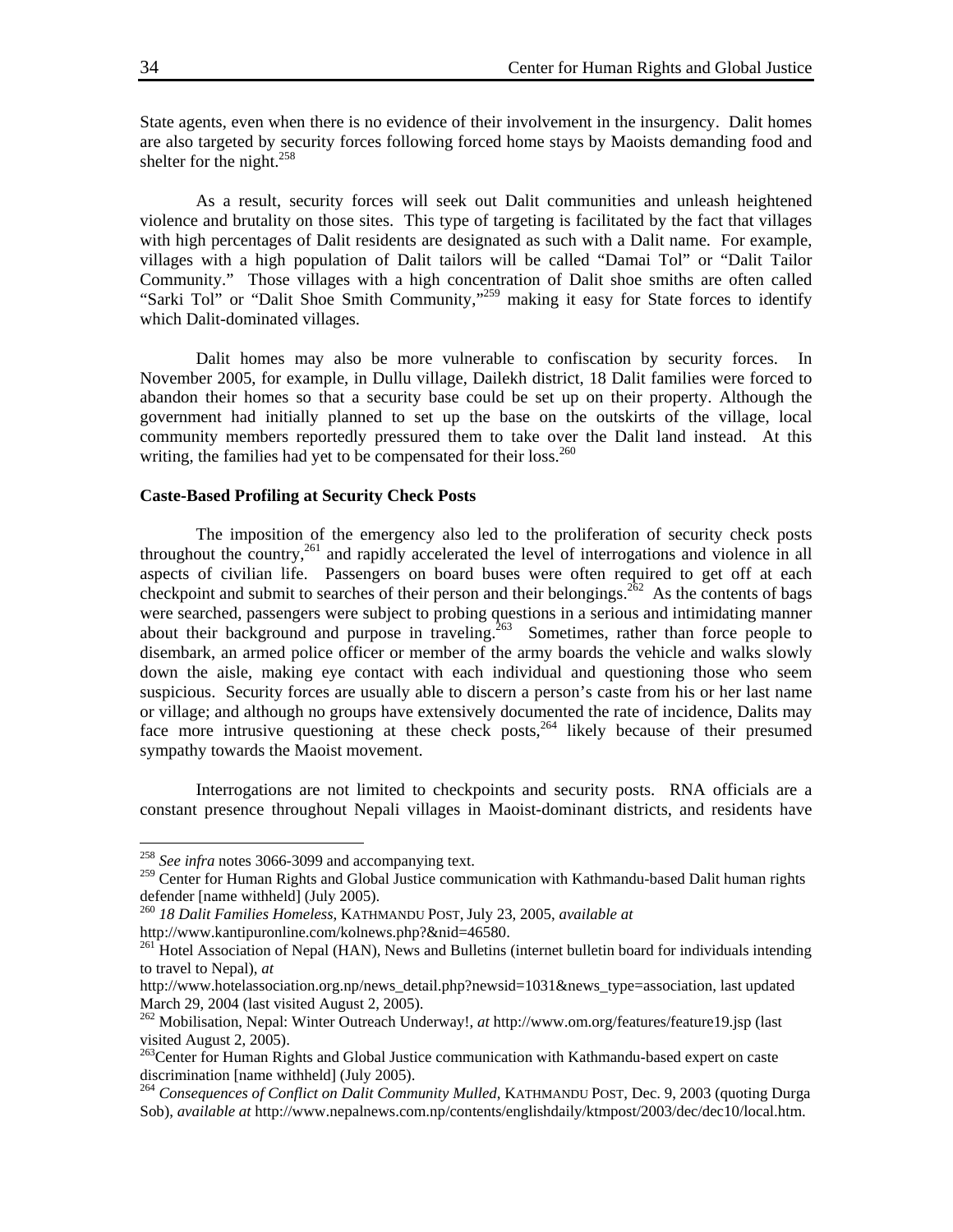State agents, even when there is no evidence of their involvement in the insurgency. Dalit homes are also targeted by security forces following forced home stays by Maoists demanding food and shelter for the night. $258$ 

 As a result, security forces will seek out Dalit communities and unleash heightened violence and brutality on those sites. This type of targeting is facilitated by the fact that villages with high percentages of Dalit residents are designated as such with a Dalit name. For example, villages with a high population of Dalit tailors will be called "Damai Tol" or "Dalit Tailor Community." Those villages with a high concentration of Dalit shoe smiths are often called "Sarki Tol" or "Dalit Shoe Smith Community,"<sup>259</sup> making it easy for State forces to identify which Dalit-dominated villages.

Dalit homes may also be more vulnerable to confiscation by security forces. In November 2005, for example, in Dullu village, Dailekh district, 18 Dalit families were forced to abandon their homes so that a security base could be set up on their property. Although the government had initially planned to set up the base on the outskirts of the village, local community members reportedly pressured them to take over the Dalit land instead. At this writing, the families had yet to be compensated for their loss.<sup>260</sup>

# **Caste-Based Profiling at Security Check Posts**

 The imposition of the emergency also led to the proliferation of security check posts throughout the country,<sup>261</sup> and rapidly accelerated the level of interrogations and violence in all aspects of civilian life. Passengers on board buses were often required to get off at each checkpoint and submit to searches of their person and their belongings.<sup>262</sup> As the contents of bags were searched, passengers were subject to probing questions in a serious and intimidating manner about their background and purpose in traveling.<sup>263</sup> Sometimes, rather than force people to disembark, an armed police officer or member of the army boards the vehicle and walks slowly down the aisle, making eye contact with each individual and questioning those who seem suspicious. Security forces are usually able to discern a person's caste from his or her last name or village; and although no groups have extensively documented the rate of incidence, Dalits may face more intrusive questioning at these check posts,<sup>264</sup> likely because of their presumed sympathy towards the Maoist movement.

Interrogations are not limited to checkpoints and security posts. RNA officials are a constant presence throughout Nepali villages in Maoist-dominant districts, and residents have

<sup>258</sup> *See infra* notes 3066-3099 and accompanying text.

<sup>&</sup>lt;sup>259</sup> Center for Human Rights and Global Justice communication with Kathmandu-based Dalit human rights defender [name withheld] (July 2005).

<sup>260</sup> *18 Dalit Families Homeless*, KATHMANDU POST, July 23, 2005, *available at* 

http://www.kantipuronline.com/kolnews.php?&nid=46580.

<sup>&</sup>lt;sup>261</sup> Hotel Association of Nepal (HAN), News and Bulletins (internet bulletin board for individuals intending to travel to Nepal), *at*

http://www.hotelassociation.org.np/news\_detail.php?newsid=1031&news\_type=association, last updated March 29, 2004 (last visited August 2, 2005).

<sup>262</sup> Mobilisation, Nepal: Winter Outreach Underway!, *at* http://www.om.org/features/feature19.jsp (last visited August 2, 2005).

<sup>&</sup>lt;sup>263</sup>Center for Human Rights and Global Justice communication with Kathmandu-based expert on caste discrimination [name withheld] (July 2005).

<sup>264</sup> *Consequences of Conflict on Dalit Community Mulled*, KATHMANDU POST, Dec. 9, 2003 (quoting Durga Sob), *available at* http://www.nepalnews.com.np/contents/englishdaily/ktmpost/2003/dec/dec10/local.htm.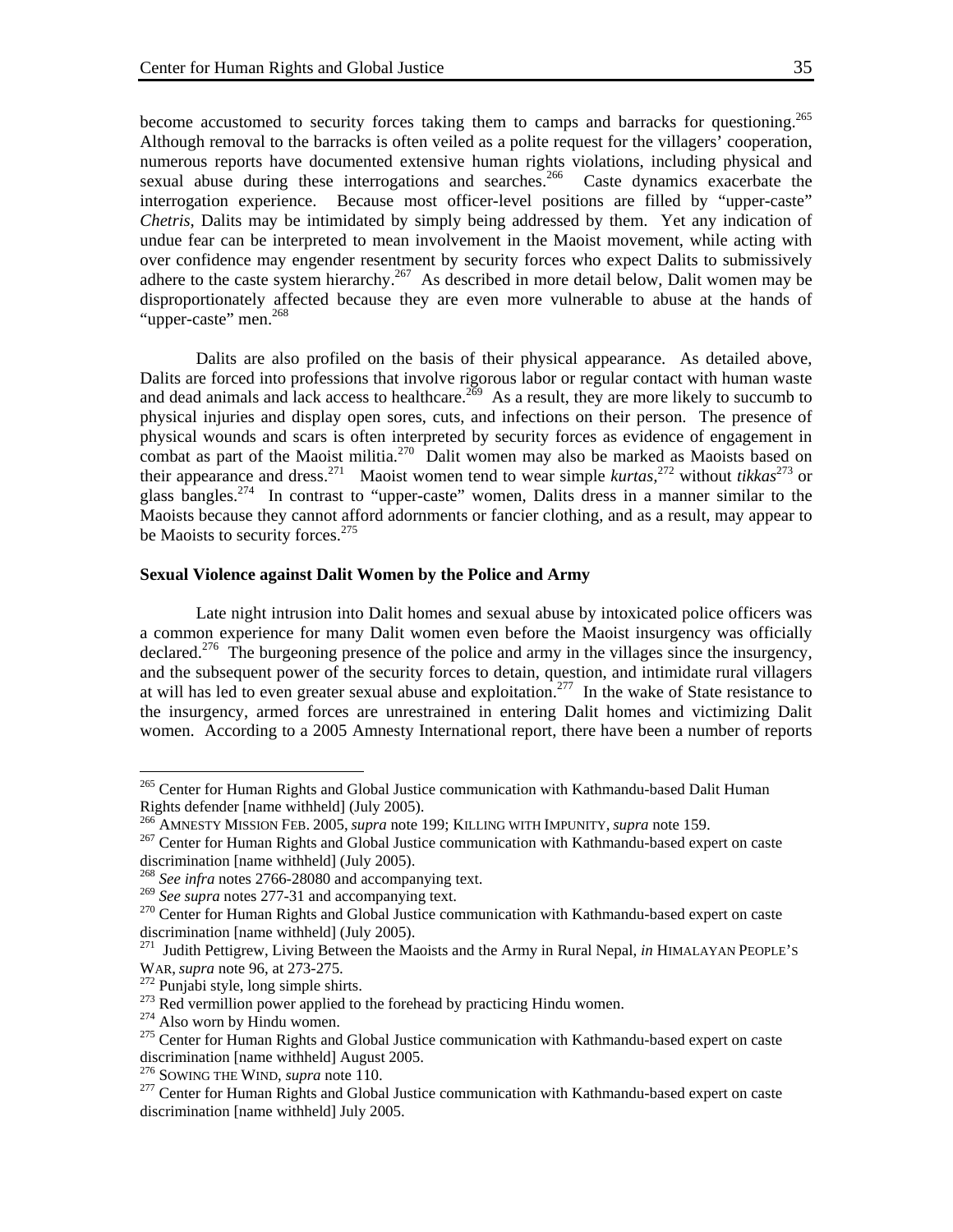become accustomed to security forces taking them to camps and barracks for questioning.<sup>265</sup> Although removal to the barracks is often veiled as a polite request for the villagers' cooperation, numerous reports have documented extensive human rights violations, including physical and sexual abuse during these interrogations and searches.<sup>266</sup> Caste dynamics exacerbate the interrogation experience. Because most officer-level positions are filled by "upper-caste" *Chetris*, Dalits may be intimidated by simply being addressed by them. Yet any indication of undue fear can be interpreted to mean involvement in the Maoist movement, while acting with over confidence may engender resentment by security forces who expect Dalits to submissively adhere to the caste system hierarchy.<sup>267</sup> As described in more detail below, Dalit women may be disproportionately affected because they are even more vulnerable to abuse at the hands of "upper-caste" men.<sup>268</sup>

Dalits are also profiled on the basis of their physical appearance. As detailed above, Dalits are forced into professions that involve rigorous labor or regular contact with human waste and dead animals and lack access to healthcare.<sup>269</sup> As a result, they are more likely to succumb to physical injuries and display open sores, cuts, and infections on their person. The presence of physical wounds and scars is often interpreted by security forces as evidence of engagement in combat as part of the Maoist militia.<sup>270</sup> Dalit women may also be marked as Maoists based on their appearance and dress.<sup>271</sup> Maoist women tend to wear simple *kurtas,*<sup>272</sup> without *tikkas*<sup>273</sup> or glass bangles.<sup>274</sup> In contrast to "upper-caste" women, Dalits dress in a manner similar to the Maoists because they cannot afford adornments or fancier clothing, and as a result, may appear to be Maoists to security forces.<sup>275</sup>

#### **Sexual Violence against Dalit Women by the Police and Army**

Late night intrusion into Dalit homes and sexual abuse by intoxicated police officers was a common experience for many Dalit women even before the Maoist insurgency was officially declared.<sup>276</sup> The burgeoning presence of the police and army in the villages since the insurgency, and the subsequent power of the security forces to detain, question, and intimidate rural villagers at will has led to even greater sexual abuse and exploitation.<sup>277</sup> In the wake of State resistance to the insurgency, armed forces are unrestrained in entering Dalit homes and victimizing Dalit women. According to a 2005 Amnesty International report, there have been a number of reports

<sup>&</sup>lt;sup>265</sup> Center for Human Rights and Global Justice communication with Kathmandu-based Dalit Human Rights defender [name withheld] (July 2005).

<sup>266</sup> AMNESTY MISSION FEB. 2005, *supra* note 199; KILLING WITH IMPUNITY, *supra* note 159.

<sup>&</sup>lt;sup>267</sup> Center for Human Rights and Global Justice communication with Kathmandu-based expert on caste discrimination [name withheld] (July 2005).

<sup>268</sup> *See infra* notes 2766-28080 and accompanying text.

<sup>269</sup> *See supra* notes 277-31 and accompanying text.

<sup>&</sup>lt;sup>270</sup> Center for Human Rights and Global Justice communication with Kathmandu-based expert on caste discrimination [name withheld] (July 2005).

<sup>271</sup> Judith Pettigrew, Living Between the Maoists and the Army in Rural Nepal, *in* HIMALAYAN PEOPLE'<sup>S</sup> WAR, *supra* note 96, at 273-275.

<sup>272</sup> Punjabi style, long simple shirts.

<sup>&</sup>lt;sup>273</sup> Red vermillion power applied to the forehead by practicing Hindu women.

<sup>274</sup> Also worn by Hindu women.

<sup>&</sup>lt;sup>275</sup> Center for Human Rights and Global Justice communication with Kathmandu-based expert on caste discrimination [name withheld] August 2005.

<sup>276</sup> SOWING THE WIND, *supra* note 110.

<sup>&</sup>lt;sup>277</sup> Center for Human Rights and Global Justice communication with Kathmandu-based expert on caste discrimination [name withheld] July 2005.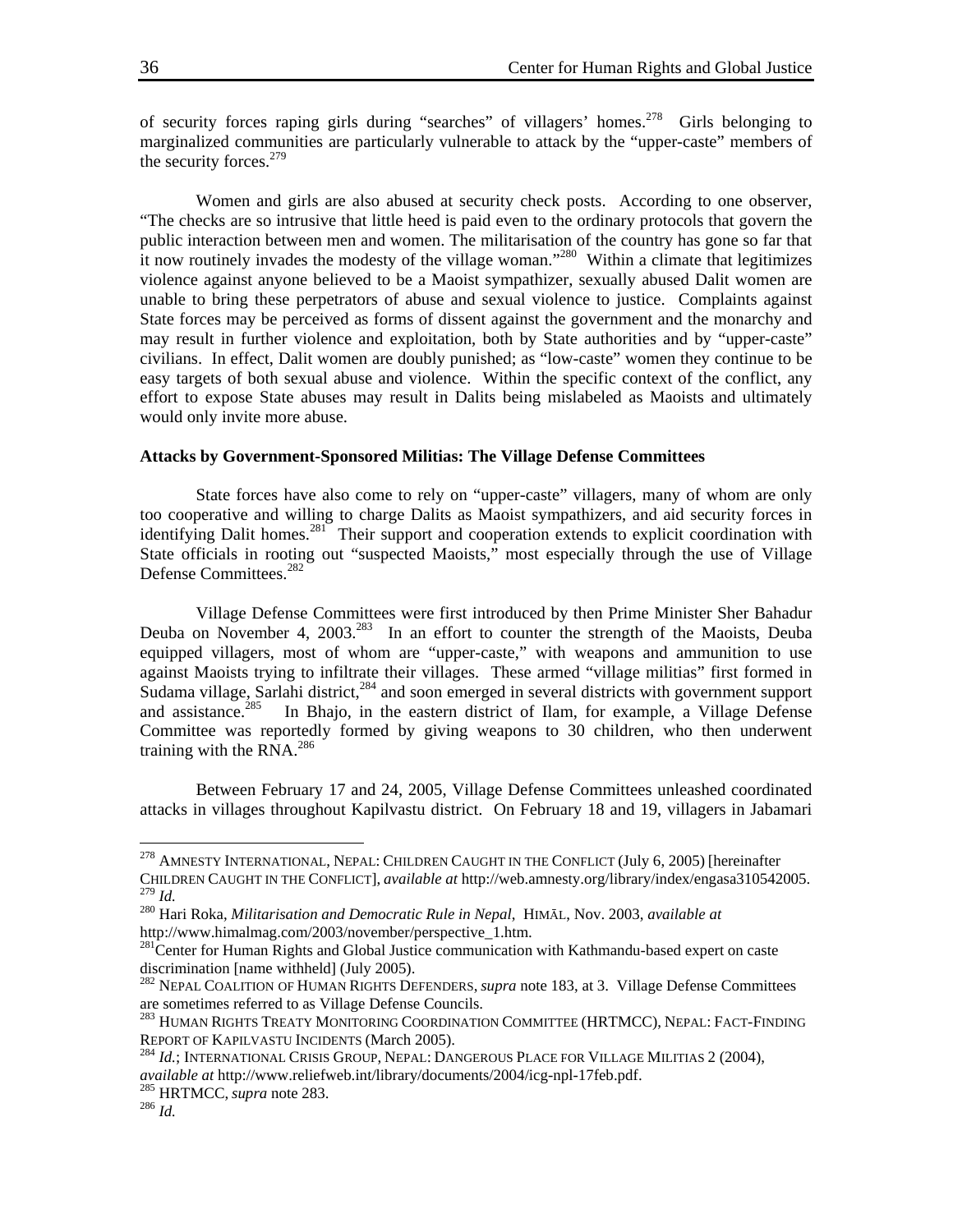of security forces raping girls during "searches" of villagers' homes.<sup>278</sup> Girls belonging to marginalized communities are particularly vulnerable to attack by the "upper-caste" members of the security forces. $279$ 

Women and girls are also abused at security check posts. According to one observer, "The checks are so intrusive that little heed is paid even to the ordinary protocols that govern the public interaction between men and women. The militarisation of the country has gone so far that it now routinely invades the modesty of the village woman."<sup>280</sup> Within a climate that legitimizes violence against anyone believed to be a Maoist sympathizer, sexually abused Dalit women are unable to bring these perpetrators of abuse and sexual violence to justice. Complaints against State forces may be perceived as forms of dissent against the government and the monarchy and may result in further violence and exploitation, both by State authorities and by "upper-caste" civilians. In effect, Dalit women are doubly punished; as "low-caste" women they continue to be easy targets of both sexual abuse and violence. Within the specific context of the conflict, any effort to expose State abuses may result in Dalits being mislabeled as Maoists and ultimately would only invite more abuse.

## **Attacks by Government-Sponsored Militias: The Village Defense Committees**

State forces have also come to rely on "upper-caste" villagers, many of whom are only too cooperative and willing to charge Dalits as Maoist sympathizers, and aid security forces in identifying Dalit homes.<sup>281</sup> Their support and cooperation extends to explicit coordination with State officials in rooting out "suspected Maoists," most especially through the use of Village Defense Committees.<sup>282</sup>

Village Defense Committees were first introduced by then Prime Minister Sher Bahadur Deuba on November 4, 2003.<sup>283</sup> In an effort to counter the strength of the Maoists, Deuba equipped villagers, most of whom are "upper-caste," with weapons and ammunition to use against Maoists trying to infiltrate their villages. These armed "village militias" first formed in Sudama village, Sarlahi district,<sup>284</sup> and soon emerged in several districts with government support and assistance.<sup>285</sup> In Bhajo, in the eastern district of Ilam, for example, a Village Defense Committee was reportedly formed by giving weapons to 30 children, who then underwent training with the  $\tilde{RNA}$ .<sup>286</sup>

Between February 17 and 24, 2005, Village Defense Committees unleashed coordinated attacks in villages throughout Kapilvastu district. On February 18 and 19, villagers in Jabamari

<sup>&</sup>lt;sup>278</sup> AMNESTY INTERNATIONAL, NEPAL: CHILDREN CAUGHT IN THE CONFLICT (July 6, 2005) [hereinafter CHILDREN CAUGHT IN THE CONFLICT], *available at* http://web.amnesty.org/library/index/engasa310542005. <sup>279</sup> *Id.* 

<sup>280</sup> Hari Roka, *Militarisation and Democratic Rule in Nepal*, HIMĀL, Nov. 2003, *available at*  http://www.himalmag.com/2003/november/perspective\_1.htm.

<sup>&</sup>lt;sup>281</sup>Center for Human Rights and Global Justice communication with Kathmandu-based expert on caste discrimination [name withheld] (July 2005).

<sup>282</sup> NEPAL COALITION OF HUMAN RIGHTS DEFENDERS, *supra* note 183, at 3. Village Defense Committees are sometimes referred to as Village Defense Councils.

<sup>&</sup>lt;sup>283</sup> HUMAN RIGHTS TREATY MONITORING COORDINATION COMMITTEE (HRTMCC), NEPAL: FACT-FINDING REPORT OF KAPILVASTU INCIDENTS (March 2005).

<sup>&</sup>lt;sup>284</sup> Id.; INTERNATIONAL CRISIS GROUP, NEPAL: DANGEROUS PLACE FOR VILLAGE MILITIAS 2 (2004), *available at* http://www.reliefweb.int/library/documents/2004/icg-npl-17feb.pdf.

<sup>285</sup> HRTMCC, *supra* note 283.

<sup>286</sup> *Id.*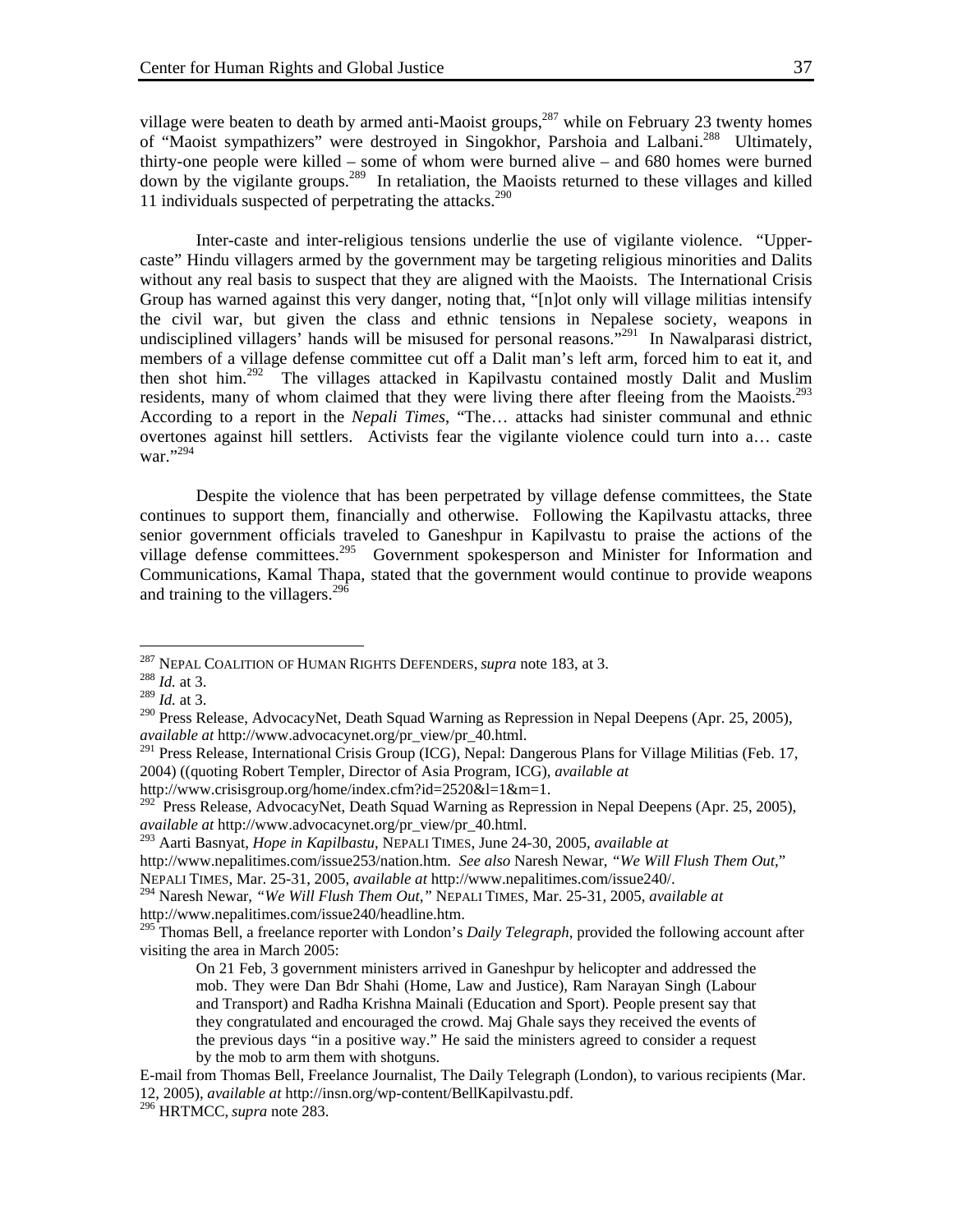village were beaten to death by armed anti-Maoist groups,<sup>287</sup> while on February 23 twenty homes of "Maoist sympathizers" were destroyed in Singokhor, Parshoia and Lalbani.<sup>288</sup> Ultimately, thirty-one people were killed – some of whom were burned alive – and 680 homes were burned down by the vigilante groups.<sup>289</sup> In retaliation, the Maoists returned to these villages and killed 11 individuals suspected of perpetrating the attacks. $290$ 

Inter-caste and inter-religious tensions underlie the use of vigilante violence. "Uppercaste" Hindu villagers armed by the government may be targeting religious minorities and Dalits without any real basis to suspect that they are aligned with the Maoists. The International Crisis Group has warned against this very danger, noting that, "[n]ot only will village militias intensify the civil war, but given the class and ethnic tensions in Nepalese society, weapons in undisciplined villagers' hands will be misused for personal reasons."<sup>291</sup> In Nawalparasi district, members of a village defense committee cut off a Dalit man's left arm, forced him to eat it, and then shot him.<sup>292</sup> The villages attacked in Kapilvastu contained mostly Dalit and Muslim residents, many of whom claimed that they were living there after fleeing from the Maoists.<sup>293</sup> According to a report in the *Nepali Times*, "The… attacks had sinister communal and ethnic overtones against hill settlers. Activists fear the vigilante violence could turn into a… caste war."<sup>294</sup>

Despite the violence that has been perpetrated by village defense committees, the State continues to support them, financially and otherwise. Following the Kapilvastu attacks, three senior government officials traveled to Ganeshpur in Kapilvastu to praise the actions of the village defense committees.<sup>295</sup> Government spokesperson and Minister for Information and Communications, Kamal Thapa, stated that the government would continue to provide weapons and training to the villagers. $^{29\bar{6}}$ 

 $\overline{a}$ 

http://www.crisisgroup.org/home/index.cfm?id=2520&l=1&m=1.

<sup>293</sup> Aarti Basnyat, *Hope in Kapilbastu*, NEPALI TIMES, June 24-30, 2005, *available at*

<sup>287</sup> NEPAL COALITION OF HUMAN RIGHTS DEFENDERS, *supra* note 183, at 3.

<sup>288</sup> *Id.* at 3.

<sup>289</sup> *Id.* at 3.

<sup>&</sup>lt;sup>290</sup> Press Release, AdvocacyNet, Death Squad Warning as Repression in Nepal Deepens (Apr. 25, 2005), *available at* http://www.advocacynet.org/pr\_view/pr\_40.html.

<sup>&</sup>lt;sup>291</sup> Press Release, International Crisis Group (ICG), Nepal: Dangerous Plans for Village Militias (Feb. 17, 2004) ((quoting Robert Templer, Director of Asia Program, ICG), *available at* 

<sup>&</sup>lt;sup>292</sup> Press Release, AdvocacyNet, Death Squad Warning as Repression in Nepal Deepens (Apr. 25, 2005), *available at* http://www.advocacynet.org/pr\_view/pr\_40.html.

http://www.nepalitimes.com/issue253/nation.htm. *See also* Naresh Newar, *"We Will Flush Them Out*," NEPALI TIMES, Mar. 25-31, 2005, *available at* http://www.nepalitimes.com/issue240/.

<sup>294</sup> Naresh Newar, *"We Will Flush Them Out,"* NEPALI TIMES, Mar. 25-31, 2005, *available at*  http://www.nepalitimes.com/issue240/headline.htm.

<sup>295</sup> Thomas Bell, a freelance reporter with London's *Daily Telegraph*, provided the following account after visiting the area in March 2005:

On 21 Feb, 3 government ministers arrived in Ganeshpur by helicopter and addressed the mob. They were Dan Bdr Shahi (Home, Law and Justice), Ram Narayan Singh (Labour and Transport) and Radha Krishna Mainali (Education and Sport). People present say that they congratulated and encouraged the crowd. Maj Ghale says they received the events of the previous days "in a positive way." He said the ministers agreed to consider a request by the mob to arm them with shotguns.

E-mail from Thomas Bell, Freelance Journalist, The Daily Telegraph (London), to various recipients (Mar. 12, 2005), *available at* http://insn.org/wp-content/BellKapilvastu.pdf.

<sup>296</sup> HRTMCC, *supra* note 283.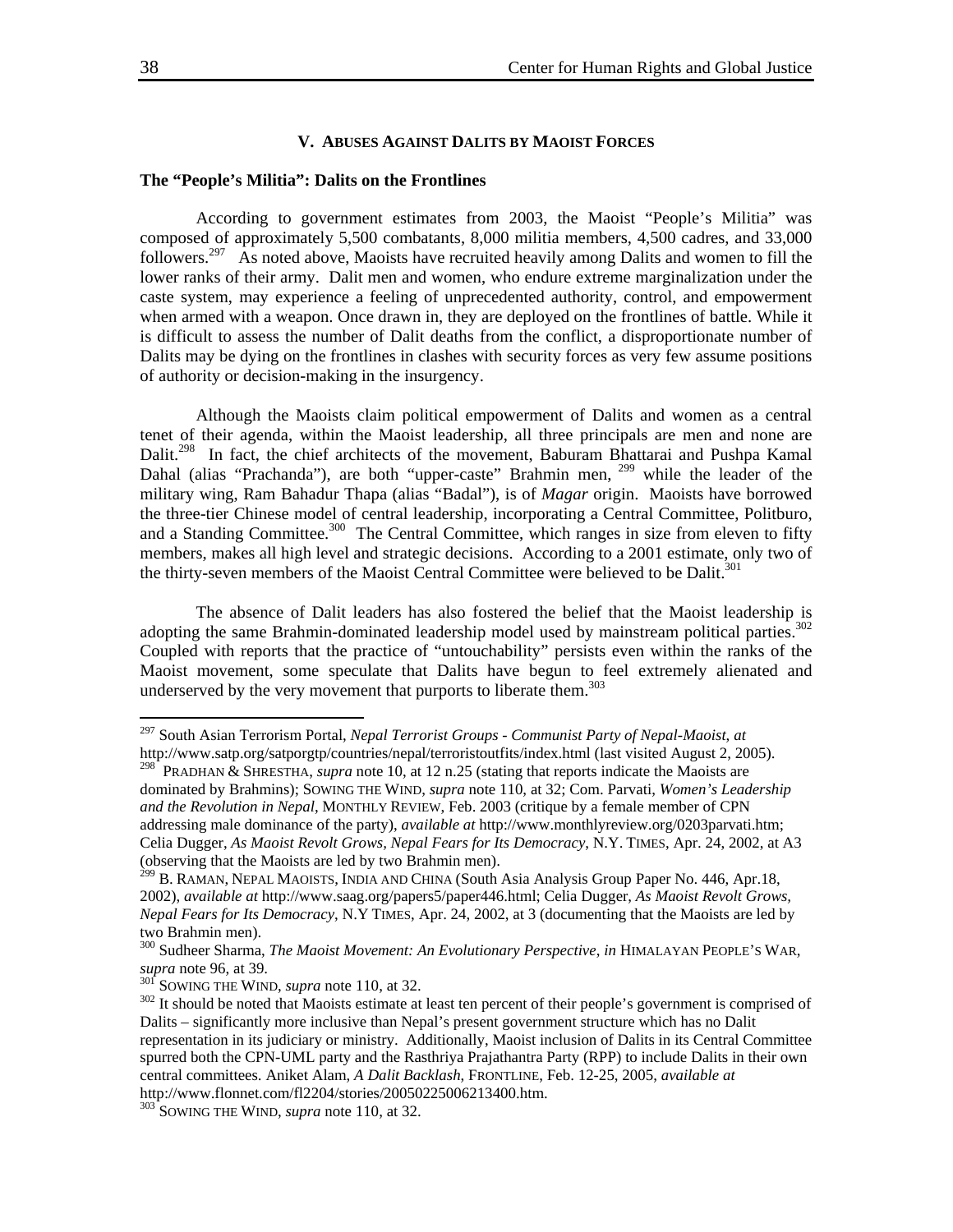#### **V. ABUSES AGAINST DALITS BY MAOIST FORCES**

## **The "People's Militia": Dalits on the Frontlines**

According to government estimates from 2003, the Maoist "People's Militia" was composed of approximately 5,500 combatants, 8,000 militia members, 4,500 cadres, and 33,000 followers.<sup>297</sup> As noted above, Maoists have recruited heavily among Dalits and women to fill the lower ranks of their army. Dalit men and women, who endure extreme marginalization under the caste system, may experience a feeling of unprecedented authority, control, and empowerment when armed with a weapon. Once drawn in, they are deployed on the frontlines of battle. While it is difficult to assess the number of Dalit deaths from the conflict, a disproportionate number of Dalits may be dying on the frontlines in clashes with security forces as very few assume positions of authority or decision-making in the insurgency.

Although the Maoists claim political empowerment of Dalits and women as a central tenet of their agenda, within the Maoist leadership, all three principals are men and none are Dalit.<sup>298</sup> In fact, the chief architects of the movement, Baburam Bhattarai and Pushpa Kamal Dahal (alias "Prachanda"), are both "upper-caste" Brahmin men, <sup>299</sup> while the leader of the military wing, Ram Bahadur Thapa (alias "Badal"), is of *Magar* origin. Maoists have borrowed the three-tier Chinese model of central leadership, incorporating a Central Committee, Politburo, and a Standing Committee.<sup>300</sup> The Central Committee, which ranges in size from eleven to fifty members, makes all high level and strategic decisions. According to a 2001 estimate, only two of the thirty-seven members of the Maoist Central Committee were believed to be Dalit.<sup>301</sup>

The absence of Dalit leaders has also fostered the belief that the Maoist leadership is adopting the same Brahmin-dominated leadership model used by mainstream political parties.<sup>302</sup> Coupled with reports that the practice of "untouchability" persists even within the ranks of the Maoist movement, some speculate that Dalits have begun to feel extremely alienated and underserved by the very movement that purports to liberate them.<sup>303</sup>

<sup>297</sup> South Asian Terrorism Portal, *Nepal Terrorist Groups - Communist Party of Nepal-Maoist*, *at*  http://www.satp.org/satporgtp/countries/nepal/terroristoutfits/index.html (last visited August 2, 2005).

<sup>&</sup>lt;sup>298</sup> PRADHAN & SHRESTHA, *supra* note 10, at 12 n.25 (stating that reports indicate the Maoists are dominated by Brahmins); SOWING THE WIND, *supra* note 110, at 32; Com. Parvati, *Women's Leadership and the Revolution in Nepal*, MONTHLY REVIEW, Feb. 2003 (critique by a female member of CPN addressing male dominance of the party), *available at* http://www.monthlyreview.org/0203parvati.htm; Celia Dugger, *As Maoist Revolt Grows, Nepal Fears for Its Democracy*, N.Y. TIMES, Apr. 24, 2002, at A3 (observing that the Maoists are led by two Brahmin men).

<sup>&</sup>lt;sup>299</sup> B. RAMAN, NEPAL MAOISTS, INDIA AND CHINA (South Asia Analysis Group Paper No. 446, Apr.18, 2002), *available at* http://www.saag.org/papers5/paper446.html; Celia Dugger, *As Maoist Revolt Grows, Nepal Fears for Its Democracy*, N.Y TIMES, Apr. 24, 2002, at 3 (documenting that the Maoists are led by two Brahmin men).

<sup>300</sup> Sudheer Sharma, *The Maoist Movement: An Evolutionary Perspective*, *in* HIMALAYAN PEOPLE'S WAR, *supra* note 96, at 39.

<sup>301</sup> SOWING THE WIND, *supra* note 110, at 32.

<sup>&</sup>lt;sup>302</sup> It should be noted that Maoists estimate at least ten percent of their people's government is comprised of Dalits – significantly more inclusive than Nepal's present government structure which has no Dalit representation in its judiciary or ministry. Additionally, Maoist inclusion of Dalits in its Central Committee spurred both the CPN-UML party and the Rasthriya Prajathantra Party (RPP) to include Dalits in their own central committees. Aniket Alam, *A Dalit Backlash*, FRONTLINE, Feb. 12-25, 2005, *available at* http://www.flonnet.com/fl2204/stories/20050225006213400.htm.

<sup>303</sup> SOWING THE WIND, *supra* note 110, at 32.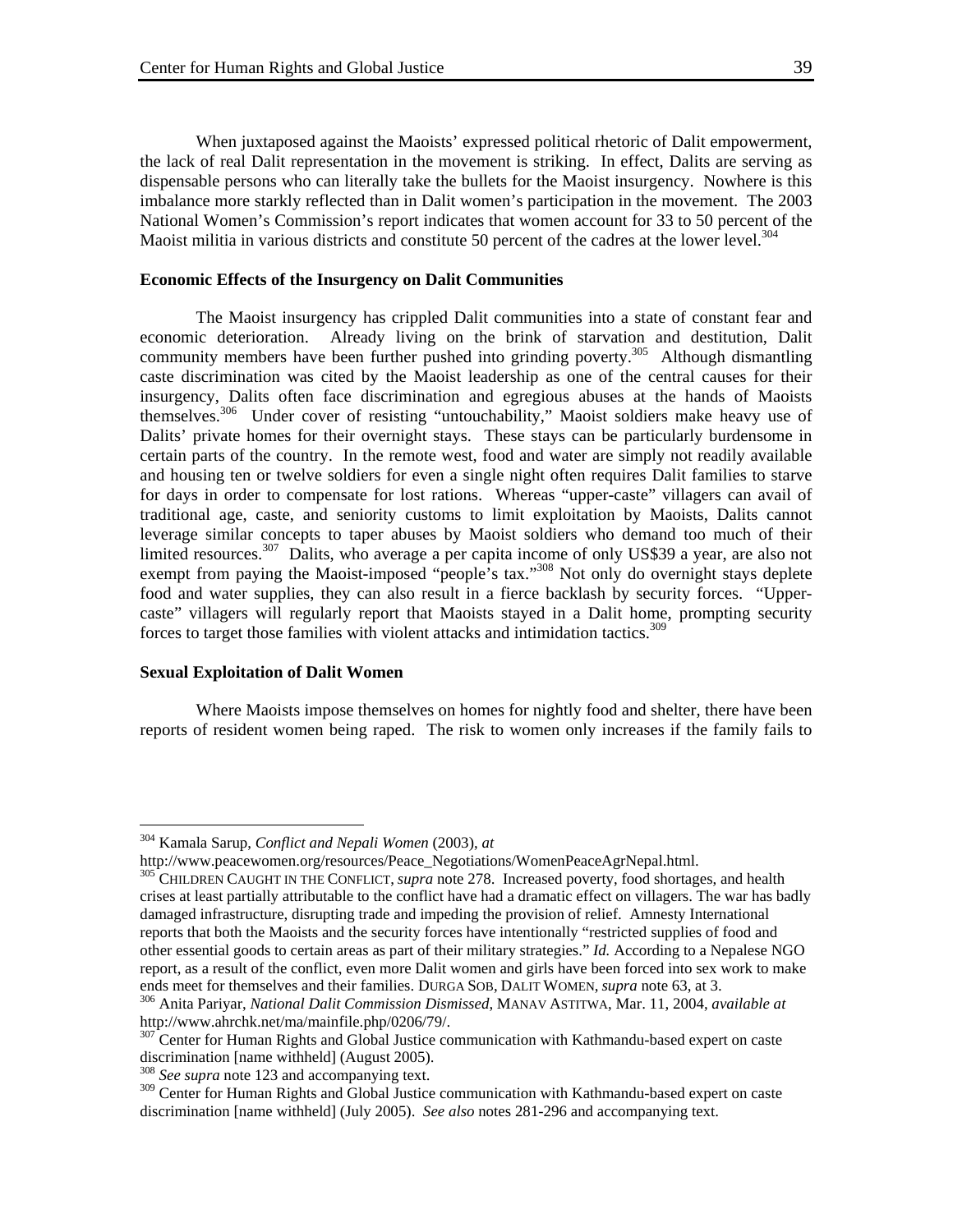When juxtaposed against the Maoists' expressed political rhetoric of Dalit empowerment, the lack of real Dalit representation in the movement is striking. In effect, Dalits are serving as dispensable persons who can literally take the bullets for the Maoist insurgency. Nowhere is this imbalance more starkly reflected than in Dalit women's participation in the movement. The 2003 National Women's Commission's report indicates that women account for 33 to 50 percent of the Maoist militia in various districts and constitute 50 percent of the cadres at the lower level.<sup>304</sup>

#### **Economic Effects of the Insurgency on Dalit Communities**

The Maoist insurgency has crippled Dalit communities into a state of constant fear and economic deterioration. Already living on the brink of starvation and destitution, Dalit community members have been further pushed into grinding poverty.<sup>305</sup> Although dismantling caste discrimination was cited by the Maoist leadership as one of the central causes for their insurgency, Dalits often face discrimination and egregious abuses at the hands of Maoists themselves.<sup>306</sup> Under cover of resisting "untouchability," Maoist soldiers make heavy use of Dalits' private homes for their overnight stays. These stays can be particularly burdensome in certain parts of the country. In the remote west, food and water are simply not readily available and housing ten or twelve soldiers for even a single night often requires Dalit families to starve for days in order to compensate for lost rations. Whereas "upper-caste" villagers can avail of traditional age, caste, and seniority customs to limit exploitation by Maoists, Dalits cannot leverage similar concepts to taper abuses by Maoist soldiers who demand too much of their limited resources.<sup>307</sup> Dalits, who average a per capita income of only US\$39 a year, are also not exempt from paying the Maoist-imposed "people's tax."<sup>308</sup> Not only do overnight stays deplete food and water supplies, they can also result in a fierce backlash by security forces. "Uppercaste" villagers will regularly report that Maoists stayed in a Dalit home, prompting security forces to target those families with violent attacks and intimidation tactics.<sup>309</sup>

#### **Sexual Exploitation of Dalit Women**

 $\overline{a}$ 

Where Maoists impose themselves on homes for nightly food and shelter, there have been reports of resident women being raped. The risk to women only increases if the family fails to

<sup>304</sup> Kamala Sarup, *Conflict and Nepali Women* (2003), *at* 

http://www.peacewomen.org/resources/Peace\_Negotiations/WomenPeaceAgrNepal.html.

<sup>305</sup> CHILDREN CAUGHT IN THE CONFLICT, *supra* note 278. Increased poverty, food shortages, and health crises at least partially attributable to the conflict have had a dramatic effect on villagers. The war has badly damaged infrastructure, disrupting trade and impeding the provision of relief. Amnesty International reports that both the Maoists and the security forces have intentionally "restricted supplies of food and other essential goods to certain areas as part of their military strategies." *Id.* According to a Nepalese NGO report, as a result of the conflict, even more Dalit women and girls have been forced into sex work to make ends meet for themselves and their families. DURGA SOB, DALIT WOMEN, *supra* note 63, at 3.

<sup>306</sup> Anita Pariyar, *National Dalit Commission Dismissed*, MANAV ASTITWA, Mar. 11, 2004, *available at* http://www.ahrchk.net/ma/mainfile.php/0206/79/.

<sup>&</sup>lt;sup>307</sup> Center for Human Rights and Global Justice communication with Kathmandu-based expert on caste discrimination [name withheld] (August 2005).

<sup>308</sup> *See supra* note 123 and accompanying text.

<sup>&</sup>lt;sup>309</sup> Center for Human Rights and Global Justice communication with Kathmandu-based expert on caste discrimination [name withheld] (July 2005). *See also* notes 281-296 and accompanying text.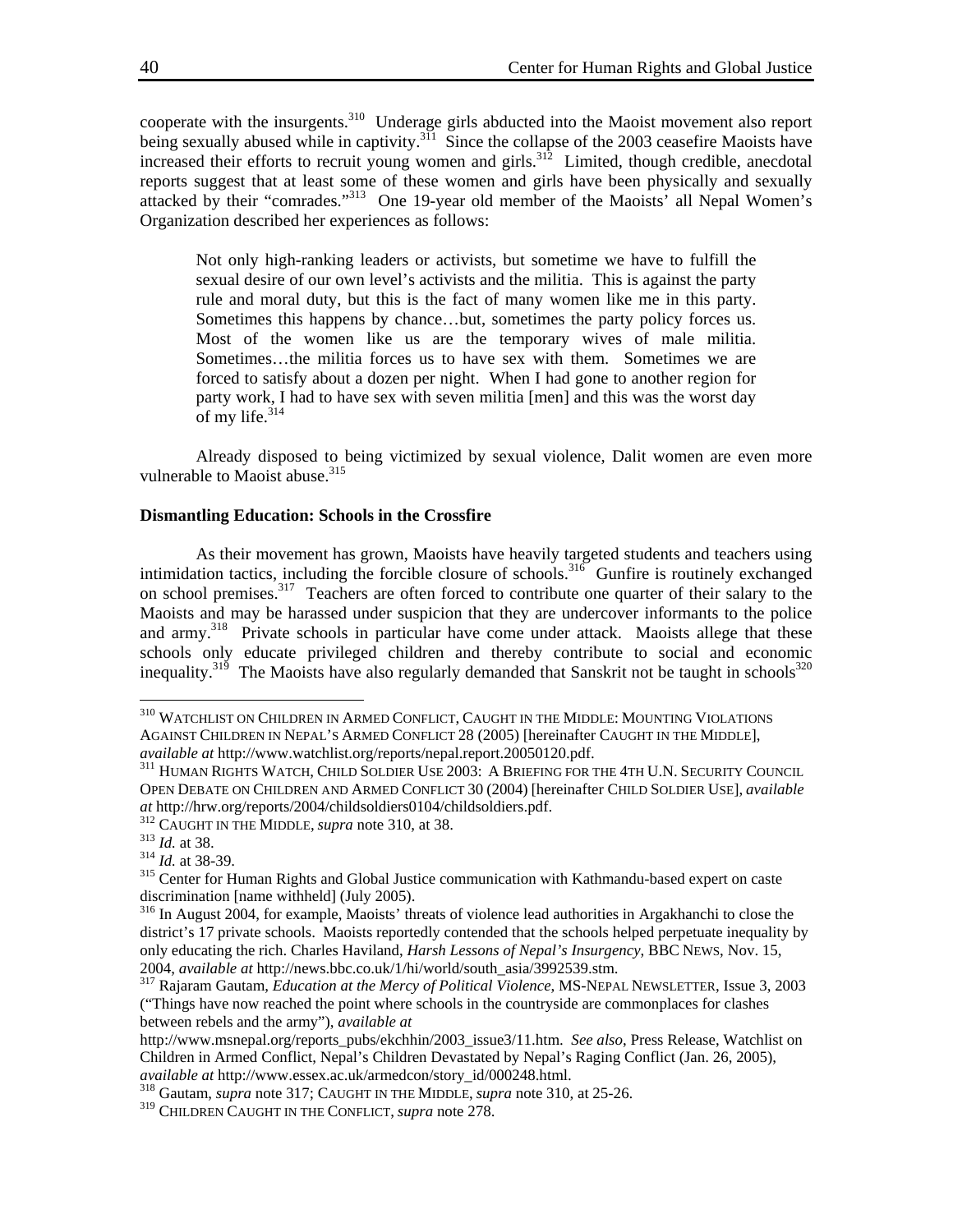cooperate with the insurgents.<sup>310</sup> Underage girls abducted into the Maoist movement also report being sexually abused while in captivity.<sup>311</sup> Since the collapse of the 2003 ceasefire Maoists have increased their efforts to recruit young women and girls.<sup>312</sup> Limited, though credible, anecdotal reports suggest that at least some of these women and girls have been physically and sexually attacked by their "comrades."<sup>313</sup> One 19-year old member of the Maoists' all Nepal Women's Organization described her experiences as follows:

Not only high-ranking leaders or activists, but sometime we have to fulfill the sexual desire of our own level's activists and the militia. This is against the party rule and moral duty, but this is the fact of many women like me in this party. Sometimes this happens by chance…but, sometimes the party policy forces us. Most of the women like us are the temporary wives of male militia. Sometimes…the militia forces us to have sex with them. Sometimes we are forced to satisfy about a dozen per night. When I had gone to another region for party work, I had to have sex with seven militia [men] and this was the worst day of my life.<sup>314</sup>

Already disposed to being victimized by sexual violence, Dalit women are even more vulnerable to Maoist abuse.  $315$ 

## **Dismantling Education: Schools in the Crossfire**

As their movement has grown, Maoists have heavily targeted students and teachers using intimidation tactics, including the forcible closure of schools.<sup>316</sup> Gunfire is routinely exchanged on school premises.<sup>317</sup> Teachers are often forced to contribute one quarter of their salary to the Maoists and may be harassed under suspicion that they are undercover informants to the police and army.<sup>318</sup> Private schools in particular have come under attack. Maoists allege that these schools only educate privileged children and thereby contribute to social and economic inequality.<sup>319</sup> The Maoists have also regularly demanded that Sanskrit not be taught in schools<sup>320</sup>

 $^{310}$  WATCHLIST ON CHILDREN IN ARMED CONFLICT, CAUGHT IN THE MIDDLE: MOUNTING VIOLATIONS AGAINST CHILDREN IN NEPAL'S ARMED CONFLICT 28 (2005) [hereinafter CAUGHT IN THE MIDDLE], *available at* http://www.watchlist.org/reports/nepal.report.20050120.pdf.

<sup>311</sup> HUMAN RIGHTS WATCH, CHILD SOLDIER USE 2003: A BRIEFING FOR THE 4TH U.N. SECURITY COUNCIL OPEN DEBATE ON CHILDREN AND ARMED CONFLICT 30 (2004) [hereinafter CHILD SOLDIER USE], *available at* http://hrw.org/reports/2004/childsoldiers0104/childsoldiers.pdf.

<sup>312</sup> CAUGHT IN THE MIDDLE, *supra* note 310, at 38.

<sup>313</sup> *Id.* at 38.

<sup>314</sup> *Id.* at 38-39.

<sup>&</sup>lt;sup>315</sup> Center for Human Rights and Global Justice communication with Kathmandu-based expert on caste discrimination [name withheld] (July 2005).

<sup>&</sup>lt;sup>316</sup> In August 2004, for example, Maoists' threats of violence lead authorities in Argakhanchi to close the district's 17 private schools. Maoists reportedly contended that the schools helped perpetuate inequality by only educating the rich. Charles Haviland, *Harsh Lessons of Nepal's Insurgency*, BBC NEWS, Nov. 15, 2004, *available at* http://news.bbc.co.uk/1/hi/world/south\_asia/3992539.stm.

<sup>317</sup> Rajaram Gautam, *Education at the Mercy of Political Violence*, MS-NEPAL NEWSLETTER, Issue 3, 2003 ("Things have now reached the point where schools in the countryside are commonplaces for clashes between rebels and the army"), *available at* 

http://www.msnepal.org/reports\_pubs/ekchhin/2003\_issue3/11.htm. *See also*, Press Release, Watchlist on Children in Armed Conflict, Nepal's Children Devastated by Nepal's Raging Conflict (Jan. 26, 2005), *available at* http://www.essex.ac.uk/armedcon/story\_id/000248.html.

<sup>318</sup> Gautam, *supra* note 317; CAUGHT IN THE MIDDLE, *supra* note 310, at 25-26.

<sup>319</sup> CHILDREN CAUGHT IN THE CONFLICT, *supra* note 278.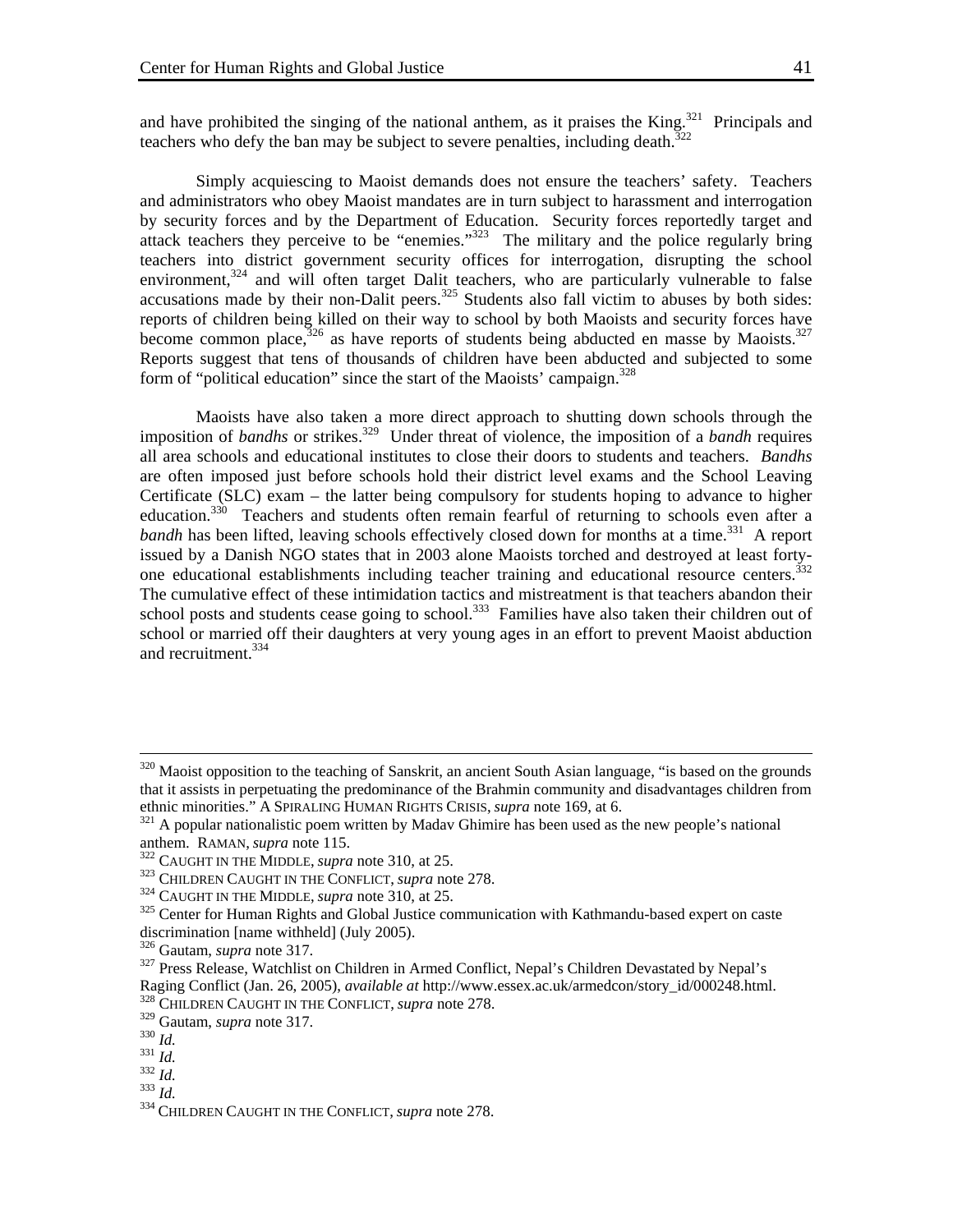and have prohibited the singing of the national anthem, as it praises the King. $321$  Principals and teachers who defy the ban may be subject to severe penalties, including death. $322$ 

Simply acquiescing to Maoist demands does not ensure the teachers' safety. Teachers and administrators who obey Maoist mandates are in turn subject to harassment and interrogation by security forces and by the Department of Education. Security forces reportedly target and attack teachers they perceive to be "enemies."<sup>323</sup> The military and the police regularly bring teachers into district government security offices for interrogation, disrupting the school environment,<sup>324</sup> and will often target Dalit teachers, who are particularly vulnerable to false accusations made by their non-Dalit peers.<sup>325</sup> Students also fall victim to abuses by both sides: reports of children being killed on their way to school by both Maoists and security forces have become common place, $326$  as have reports of students being abducted en masse by Maoists. $327$ Reports suggest that tens of thousands of children have been abducted and subjected to some form of "political education" since the start of the Maoists' campaign.<sup>328</sup>

Maoists have also taken a more direct approach to shutting down schools through the imposition of *bandhs* or strikes.<sup>329</sup> Under threat of violence, the imposition of a *bandh* requires all area schools and educational institutes to close their doors to students and teachers. *Bandhs* are often imposed just before schools hold their district level exams and the School Leaving Certificate (SLC) exam – the latter being compulsory for students hoping to advance to higher education.<sup>330</sup> Teachers and students often remain fearful of returning to schools even after a *bandh* has been lifted, leaving schools effectively closed down for months at a time.<sup>331</sup> A report issued by a Danish NGO states that in 2003 alone Maoists torched and destroyed at least fortyone educational establishments including teacher training and educational resource centers.<sup>332</sup> The cumulative effect of these intimidation tactics and mistreatment is that teachers abandon their school posts and students cease going to school.<sup>333</sup> Families have also taken their children out of school or married off their daughters at very young ages in an effort to prevent Maoist abduction and recruitment.<sup>334</sup>

<sup>&</sup>lt;sup>320</sup> Maoist opposition to the teaching of Sanskrit, an ancient South Asian language, "is based on the grounds that it assists in perpetuating the predominance of the Brahmin community and disadvantages children from ethnic minorities." A SPIRALING HUMAN RIGHTS CRISIS, *supra* note 169, at 6.

 $321$  A popular nationalistic poem written by Madav Ghimire has been used as the new people's national anthem. RAMAN, *supra* note 115.

<sup>322</sup> CAUGHT IN THE MIDDLE, *supra* note 310, at 25.

<sup>323</sup> CHILDREN CAUGHT IN THE CONFLICT, *supra* note 278.

<sup>324</sup> CAUGHT IN THE MIDDLE, *supra* note 310, at 25.

<sup>&</sup>lt;sup>325</sup> Center for Human Rights and Global Justice communication with Kathmandu-based expert on caste discrimination [name withheld] (July 2005).

<sup>326</sup> Gautam, *supra* note 317.

<sup>&</sup>lt;sup>327</sup> Press Release, Watchlist on Children in Armed Conflict, Nepal's Children Devastated by Nepal's Raging Conflict (Jan. 26, 2005), *available at* http://www.essex.ac.uk/armedcon/story\_id/000248.html. <sup>328</sup> CHILDREN CAUGHT IN THE CONFLICT, *supra* note 278.

<sup>329</sup> Gautam, *supra* note 317.

<sup>330</sup> *Id.* 

 $331$  *Id.* 

 $332$   $\frac{1}{1}$ .

 $333$  *Id.* 

<sup>334</sup> CHILDREN CAUGHT IN THE CONFLICT, *supra* note 278.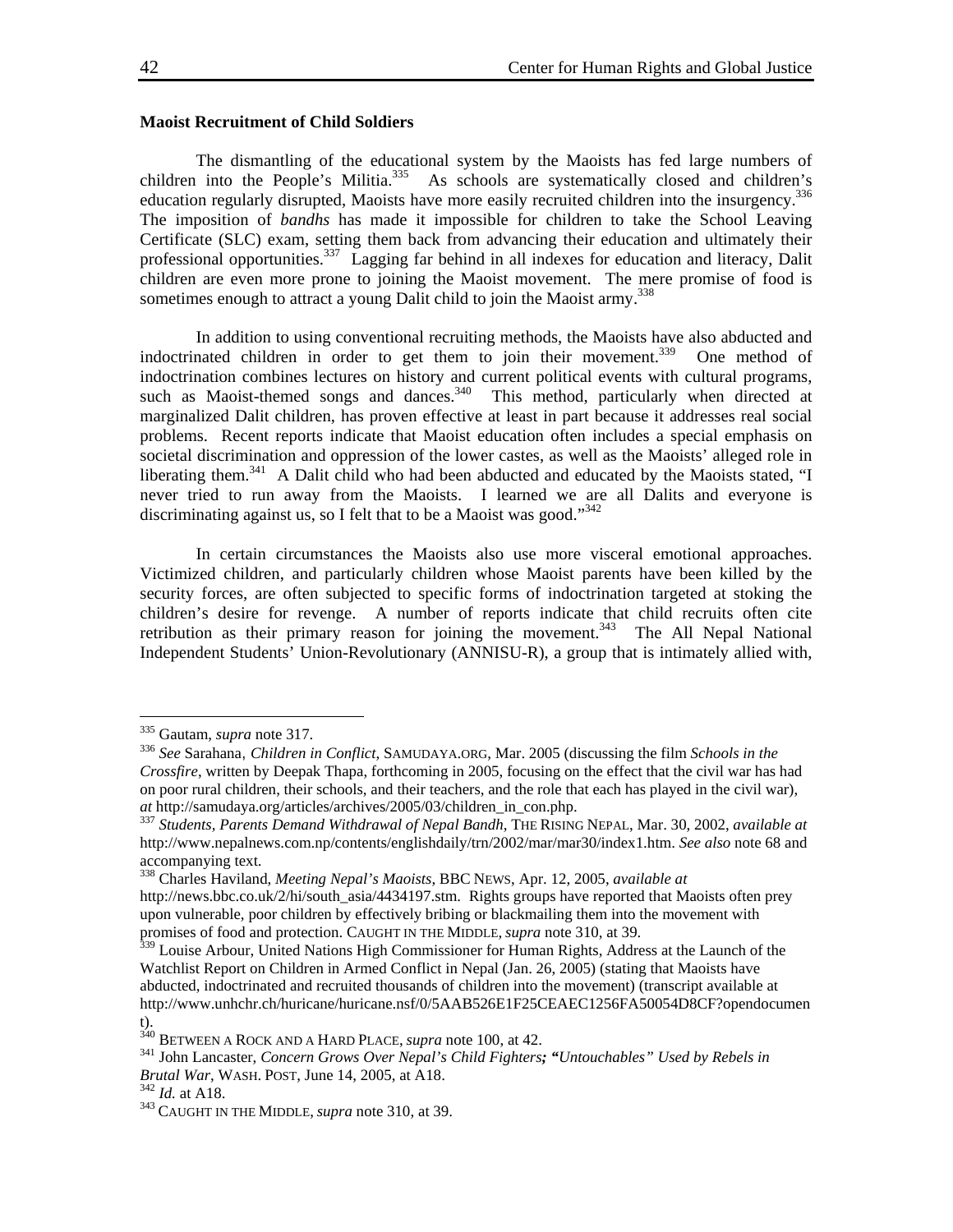#### **Maoist Recruitment of Child Soldiers**

The dismantling of the educational system by the Maoists has fed large numbers of children into the People's Militia. $335$  As schools are systematically closed and children's education regularly disrupted, Maoists have more easily recruited children into the insurgency.<sup>336</sup> The imposition of *bandhs* has made it impossible for children to take the School Leaving Certificate (SLC) exam, setting them back from advancing their education and ultimately their professional opportunities.<sup>337</sup> Lagging far behind in all indexes for education and literacy, Dalit children are even more prone to joining the Maoist movement. The mere promise of food is sometimes enough to attract a young Dalit child to join the Maoist army.<sup>338</sup>

In addition to using conventional recruiting methods, the Maoists have also abducted and indoctrinated children in order to get them to join their movement.<sup>339</sup> One method of indoctrination combines lectures on history and current political events with cultural programs, such as Maoist-themed songs and dances. $340$  This method, particularly when directed at marginalized Dalit children, has proven effective at least in part because it addresses real social problems. Recent reports indicate that Maoist education often includes a special emphasis on societal discrimination and oppression of the lower castes, as well as the Maoists' alleged role in liberating them.<sup>341</sup> A Dalit child who had been abducted and educated by the Maoists stated, "I never tried to run away from the Maoists. I learned we are all Dalits and everyone is discriminating against us, so I felt that to be a Maoist was good."<sup>342</sup>

In certain circumstances the Maoists also use more visceral emotional approaches. Victimized children, and particularly children whose Maoist parents have been killed by the security forces, are often subjected to specific forms of indoctrination targeted at stoking the children's desire for revenge. A number of reports indicate that child recruits often cite retribution as their primary reason for joining the movement.<sup>343</sup> The All Nepal National Independent Students' Union-Revolutionary (ANNISU-R), a group that is intimately allied with,

<sup>335</sup> Gautam, *supra* note 317.

<sup>336</sup> *See* Sarahana, *Children in Conflict*, SAMUDAYA.ORG, Mar. 2005 (discussing the film *Schools in the Crossfire*, written by Deepak Thapa, forthcoming in 2005, focusing on the effect that the civil war has had on poor rural children, their schools, and their teachers, and the role that each has played in the civil war), *at* http://samudaya.org/articles/archives/2005/03/children\_in\_con.php.

<sup>337</sup> *Students, Parents Demand Withdrawal of Nepal Bandh*, THE RISING NEPAL, Mar. 30, 2002, *available at* http://www.nepalnews.com.np/contents/englishdaily/trn/2002/mar/mar30/index1.htm. *See also* note 68 and accompanying text.

<sup>338</sup> Charles Haviland, *Meeting Nepal's Maoists*, BBC NEWS, Apr. 12, 2005, *available at* http://news.bbc.co.uk/2/hi/south\_asia/4434197.stm. Rights groups have reported that Maoists often prey upon vulnerable, poor children by effectively bribing or blackmailing them into the movement with promises of food and protection. CAUGHT IN THE MIDDLE, *supra* note 310, at 39.

<sup>&</sup>lt;sup>339</sup> Louise Arbour, United Nations High Commissioner for Human Rights, Address at the Launch of the Watchlist Report on Children in Armed Conflict in Nepal (Jan. 26, 2005) (stating that Maoists have abducted, indoctrinated and recruited thousands of children into the movement) (transcript available at http://www.unhchr.ch/huricane/huricane.nsf/0/5AAB526E1F25CEAEC1256FA50054D8CF?opendocumen t).

<sup>340</sup> BETWEEN A ROCK AND A HARD PLACE, *supra* note 100, at 42.

<sup>341</sup> John Lancaster, *Concern Grows Over Nepal's Child Fighters; "Untouchables" Used by Rebels in Brutal War*, WASH. POST, June 14, 2005, at A18.

<sup>342</sup> *Id.* at A18.

<sup>343</sup> CAUGHT IN THE MIDDLE, *supra* note 310, at 39.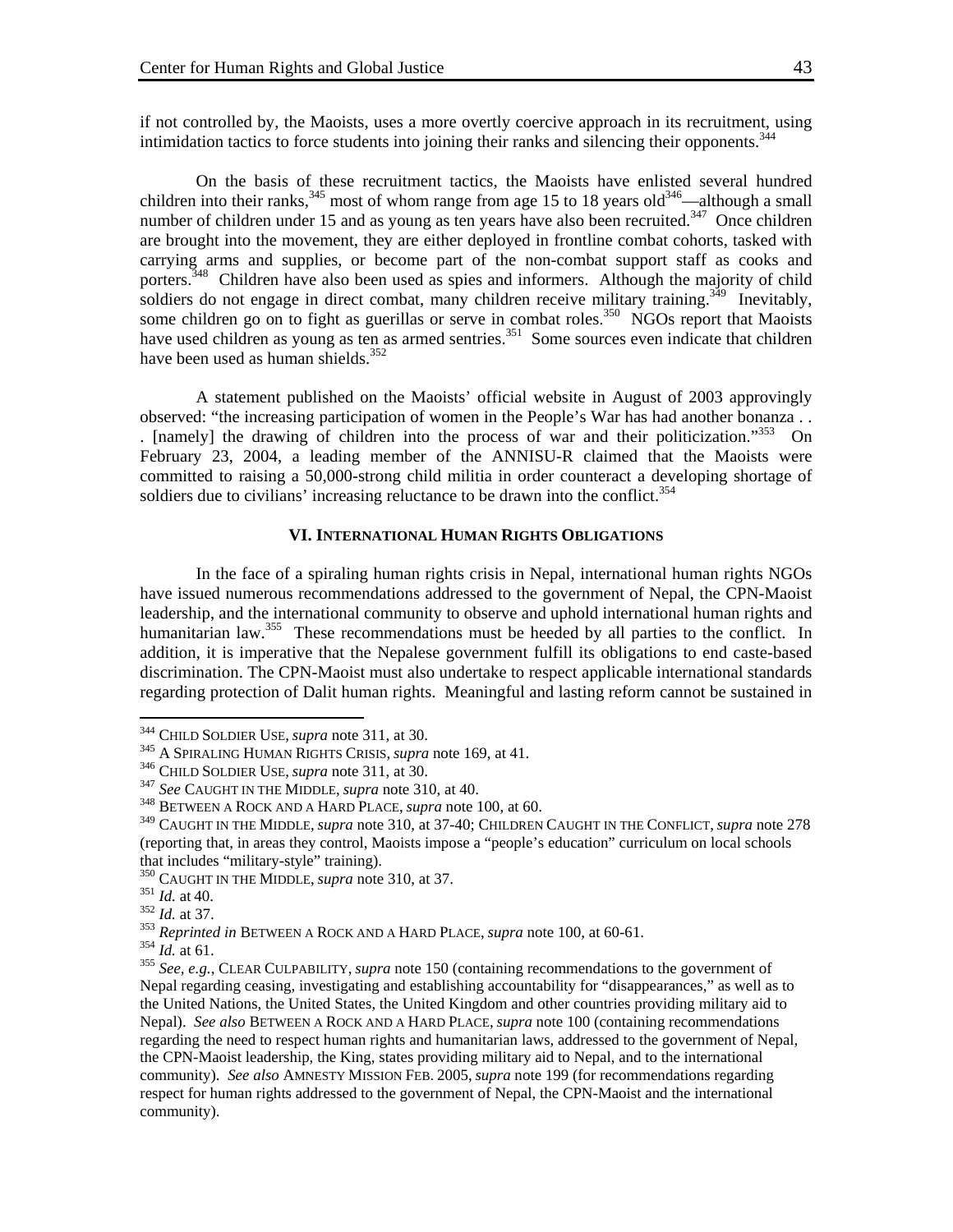if not controlled by, the Maoists, uses a more overtly coercive approach in its recruitment, using intimidation tactics to force students into joining their ranks and silencing their opponents.<sup>344</sup>

 On the basis of these recruitment tactics, the Maoists have enlisted several hundred children into their ranks,  $345$  most of whom range from age 15 to 18 years old  $346$ —although a small number of children under 15 and as young as ten years have also been recruited.<sup>347</sup> Once children are brought into the movement, they are either deployed in frontline combat cohorts, tasked with carrying arms and supplies, or become part of the non-combat support staff as cooks and porters.<sup>348</sup> Children have also been used as spies and informers. Although the majority of child soldiers do not engage in direct combat, many children receive military training.<sup>349</sup> Inevitably, some children go on to fight as guerillas or serve in combat roles.<sup>350</sup> NGOs report that Maoists have used children as young as ten as armed sentries.<sup>351</sup> Some sources even indicate that children have been used as human shields.<sup>352</sup>

A statement published on the Maoists' official website in August of 2003 approvingly observed: "the increasing participation of women in the People's War has had another bonanza . . . [namely] the drawing of children into the process of war and their politicization."<sup>353</sup> On February 23, 2004, a leading member of the ANNISU-R claimed that the Maoists were committed to raising a 50,000-strong child militia in order counteract a developing shortage of soldiers due to civilians' increasing reluctance to be drawn into the conflict.<sup>354</sup>

#### **VI. INTERNATIONAL HUMAN RIGHTS OBLIGATIONS**

In the face of a spiraling human rights crisis in Nepal, international human rights NGOs have issued numerous recommendations addressed to the government of Nepal, the CPN-Maoist leadership, and the international community to observe and uphold international human rights and humanitarian law.<sup>355</sup> These recommendations must be heeded by all parties to the conflict. In addition, it is imperative that the Nepalese government fulfill its obligations to end caste-based discrimination. The CPN-Maoist must also undertake to respect applicable international standards regarding protection of Dalit human rights. Meaningful and lasting reform cannot be sustained in

<sup>344</sup> CHILD SOLDIER USE, *supra* note 311, at 30.

<sup>345</sup> A SPIRALING HUMAN RIGHTS CRISIS, *supra* note 169, at 41.

<sup>346</sup> CHILD SOLDIER USE, *supra* note 311, at 30.

<sup>347</sup> *See* CAUGHT IN THE MIDDLE, *supra* note 310, at 40.

<sup>348</sup> BETWEEN A ROCK AND A HARD PLACE, *supra* note 100, at 60.

<sup>349</sup> CAUGHT IN THE MIDDLE, *supra* note 310, at 37-40; CHILDREN CAUGHT IN THE CONFLICT, *supra* note 278 (reporting that, in areas they control, Maoists impose a "people's education" curriculum on local schools that includes "military-style" training).

<sup>350</sup> CAUGHT IN THE MIDDLE, *supra* note 310, at 37.

<sup>351</sup> *Id.* at 40.

<sup>352</sup> *Id.* at 37.

<sup>353</sup> *Reprinted in* BETWEEN A ROCK AND A HARD PLACE, *supra* note 100, at 60-61.

<sup>354</sup> *Id.* at 61.

<sup>355</sup> *See, e.g.*, CLEAR CULPABILITY, *supra* note 150 (containing recommendations to the government of Nepal regarding ceasing, investigating and establishing accountability for "disappearances," as well as to the United Nations, the United States, the United Kingdom and other countries providing military aid to Nepal). *See also* BETWEEN A ROCK AND A HARD PLACE, *supra* note 100 (containing recommendations regarding the need to respect human rights and humanitarian laws, addressed to the government of Nepal, the CPN-Maoist leadership, the King, states providing military aid to Nepal, and to the international community). *See also* AMNESTY MISSION FEB. 2005, *supra* note 199 (for recommendations regarding respect for human rights addressed to the government of Nepal, the CPN-Maoist and the international community).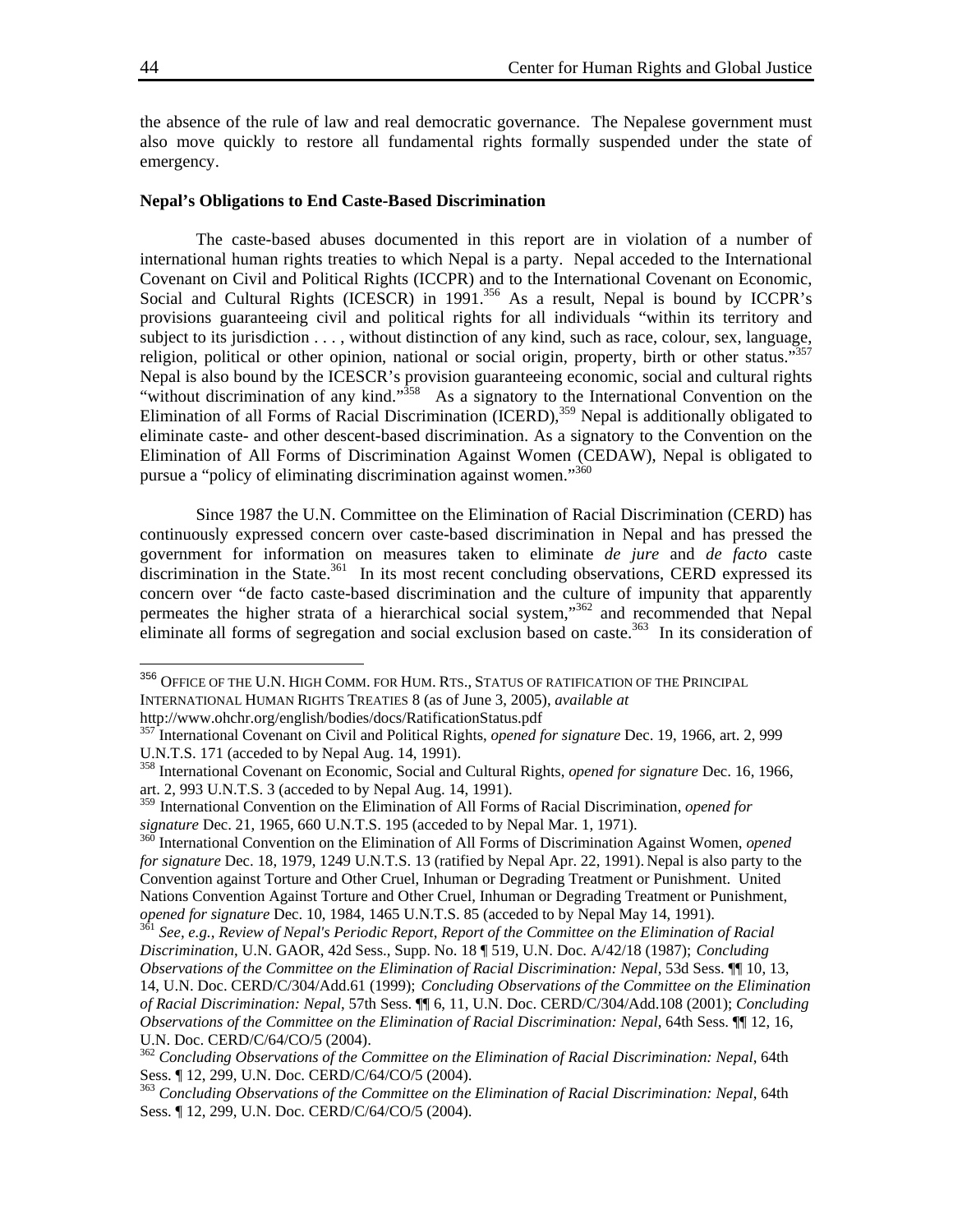the absence of the rule of law and real democratic governance. The Nepalese government must also move quickly to restore all fundamental rights formally suspended under the state of emergency.

#### **Nepal's Obligations to End Caste-Based Discrimination**

The caste-based abuses documented in this report are in violation of a number of international human rights treaties to which Nepal is a party. Nepal acceded to the International Covenant on Civil and Political Rights (ICCPR) and to the International Covenant on Economic, Social and Cultural Rights (ICESCR) in  $1991<sup>356</sup>$  As a result, Nepal is bound by ICCPR's provisions guaranteeing civil and political rights for all individuals "within its territory and subject to its jurisdiction . . . , without distinction of any kind, such as race, colour, sex, language, religion, political or other opinion, national or social origin, property, birth or other status."<sup>357</sup> Nepal is also bound by the ICESCR's provision guaranteeing economic, social and cultural rights "without discrimination of any kind."<sup>358</sup> As a signatory to the International Convention on the Elimination of all Forms of Racial Discrimination (ICERD),<sup>359</sup> Nepal is additionally obligated to eliminate caste- and other descent-based discrimination. As a signatory to the Convention on the Elimination of All Forms of Discrimination Against Women (CEDAW), Nepal is obligated to pursue a "policy of eliminating discrimination against women."<sup>360</sup>

Since 1987 the U.N. Committee on the Elimination of Racial Discrimination (CERD) has continuously expressed concern over caste-based discrimination in Nepal and has pressed the government for information on measures taken to eliminate *de jure* and *de facto* caste discrimination in the State.<sup>361</sup> In its most recent concluding observations, CERD expressed its concern over "de facto caste-based discrimination and the culture of impunity that apparently permeates the higher strata of a hierarchical social system,"<sup>362</sup> and recommended that Nepal eliminate all forms of segregation and social exclusion based on caste.<sup>363</sup> In its consideration of

 $^{356}$  Office of the U.N. High Comm. for Hum. Rts., Status of ratification of the Principal INTERNATIONAL HUMAN RIGHTS TREATIES 8 (as of June 3, 2005), *available at*

http://www.ohchr.org/english/bodies/docs/RatificationStatus.pdf

<sup>357</sup> International Covenant on Civil and Political Rights, *opened for signature* Dec. 19, 1966, art. 2, 999 U.N.T.S. 171 (acceded to by Nepal Aug. 14, 1991).

<sup>358</sup> International Covenant on Economic, Social and Cultural Rights, *opened for signature* Dec. 16, 1966, art. 2, 993 U.N.T.S. 3 (acceded to by Nepal Aug. 14, 1991).

<sup>359</sup> International Convention on the Elimination of All Forms of Racial Discrimination, *opened for signature* Dec. 21, 1965, 660 U.N.T.S. 195 (acceded to by Nepal Mar. 1, 1971).

<sup>360</sup> International Convention on the Elimination of All Forms of Discrimination Against Women, *opened for signature* Dec. 18, 1979, 1249 U.N.T.S. 13 (ratified by Nepal Apr. 22, 1991). Nepal is also party to the Convention against Torture and Other Cruel, Inhuman or Degrading Treatment or Punishment. United Nations Convention Against Torture and Other Cruel, Inhuman or Degrading Treatment or Punishment, *opened for signature* Dec. 10, 1984, 1465 U.N.T.S. 85 (acceded to by Nepal May 14, 1991).

<sup>361</sup> *See, e.g., Review of Nepal's Periodic Report*, *Report of the Committee on the Elimination of Racial Discrimination*, U.N. GAOR, 42d Sess., Supp. No. 18 ¶ 519, U.N. Doc. A/42/18 (1987); *Concluding Observations of the Committee on the Elimination of Racial Discrimination: Nepal*, 53d Sess. ¶¶ 10, 13, 14, U.N. Doc. CERD/C/304/Add.61 (1999); *Concluding Observations of the Committee on the Elimination of Racial Discrimination: Nepal*, 57th Sess. ¶¶ 6, 11, U.N. Doc. CERD/C/304/Add.108 (2001); *Concluding* 

*Observations of the Committee on the Elimination of Racial Discrimination: Nepal*, 64th Sess. ¶¶ 12, 16, U.N. Doc. CERD/C/64/CO/5 (2004).

<sup>362</sup> *Concluding Observations of the Committee on the Elimination of Racial Discrimination: Nepal*, 64th Sess. ¶ 12, 299, U.N. Doc. CERD/C/64/CO/5 (2004).

<sup>363</sup> *Concluding Observations of the Committee on the Elimination of Racial Discrimination: Nepal*, 64th Sess. ¶ 12, 299, U.N. Doc. CERD/C/64/CO/5 (2004).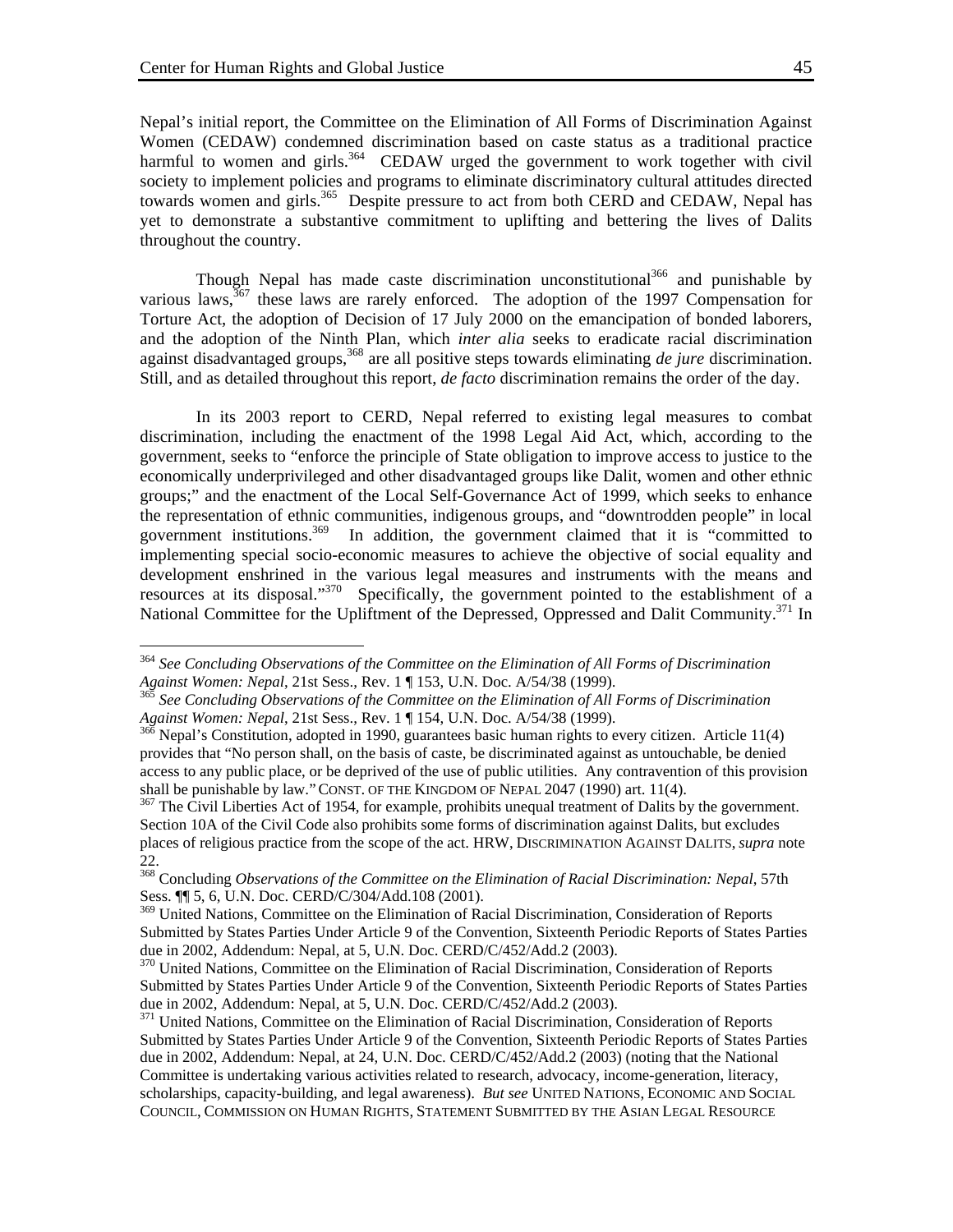$\overline{a}$ 

Nepal's initial report, the Committee on the Elimination of All Forms of Discrimination Against Women (CEDAW) condemned discrimination based on caste status as a traditional practice harmful to women and girls.<sup>364</sup> CEDAW urged the government to work together with civil society to implement policies and programs to eliminate discriminatory cultural attitudes directed towards women and girls.<sup>365</sup> Despite pressure to act from both CERD and CEDAW, Nepal has yet to demonstrate a substantive commitment to uplifting and bettering the lives of Dalits throughout the country.

Though Nepal has made caste discrimination unconstitutional<sup>366</sup> and punishable by various laws,  $367$  these laws are rarely enforced. The adoption of the 1997 Compensation for Torture Act, the adoption of Decision of 17 July 2000 on the emancipation of bonded laborers, and the adoption of the Ninth Plan, which *inter alia* seeks to eradicate racial discrimination against disadvantaged groups,<sup>368</sup> are all positive steps towards eliminating *de jure* discrimination. Still, and as detailed throughout this report, *de facto* discrimination remains the order of the day.

In its 2003 report to CERD, Nepal referred to existing legal measures to combat discrimination, including the enactment of the 1998 Legal Aid Act, which, according to the government, seeks to "enforce the principle of State obligation to improve access to justice to the economically underprivileged and other disadvantaged groups like Dalit, women and other ethnic groups;" and the enactment of the Local Self-Governance Act of 1999, which seeks to enhance the representation of ethnic communities, indigenous groups, and "downtrodden people" in local government institutions.<sup>369</sup> In addition, the government claimed that it is "committed to implementing special socio-economic measures to achieve the objective of social equality and development enshrined in the various legal measures and instruments with the means and resources at its disposal."<sup>370</sup> Specifically, the government pointed to the establishment of a National Committee for the Upliftment of the Depressed, Oppressed and Dalit Community.<sup>371</sup> In

<sup>364</sup> *See Concluding Observations of the Committee on the Elimination of All Forms of Discrimination Against Women: Nepal*, 21st Sess., Rev. 1 ¶ 153, U.N. Doc. A/54/38 (1999).

<sup>365</sup> *See Concluding Observations of the Committee on the Elimination of All Forms of Discrimination Against Women: Nepal*, 21st Sess., Rev. 1 ¶ 154, U.N. Doc. A/54/38 (1999).

 $366$  Nepal's Constitution, adopted in 1990, guarantees basic human rights to every citizen. Article 11(4) provides that "No person shall, on the basis of caste, be discriminated against as untouchable, be denied access to any public place, or be deprived of the use of public utilities. Any contravention of this provision shall be punishable by law."CONST. OF THE KINGDOM OF NEPAL 2047 (1990) art. 11(4).

<sup>&</sup>lt;sup>367</sup> The Civil Liberties Act of 1954, for example, prohibits unequal treatment of Dalits by the government. Section 10A of the Civil Code also prohibits some forms of discrimination against Dalits, but excludes places of religious practice from the scope of the act. HRW, DISCRIMINATION AGAINST DALITS, *supra* note 22.

<sup>368</sup> Concluding *Observations of the Committee on the Elimination of Racial Discrimination: Nepal*, 57th Sess. ¶¶ 5, 6, U.N. Doc. CERD/C/304/Add.108 (2001).

<sup>&</sup>lt;sup>369</sup> United Nations, Committee on the Elimination of Racial Discrimination, Consideration of Reports Submitted by States Parties Under Article 9 of the Convention, Sixteenth Periodic Reports of States Parties due in 2002, Addendum: Nepal, at 5, U.N. Doc. CERD/C/452/Add.2 (2003).

<sup>&</sup>lt;sup>370</sup> United Nations, Committee on the Elimination of Racial Discrimination, Consideration of Reports Submitted by States Parties Under Article 9 of the Convention, Sixteenth Periodic Reports of States Parties due in 2002, Addendum: Nepal, at 5, U.N. Doc. CERD/C/452/Add.2 (2003).

<sup>&</sup>lt;sup>371</sup> United Nations, Committee on the Elimination of Racial Discrimination, Consideration of Reports Submitted by States Parties Under Article 9 of the Convention, Sixteenth Periodic Reports of States Parties due in 2002, Addendum: Nepal, at 24, U.N. Doc. CERD/C/452/Add.2 (2003) (noting that the National Committee is undertaking various activities related to research, advocacy, income-generation, literacy, scholarships, capacity-building, and legal awareness). *But see* UNITED NATIONS, ECONOMIC AND SOCIAL COUNCIL, COMMISSION ON HUMAN RIGHTS, STATEMENT SUBMITTED BY THE ASIAN LEGAL RESOURCE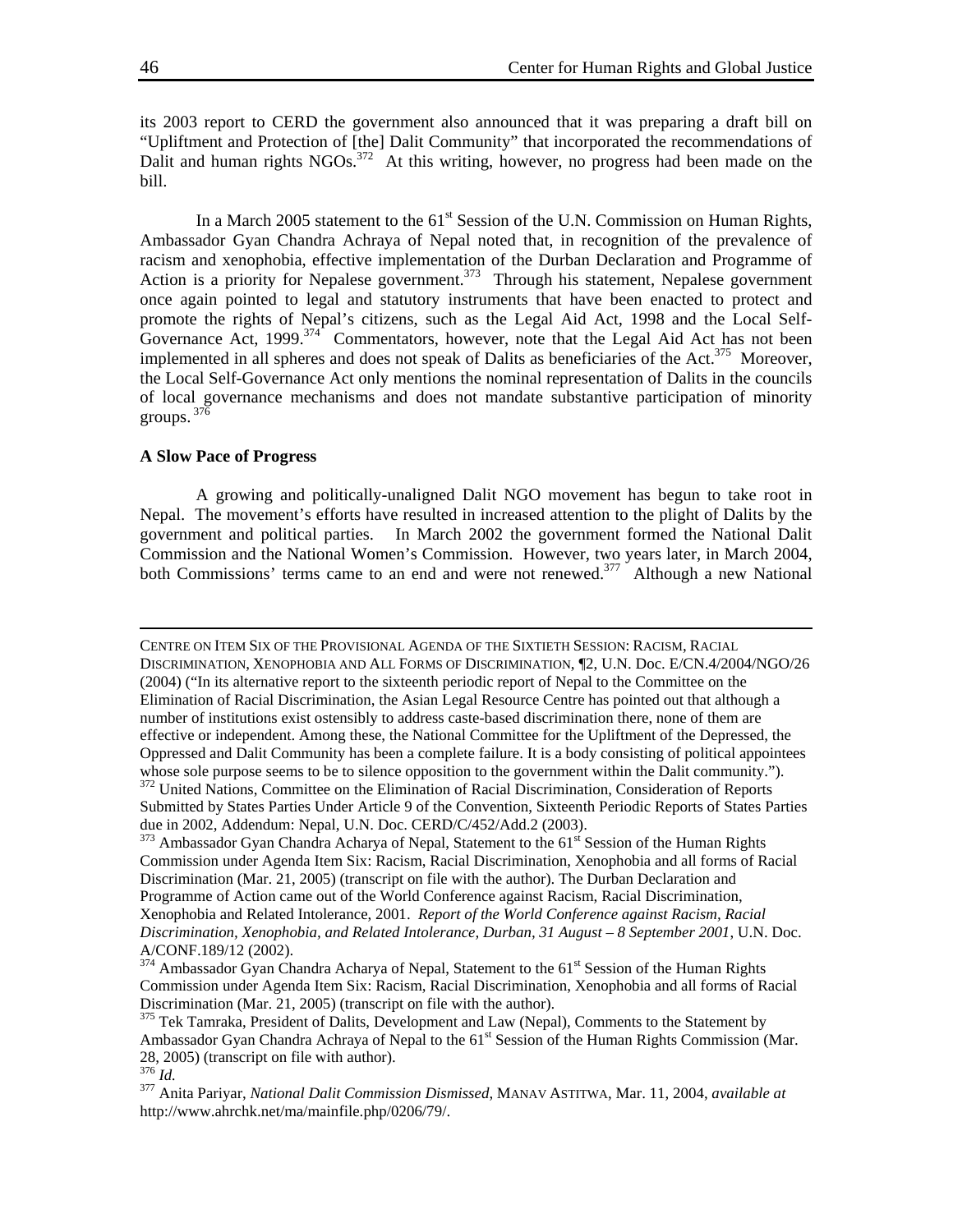its 2003 report to CERD the government also announced that it was preparing a draft bill on "Upliftment and Protection of [the] Dalit Community" that incorporated the recommendations of Dalit and human rights NGOs.<sup>372</sup> At this writing, however, no progress had been made on the bill.

In a March 2005 statement to the  $61<sup>st</sup>$  Session of the U.N. Commission on Human Rights, Ambassador Gyan Chandra Achraya of Nepal noted that, in recognition of the prevalence of racism and xenophobia, effective implementation of the Durban Declaration and Programme of Action is a priority for Nepalese government.<sup>373</sup> Through his statement, Nepalese government once again pointed to legal and statutory instruments that have been enacted to protect and promote the rights of Nepal's citizens, such as the Legal Aid Act, 1998 and the Local Self-Governance Act, 1999.<sup>374</sup> Commentators, however, note that the Legal Aid Act has not been implemented in all spheres and does not speak of Dalits as beneficiaries of the Act.<sup>375</sup> Moreover, the Local Self-Governance Act only mentions the nominal representation of Dalits in the councils of local governance mechanisms and does not mandate substantive participation of minority groups.<sup>376</sup>

# **A Slow Pace of Progress**

A growing and politically-unaligned Dalit NGO movement has begun to take root in Nepal. The movement's efforts have resulted in increased attention to the plight of Dalits by the government and political parties. In March 2002 the government formed the National Dalit Commission and the National Women's Commission. However, two years later, in March 2004, both Commissions' terms came to an end and were not renewed.<sup>377</sup> Although a new National

CENTRE ON ITEM SIX OF THE PROVISIONAL AGENDA OF THE SIXTIETH SESSION: RACISM, RACIAL DISCRIMINATION, XENOPHOBIA AND ALL FORMS OF DISCRIMINATION, ¶2, U.N. Doc. E/CN.4/2004/NGO/26 (2004) ("In its alternative report to the sixteenth periodic report of Nepal to the Committee on the Elimination of Racial Discrimination, the Asian Legal Resource Centre has pointed out that although a number of institutions exist ostensibly to address caste-based discrimination there, none of them are effective or independent. Among these, the National Committee for the Upliftment of the Depressed, the Oppressed and Dalit Community has been a complete failure. It is a body consisting of political appointees whose sole purpose seems to be to silence opposition to the government within the Dalit community."). <sup>372</sup> United Nations, Committee on the Elimination of Racial Discrimination, Consideration of Reports Submitted by States Parties Under Article 9 of the Convention, Sixteenth Periodic Reports of States Parties due in 2002, Addendum: Nepal, U.N. Doc. CERD/C/452/Add.2 (2003).

<sup>&</sup>lt;sup>373</sup> Ambassador Gyan Chandra Acharya of Nepal, Statement to the 61<sup>st</sup> Session of the Human Rights Commission under Agenda Item Six: Racism, Racial Discrimination, Xenophobia and all forms of Racial Discrimination (Mar. 21, 2005) (transcript on file with the author). The Durban Declaration and Programme of Action came out of the World Conference against Racism, Racial Discrimination, Xenophobia and Related Intolerance, 2001. *Report of the World Conference against Racism, Racial Discrimination, Xenophobia, and Related Intolerance, Durban, 31 August – 8 September 2001*, U.N. Doc. A/CONF.189/12 (2002).

<sup>&</sup>lt;sup>374</sup> Ambassador Gyan Chandra Acharya of Nepal, Statement to the 61<sup>st</sup> Session of the Human Rights Commission under Agenda Item Six: Racism, Racial Discrimination, Xenophobia and all forms of Racial Discrimination (Mar. 21, 2005) (transcript on file with the author).

<sup>&</sup>lt;sup>375</sup> Tek Tamraka, President of Dalits, Development and Law (Nepal), Comments to the Statement by Ambassador Gyan Chandra Achraya of Nepal to the 61<sup>st</sup> Session of the Human Rights Commission (Mar. 28, 2005) (transcript on file with author).

<sup>376</sup> *Id.*

<sup>377</sup> Anita Pariyar, *National Dalit Commission Dismissed*, MANAV ASTITWA, Mar. 11, 2004, *available at* http://www.ahrchk.net/ma/mainfile.php/0206/79/.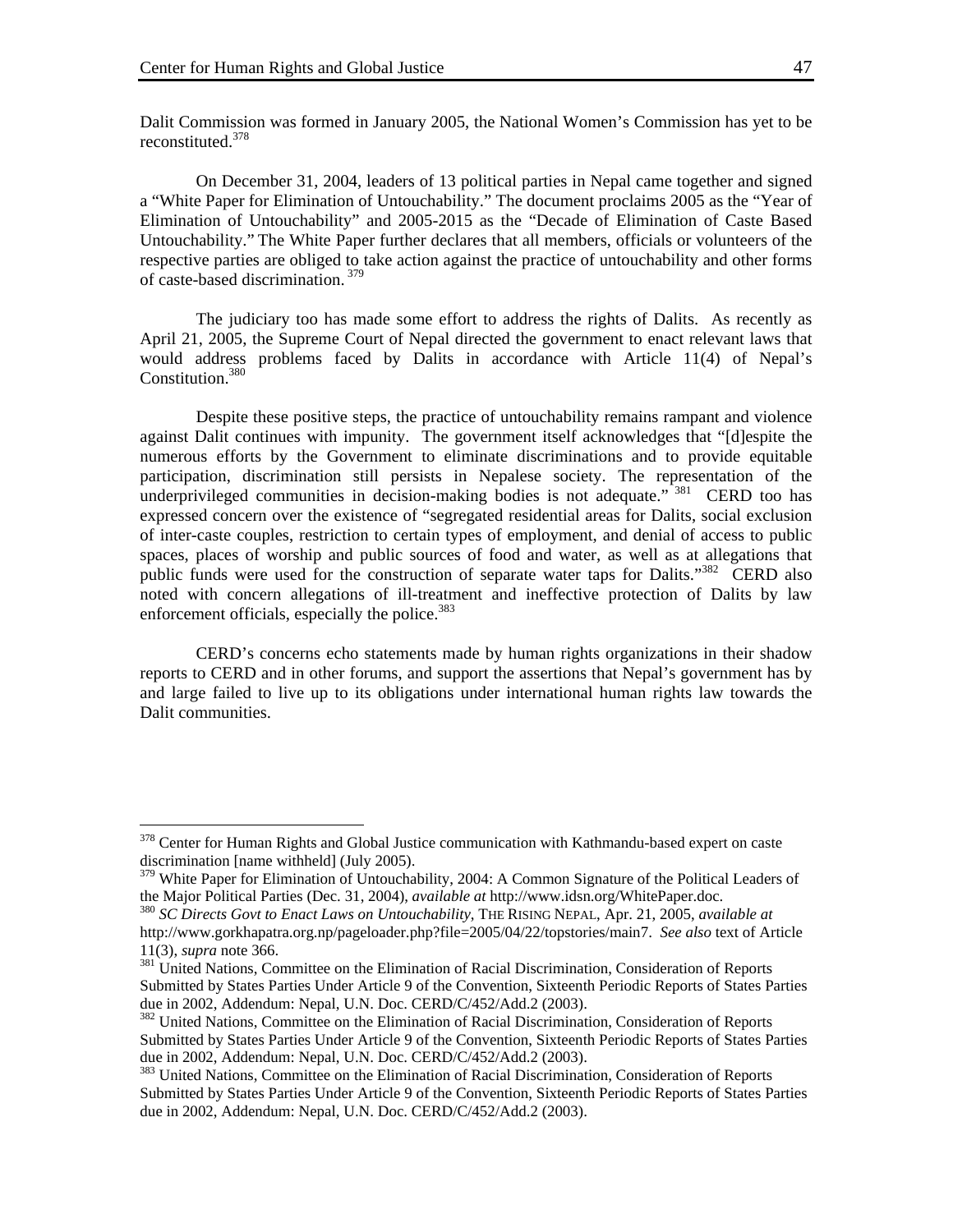$\overline{a}$ 

Dalit Commission was formed in January 2005, the National Women's Commission has yet to be reconstituted.<sup>378</sup>

On December 31, 2004, leaders of 13 political parties in Nepal came together and signed a "White Paper for Elimination of Untouchability." The document proclaims 2005 as the "Year of Elimination of Untouchability" and 2005-2015 as the "Decade of Elimination of Caste Based Untouchability." The White Paper further declares that all members, officials or volunteers of the respective parties are obliged to take action against the practice of untouchability and other forms of caste-based discrimination.<sup>379</sup>

The judiciary too has made some effort to address the rights of Dalits. As recently as April 21, 2005, the Supreme Court of Nepal directed the government to enact relevant laws that would address problems faced by Dalits in accordance with Article 11(4) of Nepal's Constitution.<sup>380</sup>

Despite these positive steps, the practice of untouchability remains rampant and violence against Dalit continues with impunity. The government itself acknowledges that "[d]espite the numerous efforts by the Government to eliminate discriminations and to provide equitable participation, discrimination still persists in Nepalese society. The representation of the underprivileged communities in decision-making bodies is not adequate.<sup> $381$ </sup> CERD too has expressed concern over the existence of "segregated residential areas for Dalits, social exclusion of inter-caste couples, restriction to certain types of employment, and denial of access to public spaces, places of worship and public sources of food and water, as well as at allegations that public funds were used for the construction of separate water taps for Dalits."<sup>382</sup> CERD also noted with concern allegations of ill-treatment and ineffective protection of Dalits by law enforcement officials, especially the police. $383$ 

CERD's concerns echo statements made by human rights organizations in their shadow reports to CERD and in other forums, and support the assertions that Nepal's government has by and large failed to live up to its obligations under international human rights law towards the Dalit communities.

<sup>&</sup>lt;sup>378</sup> Center for Human Rights and Global Justice communication with Kathmandu-based expert on caste discrimination [name withheld] (July 2005).

<sup>&</sup>lt;sup>379</sup> White Paper for Elimination of Untouchability, 2004: A Common Signature of the Political Leaders of the Major Political Parties (Dec. 31, 2004), *available at* http://www.idsn.org/WhitePaper.doc.

<sup>380</sup> *SC Directs Govt to Enact Laws on Untouchability*, THE RISING NEPAL, Apr. 21, 2005, *available at*  http://www.gorkhapatra.org.np/pageloader.php?file=2005/04/22/topstories/main7. *See also* text of Article 11(3), *supra* note 366.

<sup>&</sup>lt;sup>381</sup> United Nations, Committee on the Elimination of Racial Discrimination, Consideration of Reports Submitted by States Parties Under Article 9 of the Convention, Sixteenth Periodic Reports of States Parties due in 2002, Addendum: Nepal, U.N. Doc. CERD/C/452/Add.2 (2003).

<sup>&</sup>lt;sup>382</sup> United Nations, Committee on the Elimination of Racial Discrimination, Consideration of Reports Submitted by States Parties Under Article 9 of the Convention, Sixteenth Periodic Reports of States Parties due in 2002, Addendum: Nepal, U.N. Doc. CERD/C/452/Add.2 (2003).

<sup>&</sup>lt;sup>383</sup> United Nations, Committee on the Elimination of Racial Discrimination, Consideration of Reports Submitted by States Parties Under Article 9 of the Convention, Sixteenth Periodic Reports of States Parties due in 2002, Addendum: Nepal, U.N. Doc. CERD/C/452/Add.2 (2003).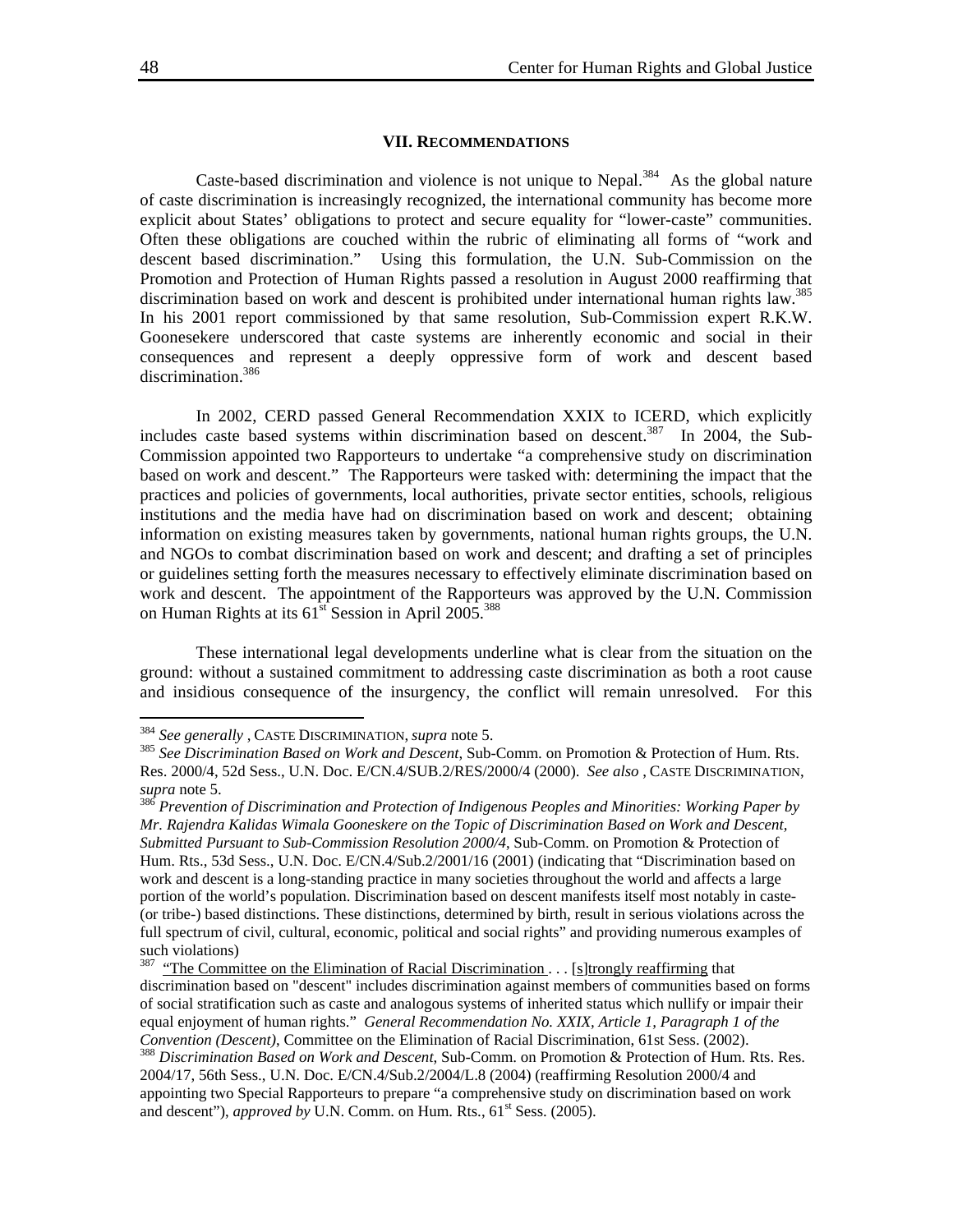#### **VII. RECOMMENDATIONS**

Caste-based discrimination and violence is not unique to Nepal.<sup>384</sup> As the global nature of caste discrimination is increasingly recognized, the international community has become more explicit about States' obligations to protect and secure equality for "lower-caste" communities. Often these obligations are couched within the rubric of eliminating all forms of "work and descent based discrimination." Using this formulation, the U.N. Sub-Commission on the Promotion and Protection of Human Rights passed a resolution in August 2000 reaffirming that discrimination based on work and descent is prohibited under international human rights law.<sup>385</sup> In his 2001 report commissioned by that same resolution, Sub-Commission expert R.K.W. Goonesekere underscored that caste systems are inherently economic and social in their consequences and represent a deeply oppressive form of work and descent based discrimination.<sup>386</sup>

In 2002, CERD passed General Recommendation XXIX to ICERD, which explicitly includes caste based systems within discrimination based on descent.<sup>387</sup> In 2004, the Sub-Commission appointed two Rapporteurs to undertake "a comprehensive study on discrimination based on work and descent." The Rapporteurs were tasked with: determining the impact that the practices and policies of governments, local authorities, private sector entities, schools, religious institutions and the media have had on discrimination based on work and descent; obtaining information on existing measures taken by governments, national human rights groups, the U.N. and NGOs to combat discrimination based on work and descent; and drafting a set of principles or guidelines setting forth the measures necessary to effectively eliminate discrimination based on work and descent. The appointment of the Rapporteurs was approved by the U.N. Commission on Human Rights at its  $61<sup>st</sup>$  Session in April 2005.<sup>388</sup>

These international legal developments underline what is clear from the situation on the ground: without a sustained commitment to addressing caste discrimination as both a root cause and insidious consequence of the insurgency, the conflict will remain unresolved. For this

<sup>384</sup> *See generally* , CASTE DISCRIMINATION, *supra* note 5.

<sup>385</sup> *See Discrimination Based on Work and Descent*, Sub-Comm. on Promotion & Protection of Hum. Rts. Res. 2000/4, 52d Sess., U.N. Doc. E/CN.4/SUB.2/RES/2000/4 (2000). *See also* , CASTE DISCRIMINATION, *supra* note 5.

<sup>386</sup> *Prevention of Discrimination and Protection of Indigenous Peoples and Minorities: Working Paper by Mr. Rajendra Kalidas Wimala Gooneskere on the Topic of Discrimination Based on Work and Descent, Submitted Pursuant to Sub-Commission Resolution 2000/4*, Sub-Comm. on Promotion & Protection of Hum. Rts., 53d Sess., U.N. Doc. E/CN.4/Sub.2/2001/16 (2001) (indicating that "Discrimination based on work and descent is a long-standing practice in many societies throughout the world and affects a large portion of the world's population. Discrimination based on descent manifests itself most notably in caste- (or tribe-) based distinctions. These distinctions, determined by birth, result in serious violations across the full spectrum of civil, cultural, economic, political and social rights" and providing numerous examples of such violations)

 $387$  "The Committee on the Elimination of Racial Discrimination . . . [s] trongly reaffirming that discrimination based on "descent" includes discrimination against members of communities based on forms of social stratification such as caste and analogous systems of inherited status which nullify or impair their equal enjoyment of human rights." *General Recommendation No. XXIX, Article 1, Paragraph 1 of the Convention (Descent)*, Committee on the Elimination of Racial Discrimination, 61st Sess. (2002).

<sup>388</sup> *Discrimination Based on Work and Descent*, Sub-Comm. on Promotion & Protection of Hum. Rts. Res. 2004/17, 56th Sess., U.N. Doc. E/CN.4/Sub.2/2004/L.8 (2004) (reaffirming Resolution 2000/4 and appointing two Special Rapporteurs to prepare "a comprehensive study on discrimination based on work and descent"), *approved by* U.N. Comm. on Hum. Rts., 61<sup>st</sup> Sess. (2005).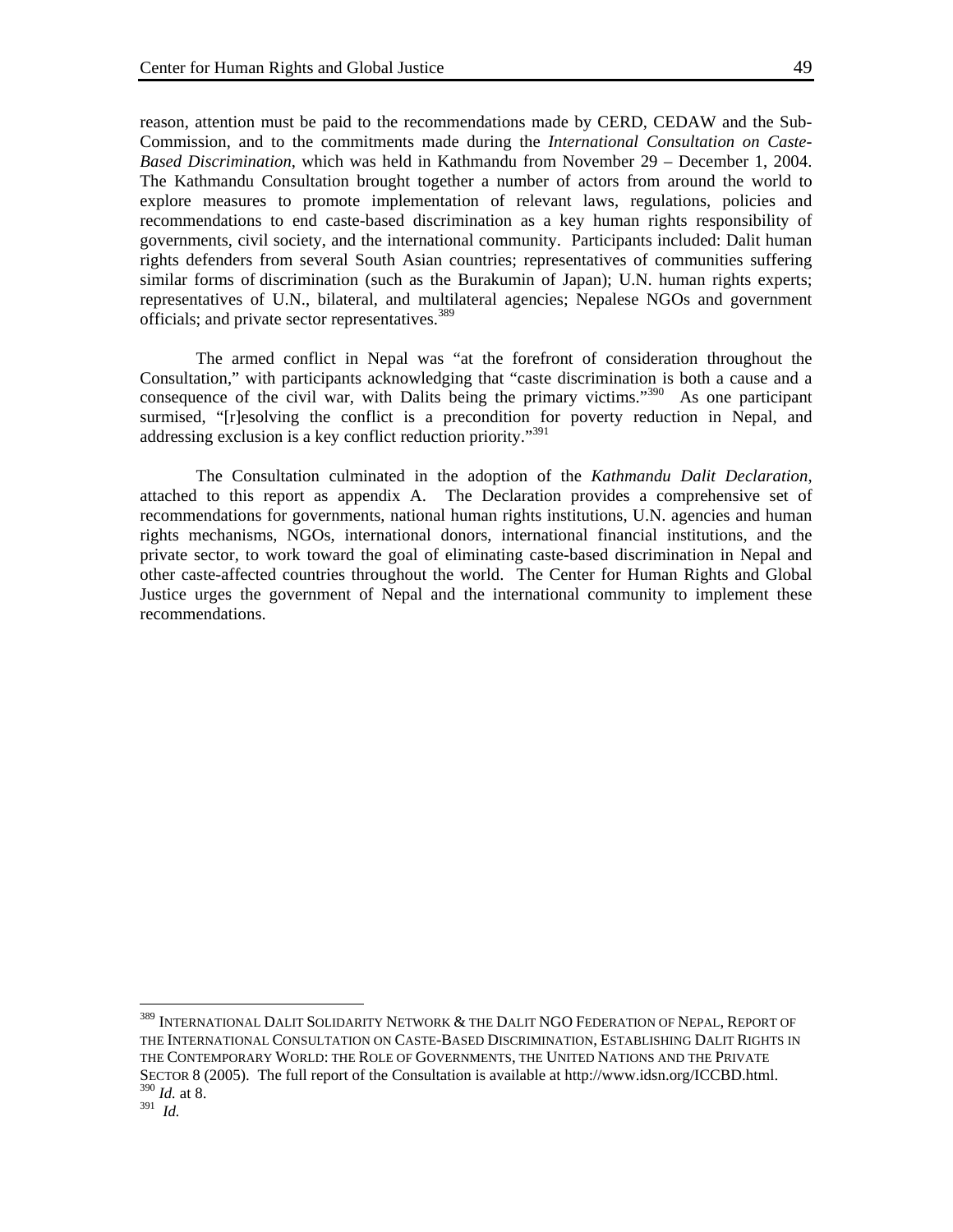reason, attention must be paid to the recommendations made by CERD, CEDAW and the Sub-Commission, and to the commitments made during the *International Consultation on Caste-Based Discrimination*, which was held in Kathmandu from November 29 – December 1, 2004. The Kathmandu Consultation brought together a number of actors from around the world to explore measures to promote implementation of relevant laws, regulations, policies and recommendations to end caste-based discrimination as a key human rights responsibility of governments, civil society, and the international community. Participants included: Dalit human rights defenders from several South Asian countries; representatives of communities suffering similar forms of discrimination (such as the Burakumin of Japan); U.N. human rights experts; representatives of U.N., bilateral, and multilateral agencies; Nepalese NGOs and government officials; and private sector representatives.<sup>389</sup>

The armed conflict in Nepal was "at the forefront of consideration throughout the Consultation," with participants acknowledging that "caste discrimination is both a cause and a consequence of the civil war, with Dalits being the primary victims."<sup>390</sup> As one participant surmised, "[r]esolving the conflict is a precondition for poverty reduction in Nepal, and addressing exclusion is a key conflict reduction priority."<sup>391</sup>

The Consultation culminated in the adoption of the *Kathmandu Dalit Declaration*, attached to this report as appendix A. The Declaration provides a comprehensive set of recommendations for governments, national human rights institutions, U.N. agencies and human rights mechanisms, NGOs, international donors, international financial institutions, and the private sector, to work toward the goal of eliminating caste-based discrimination in Nepal and other caste-affected countries throughout the world. The Center for Human Rights and Global Justice urges the government of Nepal and the international community to implement these recommendations.

 $^{389}$  International Dalit Solidarity Network & the Dalit NGO Federation of Nepal, Report of THE INTERNATIONAL CONSULTATION ON CASTE-BASED DISCRIMINATION, ESTABLISHING DALIT RIGHTS IN THE CONTEMPORARY WORLD: THE ROLE OF GOVERNMENTS, THE UNITED NATIONS AND THE PRIVATE SECTOR 8 (2005). The full report of the Consultation is available at http://www.idsn.org/ICCBD.html. <sup>390</sup> *Id.* at 8. 391 *Id.*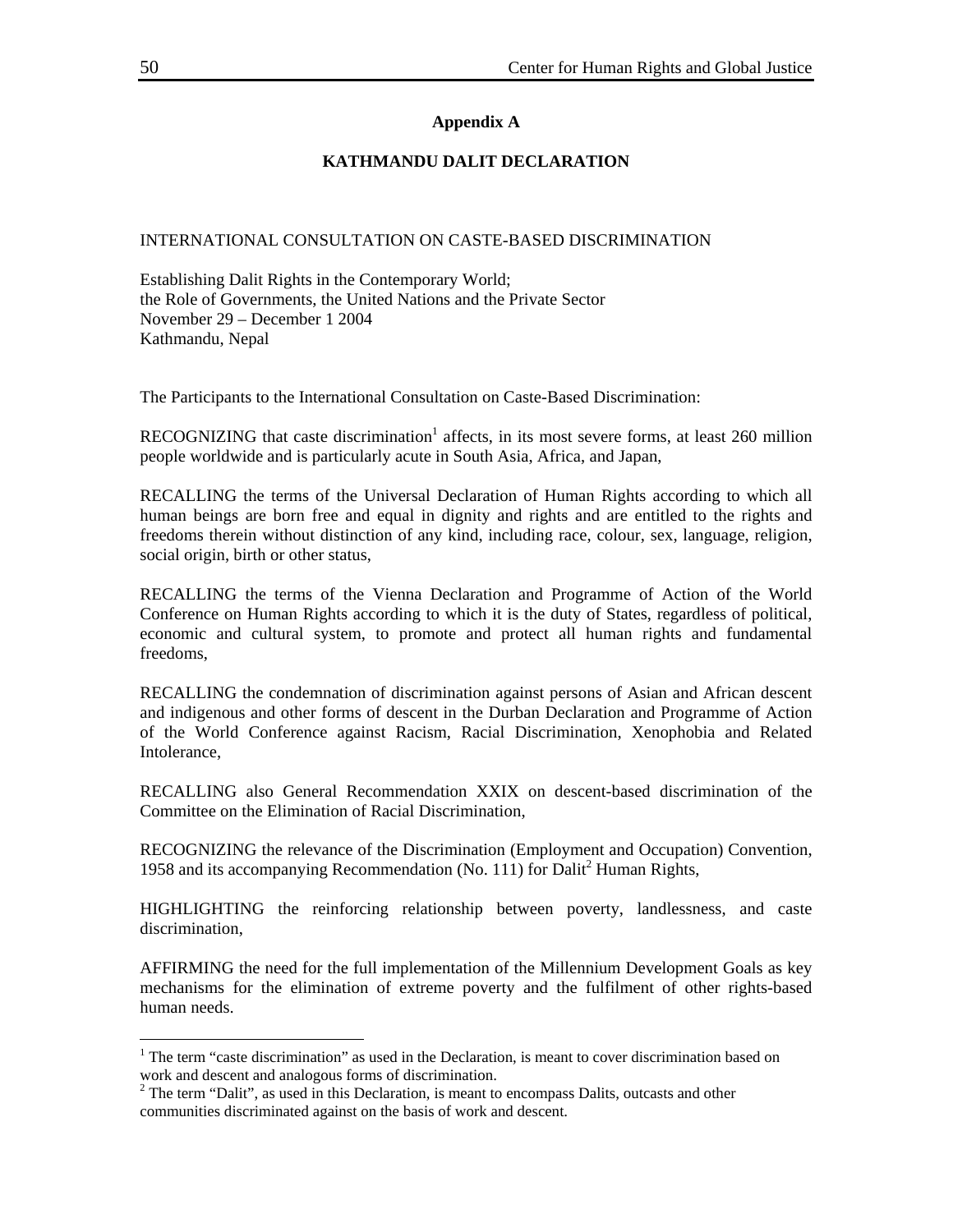## **Appendix A**

# **KATHMANDU DALIT DECLARATION**

# INTERNATIONAL CONSULTATION ON CASTE-BASED DISCRIMINATION

Establishing Dalit Rights in the Contemporary World; the Role of Governments, the United Nations and the Private Sector November 29 – December 1 2004 Kathmandu, Nepal

The Participants to the International Consultation on Caste-Based Discrimination:

RECOGNIZING that caste discrimination<sup>1</sup> affects, in its most severe forms, at least 260 million people worldwide and is particularly acute in South Asia, Africa, and Japan,

RECALLING the terms of the Universal Declaration of Human Rights according to which all human beings are born free and equal in dignity and rights and are entitled to the rights and freedoms therein without distinction of any kind, including race, colour, sex, language, religion, social origin, birth or other status,

RECALLING the terms of the Vienna Declaration and Programme of Action of the World Conference on Human Rights according to which it is the duty of States, regardless of political, economic and cultural system, to promote and protect all human rights and fundamental freedoms,

RECALLING the condemnation of discrimination against persons of Asian and African descent and indigenous and other forms of descent in the Durban Declaration and Programme of Action of the World Conference against Racism, Racial Discrimination, Xenophobia and Related Intolerance,

RECALLING also General Recommendation XXIX on descent-based discrimination of the Committee on the Elimination of Racial Discrimination,

RECOGNIZING the relevance of the Discrimination (Employment and Occupation) Convention, 1958 and its accompanying Recommendation (No. 111) for Dalit<sup>2</sup> Human Rights,

HIGHLIGHTING the reinforcing relationship between poverty, landlessness, and caste discrimination.

AFFIRMING the need for the full implementation of the Millennium Development Goals as key mechanisms for the elimination of extreme poverty and the fulfilment of other rights-based human needs.

<sup>&</sup>lt;sup>1</sup> The term "caste discrimination" as used in the Declaration, is meant to cover discrimination based on work and descent and analogous forms of discrimination.

<sup>&</sup>lt;sup>2</sup> The term "Dalit", as used in this Declaration, is meant to encompass Dalits, outcasts and other communities discriminated against on the basis of work and descent.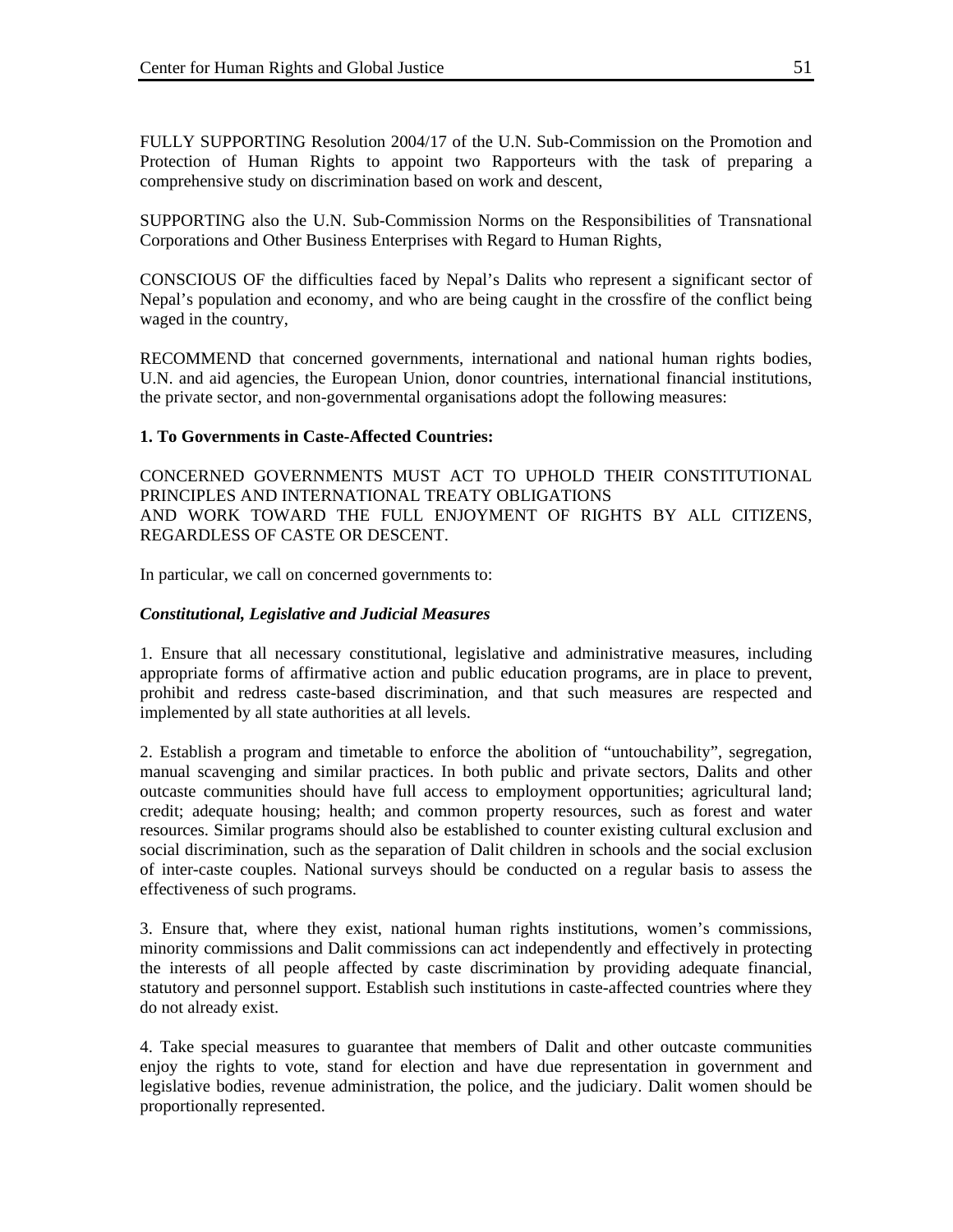FULLY SUPPORTING Resolution 2004/17 of the U.N. Sub-Commission on the Promotion and Protection of Human Rights to appoint two Rapporteurs with the task of preparing a comprehensive study on discrimination based on work and descent,

SUPPORTING also the U.N. Sub-Commission Norms on the Responsibilities of Transnational Corporations and Other Business Enterprises with Regard to Human Rights,

CONSCIOUS OF the difficulties faced by Nepal's Dalits who represent a significant sector of Nepal's population and economy, and who are being caught in the crossfire of the conflict being waged in the country,

RECOMMEND that concerned governments, international and national human rights bodies, U.N. and aid agencies, the European Union, donor countries, international financial institutions, the private sector, and non-governmental organisations adopt the following measures:

# **1. To Governments in Caste-Affected Countries:**

CONCERNED GOVERNMENTS MUST ACT TO UPHOLD THEIR CONSTITUTIONAL PRINCIPLES AND INTERNATIONAL TREATY OBLIGATIONS AND WORK TOWARD THE FULL ENJOYMENT OF RIGHTS BY ALL CITIZENS, REGARDLESS OF CASTE OR DESCENT.

In particular, we call on concerned governments to:

# *Constitutional, Legislative and Judicial Measures*

1. Ensure that all necessary constitutional, legislative and administrative measures, including appropriate forms of affirmative action and public education programs, are in place to prevent, prohibit and redress caste-based discrimination, and that such measures are respected and implemented by all state authorities at all levels.

2. Establish a program and timetable to enforce the abolition of "untouchability", segregation, manual scavenging and similar practices. In both public and private sectors, Dalits and other outcaste communities should have full access to employment opportunities; agricultural land; credit; adequate housing; health; and common property resources, such as forest and water resources. Similar programs should also be established to counter existing cultural exclusion and social discrimination, such as the separation of Dalit children in schools and the social exclusion of inter-caste couples. National surveys should be conducted on a regular basis to assess the effectiveness of such programs.

3. Ensure that, where they exist, national human rights institutions, women's commissions, minority commissions and Dalit commissions can act independently and effectively in protecting the interests of all people affected by caste discrimination by providing adequate financial, statutory and personnel support. Establish such institutions in caste-affected countries where they do not already exist.

4. Take special measures to guarantee that members of Dalit and other outcaste communities enjoy the rights to vote, stand for election and have due representation in government and legislative bodies, revenue administration, the police, and the judiciary. Dalit women should be proportionally represented.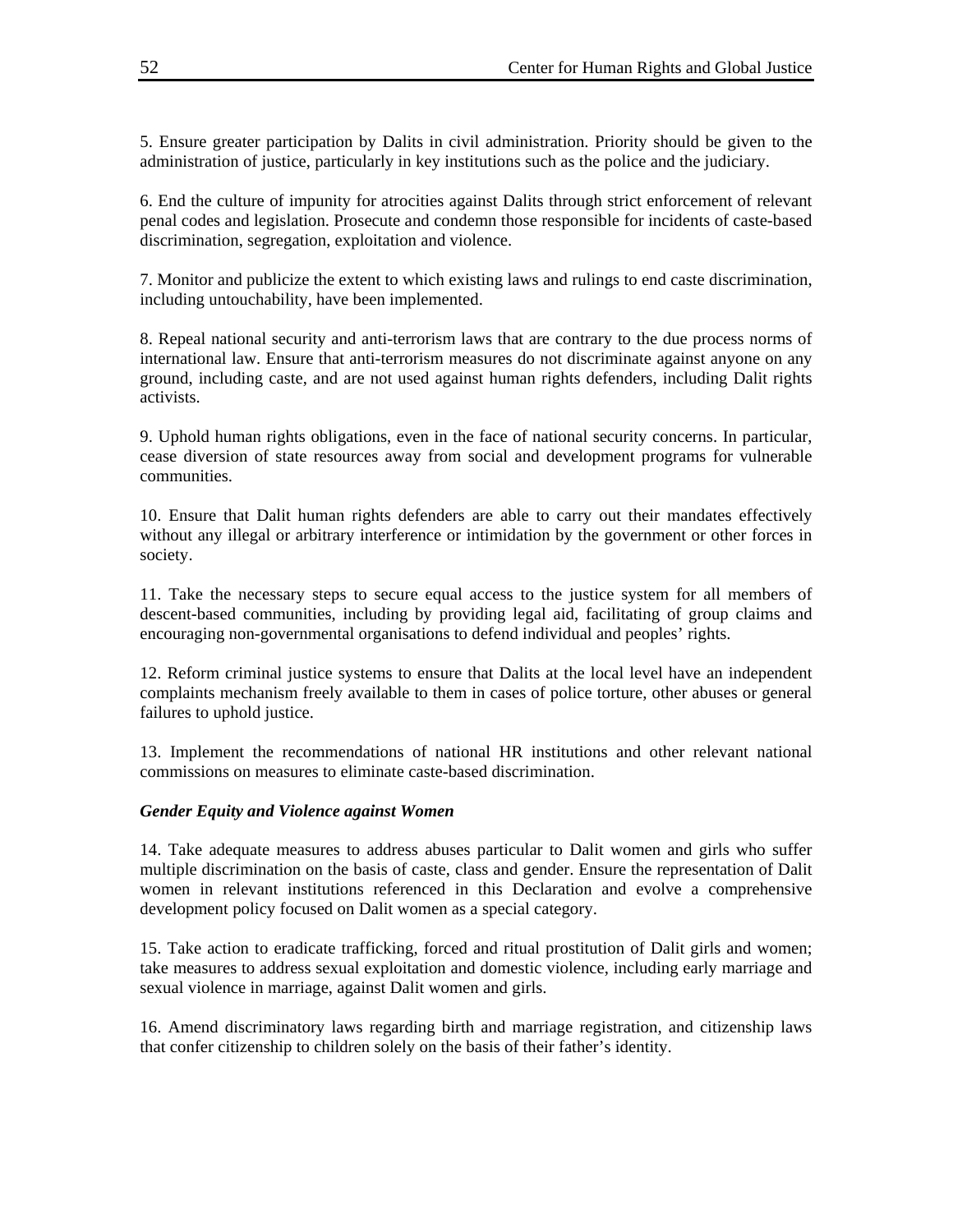5. Ensure greater participation by Dalits in civil administration. Priority should be given to the administration of justice, particularly in key institutions such as the police and the judiciary.

6. End the culture of impunity for atrocities against Dalits through strict enforcement of relevant penal codes and legislation. Prosecute and condemn those responsible for incidents of caste-based discrimination, segregation, exploitation and violence.

7. Monitor and publicize the extent to which existing laws and rulings to end caste discrimination, including untouchability, have been implemented.

8. Repeal national security and anti-terrorism laws that are contrary to the due process norms of international law. Ensure that anti-terrorism measures do not discriminate against anyone on any ground, including caste, and are not used against human rights defenders, including Dalit rights activists.

9. Uphold human rights obligations, even in the face of national security concerns. In particular, cease diversion of state resources away from social and development programs for vulnerable communities.

10. Ensure that Dalit human rights defenders are able to carry out their mandates effectively without any illegal or arbitrary interference or intimidation by the government or other forces in society.

11. Take the necessary steps to secure equal access to the justice system for all members of descent-based communities, including by providing legal aid, facilitating of group claims and encouraging non-governmental organisations to defend individual and peoples' rights.

12. Reform criminal justice systems to ensure that Dalits at the local level have an independent complaints mechanism freely available to them in cases of police torture, other abuses or general failures to uphold justice.

13. Implement the recommendations of national HR institutions and other relevant national commissions on measures to eliminate caste-based discrimination.

### *Gender Equity and Violence against Women*

14. Take adequate measures to address abuses particular to Dalit women and girls who suffer multiple discrimination on the basis of caste, class and gender. Ensure the representation of Dalit women in relevant institutions referenced in this Declaration and evolve a comprehensive development policy focused on Dalit women as a special category.

15. Take action to eradicate trafficking, forced and ritual prostitution of Dalit girls and women; take measures to address sexual exploitation and domestic violence, including early marriage and sexual violence in marriage, against Dalit women and girls.

16. Amend discriminatory laws regarding birth and marriage registration, and citizenship laws that confer citizenship to children solely on the basis of their father's identity.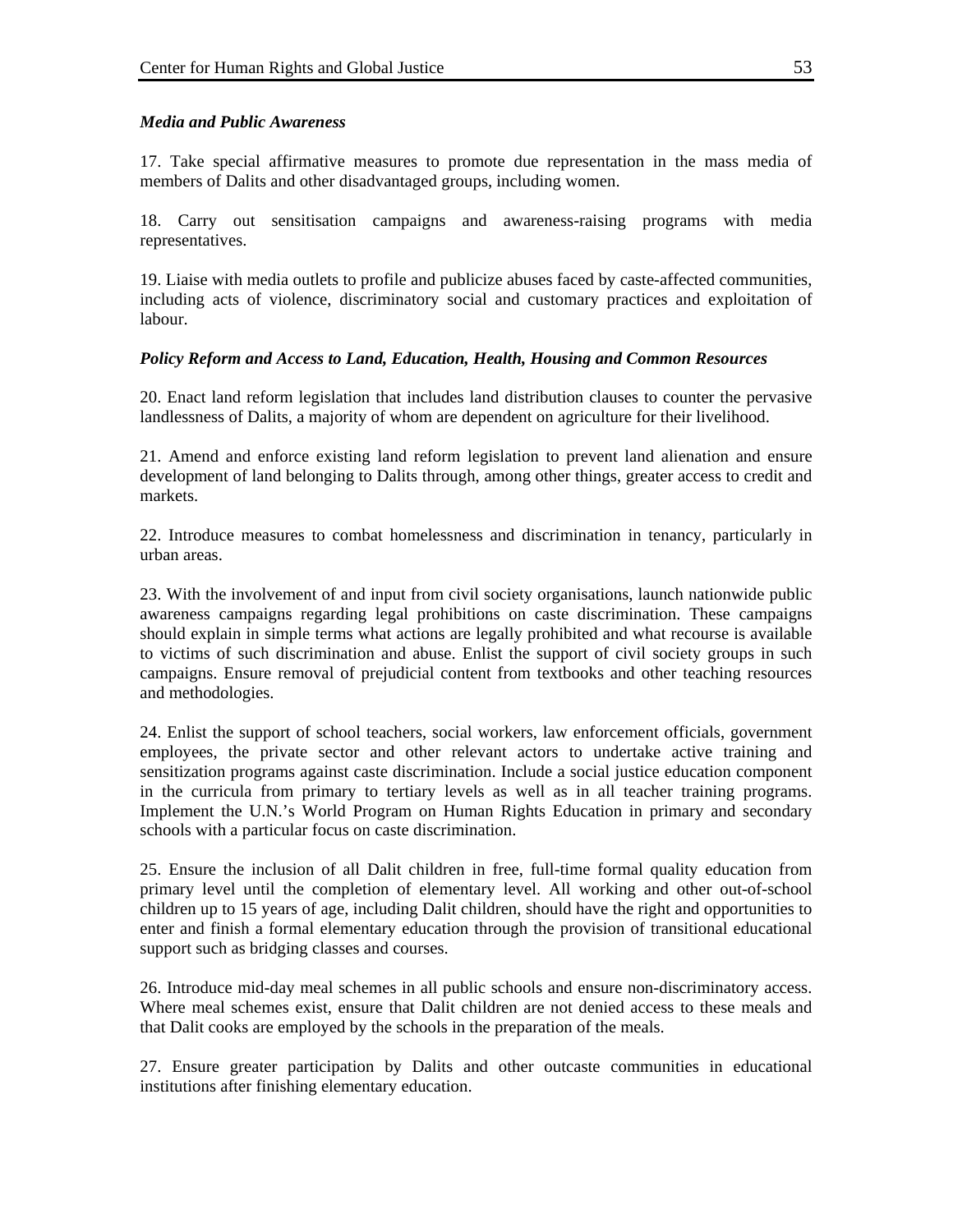#### *Media and Public Awareness*

17. Take special affirmative measures to promote due representation in the mass media of members of Dalits and other disadvantaged groups, including women.

18. Carry out sensitisation campaigns and awareness-raising programs with media representatives.

19. Liaise with media outlets to profile and publicize abuses faced by caste-affected communities, including acts of violence, discriminatory social and customary practices and exploitation of labour.

# *Policy Reform and Access to Land, Education, Health, Housing and Common Resources*

20. Enact land reform legislation that includes land distribution clauses to counter the pervasive landlessness of Dalits, a majority of whom are dependent on agriculture for their livelihood.

21. Amend and enforce existing land reform legislation to prevent land alienation and ensure development of land belonging to Dalits through, among other things, greater access to credit and markets.

22. Introduce measures to combat homelessness and discrimination in tenancy, particularly in urban areas.

23. With the involvement of and input from civil society organisations, launch nationwide public awareness campaigns regarding legal prohibitions on caste discrimination. These campaigns should explain in simple terms what actions are legally prohibited and what recourse is available to victims of such discrimination and abuse. Enlist the support of civil society groups in such campaigns. Ensure removal of prejudicial content from textbooks and other teaching resources and methodologies.

24. Enlist the support of school teachers, social workers, law enforcement officials, government employees, the private sector and other relevant actors to undertake active training and sensitization programs against caste discrimination. Include a social justice education component in the curricula from primary to tertiary levels as well as in all teacher training programs. Implement the U.N.'s World Program on Human Rights Education in primary and secondary schools with a particular focus on caste discrimination.

25. Ensure the inclusion of all Dalit children in free, full-time formal quality education from primary level until the completion of elementary level. All working and other out-of-school children up to 15 years of age, including Dalit children, should have the right and opportunities to enter and finish a formal elementary education through the provision of transitional educational support such as bridging classes and courses.

26. Introduce mid-day meal schemes in all public schools and ensure non-discriminatory access. Where meal schemes exist, ensure that Dalit children are not denied access to these meals and that Dalit cooks are employed by the schools in the preparation of the meals.

27. Ensure greater participation by Dalits and other outcaste communities in educational institutions after finishing elementary education.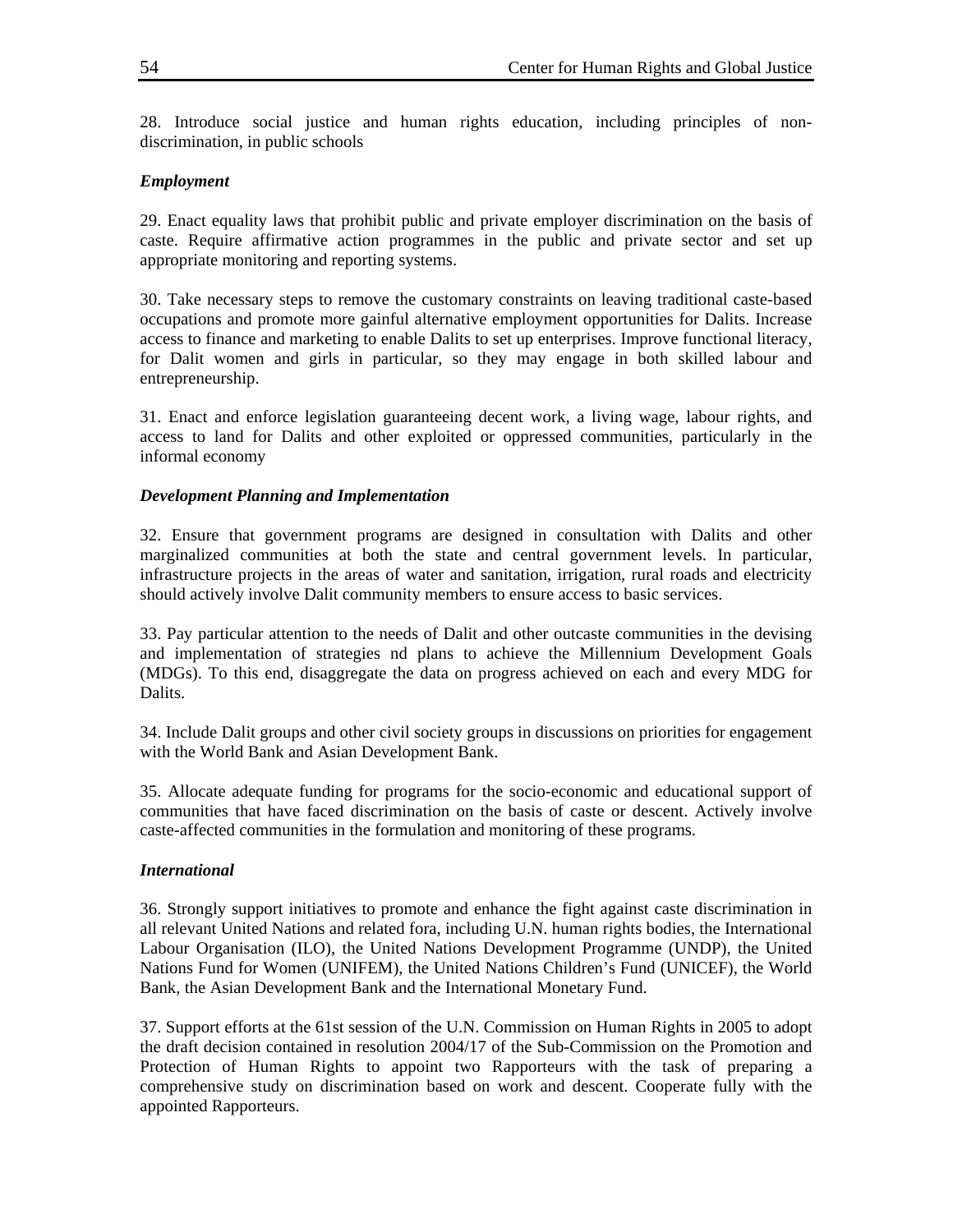28. Introduce social justice and human rights education, including principles of nondiscrimination, in public schools

## *Employment*

29. Enact equality laws that prohibit public and private employer discrimination on the basis of caste. Require affirmative action programmes in the public and private sector and set up appropriate monitoring and reporting systems.

30. Take necessary steps to remove the customary constraints on leaving traditional caste-based occupations and promote more gainful alternative employment opportunities for Dalits. Increase access to finance and marketing to enable Dalits to set up enterprises. Improve functional literacy, for Dalit women and girls in particular, so they may engage in both skilled labour and entrepreneurship.

31. Enact and enforce legislation guaranteeing decent work, a living wage, labour rights, and access to land for Dalits and other exploited or oppressed communities, particularly in the informal economy

## *Development Planning and Implementation*

32. Ensure that government programs are designed in consultation with Dalits and other marginalized communities at both the state and central government levels. In particular, infrastructure projects in the areas of water and sanitation, irrigation, rural roads and electricity should actively involve Dalit community members to ensure access to basic services.

33. Pay particular attention to the needs of Dalit and other outcaste communities in the devising and implementation of strategies nd plans to achieve the Millennium Development Goals (MDGs). To this end, disaggregate the data on progress achieved on each and every MDG for Dalits.

34. Include Dalit groups and other civil society groups in discussions on priorities for engagement with the World Bank and Asian Development Bank.

35. Allocate adequate funding for programs for the socio-economic and educational support of communities that have faced discrimination on the basis of caste or descent. Actively involve caste-affected communities in the formulation and monitoring of these programs.

### *International*

36. Strongly support initiatives to promote and enhance the fight against caste discrimination in all relevant United Nations and related fora, including U.N. human rights bodies, the International Labour Organisation (ILO), the United Nations Development Programme (UNDP), the United Nations Fund for Women (UNIFEM), the United Nations Children's Fund (UNICEF), the World Bank, the Asian Development Bank and the International Monetary Fund.

37. Support efforts at the 61st session of the U.N. Commission on Human Rights in 2005 to adopt the draft decision contained in resolution 2004/17 of the Sub-Commission on the Promotion and Protection of Human Rights to appoint two Rapporteurs with the task of preparing a comprehensive study on discrimination based on work and descent. Cooperate fully with the appointed Rapporteurs.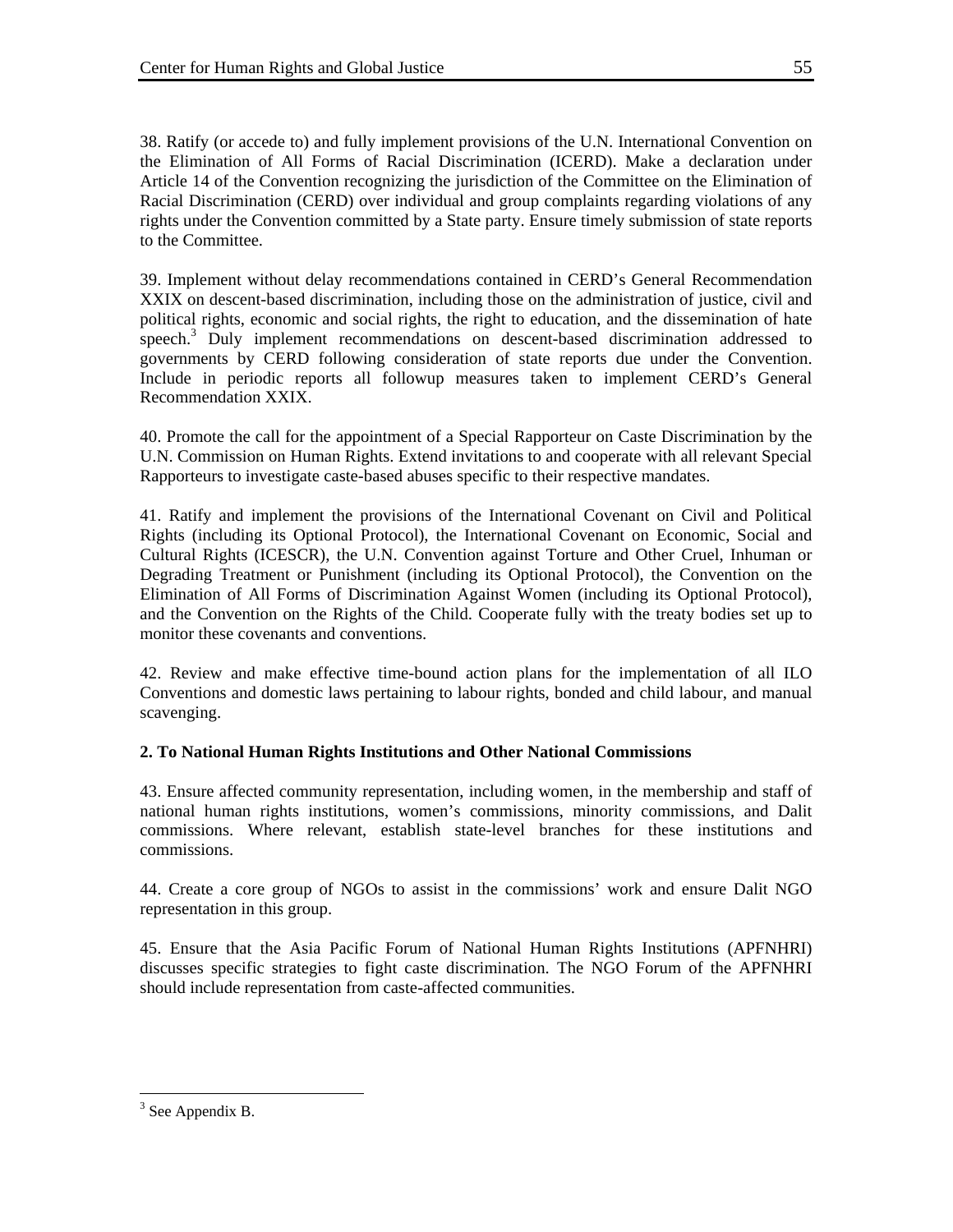38. Ratify (or accede to) and fully implement provisions of the U.N. International Convention on the Elimination of All Forms of Racial Discrimination (ICERD). Make a declaration under Article 14 of the Convention recognizing the jurisdiction of the Committee on the Elimination of Racial Discrimination (CERD) over individual and group complaints regarding violations of any rights under the Convention committed by a State party. Ensure timely submission of state reports to the Committee.

39. Implement without delay recommendations contained in CERD's General Recommendation XXIX on descent-based discrimination, including those on the administration of justice, civil and political rights, economic and social rights, the right to education, and the dissemination of hate speech.<sup>3</sup> Duly implement recommendations on descent-based discrimination addressed to governments by CERD following consideration of state reports due under the Convention. Include in periodic reports all followup measures taken to implement CERD's General Recommendation XXIX.

40. Promote the call for the appointment of a Special Rapporteur on Caste Discrimination by the U.N. Commission on Human Rights. Extend invitations to and cooperate with all relevant Special Rapporteurs to investigate caste-based abuses specific to their respective mandates.

41. Ratify and implement the provisions of the International Covenant on Civil and Political Rights (including its Optional Protocol), the International Covenant on Economic, Social and Cultural Rights (ICESCR), the U.N. Convention against Torture and Other Cruel, Inhuman or Degrading Treatment or Punishment (including its Optional Protocol), the Convention on the Elimination of All Forms of Discrimination Against Women (including its Optional Protocol), and the Convention on the Rights of the Child. Cooperate fully with the treaty bodies set up to monitor these covenants and conventions.

42. Review and make effective time-bound action plans for the implementation of all ILO Conventions and domestic laws pertaining to labour rights, bonded and child labour, and manual scavenging.

# **2. To National Human Rights Institutions and Other National Commissions**

43. Ensure affected community representation, including women, in the membership and staff of national human rights institutions, women's commissions, minority commissions, and Dalit commissions. Where relevant, establish state-level branches for these institutions and commissions.

44. Create a core group of NGOs to assist in the commissions' work and ensure Dalit NGO representation in this group.

45. Ensure that the Asia Pacific Forum of National Human Rights Institutions (APFNHRI) discusses specific strategies to fight caste discrimination. The NGO Forum of the APFNHRI should include representation from caste-affected communities.

 $3$  See Appendix B.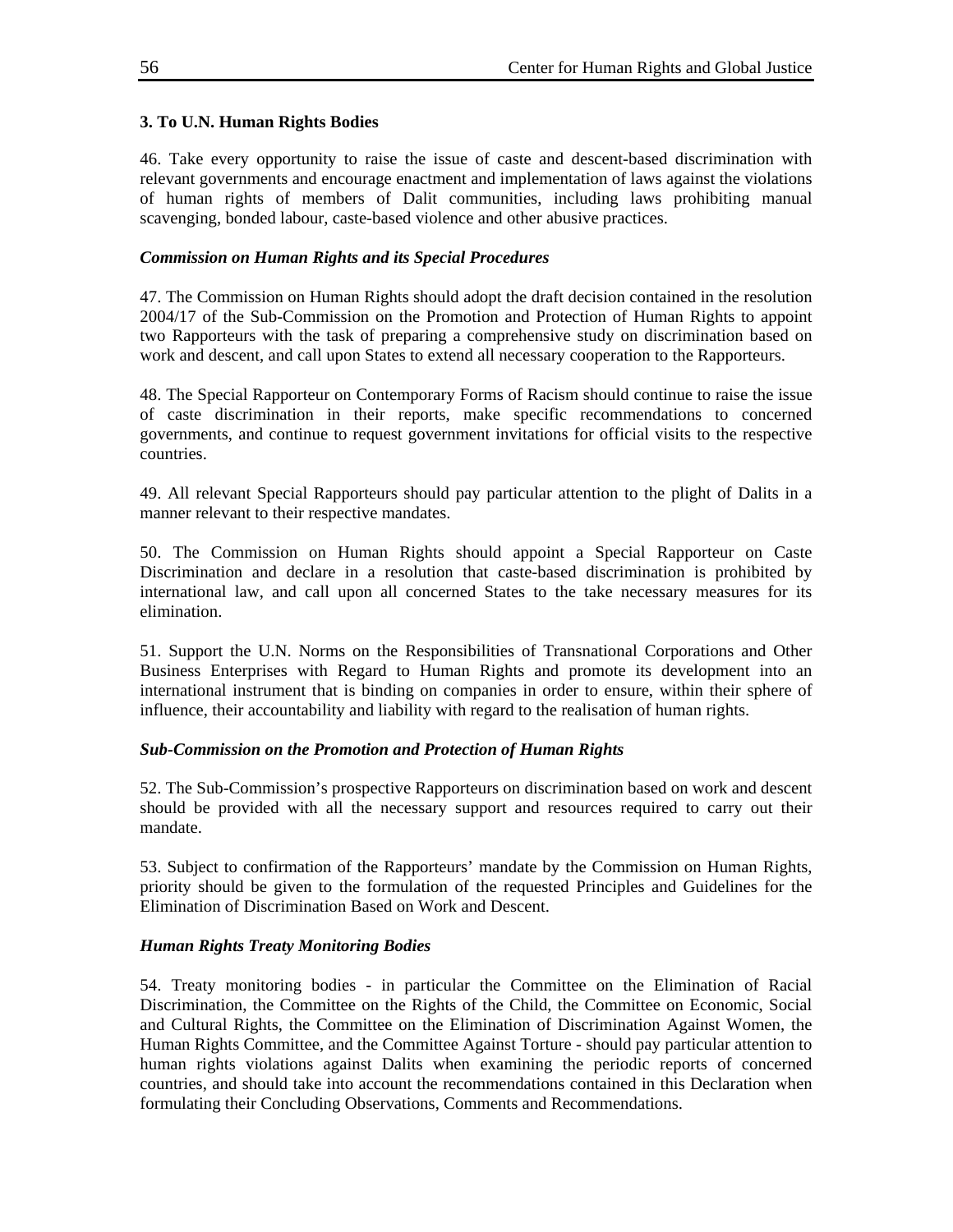# **3. To U.N. Human Rights Bodies**

46. Take every opportunity to raise the issue of caste and descent-based discrimination with relevant governments and encourage enactment and implementation of laws against the violations of human rights of members of Dalit communities, including laws prohibiting manual scavenging, bonded labour, caste-based violence and other abusive practices.

# *Commission on Human Rights and its Special Procedures*

47. The Commission on Human Rights should adopt the draft decision contained in the resolution 2004/17 of the Sub-Commission on the Promotion and Protection of Human Rights to appoint two Rapporteurs with the task of preparing a comprehensive study on discrimination based on work and descent, and call upon States to extend all necessary cooperation to the Rapporteurs.

48. The Special Rapporteur on Contemporary Forms of Racism should continue to raise the issue of caste discrimination in their reports, make specific recommendations to concerned governments, and continue to request government invitations for official visits to the respective countries.

49. All relevant Special Rapporteurs should pay particular attention to the plight of Dalits in a manner relevant to their respective mandates.

50. The Commission on Human Rights should appoint a Special Rapporteur on Caste Discrimination and declare in a resolution that caste-based discrimination is prohibited by international law, and call upon all concerned States to the take necessary measures for its elimination.

51. Support the U.N. Norms on the Responsibilities of Transnational Corporations and Other Business Enterprises with Regard to Human Rights and promote its development into an international instrument that is binding on companies in order to ensure, within their sphere of influence, their accountability and liability with regard to the realisation of human rights.

# *Sub-Commission on the Promotion and Protection of Human Rights*

52. The Sub-Commission's prospective Rapporteurs on discrimination based on work and descent should be provided with all the necessary support and resources required to carry out their mandate.

53. Subject to confirmation of the Rapporteurs' mandate by the Commission on Human Rights, priority should be given to the formulation of the requested Principles and Guidelines for the Elimination of Discrimination Based on Work and Descent.

# *Human Rights Treaty Monitoring Bodies*

54. Treaty monitoring bodies - in particular the Committee on the Elimination of Racial Discrimination, the Committee on the Rights of the Child, the Committee on Economic, Social and Cultural Rights, the Committee on the Elimination of Discrimination Against Women, the Human Rights Committee, and the Committee Against Torture - should pay particular attention to human rights violations against Dalits when examining the periodic reports of concerned countries, and should take into account the recommendations contained in this Declaration when formulating their Concluding Observations, Comments and Recommendations.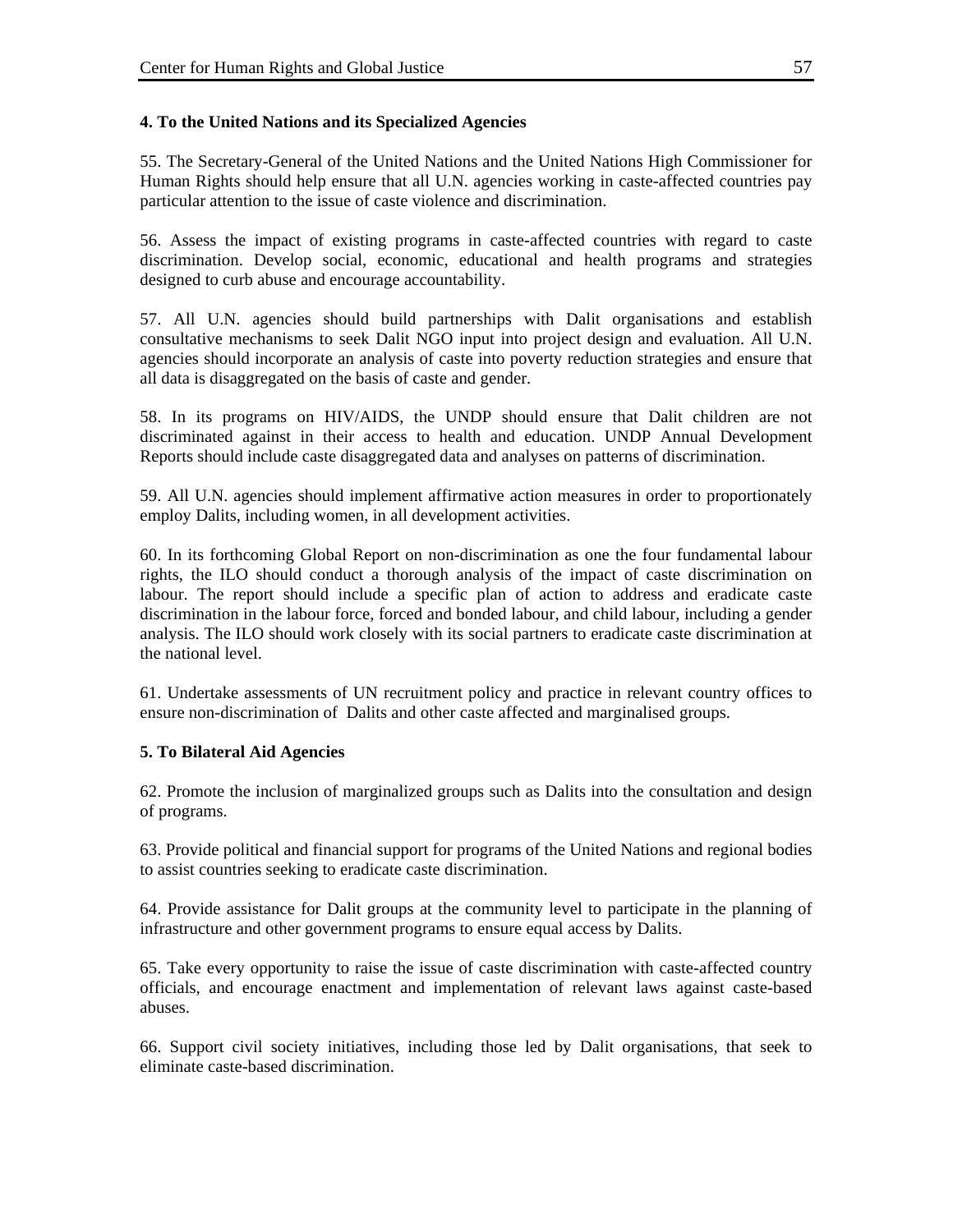## **4. To the United Nations and its Specialized Agencies**

55. The Secretary-General of the United Nations and the United Nations High Commissioner for Human Rights should help ensure that all U.N. agencies working in caste-affected countries pay particular attention to the issue of caste violence and discrimination.

56. Assess the impact of existing programs in caste-affected countries with regard to caste discrimination. Develop social, economic, educational and health programs and strategies designed to curb abuse and encourage accountability.

57. All U.N. agencies should build partnerships with Dalit organisations and establish consultative mechanisms to seek Dalit NGO input into project design and evaluation. All U.N. agencies should incorporate an analysis of caste into poverty reduction strategies and ensure that all data is disaggregated on the basis of caste and gender.

58. In its programs on HIV/AIDS, the UNDP should ensure that Dalit children are not discriminated against in their access to health and education. UNDP Annual Development Reports should include caste disaggregated data and analyses on patterns of discrimination.

59. All U.N. agencies should implement affirmative action measures in order to proportionately employ Dalits, including women, in all development activities.

60. In its forthcoming Global Report on non-discrimination as one the four fundamental labour rights, the ILO should conduct a thorough analysis of the impact of caste discrimination on labour. The report should include a specific plan of action to address and eradicate caste discrimination in the labour force, forced and bonded labour, and child labour, including a gender analysis. The ILO should work closely with its social partners to eradicate caste discrimination at the national level.

61. Undertake assessments of UN recruitment policy and practice in relevant country offices to ensure non-discrimination of Dalits and other caste affected and marginalised groups.

### **5. To Bilateral Aid Agencies**

62. Promote the inclusion of marginalized groups such as Dalits into the consultation and design of programs.

63. Provide political and financial support for programs of the United Nations and regional bodies to assist countries seeking to eradicate caste discrimination.

64. Provide assistance for Dalit groups at the community level to participate in the planning of infrastructure and other government programs to ensure equal access by Dalits.

65. Take every opportunity to raise the issue of caste discrimination with caste-affected country officials, and encourage enactment and implementation of relevant laws against caste-based abuses.

66. Support civil society initiatives, including those led by Dalit organisations, that seek to eliminate caste-based discrimination.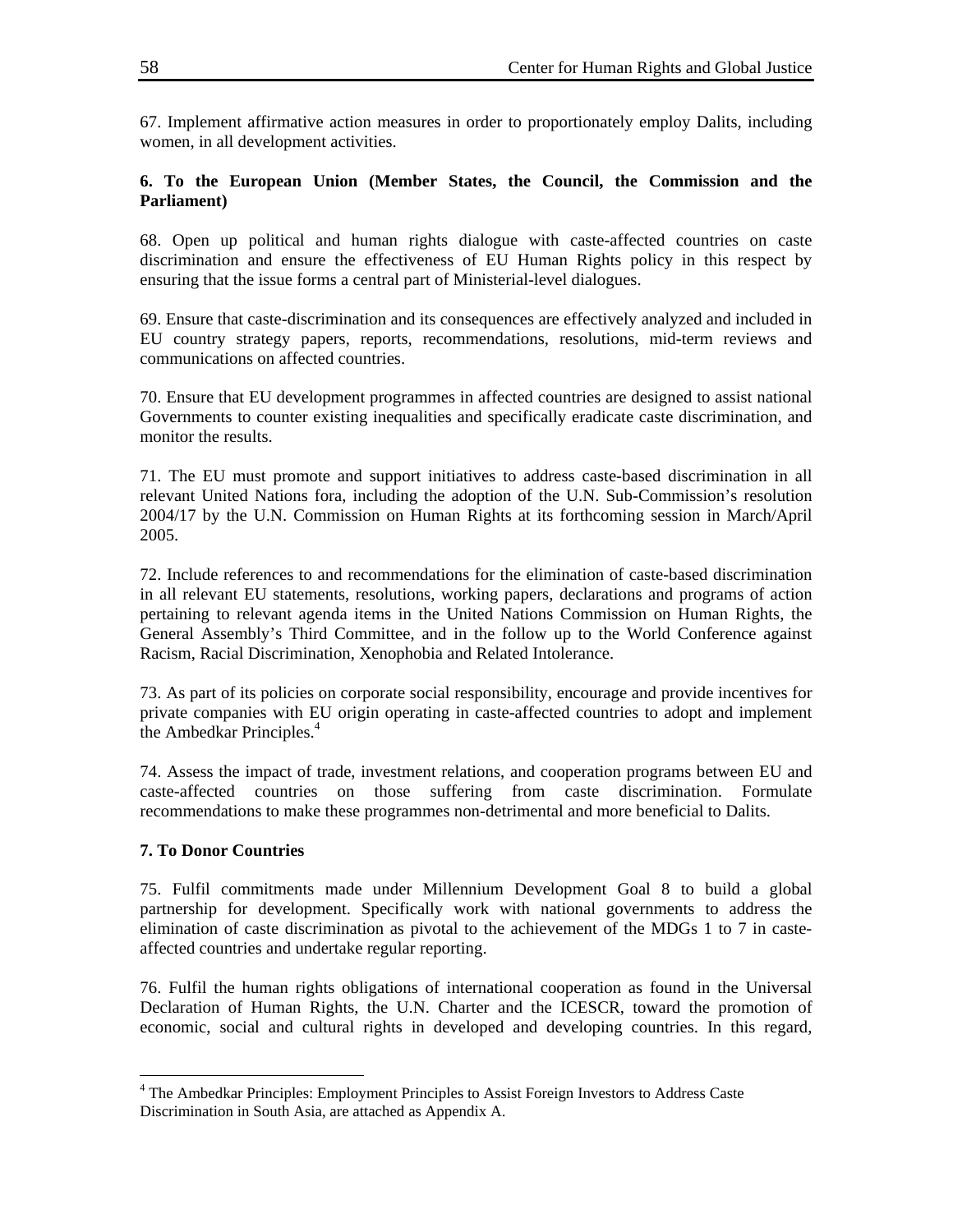67. Implement affirmative action measures in order to proportionately employ Dalits, including women, in all development activities.

# **6. To the European Union (Member States, the Council, the Commission and the Parliament)**

68. Open up political and human rights dialogue with caste-affected countries on caste discrimination and ensure the effectiveness of EU Human Rights policy in this respect by ensuring that the issue forms a central part of Ministerial-level dialogues.

69. Ensure that caste-discrimination and its consequences are effectively analyzed and included in EU country strategy papers, reports, recommendations, resolutions, mid-term reviews and communications on affected countries.

70. Ensure that EU development programmes in affected countries are designed to assist national Governments to counter existing inequalities and specifically eradicate caste discrimination, and monitor the results.

71. The EU must promote and support initiatives to address caste-based discrimination in all relevant United Nations fora, including the adoption of the U.N. Sub-Commission's resolution 2004/17 by the U.N. Commission on Human Rights at its forthcoming session in March/April 2005.

72. Include references to and recommendations for the elimination of caste-based discrimination in all relevant EU statements, resolutions, working papers, declarations and programs of action pertaining to relevant agenda items in the United Nations Commission on Human Rights, the General Assembly's Third Committee, and in the follow up to the World Conference against Racism, Racial Discrimination, Xenophobia and Related Intolerance.

73. As part of its policies on corporate social responsibility, encourage and provide incentives for private companies with EU origin operating in caste-affected countries to adopt and implement the Ambedkar Principles.<sup>4</sup>

74. Assess the impact of trade, investment relations, and cooperation programs between EU and caste-affected countries on those suffering from caste discrimination. Formulate recommendations to make these programmes non-detrimental and more beneficial to Dalits.

# **7. To Donor Countries**

 $\overline{a}$ 

75. Fulfil commitments made under Millennium Development Goal 8 to build a global partnership for development. Specifically work with national governments to address the elimination of caste discrimination as pivotal to the achievement of the MDGs 1 to 7 in casteaffected countries and undertake regular reporting.

76. Fulfil the human rights obligations of international cooperation as found in the Universal Declaration of Human Rights, the U.N. Charter and the ICESCR, toward the promotion of economic, social and cultural rights in developed and developing countries. In this regard,

<sup>&</sup>lt;sup>4</sup> The Ambedkar Principles: Employment Principles to Assist Foreign Investors to Address Caste Discrimination in South Asia, are attached as Appendix A.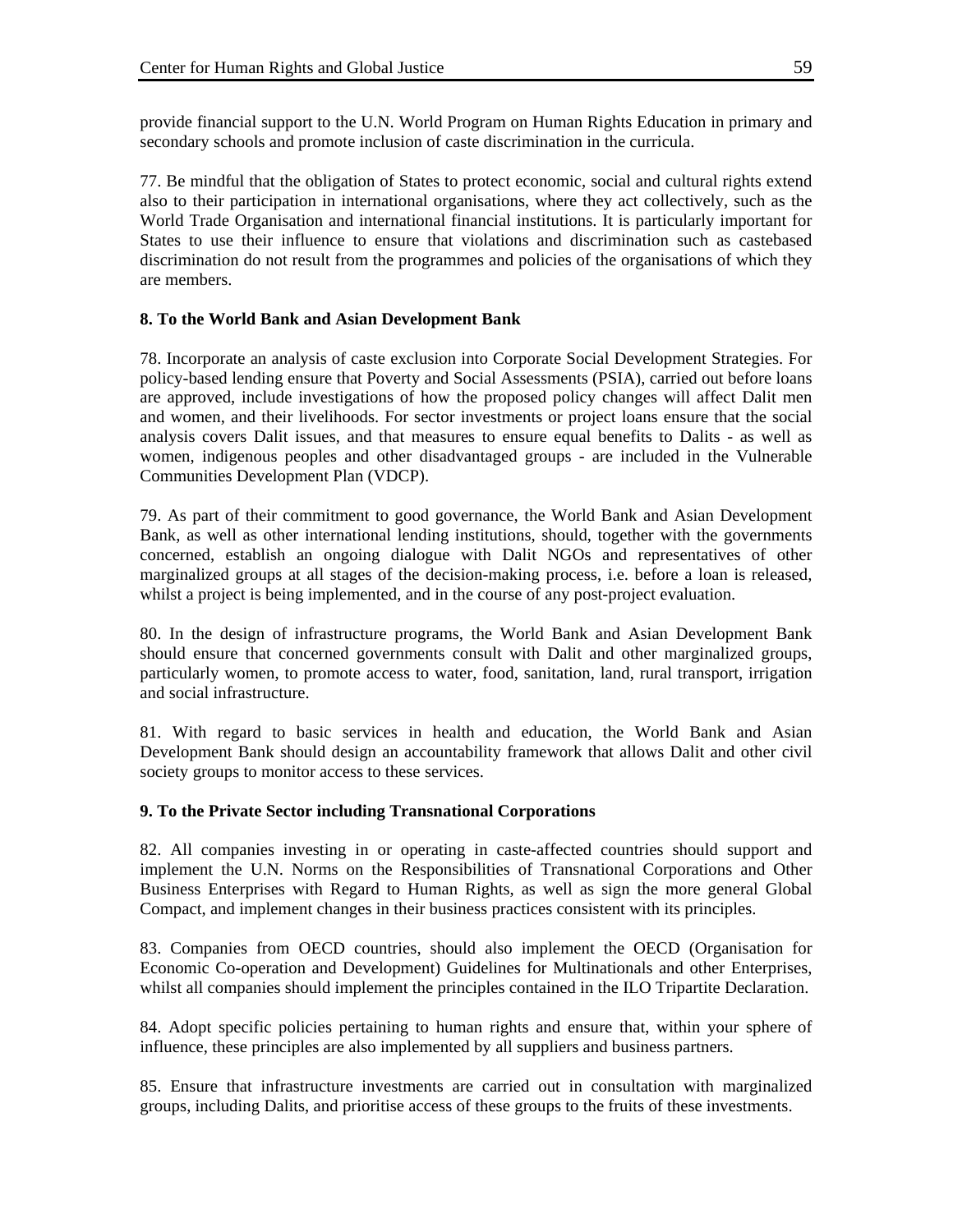provide financial support to the U.N. World Program on Human Rights Education in primary and secondary schools and promote inclusion of caste discrimination in the curricula.

77. Be mindful that the obligation of States to protect economic, social and cultural rights extend also to their participation in international organisations, where they act collectively, such as the World Trade Organisation and international financial institutions. It is particularly important for States to use their influence to ensure that violations and discrimination such as castebased discrimination do not result from the programmes and policies of the organisations of which they are members.

# **8. To the World Bank and Asian Development Bank**

78. Incorporate an analysis of caste exclusion into Corporate Social Development Strategies. For policy-based lending ensure that Poverty and Social Assessments (PSIA), carried out before loans are approved, include investigations of how the proposed policy changes will affect Dalit men and women, and their livelihoods. For sector investments or project loans ensure that the social analysis covers Dalit issues, and that measures to ensure equal benefits to Dalits - as well as women, indigenous peoples and other disadvantaged groups - are included in the Vulnerable Communities Development Plan (VDCP).

79. As part of their commitment to good governance, the World Bank and Asian Development Bank, as well as other international lending institutions, should, together with the governments concerned, establish an ongoing dialogue with Dalit NGOs and representatives of other marginalized groups at all stages of the decision-making process, i.e. before a loan is released, whilst a project is being implemented, and in the course of any post-project evaluation.

80. In the design of infrastructure programs, the World Bank and Asian Development Bank should ensure that concerned governments consult with Dalit and other marginalized groups, particularly women, to promote access to water, food, sanitation, land, rural transport, irrigation and social infrastructure.

81. With regard to basic services in health and education, the World Bank and Asian Development Bank should design an accountability framework that allows Dalit and other civil society groups to monitor access to these services.

# **9. To the Private Sector including Transnational Corporations**

82. All companies investing in or operating in caste-affected countries should support and implement the U.N. Norms on the Responsibilities of Transnational Corporations and Other Business Enterprises with Regard to Human Rights, as well as sign the more general Global Compact, and implement changes in their business practices consistent with its principles.

83. Companies from OECD countries, should also implement the OECD (Organisation for Economic Co-operation and Development) Guidelines for Multinationals and other Enterprises, whilst all companies should implement the principles contained in the ILO Tripartite Declaration.

84. Adopt specific policies pertaining to human rights and ensure that, within your sphere of influence, these principles are also implemented by all suppliers and business partners.

85. Ensure that infrastructure investments are carried out in consultation with marginalized groups, including Dalits, and prioritise access of these groups to the fruits of these investments.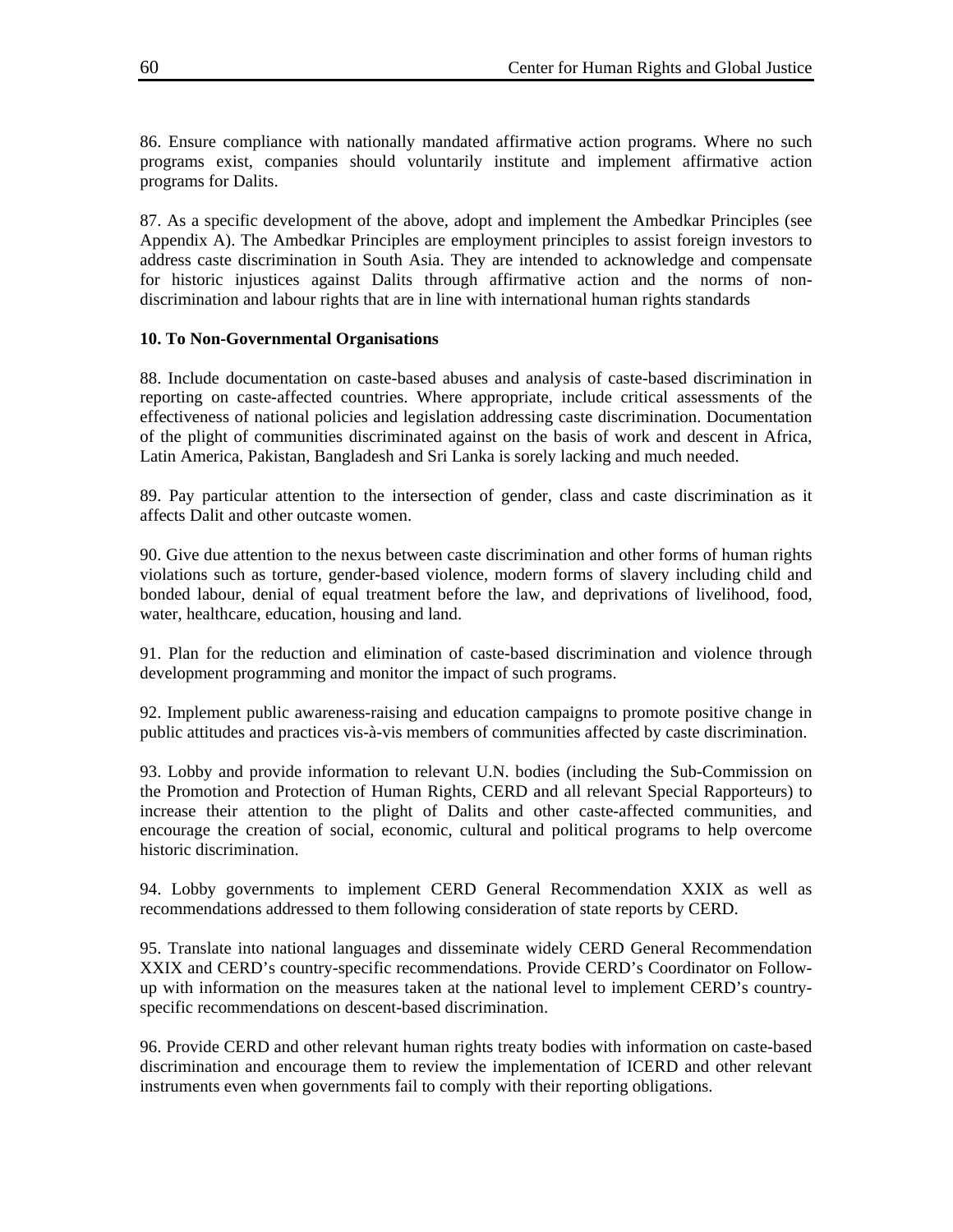86. Ensure compliance with nationally mandated affirmative action programs. Where no such programs exist, companies should voluntarily institute and implement affirmative action programs for Dalits.

87. As a specific development of the above, adopt and implement the Ambedkar Principles (see Appendix A). The Ambedkar Principles are employment principles to assist foreign investors to address caste discrimination in South Asia. They are intended to acknowledge and compensate for historic injustices against Dalits through affirmative action and the norms of nondiscrimination and labour rights that are in line with international human rights standards

# **10. To Non-Governmental Organisations**

88. Include documentation on caste-based abuses and analysis of caste-based discrimination in reporting on caste-affected countries. Where appropriate, include critical assessments of the effectiveness of national policies and legislation addressing caste discrimination. Documentation of the plight of communities discriminated against on the basis of work and descent in Africa, Latin America, Pakistan, Bangladesh and Sri Lanka is sorely lacking and much needed.

89. Pay particular attention to the intersection of gender, class and caste discrimination as it affects Dalit and other outcaste women.

90. Give due attention to the nexus between caste discrimination and other forms of human rights violations such as torture, gender-based violence, modern forms of slavery including child and bonded labour, denial of equal treatment before the law, and deprivations of livelihood, food, water, healthcare, education, housing and land.

91. Plan for the reduction and elimination of caste-based discrimination and violence through development programming and monitor the impact of such programs.

92. Implement public awareness-raising and education campaigns to promote positive change in public attitudes and practices vis-à-vis members of communities affected by caste discrimination.

93. Lobby and provide information to relevant U.N. bodies (including the Sub-Commission on the Promotion and Protection of Human Rights, CERD and all relevant Special Rapporteurs) to increase their attention to the plight of Dalits and other caste-affected communities, and encourage the creation of social, economic, cultural and political programs to help overcome historic discrimination.

94. Lobby governments to implement CERD General Recommendation XXIX as well as recommendations addressed to them following consideration of state reports by CERD.

95. Translate into national languages and disseminate widely CERD General Recommendation XXIX and CERD's country-specific recommendations. Provide CERD's Coordinator on Followup with information on the measures taken at the national level to implement CERD's countryspecific recommendations on descent-based discrimination.

96. Provide CERD and other relevant human rights treaty bodies with information on caste-based discrimination and encourage them to review the implementation of ICERD and other relevant instruments even when governments fail to comply with their reporting obligations.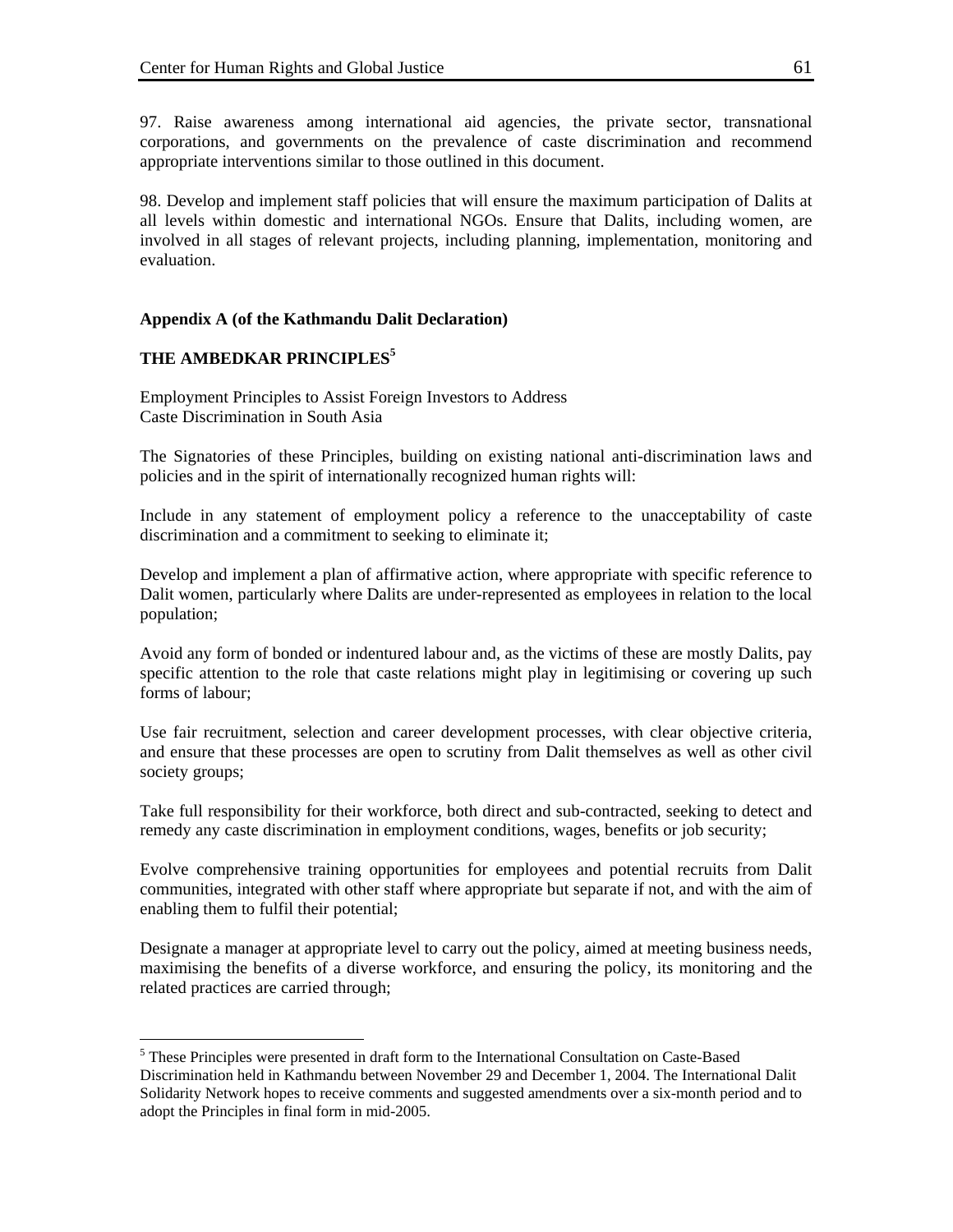97. Raise awareness among international aid agencies, the private sector, transnational corporations, and governments on the prevalence of caste discrimination and recommend appropriate interventions similar to those outlined in this document.

98. Develop and implement staff policies that will ensure the maximum participation of Dalits at all levels within domestic and international NGOs. Ensure that Dalits, including women, are involved in all stages of relevant projects, including planning, implementation, monitoring and evaluation.

## **Appendix A (of the Kathmandu Dalit Declaration)**

# **THE AMBEDKAR PRINCIPLES<sup>5</sup>**

 $\overline{a}$ 

Employment Principles to Assist Foreign Investors to Address Caste Discrimination in South Asia

The Signatories of these Principles, building on existing national anti-discrimination laws and policies and in the spirit of internationally recognized human rights will:

Include in any statement of employment policy a reference to the unacceptability of caste discrimination and a commitment to seeking to eliminate it;

Develop and implement a plan of affirmative action, where appropriate with specific reference to Dalit women, particularly where Dalits are under-represented as employees in relation to the local population;

Avoid any form of bonded or indentured labour and, as the victims of these are mostly Dalits, pay specific attention to the role that caste relations might play in legitimising or covering up such forms of labour;

Use fair recruitment, selection and career development processes, with clear objective criteria, and ensure that these processes are open to scrutiny from Dalit themselves as well as other civil society groups;

Take full responsibility for their workforce, both direct and sub-contracted, seeking to detect and remedy any caste discrimination in employment conditions, wages, benefits or job security;

Evolve comprehensive training opportunities for employees and potential recruits from Dalit communities, integrated with other staff where appropriate but separate if not, and with the aim of enabling them to fulfil their potential;

Designate a manager at appropriate level to carry out the policy, aimed at meeting business needs, maximising the benefits of a diverse workforce, and ensuring the policy, its monitoring and the related practices are carried through;

<sup>&</sup>lt;sup>5</sup> These Principles were presented in draft form to the International Consultation on Caste-Based Discrimination held in Kathmandu between November 29 and December 1, 2004. The International Dalit Solidarity Network hopes to receive comments and suggested amendments over a six-month period and to adopt the Principles in final form in mid-2005.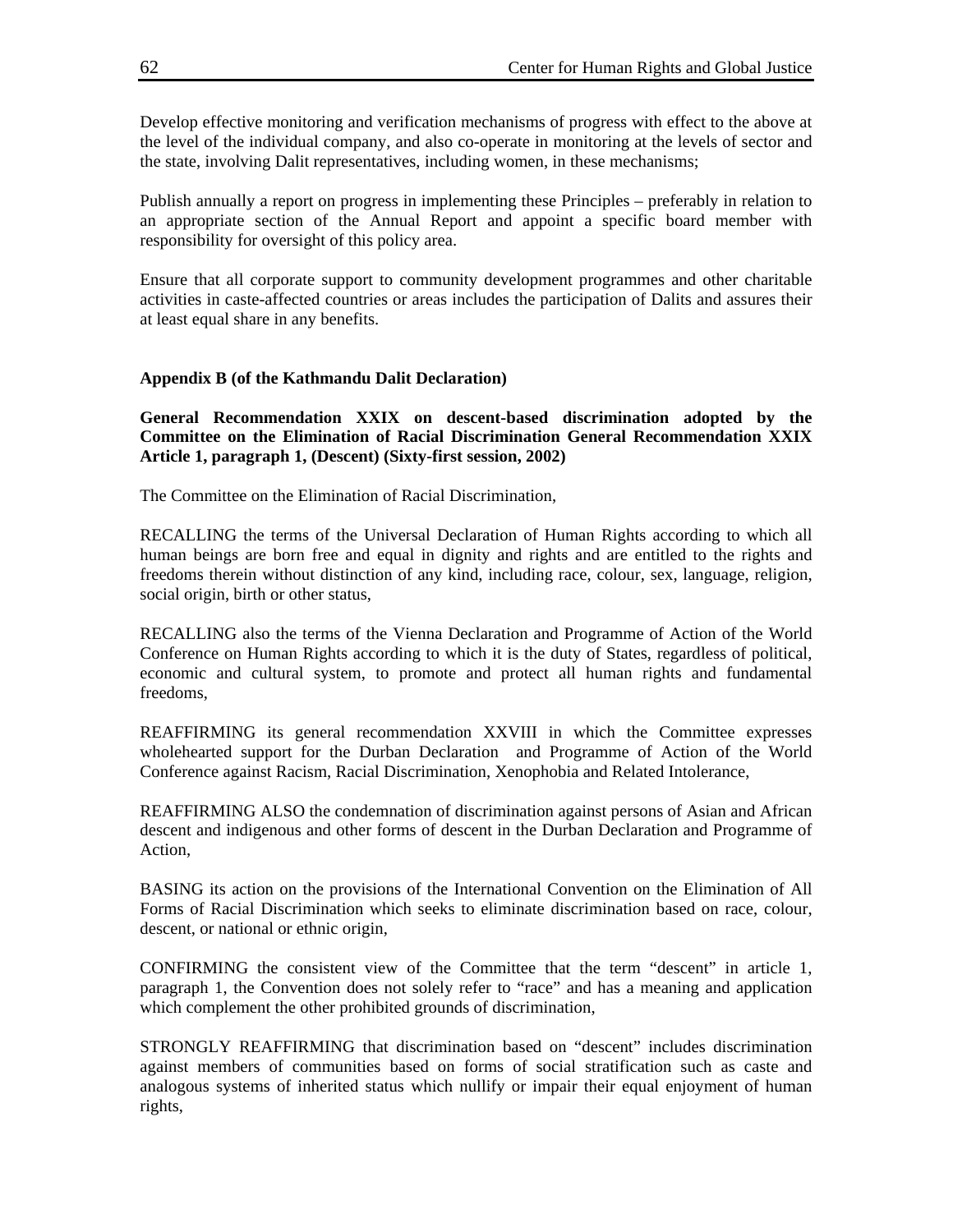Develop effective monitoring and verification mechanisms of progress with effect to the above at the level of the individual company, and also co-operate in monitoring at the levels of sector and the state, involving Dalit representatives, including women, in these mechanisms;

Publish annually a report on progress in implementing these Principles – preferably in relation to an appropriate section of the Annual Report and appoint a specific board member with responsibility for oversight of this policy area.

Ensure that all corporate support to community development programmes and other charitable activities in caste-affected countries or areas includes the participation of Dalits and assures their at least equal share in any benefits.

#### **Appendix B (of the Kathmandu Dalit Declaration)**

**General Recommendation XXIX on descent-based discrimination adopted by the Committee on the Elimination of Racial Discrimination General Recommendation XXIX Article 1, paragraph 1, (Descent) (Sixty-first session, 2002)** 

The Committee on the Elimination of Racial Discrimination,

RECALLING the terms of the Universal Declaration of Human Rights according to which all human beings are born free and equal in dignity and rights and are entitled to the rights and freedoms therein without distinction of any kind, including race, colour, sex, language, religion, social origin, birth or other status,

RECALLING also the terms of the Vienna Declaration and Programme of Action of the World Conference on Human Rights according to which it is the duty of States, regardless of political, economic and cultural system, to promote and protect all human rights and fundamental freedoms,

REAFFIRMING its general recommendation XXVIII in which the Committee expresses wholehearted support for the Durban Declaration and Programme of Action of the World Conference against Racism, Racial Discrimination, Xenophobia and Related Intolerance,

REAFFIRMING ALSO the condemnation of discrimination against persons of Asian and African descent and indigenous and other forms of descent in the Durban Declaration and Programme of Action,

BASING its action on the provisions of the International Convention on the Elimination of All Forms of Racial Discrimination which seeks to eliminate discrimination based on race, colour, descent, or national or ethnic origin,

CONFIRMING the consistent view of the Committee that the term "descent" in article 1, paragraph 1, the Convention does not solely refer to "race" and has a meaning and application which complement the other prohibited grounds of discrimination,

STRONGLY REAFFIRMING that discrimination based on "descent" includes discrimination against members of communities based on forms of social stratification such as caste and analogous systems of inherited status which nullify or impair their equal enjoyment of human rights,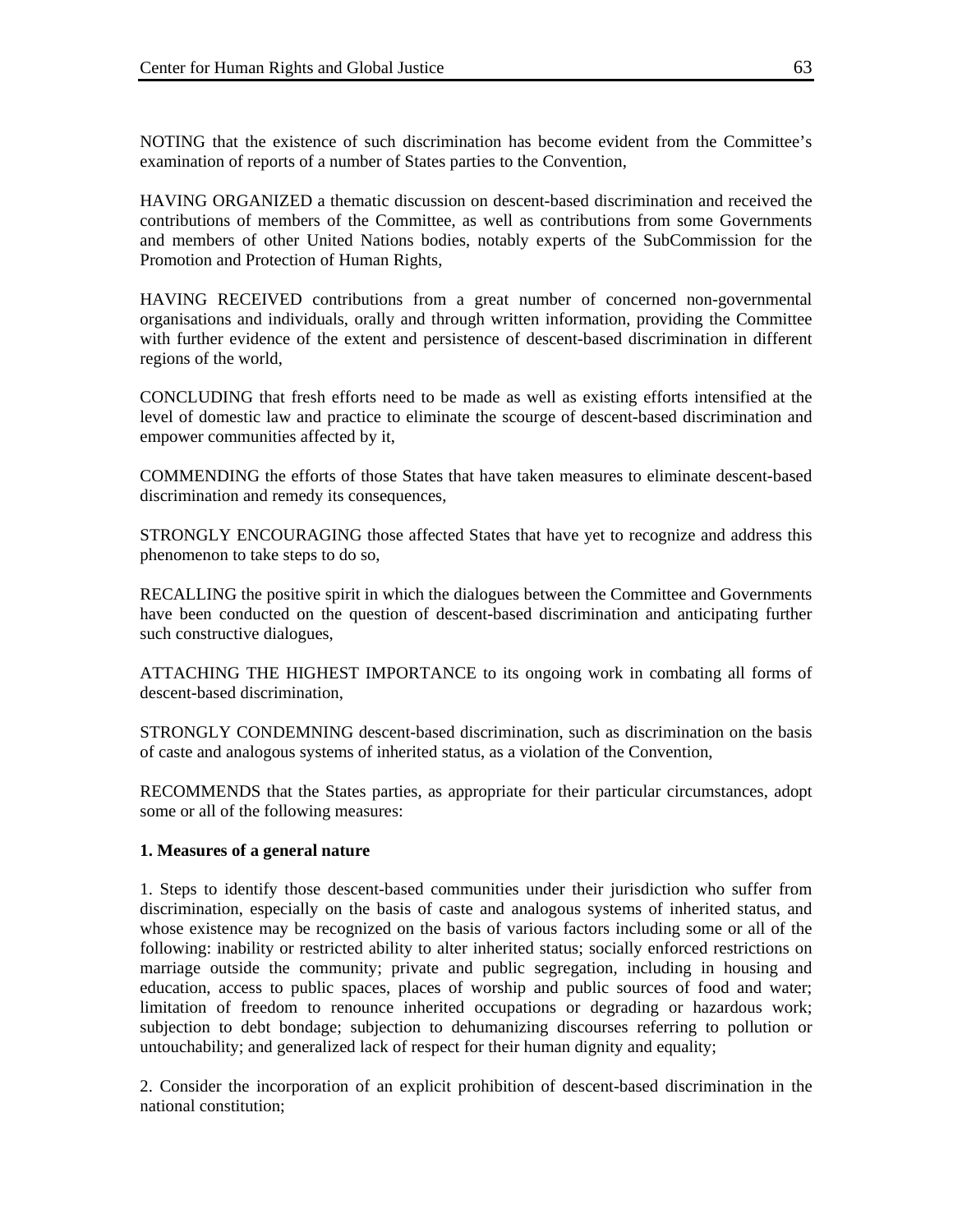NOTING that the existence of such discrimination has become evident from the Committee's examination of reports of a number of States parties to the Convention,

HAVING ORGANIZED a thematic discussion on descent-based discrimination and received the contributions of members of the Committee, as well as contributions from some Governments and members of other United Nations bodies, notably experts of the SubCommission for the Promotion and Protection of Human Rights,

HAVING RECEIVED contributions from a great number of concerned non-governmental organisations and individuals, orally and through written information, providing the Committee with further evidence of the extent and persistence of descent-based discrimination in different regions of the world,

CONCLUDING that fresh efforts need to be made as well as existing efforts intensified at the level of domestic law and practice to eliminate the scourge of descent-based discrimination and empower communities affected by it,

COMMENDING the efforts of those States that have taken measures to eliminate descent-based discrimination and remedy its consequences,

STRONGLY ENCOURAGING those affected States that have yet to recognize and address this phenomenon to take steps to do so,

RECALLING the positive spirit in which the dialogues between the Committee and Governments have been conducted on the question of descent-based discrimination and anticipating further such constructive dialogues,

ATTACHING THE HIGHEST IMPORTANCE to its ongoing work in combating all forms of descent-based discrimination,

STRONGLY CONDEMNING descent-based discrimination, such as discrimination on the basis of caste and analogous systems of inherited status, as a violation of the Convention,

RECOMMENDS that the States parties, as appropriate for their particular circumstances, adopt some or all of the following measures:

# **1. Measures of a general nature**

1. Steps to identify those descent-based communities under their jurisdiction who suffer from discrimination, especially on the basis of caste and analogous systems of inherited status, and whose existence may be recognized on the basis of various factors including some or all of the following: inability or restricted ability to alter inherited status; socially enforced restrictions on marriage outside the community; private and public segregation, including in housing and education, access to public spaces, places of worship and public sources of food and water; limitation of freedom to renounce inherited occupations or degrading or hazardous work; subjection to debt bondage; subjection to dehumanizing discourses referring to pollution or untouchability; and generalized lack of respect for their human dignity and equality;

2. Consider the incorporation of an explicit prohibition of descent-based discrimination in the national constitution;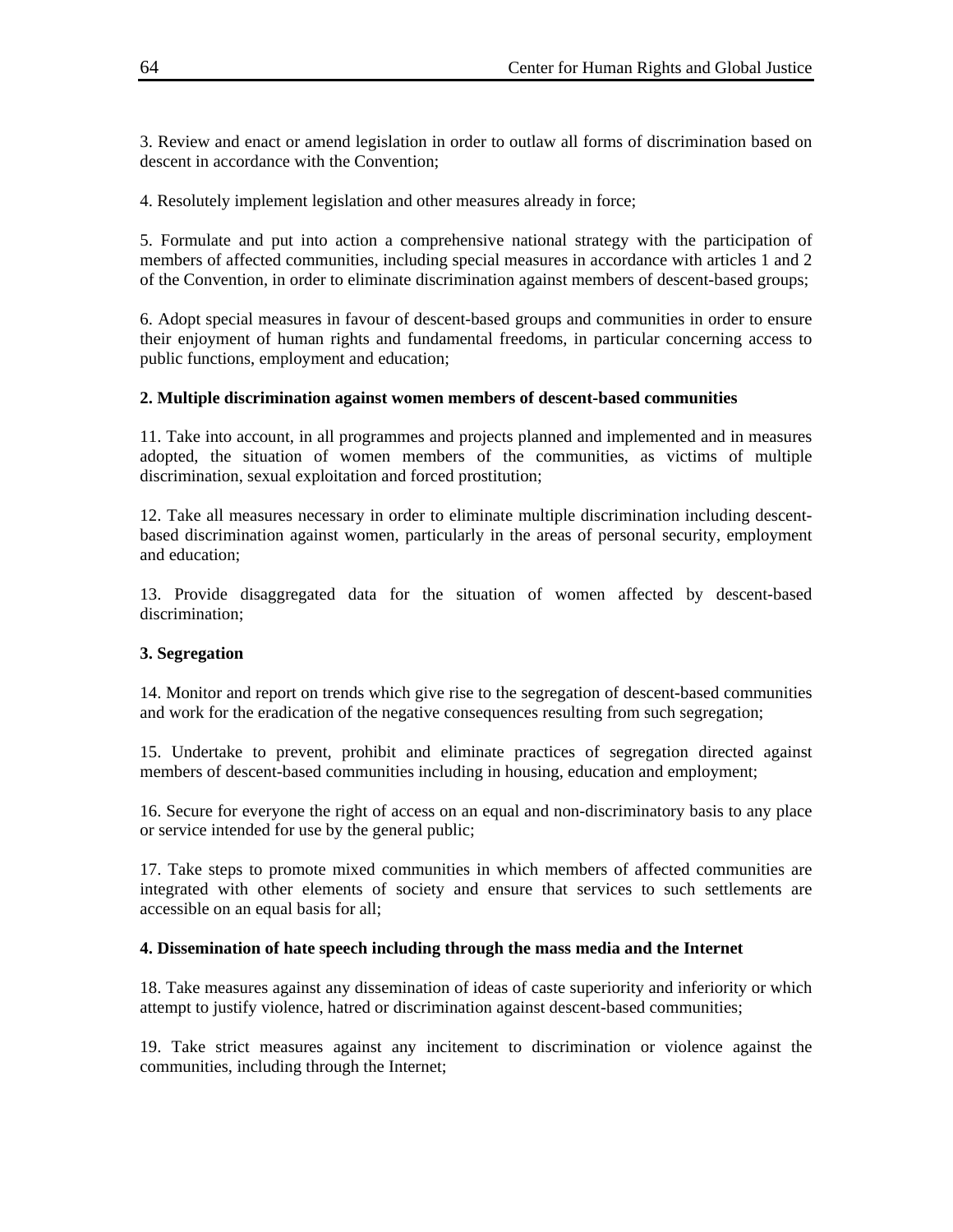3. Review and enact or amend legislation in order to outlaw all forms of discrimination based on descent in accordance with the Convention;

4. Resolutely implement legislation and other measures already in force;

5. Formulate and put into action a comprehensive national strategy with the participation of members of affected communities, including special measures in accordance with articles 1 and 2 of the Convention, in order to eliminate discrimination against members of descent-based groups;

6. Adopt special measures in favour of descent-based groups and communities in order to ensure their enjoyment of human rights and fundamental freedoms, in particular concerning access to public functions, employment and education;

# **2. Multiple discrimination against women members of descent-based communities**

11. Take into account, in all programmes and projects planned and implemented and in measures adopted, the situation of women members of the communities, as victims of multiple discrimination, sexual exploitation and forced prostitution;

12. Take all measures necessary in order to eliminate multiple discrimination including descentbased discrimination against women, particularly in the areas of personal security, employment and education;

13. Provide disaggregated data for the situation of women affected by descent-based discrimination;

# **3. Segregation**

14. Monitor and report on trends which give rise to the segregation of descent-based communities and work for the eradication of the negative consequences resulting from such segregation;

15. Undertake to prevent, prohibit and eliminate practices of segregation directed against members of descent-based communities including in housing, education and employment;

16. Secure for everyone the right of access on an equal and non-discriminatory basis to any place or service intended for use by the general public;

17. Take steps to promote mixed communities in which members of affected communities are integrated with other elements of society and ensure that services to such settlements are accessible on an equal basis for all;

# **4. Dissemination of hate speech including through the mass media and the Internet**

18. Take measures against any dissemination of ideas of caste superiority and inferiority or which attempt to justify violence, hatred or discrimination against descent-based communities;

19. Take strict measures against any incitement to discrimination or violence against the communities, including through the Internet;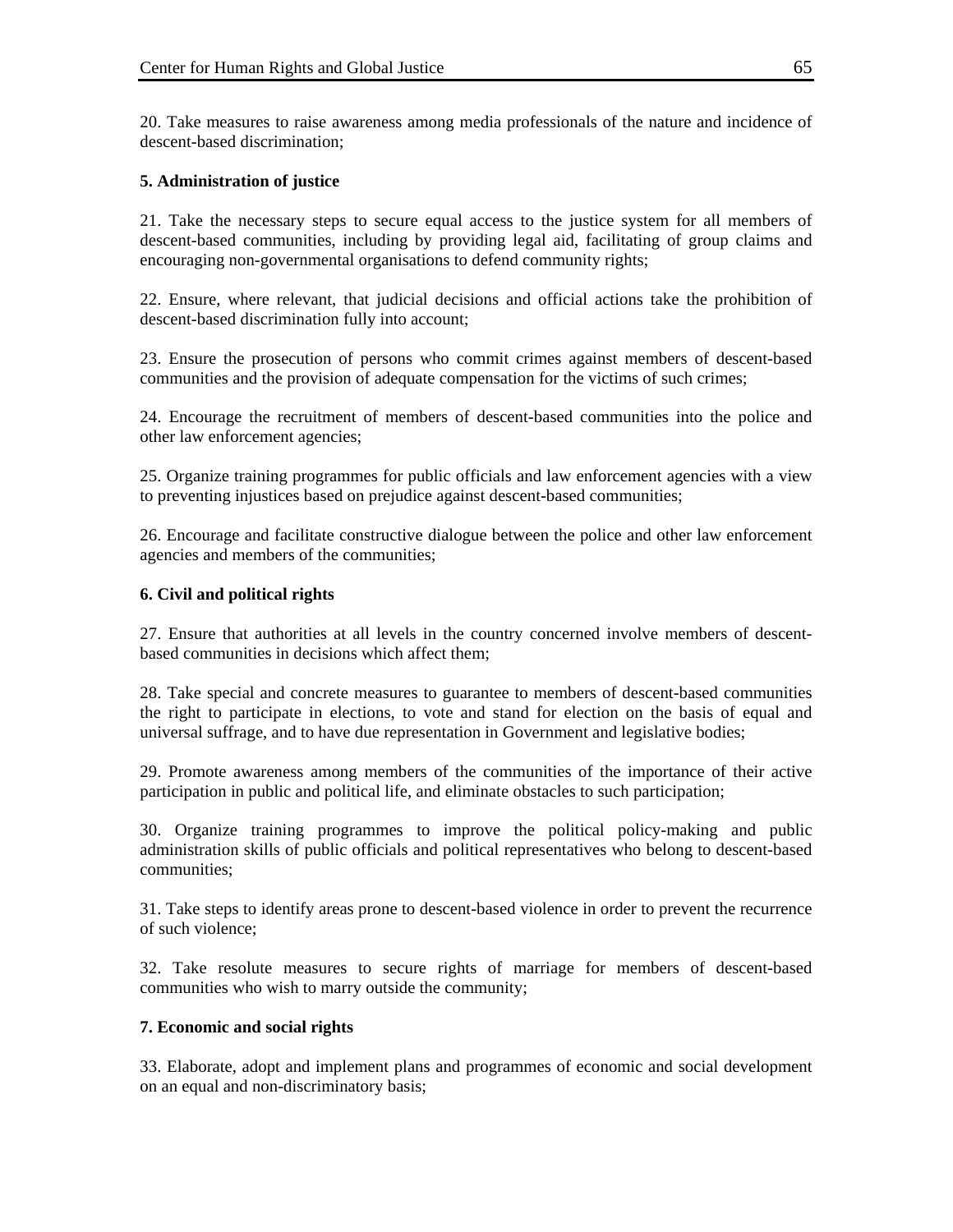20. Take measures to raise awareness among media professionals of the nature and incidence of descent-based discrimination;

# **5. Administration of justice**

21. Take the necessary steps to secure equal access to the justice system for all members of descent-based communities, including by providing legal aid, facilitating of group claims and encouraging non-governmental organisations to defend community rights;

22. Ensure, where relevant, that judicial decisions and official actions take the prohibition of descent-based discrimination fully into account;

23. Ensure the prosecution of persons who commit crimes against members of descent-based communities and the provision of adequate compensation for the victims of such crimes;

24. Encourage the recruitment of members of descent-based communities into the police and other law enforcement agencies;

25. Organize training programmes for public officials and law enforcement agencies with a view to preventing injustices based on prejudice against descent-based communities;

26. Encourage and facilitate constructive dialogue between the police and other law enforcement agencies and members of the communities;

# **6. Civil and political rights**

27. Ensure that authorities at all levels in the country concerned involve members of descentbased communities in decisions which affect them;

28. Take special and concrete measures to guarantee to members of descent-based communities the right to participate in elections, to vote and stand for election on the basis of equal and universal suffrage, and to have due representation in Government and legislative bodies;

29. Promote awareness among members of the communities of the importance of their active participation in public and political life, and eliminate obstacles to such participation;

30. Organize training programmes to improve the political policy-making and public administration skills of public officials and political representatives who belong to descent-based communities;

31. Take steps to identify areas prone to descent-based violence in order to prevent the recurrence of such violence;

32. Take resolute measures to secure rights of marriage for members of descent-based communities who wish to marry outside the community;

# **7. Economic and social rights**

33. Elaborate, adopt and implement plans and programmes of economic and social development on an equal and non-discriminatory basis;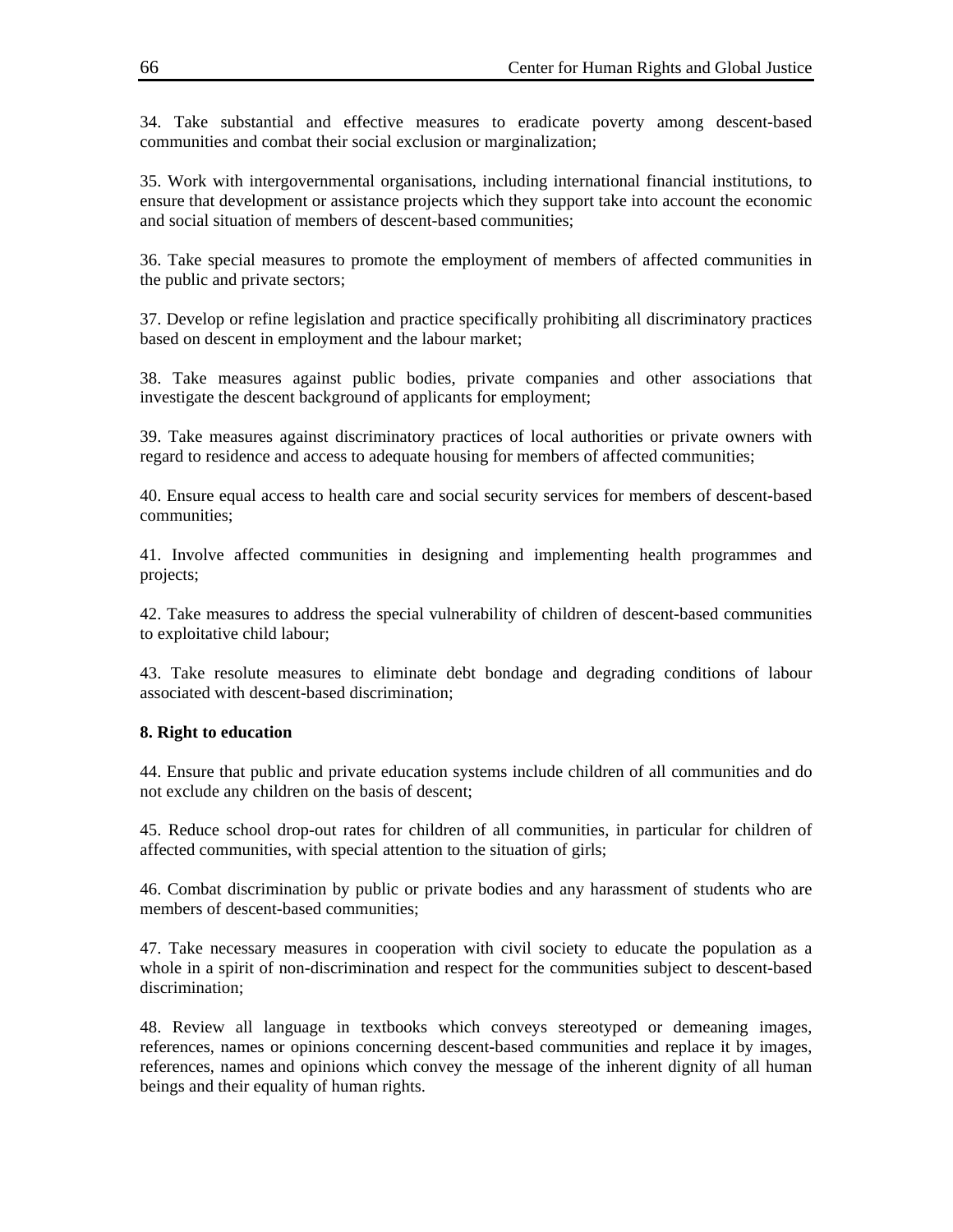34. Take substantial and effective measures to eradicate poverty among descent-based communities and combat their social exclusion or marginalization;

35. Work with intergovernmental organisations, including international financial institutions, to ensure that development or assistance projects which they support take into account the economic and social situation of members of descent-based communities;

36. Take special measures to promote the employment of members of affected communities in the public and private sectors;

37. Develop or refine legislation and practice specifically prohibiting all discriminatory practices based on descent in employment and the labour market;

38. Take measures against public bodies, private companies and other associations that investigate the descent background of applicants for employment;

39. Take measures against discriminatory practices of local authorities or private owners with regard to residence and access to adequate housing for members of affected communities;

40. Ensure equal access to health care and social security services for members of descent-based communities;

41. Involve affected communities in designing and implementing health programmes and projects;

42. Take measures to address the special vulnerability of children of descent-based communities to exploitative child labour;

43. Take resolute measures to eliminate debt bondage and degrading conditions of labour associated with descent-based discrimination;

### **8. Right to education**

44. Ensure that public and private education systems include children of all communities and do not exclude any children on the basis of descent;

45. Reduce school drop-out rates for children of all communities, in particular for children of affected communities, with special attention to the situation of girls;

46. Combat discrimination by public or private bodies and any harassment of students who are members of descent-based communities;

47. Take necessary measures in cooperation with civil society to educate the population as a whole in a spirit of non-discrimination and respect for the communities subject to descent-based discrimination;

48. Review all language in textbooks which conveys stereotyped or demeaning images, references, names or opinions concerning descent-based communities and replace it by images, references, names and opinions which convey the message of the inherent dignity of all human beings and their equality of human rights.